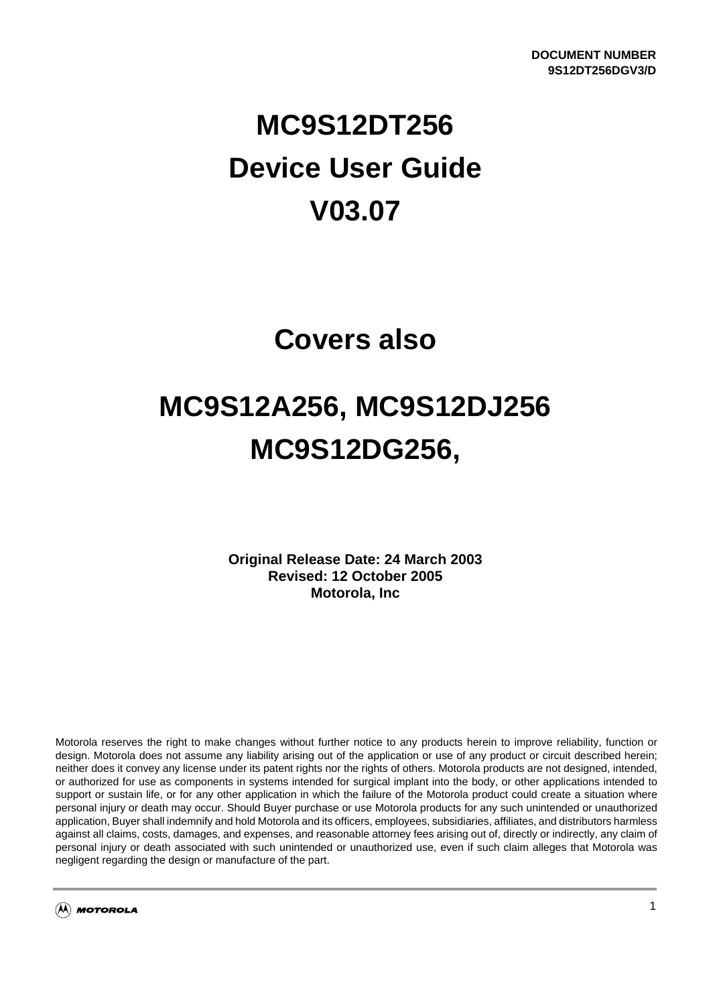# **Covers also**

# **MC9S12A256, MC9S12DJ256 MC9S12DG256,**

**Original Release Date: 24 March 2003 Revised: 12 October 2005 Motorola, Inc**

Motorola reserves the right to make changes without further notice to any products herein to improve reliability, function or design. Motorola does not assume any liability arising out of the application or use of any product or circuit described herein; neither does it convey any license under its patent rights nor the rights of others. Motorola products are not designed, intended, or authorized for use as components in systems intended for surgical implant into the body, or other applications intended to support or sustain life, or for any other application in which the failure of the Motorola product could create a situation where personal injury or death may occur. Should Buyer purchase or use Motorola products for any such unintended or unauthorized application, Buyer shall indemnify and hold Motorola and its officers, employees, subsidiaries, affiliates, and distributors harmless against all claims, costs, damages, and expenses, and reasonable attorney fees arising out of, directly or indirectly, any claim of personal injury or death associated with such unintended or unauthorized use, even if such claim alleges that Motorola was negligent regarding the design or manufacture of the part.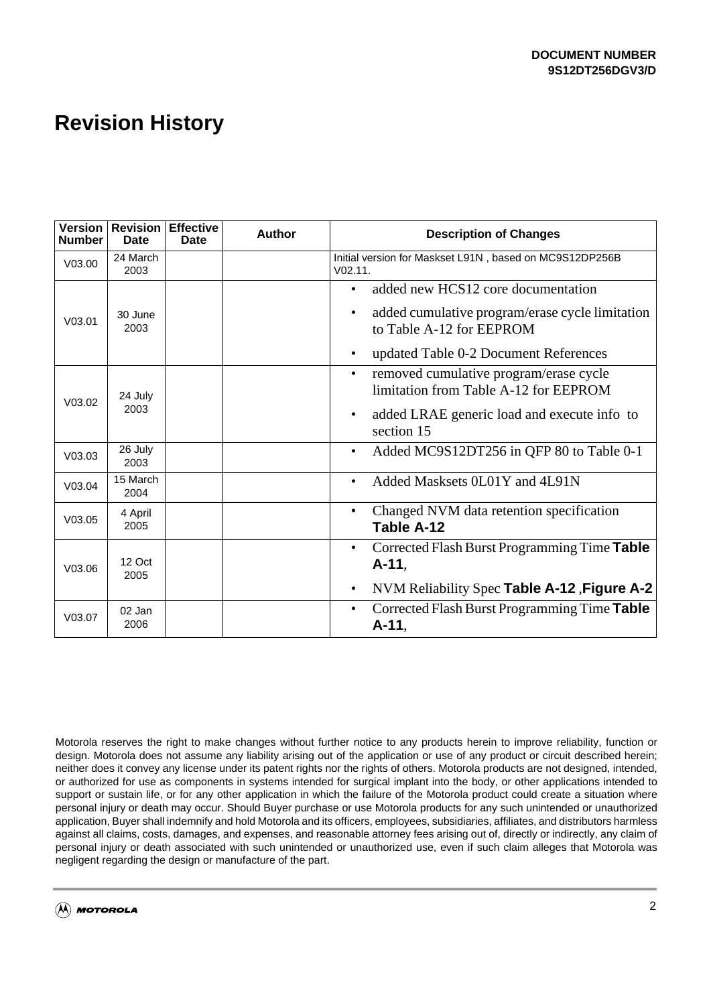# **Revision History**

| Version<br><b>Number</b> | <b>Revision</b><br>Date | <b>Effective</b><br><b>Date</b> | <b>Author</b> | <b>Description of Changes</b>                                                                                                                                                |
|--------------------------|-------------------------|---------------------------------|---------------|------------------------------------------------------------------------------------------------------------------------------------------------------------------------------|
| V <sub>03.00</sub>       | 24 March<br>2003        |                                 |               | Initial version for Maskset L91N, based on MC9S12DP256B<br>V02.11.                                                                                                           |
| V03.01                   | 30 June<br>2003         |                                 |               | added new HCS12 core documentation<br>$\bullet$<br>added cumulative program/erase cycle limitation<br>٠<br>to Table A-12 for EEPROM<br>updated Table 0-2 Document References |
| V03.02                   | 24 July<br>2003         |                                 |               | removed cumulative program/erase cycle<br>$\bullet$<br>limitation from Table A-12 for EEPROM<br>added LRAE generic load and execute info to<br>$\bullet$<br>section 15       |
| V03.03                   | 26 July<br>2003         |                                 |               | Added MC9S12DT256 in QFP 80 to Table 0-1<br>٠                                                                                                                                |
| V03.04                   | 15 March<br>2004        |                                 |               | Added Masksets 0L01Y and 4L91N<br>$\bullet$                                                                                                                                  |
| V <sub>03.05</sub>       | 4 April<br>2005         |                                 |               | Changed NVM data retention specification<br>$\bullet$<br>Table A-12                                                                                                          |
| V03.06                   | 12 Oct<br>2005          |                                 |               | Corrected Flash Burst Programming Time Table<br>$\bullet$<br>$A-11$ ,<br>NVM Reliability Spec Table A-12, Figure A-2<br>$\bullet$                                            |
| V <sub>03.07</sub>       | 02 Jan<br>2006          |                                 |               | Corrected Flash Burst Programming Time Table<br>$\bullet$<br>$A-11,$                                                                                                         |

Motorola reserves the right to make changes without further notice to any products herein to improve reliability, function or design. Motorola does not assume any liability arising out of the application or use of any product or circuit described herein; neither does it convey any license under its patent rights nor the rights of others. Motorola products are not designed, intended, or authorized for use as components in systems intended for surgical implant into the body, or other applications intended to support or sustain life, or for any other application in which the failure of the Motorola product could create a situation where personal injury or death may occur. Should Buyer purchase or use Motorola products for any such unintended or unauthorized application, Buyer shall indemnify and hold Motorola and its officers, employees, subsidiaries, affiliates, and distributors harmless against all claims, costs, damages, and expenses, and reasonable attorney fees arising out of, directly or indirectly, any claim of personal injury or death associated with such unintended or unauthorized use, even if such claim alleges that Motorola was negligent regarding the design or manufacture of the part.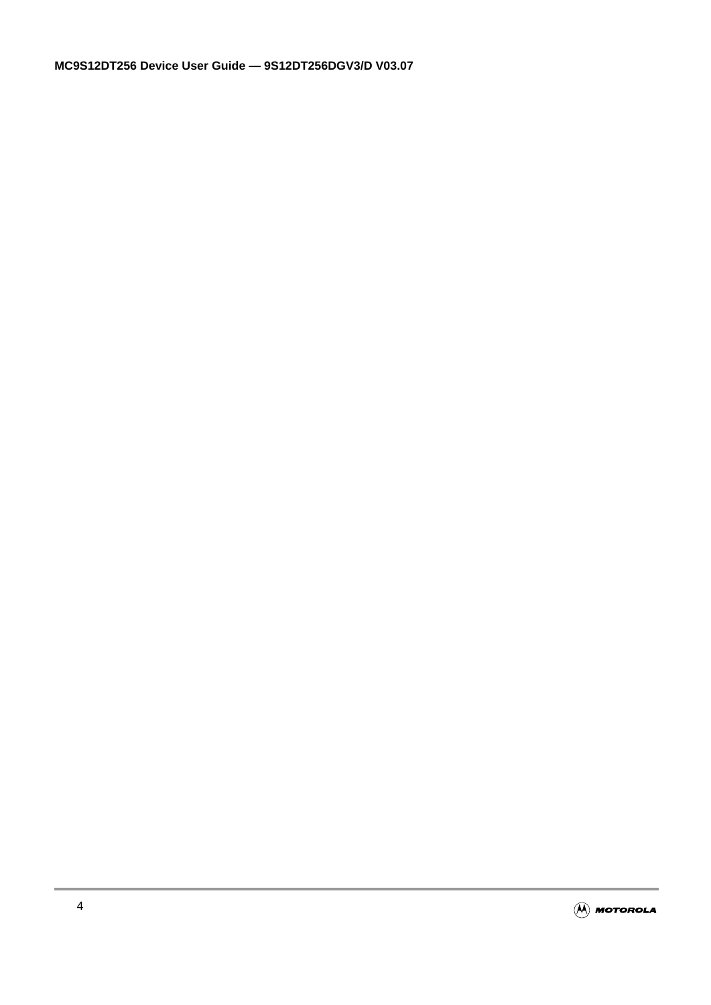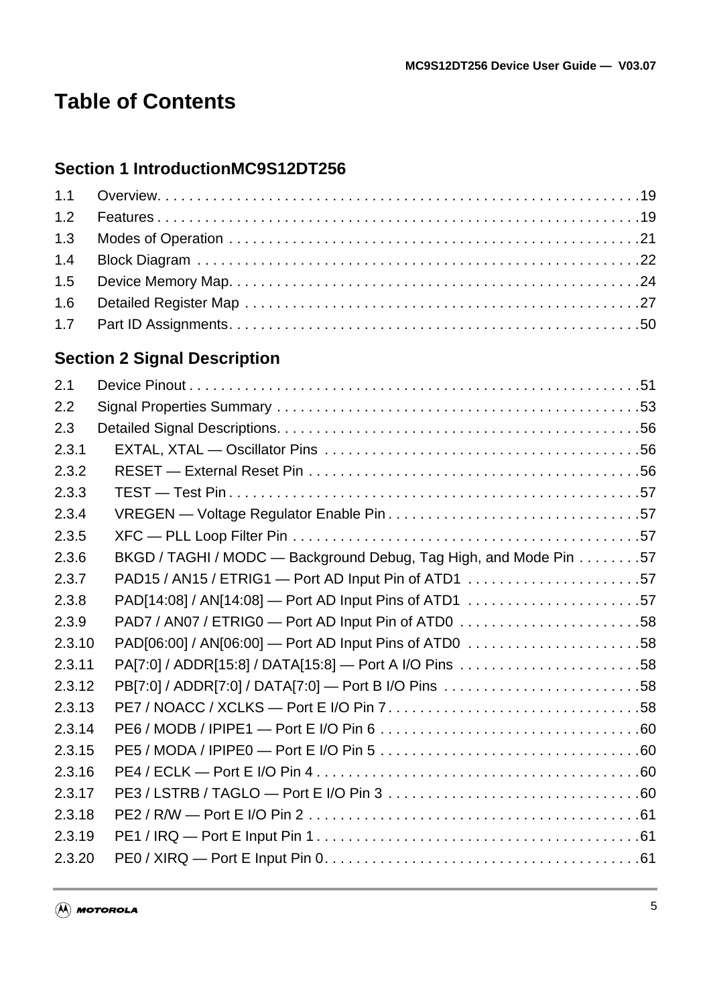# **Table of Contents**

## **[Section 1 IntroductionMC9S12DT256](#page-18-0)**

# **[Section 2 Signal Description](#page-50-0)**

| 2.1    |                                                                   |
|--------|-------------------------------------------------------------------|
| 2.2    |                                                                   |
| 2.3    |                                                                   |
| 2.3.1  |                                                                   |
| 2.3.2  |                                                                   |
| 2.3.3  |                                                                   |
| 2.3.4  |                                                                   |
| 2.3.5  |                                                                   |
| 2.3.6  | BKGD / TAGHI / MODC — Background Debug, Tag High, and Mode Pin 57 |
| 2.3.7  | PAD15 / AN15 / ETRIG1 - Port AD Input Pin of ATD1 57              |
| 2.3.8  | PAD[14:08] / AN[14:08] — Port AD Input Pins of ATD1 57            |
| 2.3.9  |                                                                   |
| 2.3.10 | PAD[06:00] / AN[06:00] — Port AD Input Pins of ATD0 58            |
| 2.3.11 | PA[7:0] / ADDR[15:8] / DATA[15:8] — Port A I/O Pins 58            |
| 2.3.12 | PB[7:0] / ADDR[7:0] / DATA[7:0] — Port B I/O Pins 58              |
| 2.3.13 |                                                                   |
| 2.3.14 |                                                                   |
| 2.3.15 |                                                                   |
| 2.3.16 |                                                                   |
| 2.3.17 |                                                                   |
| 2.3.18 |                                                                   |
| 2.3.19 |                                                                   |
| 2.3.20 |                                                                   |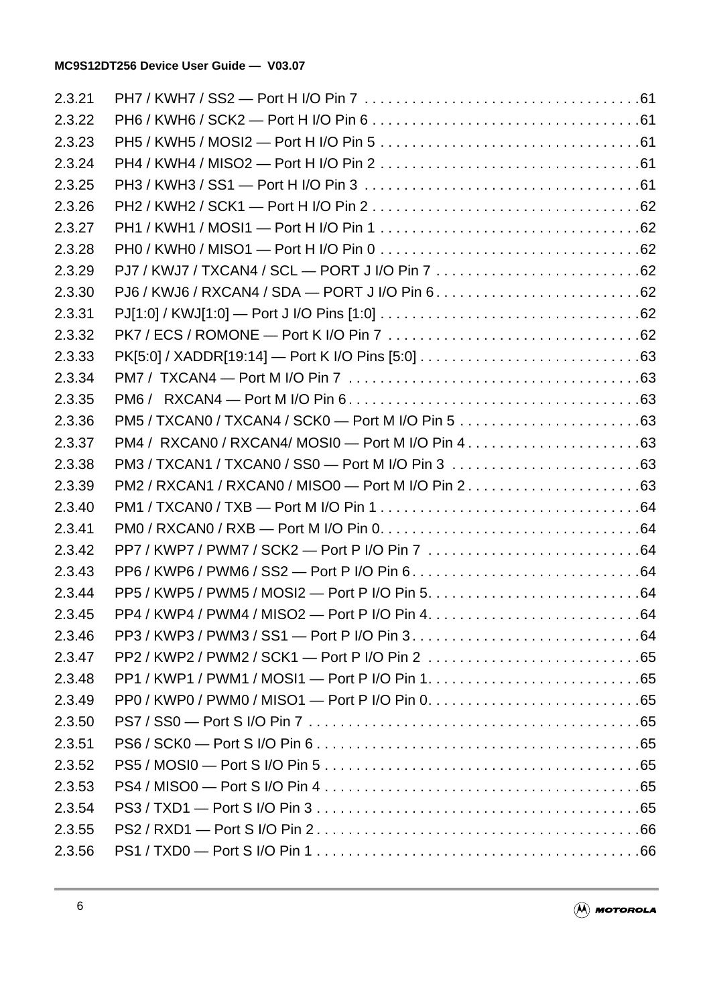| 2.3.21 |  |
|--------|--|
| 2.3.22 |  |
| 2.3.23 |  |
| 2.3.24 |  |
| 2.3.25 |  |
| 2.3.26 |  |
| 2.3.27 |  |
| 2.3.28 |  |
| 2.3.29 |  |
| 2.3.30 |  |
| 2.3.31 |  |
| 2.3.32 |  |
| 2.3.33 |  |
| 2.3.34 |  |
| 2.3.35 |  |
| 2.3.36 |  |
| 2.3.37 |  |
| 2.3.38 |  |
| 2.3.39 |  |
| 2.3.40 |  |
| 2.3.41 |  |
| 2.3.42 |  |
| 2.3.43 |  |
| 2.3.44 |  |
| 2.3.45 |  |
| 2.3.46 |  |
| 2.3.47 |  |
| 2.3.48 |  |
| 2.3.49 |  |
| 2.3.50 |  |
| 2.3.51 |  |
| 2.3.52 |  |
| 2.3.53 |  |
| 2.3.54 |  |
| 2.3.55 |  |
| 2.3.56 |  |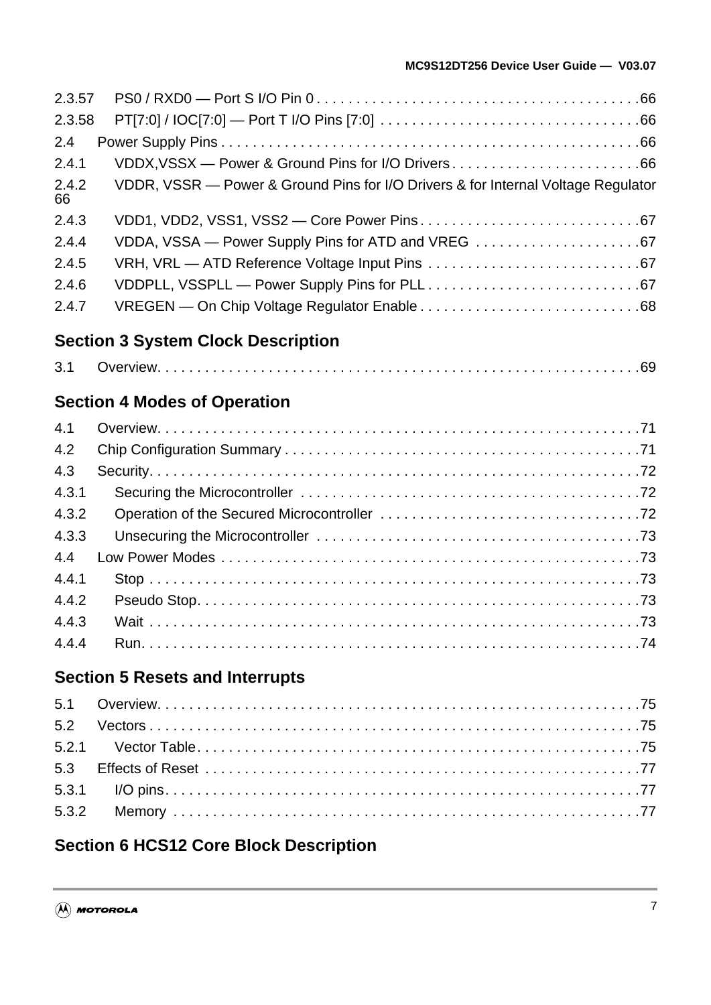| 2.3.57      |                                                                                   |  |
|-------------|-----------------------------------------------------------------------------------|--|
| 2.3.58      |                                                                                   |  |
| 2.4         |                                                                                   |  |
| 2.4.1       | VDDX, VSSX — Power & Ground Pins for I/O Drivers66                                |  |
| 2.4.2<br>66 | VDDR, VSSR — Power & Ground Pins for I/O Drivers & for Internal Voltage Regulator |  |
|             |                                                                                   |  |
| 2.4.3       |                                                                                   |  |
| 2.4.4       | VDDA, VSSA — Power Supply Pins for ATD and VREG 67                                |  |
| 2.4.5       |                                                                                   |  |
| 2.4.6       |                                                                                   |  |
| 2.4.7       |                                                                                   |  |

# **[Section 3 System Clock Description](#page-68-0)**

| 3.1 |  |  |  |  |  |  |
|-----|--|--|--|--|--|--|
|-----|--|--|--|--|--|--|

# **[Section 4 Modes of Operation](#page-70-0)**

| 4.1   |  |
|-------|--|
| 4.2   |  |
| 4.3   |  |
| 4.3.1 |  |
| 4.3.2 |  |
| 4.3.3 |  |
| 4.4   |  |
| 4.4.1 |  |
| 4.4.2 |  |
| 4.4.3 |  |
| 4.4.4 |  |

## **[Section 5 Resets and Interrupts](#page-74-0)**

# **[Section 6 HCS12 Core Block Description](#page-78-0)**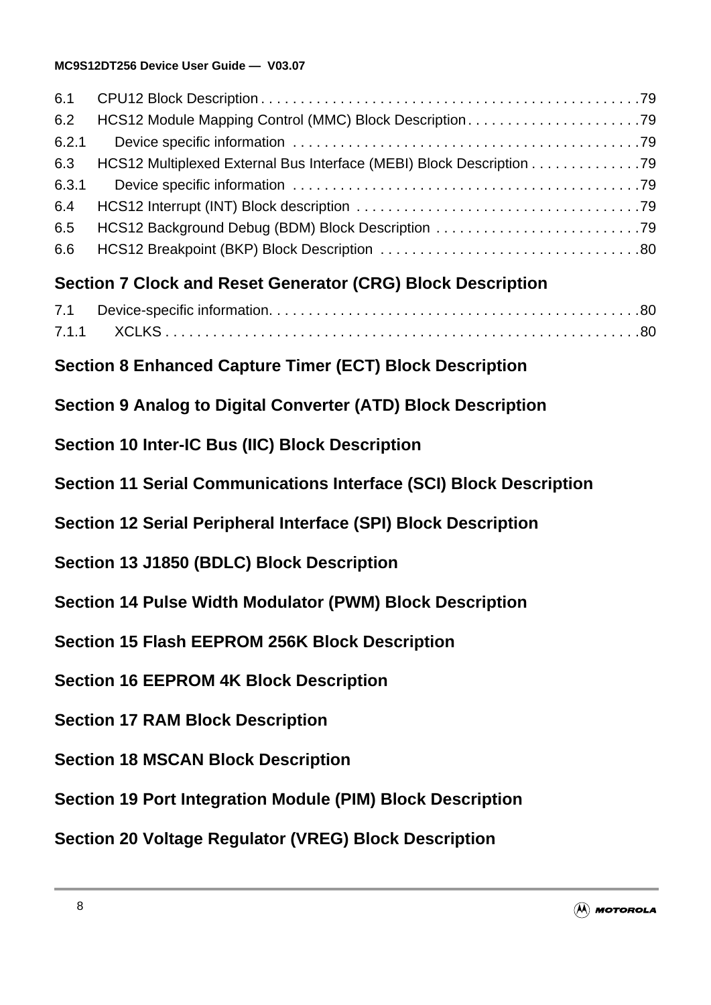|     | 6.2 HCS12 Module Mapping Control (MMC) Block Description79           |  |
|-----|----------------------------------------------------------------------|--|
|     |                                                                      |  |
| 6.3 | HCS12 Multiplexed External Bus Interface (MEBI) Block Description 79 |  |
|     |                                                                      |  |
| 6.4 |                                                                      |  |
| 6.5 | HCS12 Background Debug (BDM) Block Description 79                    |  |
|     |                                                                      |  |
|     |                                                                      |  |

# **[Section 7 Clock and Reset Generator \(CRG\) Block Description](#page-79-1)**

**[Section 8 Enhanced Capture Timer \(ECT\) Block Description](#page-79-4)**

# **[Section 9 Analog to Digital Converter \(ATD\) Block Description](#page-79-5)**

**[Section 10 Inter-IC Bus \(IIC\) Block Description](#page-79-6)**

**[Section 11 Serial Communications Interface \(SCI\) Block Description](#page-79-7)**

**[Section 12 Serial Peripheral Interface \(SPI\) Block Description](#page-80-0)**

**[Section 13 J1850 \(BDLC\) Block Description](#page-80-1)**

**[Section 14 Pulse Width Modulator \(PWM\) Block Description](#page-80-2)**

**[Section 15 Flash EEPROM 256K Block Description](#page-80-3)**

**[Section 16 EEPROM 4K Block Description](#page-80-4)**

**[Section 17 RAM Block Description](#page-81-0)**

**[Section 18 MSCAN Block Description](#page-81-1)**

**[Section 19 Port Integration Module \(PIM\) Block Description](#page-81-2)**

**[Section 20 Voltage Regulator \(VREG\) Block Description](#page-81-3)**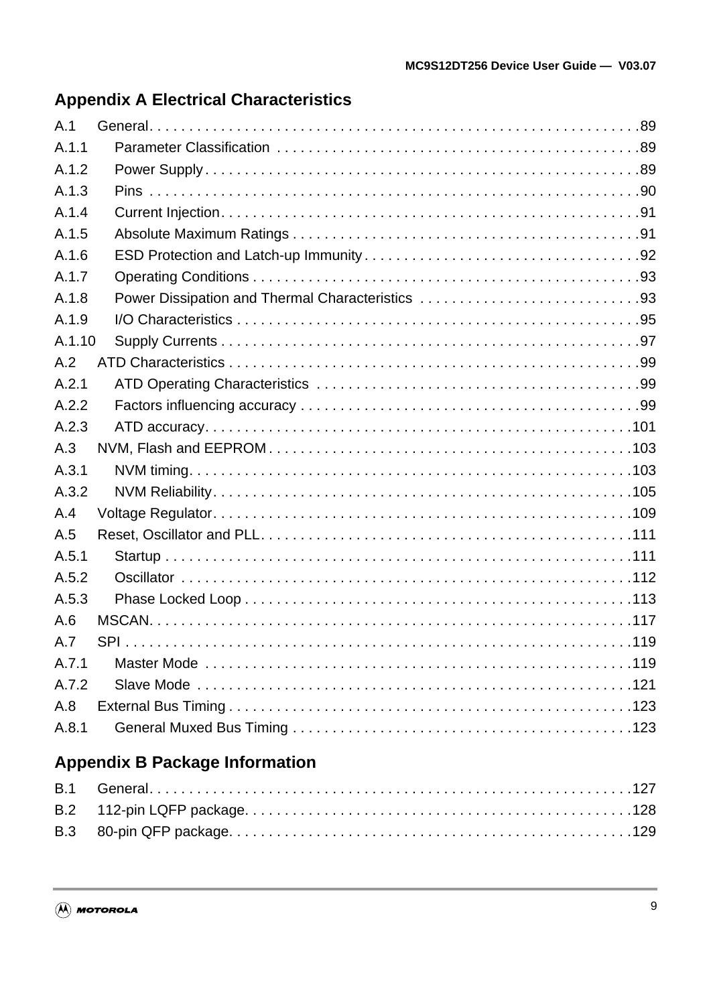# **[Appendix A Electrical Characteristics](#page-88-0)**

| A.1    |                                                  |
|--------|--------------------------------------------------|
| A.1.1  |                                                  |
| A.1.2  |                                                  |
| A.1.3  |                                                  |
| A.1.4  |                                                  |
| A.1.5  |                                                  |
| A.1.6  |                                                  |
| A.1.7  |                                                  |
| A.1.8  | Power Dissipation and Thermal Characteristics 93 |
| A.1.9  |                                                  |
| A.1.10 |                                                  |
| A.2    |                                                  |
| A.2.1  |                                                  |
| A.2.2  |                                                  |
| A.2.3  |                                                  |
| A.3    |                                                  |
| A.3.1  |                                                  |
| A.3.2  |                                                  |
| A.4    |                                                  |
| A.5    |                                                  |
| A.5.1  |                                                  |
| A.5.2  |                                                  |
| A.5.3  |                                                  |
| A.6    |                                                  |
| A.7    |                                                  |
| A.7.1  |                                                  |
| A.7.2  |                                                  |
| A.8    |                                                  |
| A.8.1  |                                                  |

# **[Appendix B Package Information](#page-126-0)**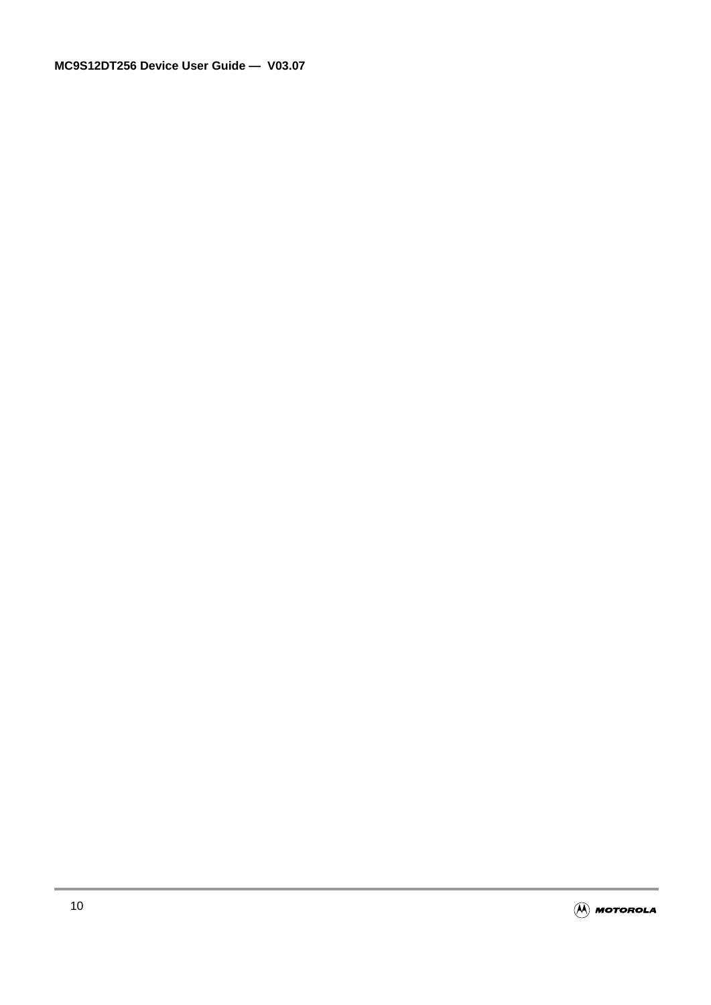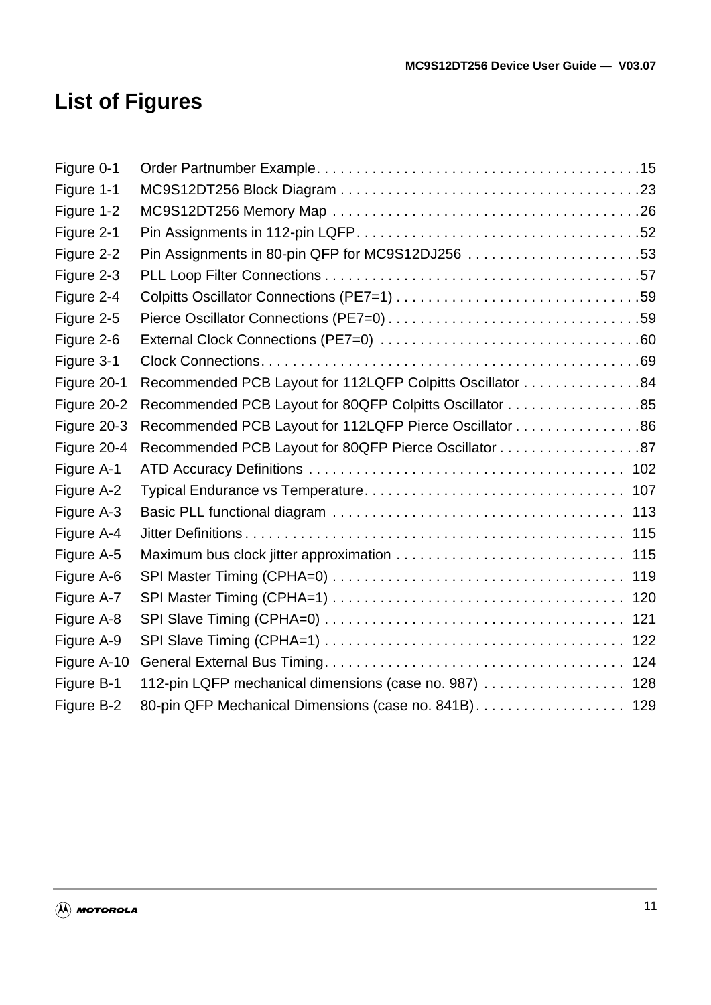# **List of Figures**

| Figure 0-1  |                                                           |
|-------------|-----------------------------------------------------------|
| Figure 1-1  |                                                           |
| Figure 1-2  |                                                           |
| Figure 2-1  |                                                           |
| Figure 2-2  | Pin Assignments in 80-pin QFP for MC9S12DJ256 53          |
| Figure 2-3  |                                                           |
| Figure 2-4  |                                                           |
| Figure 2-5  |                                                           |
| Figure 2-6  |                                                           |
| Figure 3-1  |                                                           |
| Figure 20-1 | Recommended PCB Layout for 112LQFP Colpitts Oscillator 84 |
| Figure 20-2 | Recommended PCB Layout for 80QFP Colpitts Oscillator 85   |
| Figure 20-3 | Recommended PCB Layout for 112LQFP Pierce Oscillator 86   |
| Figure 20-4 | Recommended PCB Layout for 80QFP Pierce Oscillator 87     |
| Figure A-1  |                                                           |
| Figure A-2  |                                                           |
| Figure A-3  |                                                           |
| Figure A-4  |                                                           |
| Figure A-5  |                                                           |
| Figure A-6  |                                                           |
| Figure A-7  |                                                           |
| Figure A-8  |                                                           |
| Figure A-9  |                                                           |
| Figure A-10 |                                                           |
| Figure B-1  | 112-pin LQFP mechanical dimensions (case no. 987) 128     |
| Figure B-2  | 80-pin QFP Mechanical Dimensions (case no. 841B) 129      |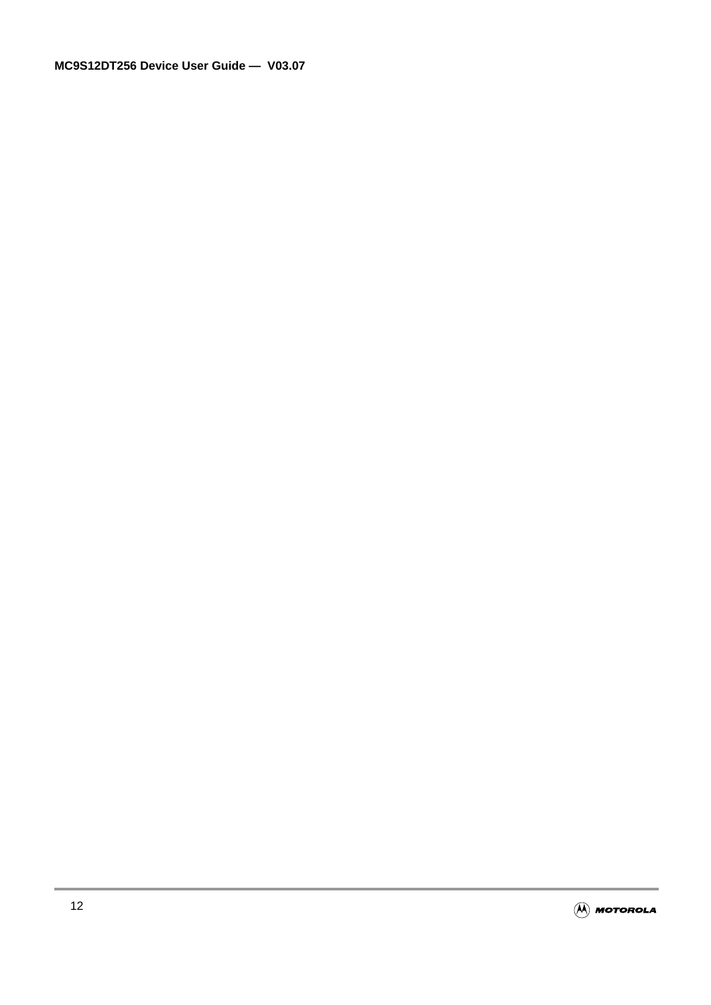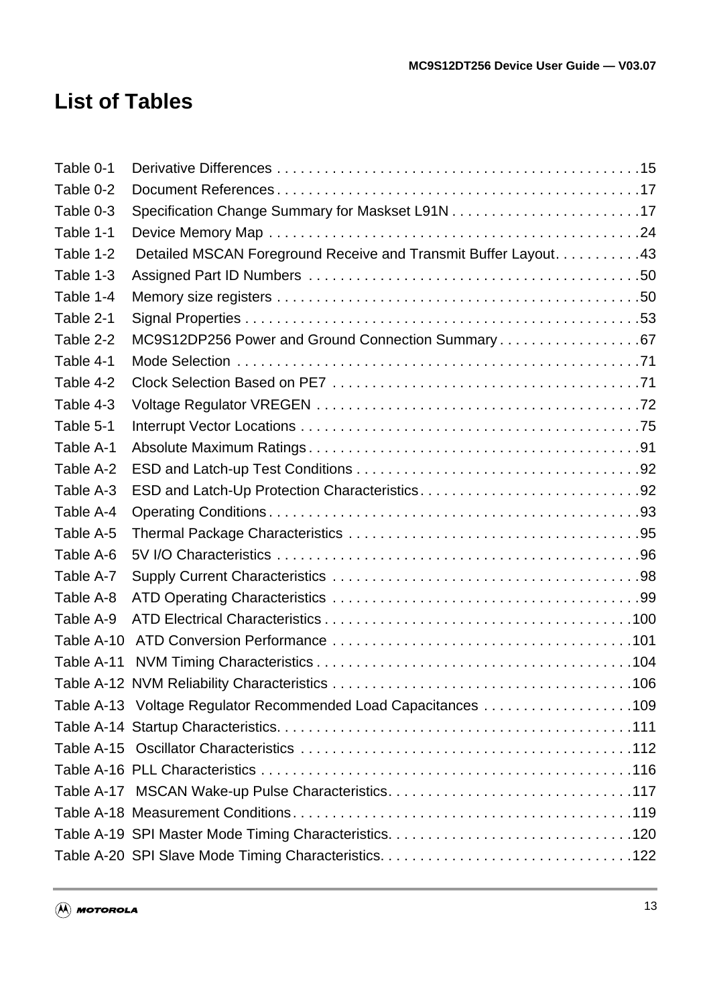# **List of Tables**

| Table 0-1  |                                                                  |  |
|------------|------------------------------------------------------------------|--|
| Table 0-2  |                                                                  |  |
| Table 0-3  |                                                                  |  |
| Table 1-1  |                                                                  |  |
| Table 1-2  | Detailed MSCAN Foreground Receive and Transmit Buffer Layout. 43 |  |
| Table 1-3  |                                                                  |  |
| Table 1-4  |                                                                  |  |
| Table 2-1  |                                                                  |  |
| Table 2-2  | MC9S12DP256 Power and Ground Connection Summary67                |  |
| Table 4-1  |                                                                  |  |
| Table 4-2  |                                                                  |  |
| Table 4-3  |                                                                  |  |
| Table 5-1  |                                                                  |  |
| Table A-1  |                                                                  |  |
| Table A-2  |                                                                  |  |
| Table A-3  |                                                                  |  |
| Table A-4  |                                                                  |  |
| Table A-5  |                                                                  |  |
| Table A-6  |                                                                  |  |
| Table A-7  |                                                                  |  |
| Table A-8  |                                                                  |  |
| Table A-9  |                                                                  |  |
| Table A-10 |                                                                  |  |
| Table A-11 |                                                                  |  |
|            |                                                                  |  |
|            | Table A-13 Voltage Regulator Recommended Load Capacitances 109   |  |
|            |                                                                  |  |
|            |                                                                  |  |
|            |                                                                  |  |
|            | Table A-17 MSCAN Wake-up Pulse Characteristics117                |  |
|            |                                                                  |  |
|            |                                                                  |  |
|            |                                                                  |  |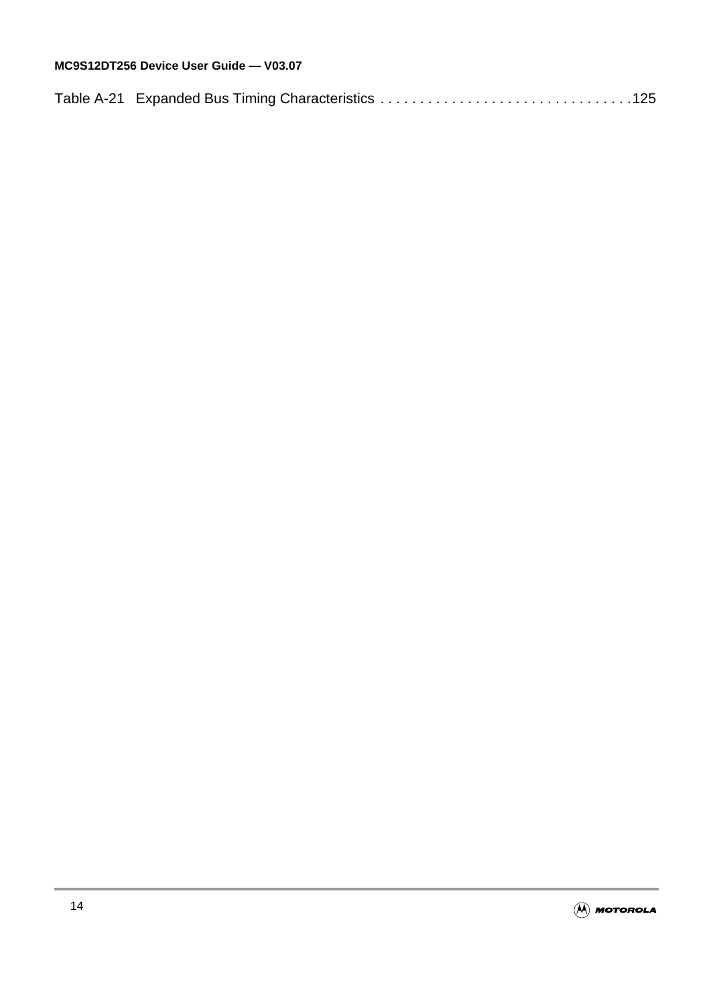|  |  | Table A-21 Expanded Bus Timing Characteristics 125 |  |
|--|--|----------------------------------------------------|--|
|--|--|----------------------------------------------------|--|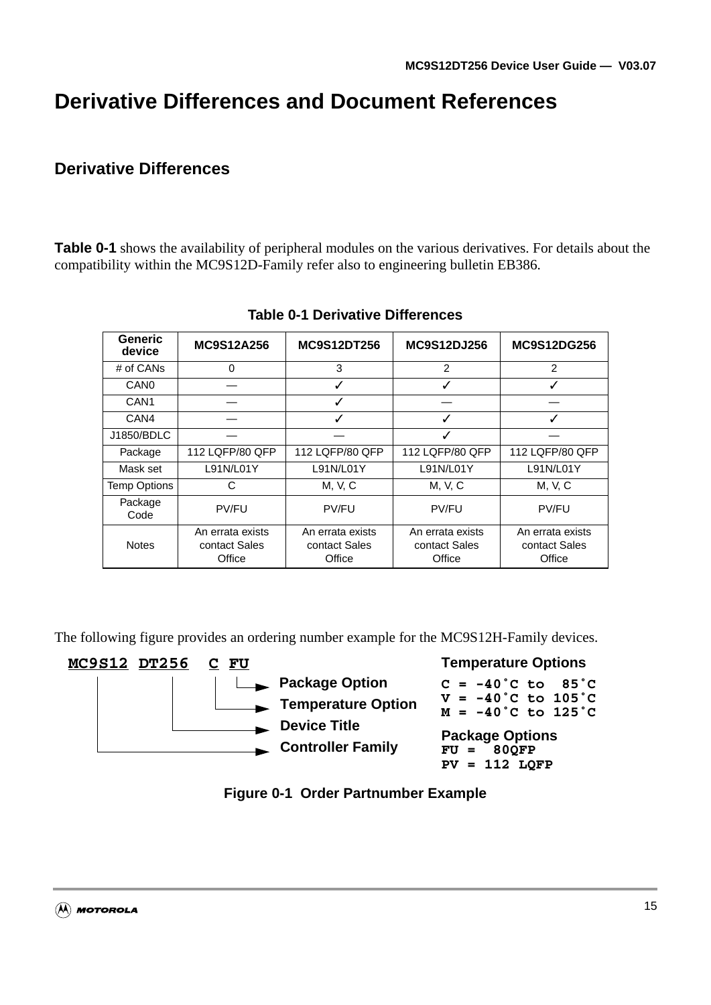# **Derivative Differences and Document References**

### **Derivative Differences**

**Table 0-1** shows the availability of peripheral modules on the various derivatives. For details about the compatibility within the MC9S12D-Family refer also to engineering bulletin EB386.

<span id="page-14-1"></span>

| <b>Generic</b><br>device | <b>MC9S12A256</b>                           | <b>MC9S12DT256</b>                          | <b>MC9S12DJ256</b>                          | <b>MC9S12DG256</b>                          |
|--------------------------|---------------------------------------------|---------------------------------------------|---------------------------------------------|---------------------------------------------|
| # of CANs                | $\Omega$                                    | 3                                           | $\overline{2}$                              | $\overline{2}$                              |
| CAN <sub>0</sub>         |                                             |                                             |                                             |                                             |
| CAN <sub>1</sub>         |                                             | ✓                                           |                                             |                                             |
| CAN4                     |                                             |                                             | ✓                                           |                                             |
| J1850/BDLC               |                                             |                                             |                                             |                                             |
| Package                  | 112 LQFP/80 QFP                             | 112 LQFP/80 QFP                             | 112 LQFP/80 QFP                             | 112 LQFP/80 QFP                             |
| Mask set                 | L91N/L01Y                                   | L91N/L01Y                                   | L91N/L01Y                                   | L91N/L01Y                                   |
| <b>Temp Options</b>      | C<br>M, V, C                                |                                             | M, V, C                                     | M, V, C                                     |
| Package<br>Code          | PV/FU                                       | PV/FU                                       | <b>PV/FU</b>                                | <b>PV/FU</b>                                |
| <b>Notes</b>             | An errata exists<br>contact Sales<br>Office | An errata exists<br>contact Sales<br>Office | An errata exists<br>contact Sales<br>Office | An errata exists<br>contact Sales<br>Office |

### **Table 0-1 Derivative Differences**

The following figure provides an ordering number example for the MC9S12H-Family devices.

<span id="page-14-0"></span>

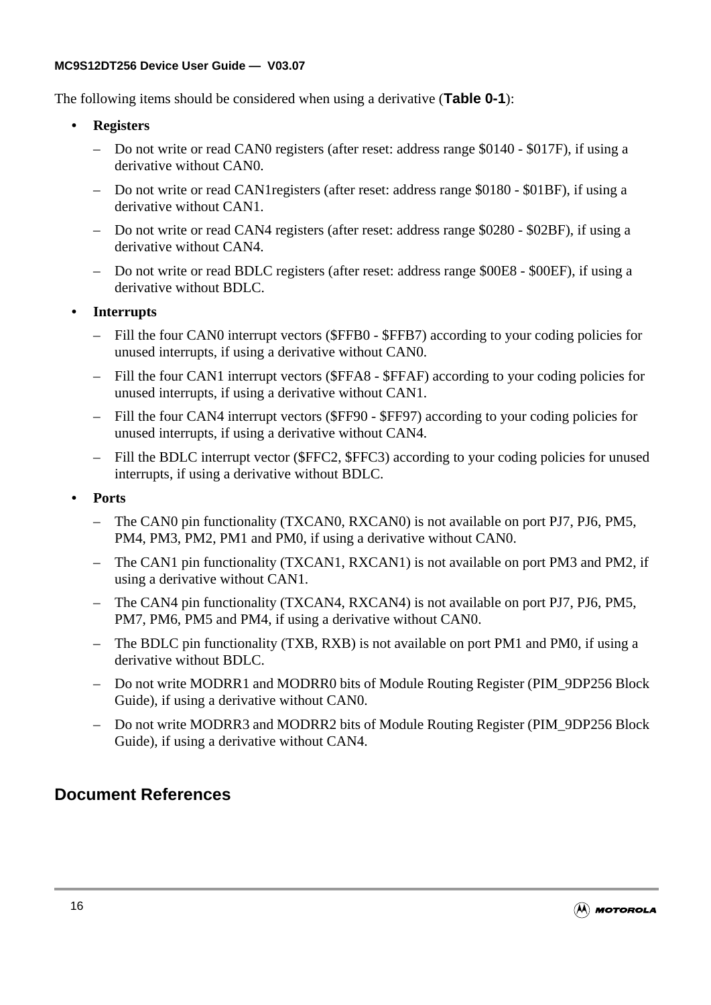The following items should be considered when using a derivative (**Table 0-1**):

- **Registers**
	- Do not write or read CAN0 registers (after reset: address range \$0140 \$017F), if using a derivative without CAN0.
	- Do not write or read CAN1registers (after reset: address range \$0180 \$01BF), if using a derivative without CAN1.
	- Do not write or read CAN4 registers (after reset: address range \$0280 \$02BF), if using a derivative without CAN4.
	- Do not write or read BDLC registers (after reset: address range \$00E8 \$00EF), if using a derivative without BDLC.

**• Interrupts**

- Fill the four CAN0 interrupt vectors (\$FFB0 \$FFB7) according to your coding policies for unused interrupts, if using a derivative without CAN0.
- Fill the four CAN1 interrupt vectors (\$FFA8 \$FFAF) according to your coding policies for unused interrupts, if using a derivative without CAN1.
- Fill the four CAN4 interrupt vectors (\$FF90 \$FF97) according to your coding policies for unused interrupts, if using a derivative without CAN4.
- Fill the BDLC interrupt vector (\$FFC2, \$FFC3) according to your coding policies for unused interrupts, if using a derivative without BDLC.

### **• Ports**

- The CAN0 pin functionality (TXCAN0, RXCAN0) is not available on port PJ7, PJ6, PM5, PM4, PM3, PM2, PM1 and PM0, if using a derivative without CAN0.
- The CAN1 pin functionality (TXCAN1, RXCAN1) is not available on port PM3 and PM2, if using a derivative without CAN1.
- The CAN4 pin functionality (TXCAN4, RXCAN4) is not available on port PJ7, PJ6, PM5, PM7, PM6, PM5 and PM4, if using a derivative without CAN0.
- The BDLC pin functionality (TXB, RXB) is not available on port PM1 and PM0, if using a derivative without BDLC.
- Do not write MODRR1 and MODRR0 bits of Module Routing Register (PIM\_9DP256 Block Guide), if using a derivative without CAN0.
- Do not write MODRR3 and MODRR2 bits of Module Routing Register (PIM\_9DP256 Block Guide), if using a derivative without CAN4.

### **Document References**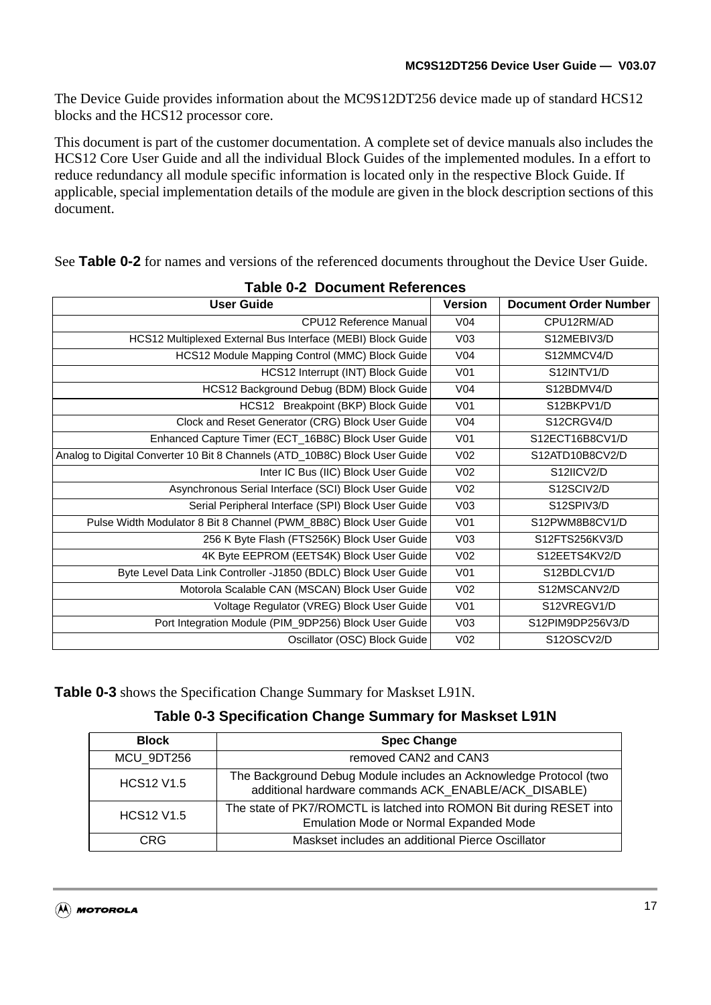The Device Guide provides information about the MC9S12DT256 device made up of standard HCS12 blocks and the HCS12 processor core.

This document is part of the customer documentation. A complete set of device manuals also includes the HCS12 Core User Guide and all the individual Block Guides of the implemented modules. In a effort to reduce redundancy all module specific information is located only in the respective Block Guide. If applicable, special implementation details of the module are given in the block description sections of this document.

See **[Table 0-2](#page-16-0)** for names and versions of the referenced documents throughout the Device User Guide.

<span id="page-16-0"></span>

| <b>User Guide</b>                                                          | <b>Version</b>   | <b>Document Order Number</b> |
|----------------------------------------------------------------------------|------------------|------------------------------|
| CPU12 Reference Manual                                                     | V <sub>04</sub>  | CPU12RM/AD                   |
| HCS12 Multiplexed External Bus Interface (MEBI) Block Guide                | V <sub>03</sub>  | S12MEBIV3/D                  |
| HCS12 Module Mapping Control (MMC) Block Guide                             | V <sub>04</sub>  | S12MMCV4/D                   |
| HCS12 Interrupt (INT) Block Guide                                          | V <sub>01</sub>  | S12INTV1/D                   |
| HCS12 Background Debug (BDM) Block Guide                                   | V <sub>04</sub>  | S12BDMV4/D                   |
| HCS12 Breakpoint (BKP) Block Guide                                         | V <sub>01</sub>  | S12BKPV1/D                   |
| Clock and Reset Generator (CRG) Block User Guide                           | V <sub>04</sub>  | S12CRGV4/D                   |
| Enhanced Capture Timer (ECT_16B8C) Block User Guide                        | V <sub>01</sub>  | S12ECT16B8CV1/D              |
| Analog to Digital Converter 10 Bit 8 Channels (ATD_10B8C) Block User Guide | V <sub>02</sub>  | S12ATD10B8CV2/D              |
| Inter IC Bus (IIC) Block User Guide                                        | V <sub>02</sub>  | S12IICV2/D                   |
| Asynchronous Serial Interface (SCI) Block User Guide                       | V <sub>02</sub>  | S12SCIV2/D                   |
| Serial Peripheral Interface (SPI) Block User Guide                         | V <sub>03</sub>  | S12SPIV3/D                   |
| Pulse Width Modulator 8 Bit 8 Channel (PWM_8B8C) Block User Guide          | V <sub>01</sub>  | S12PWM8B8CV1/D               |
| 256 K Byte Flash (FTS256K) Block User Guide                                | V <sub>03</sub>  | S12FTS256KV3/D               |
| 4K Byte EEPROM (EETS4K) Block User Guide                                   | V <sub>02</sub>  | S12EETS4KV2/D                |
| Byte Level Data Link Controller -J1850 (BDLC) Block User Guide             | V <sub>0</sub> 1 | S12BDLCV1/D                  |
| Motorola Scalable CAN (MSCAN) Block User Guide                             | V <sub>02</sub>  | S12MSCANV2/D                 |
| Voltage Regulator (VREG) Block User Guide                                  | V <sub>01</sub>  | S12VREGV1/D                  |
| Port Integration Module (PIM_9DP256) Block User Guide                      | V <sub>03</sub>  | S12PIM9DP256V3/D             |
| Oscillator (OSC) Block Guide                                               | V <sub>02</sub>  | S12OSCV2/D                   |

**Table 0-2 Document References**

<span id="page-16-1"></span>**[Table 0-3](#page-16-1)** shows the Specification Change Summary for Maskset L91N.

**Table 0-3 Specification Change Summary for Maskset L91N**

| <b>Block</b>      | <b>Spec Change</b>                                                                                                        |
|-------------------|---------------------------------------------------------------------------------------------------------------------------|
| MCU_9DT256        | removed CAN2 and CAN3                                                                                                     |
| <b>HCS12 V1.5</b> | The Background Debug Module includes an Acknowledge Protocol (two<br>additional hardware commands ACK_ENABLE/ACK_DISABLE) |
| <b>HCS12 V1.5</b> | The state of PK7/ROMCTL is latched into ROMON Bit during RESET into<br>Emulation Mode or Normal Expanded Mode             |
| CRG               | Maskset includes an additional Pierce Oscillator                                                                          |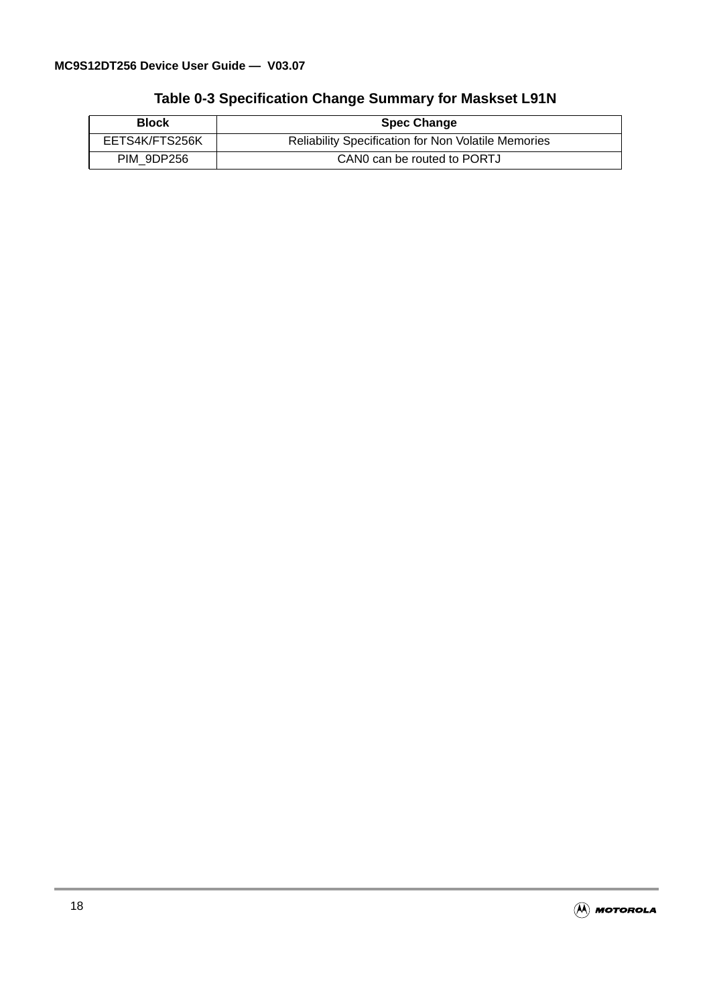| <b>Block</b>      | <b>Spec Change</b>                                         |
|-------------------|------------------------------------------------------------|
| EETS4K/FTS256K    | <b>Reliability Specification for Non Volatile Memories</b> |
| <b>PIM 9DP256</b> | CANO can be routed to PORTJ                                |

# **Table 0-3 Specification Change Summary for Maskset L91N**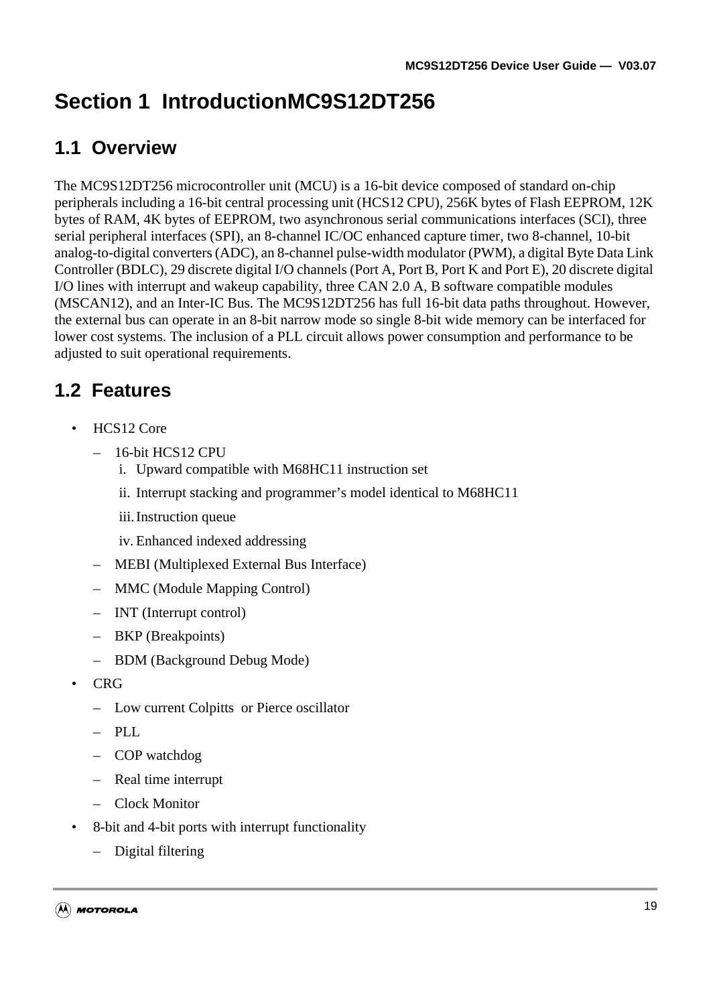# <span id="page-18-0"></span>**Section 1 IntroductionMC9S12DT256**

# <span id="page-18-1"></span>**1.1 Overview**

The MC9S12DT256 microcontroller unit (MCU) is a 16-bit device composed of standard on-chip peripherals including a 16-bit central processing unit (HCS12 CPU), 256K bytes of Flash EEPROM, 12K bytes of RAM, 4K bytes of EEPROM, two asynchronous serial communications interfaces (SCI), three serial peripheral interfaces (SPI), an 8-channel IC/OC enhanced capture timer, two 8-channel, 10-bit analog-to-digital converters (ADC), an 8-channel pulse-width modulator (PWM), a digital Byte Data Link Controller (BDLC), 29 discrete digital I/O channels (Port A, Port B, Port K and Port E), 20 discrete digital I/O lines with interrupt and wakeup capability, three CAN 2.0 A, B software compatible modules (MSCAN12), and an Inter-IC Bus. The MC9S12DT256 has full 16-bit data paths throughout. However, the external bus can operate in an 8-bit narrow mode so single 8-bit wide memory can be interfaced for lower cost systems. The inclusion of a PLL circuit allows power consumption and performance to be adjusted to suit operational requirements.

# <span id="page-18-2"></span>**1.2 Features**

- HCS12 Core
	- 16-bit HCS12 CPU
		- i. Upward compatible with M68HC11 instruction set
		- ii. Interrupt stacking and programmer's model identical to M68HC11
		- iii.Instruction queue
		- iv. Enhanced indexed addressing
	- MEBI (Multiplexed External Bus Interface)
	- MMC (Module Mapping Control)
	- INT (Interrupt control)
	- BKP (Breakpoints)
	- BDM (Background Debug Mode)
- CRG
	- Low current Colpitts or Pierce oscillator
	- PLL
	- COP watchdog
	- Real time interrupt
	- Clock Monitor
- 8-bit and 4-bit ports with interrupt functionality
	- Digital filtering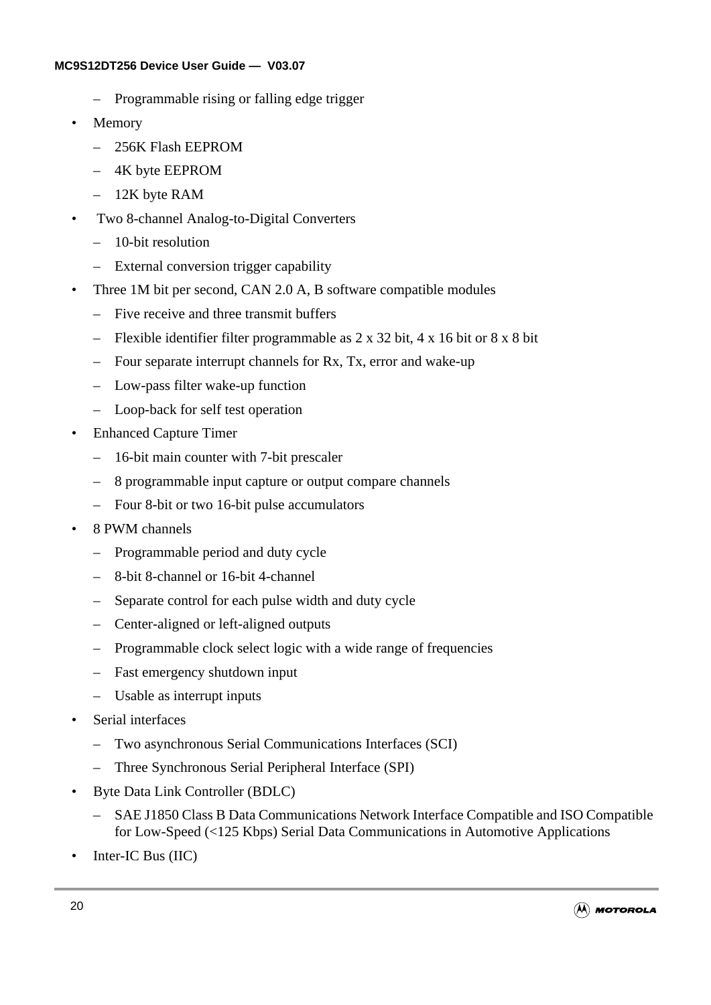- Programmable rising or falling edge trigger
- Memory
	- 256K Flash EEPROM
	- 4K byte EEPROM
	- 12K byte RAM
- Two 8-channel Analog-to-Digital Converters
	- 10-bit resolution
	- External conversion trigger capability
- Three 1M bit per second, CAN 2.0 A, B software compatible modules
	- Five receive and three transmit buffers
	- Flexible identifier filter programmable as 2 x 32 bit, 4 x 16 bit or 8 x 8 bit
	- Four separate interrupt channels for Rx, Tx, error and wake-up
	- Low-pass filter wake-up function
	- Loop-back for self test operation
- Enhanced Capture Timer
	- 16-bit main counter with 7-bit prescaler
	- 8 programmable input capture or output compare channels
	- Four 8-bit or two 16-bit pulse accumulators
- 8 PWM channels
	- Programmable period and duty cycle
	- 8-bit 8-channel or 16-bit 4-channel
	- Separate control for each pulse width and duty cycle
	- Center-aligned or left-aligned outputs
	- Programmable clock select logic with a wide range of frequencies
	- Fast emergency shutdown input
	- Usable as interrupt inputs
- Serial interfaces
	- Two asynchronous Serial Communications Interfaces (SCI)
	- Three Synchronous Serial Peripheral Interface (SPI)
- Byte Data Link Controller (BDLC)
	- SAE J1850 Class B Data Communications Network Interface Compatible and ISO Compatible for Low-Speed (<125 Kbps) Serial Data Communications in Automotive Applications
- Inter-IC Bus (IIC)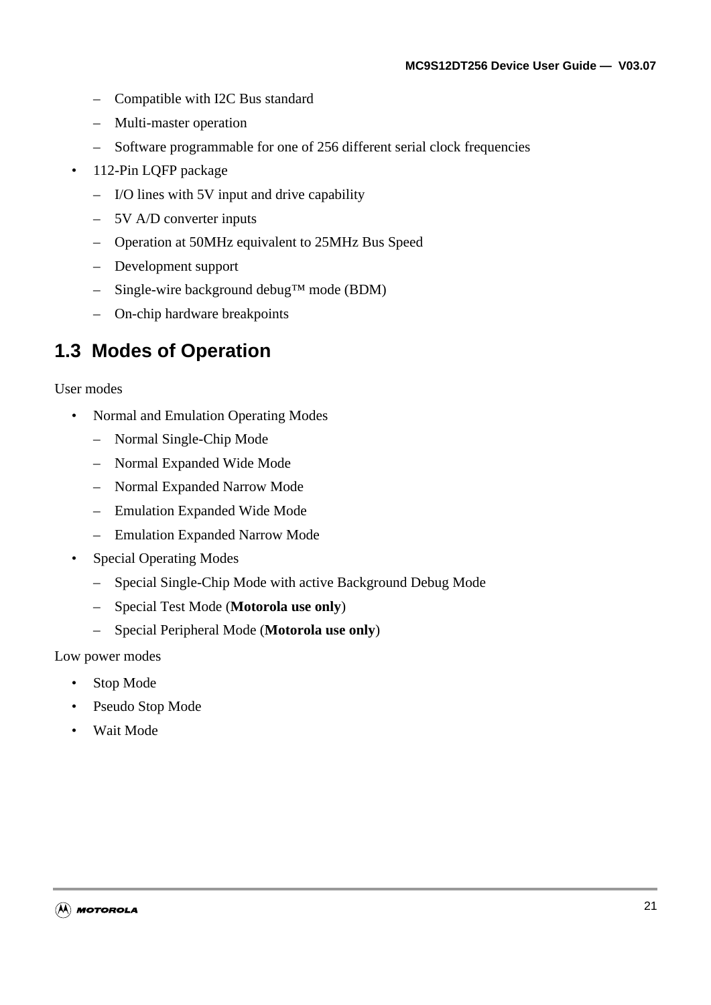- Compatible with I2C Bus standard
- Multi-master operation
- Software programmable for one of 256 different serial clock frequencies
- 112-Pin LQFP package
	- I/O lines with 5V input and drive capability
	- 5V A/D converter inputs
	- Operation at 50MHz equivalent to 25MHz Bus Speed
	- Development support
	- Single-wire background debug™ mode (BDM)
	- On-chip hardware breakpoints

# <span id="page-20-0"></span>**1.3 Modes of Operation**

User modes

- Normal and Emulation Operating Modes
	- Normal Single-Chip Mode
	- Normal Expanded Wide Mode
	- Normal Expanded Narrow Mode
	- Emulation Expanded Wide Mode
	- Emulation Expanded Narrow Mode
- Special Operating Modes
	- Special Single-Chip Mode with active Background Debug Mode
	- Special Test Mode (**Motorola use only**)
	- Special Peripheral Mode (**Motorola use only**)

### Low power modes

- Stop Mode
- Pseudo Stop Mode
- Wait Mode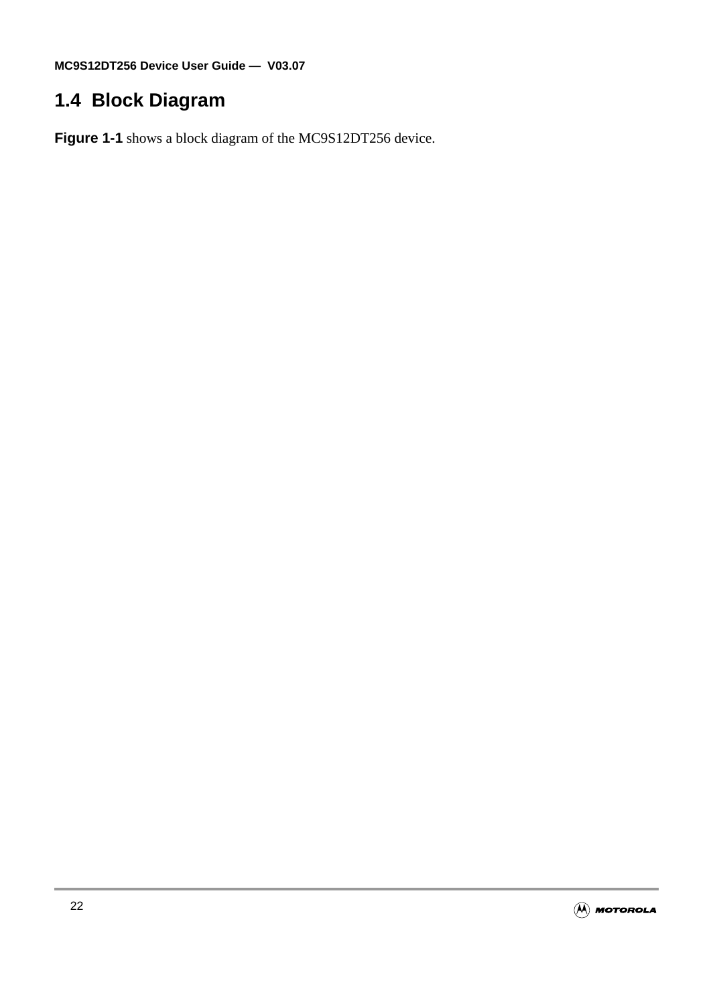# <span id="page-21-0"></span>**1.4 Block Diagram**

**[Figure 1-1](#page-22-0)** shows a block diagram of the MC9S12DT256 device.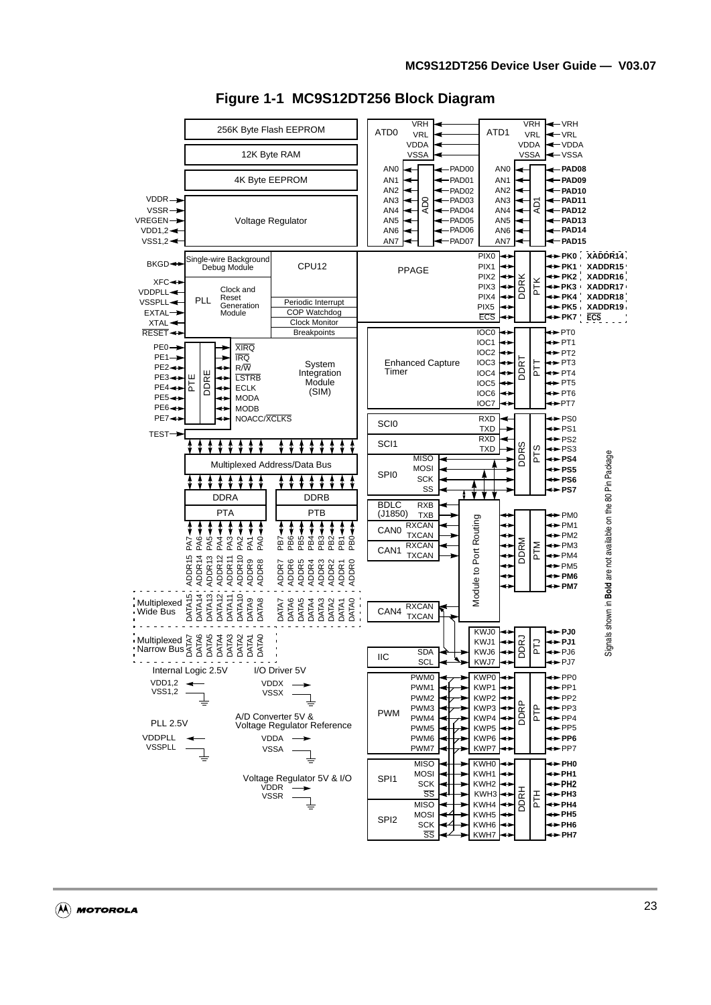<span id="page-22-0"></span>

**Figure 1-1 MC9S12DT256 Block Diagram**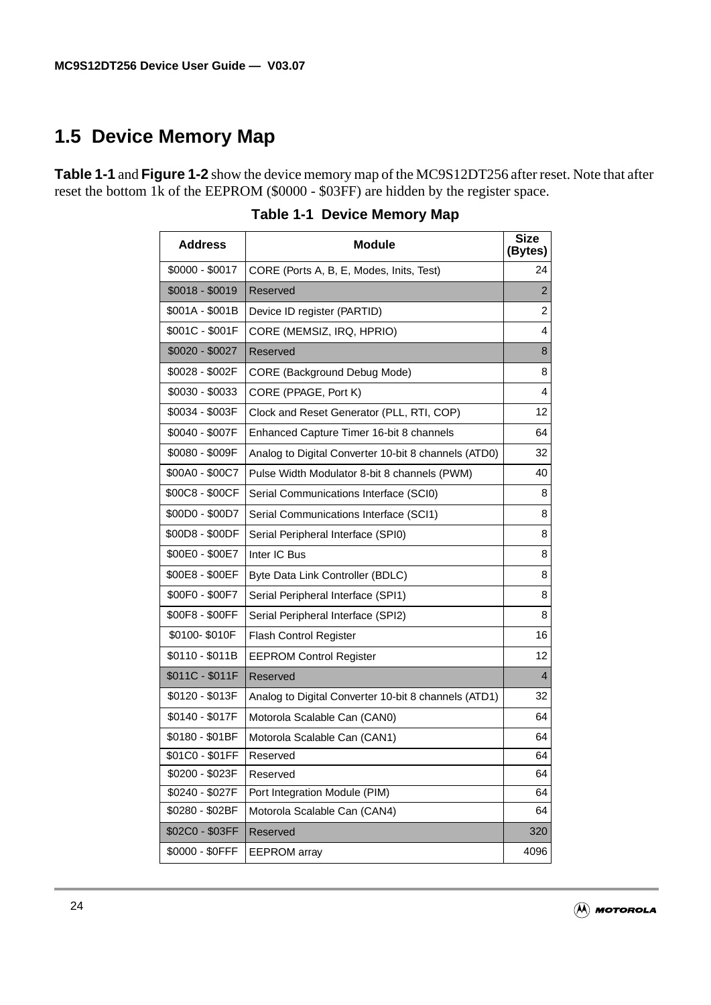# <span id="page-23-0"></span>**1.5 Device Memory Map**

<span id="page-23-1"></span>**[Table 1-1](#page-23-1)** and **[Figure 1-2](#page-25-0)** show the device memory map of the MC9S12DT256 after reset. Note that after reset the bottom 1k of the EEPROM (\$0000 - \$03FF) are hidden by the register space.

| <b>Address</b>  | <b>Module</b>                                        | Size<br>(Bytes) |
|-----------------|------------------------------------------------------|-----------------|
| $$0000 - $0017$ | CORE (Ports A, B, E, Modes, Inits, Test)             | 24              |
| $$0018 - $0019$ | Reserved                                             | $\overline{2}$  |
| $$001A - $001B$ | Device ID register (PARTID)                          | $\overline{c}$  |
| \$001C - \$001F | CORE (MEMSIZ, IRQ, HPRIO)                            | 4               |
| $$0020 - $0027$ | Reserved                                             | 8               |
| \$0028 - \$002F | CORE (Background Debug Mode)                         | 8               |
| $$0030 - $0033$ | CORE (PPAGE, Port K)                                 | 4               |
| \$0034 - \$003F | Clock and Reset Generator (PLL, RTI, COP)            | 12              |
| \$0040 - \$007F | Enhanced Capture Timer 16-bit 8 channels             | 64              |
| \$0080 - \$009F | Analog to Digital Converter 10-bit 8 channels (ATD0) | 32              |
| \$00A0 - \$00C7 | Pulse Width Modulator 8-bit 8 channels (PWM)         | 40              |
| \$00C8 - \$00CF | Serial Communications Interface (SCI0)               | 8               |
| \$00D0 - \$00D7 | Serial Communications Interface (SCI1)               | 8               |
| \$00D8 - \$00DF | Serial Peripheral Interface (SPI0)                   | 8               |
| \$00E0 - \$00E7 | Inter IC Bus                                         | 8               |
| \$00E8 - \$00EF | Byte Data Link Controller (BDLC)                     | 8               |
| \$00F0 - \$00F7 | Serial Peripheral Interface (SPI1)                   | 8               |
| \$00F8 - \$00FF | Serial Peripheral Interface (SPI2)                   | 8               |
| \$0100-\$010F   | <b>Flash Control Register</b>                        | 16              |
| $$0110 - $011B$ | <b>EEPROM Control Register</b>                       | 12              |
| \$011C - \$011F | Reserved                                             | 4               |
| \$0120 - \$013F | Analog to Digital Converter 10-bit 8 channels (ATD1) | 32              |
| \$0140 - \$017F | Motorola Scalable Can (CAN0)                         | 64              |
| \$0180 - \$01BF | Motorola Scalable Can (CAN1)                         | 64              |
| \$01C0 - \$01FF | Reserved                                             | 64              |
| \$0200 - \$023F | Reserved                                             | 64              |
| \$0240 - \$027F | Port Integration Module (PIM)                        | 64              |
| \$0280 - \$02BF | Motorola Scalable Can (CAN4)                         | 64              |
| \$02C0 - \$03FF | Reserved                                             | 320             |
| \$0000 - \$0FFF | <b>EEPROM</b> array                                  | 4096            |

**Table 1-1 Device Memory Map**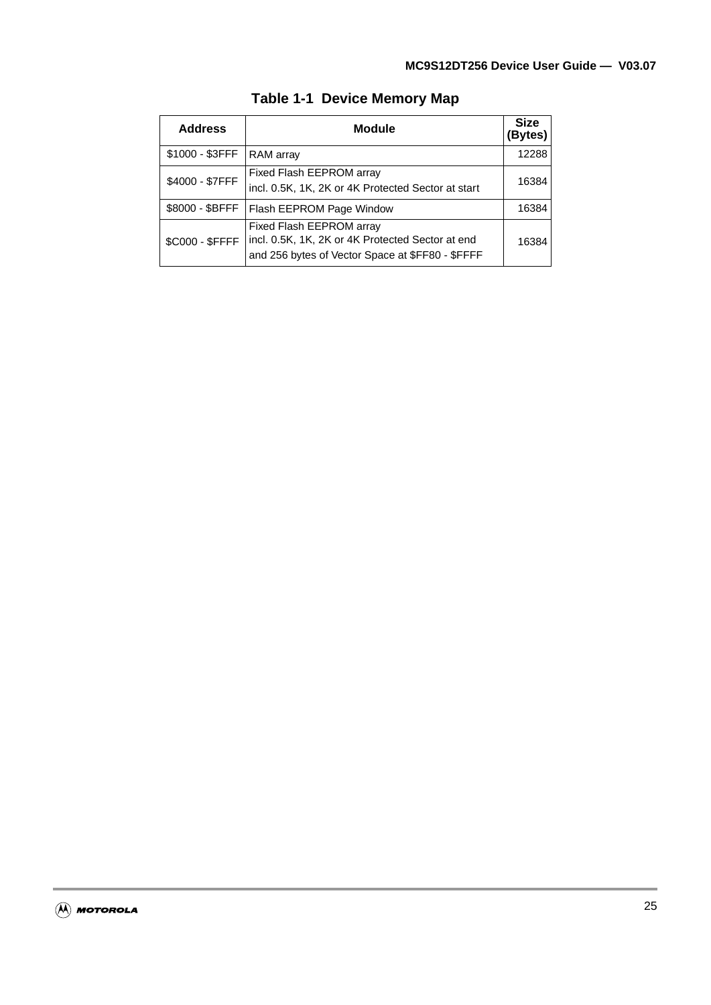| <b>Address</b>  | <b>Module</b>                                                                                                                    | <b>Size</b><br>(Bytes) |
|-----------------|----------------------------------------------------------------------------------------------------------------------------------|------------------------|
| \$1000 - \$3FFF | RAM array                                                                                                                        | 12288                  |
| \$4000 - \$7FFF | Fixed Flash EEPROM array<br>incl. 0.5K, 1K, 2K or 4K Protected Sector at start                                                   | 16384                  |
| \$8000 - \$BFFF | Flash EEPROM Page Window                                                                                                         | 16384                  |
| \$C000 - \$FFFF | Fixed Flash EEPROM array<br>incl. 0.5K, 1K, 2K or 4K Protected Sector at end<br>and 256 bytes of Vector Space at \$FF80 - \$FFFF | 16384                  |

**Table 1-1 Device Memory Map**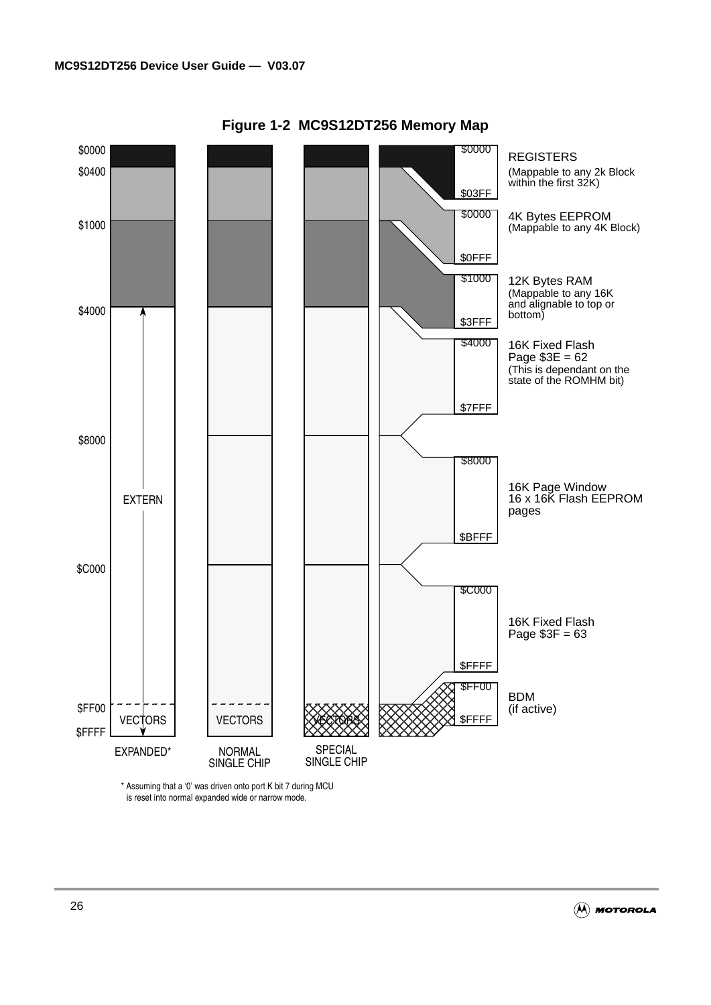<span id="page-25-0"></span>

**Figure 1-2 MC9S12DT256 Memory Map**

\* Assuming that a '0' was driven onto port K bit 7 during MCU is reset into normal expanded wide or narrow mode.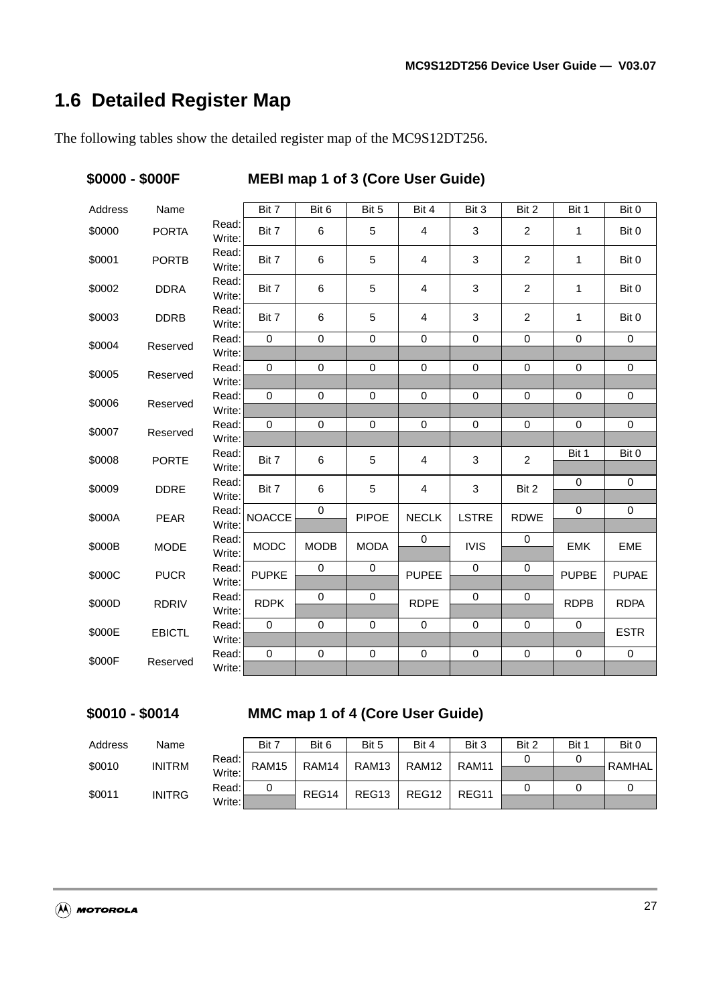# <span id="page-26-0"></span>**1.6 Detailed Register Map**

[T](#page-26-1)he following tables [s](#page-49-3)how the detailed register map of the MC9S12DT256.

### <span id="page-26-1"></span>**\$0000 - \$000F MEBI map 1 of 3 (Core User Guide)**

| Address | Name          |                 | Bit 7         | Bit 6       | Bit 5        | Bit 4          | Bit 3        | Bit 2          | Bit 1        | Bit 0        |
|---------|---------------|-----------------|---------------|-------------|--------------|----------------|--------------|----------------|--------------|--------------|
| \$0000  | <b>PORTA</b>  | Read:<br>Write: | Bit 7         | 6           | 5            | $\overline{4}$ | 3            | $\overline{2}$ | $\mathbf{1}$ | Bit 0        |
| \$0001  | <b>PORTB</b>  | Read:<br>Write: | Bit 7         | 6           | 5            | 4              | 3            | $\overline{2}$ | 1            | Bit 0        |
| \$0002  | <b>DDRA</b>   | Read:<br>Write: | Bit 7         | 6           | 5            | 4              | 3            | $\overline{2}$ | 1            | Bit 0        |
| \$0003  | <b>DDRB</b>   | Read:<br>Write: | Bit 7         | 6           | 5            | 4              | 3            | $\overline{2}$ | $\mathbf{1}$ | Bit 0        |
| \$0004  | Reserved      | Read:<br>Write: | 0             | $\pmb{0}$   | $\mathbf 0$  | $\pmb{0}$      | $\mathbf 0$  | 0              | 0            | $\pmb{0}$    |
| \$0005  | Reserved      | Read:<br>Write: | 0             | $\pmb{0}$   | $\mathbf 0$  | $\pmb{0}$      | 0            | 0              | $\mathbf 0$  | $\pmb{0}$    |
| \$0006  | Reserved      | Read:<br>Write: | 0             | $\mathbf 0$ | $\mathbf 0$  | $\mathbf 0$    | $\mathbf 0$  | $\mathbf 0$    | $\mathbf 0$  | 0            |
| \$0007  | Reserved      | Read:<br>Write: | 0             | $\mathbf 0$ | 0            | $\pmb{0}$      | 0            | 0              | $\mathbf 0$  | 0            |
| \$0008  | <b>PORTE</b>  | Read:<br>Write: | Bit 7         | 6           | 5            | $\overline{4}$ | 3            | $\overline{2}$ | Bit 1        | Bit 0        |
| \$0009  | <b>DDRE</b>   | Read:<br>Write: | Bit 7         | 6           | 5            | 4              | 3            | Bit 2          | $\mathbf 0$  | $\mathbf 0$  |
| \$000A  | <b>PEAR</b>   | Read:<br>Write: | <b>NOACCE</b> | $\mathbf 0$ | <b>PIPOE</b> | <b>NECLK</b>   | <b>LSTRE</b> | <b>RDWE</b>    | 0            | 0            |
| \$000B  | <b>MODE</b>   | Read:<br>Write: | <b>MODC</b>   | <b>MODB</b> | <b>MODA</b>  | $\pmb{0}$      | <b>IVIS</b>  | 0              | <b>EMK</b>   | <b>EME</b>   |
| \$000C  | <b>PUCR</b>   | Read:<br>Write: | <b>PUPKE</b>  | $\mathbf 0$ | $\mathbf 0$  | <b>PUPEE</b>   | $\mathbf 0$  | $\mathbf 0$    | <b>PUPBE</b> | <b>PUPAE</b> |
| \$000D  | <b>RDRIV</b>  | Read:<br>Write: | <b>RDPK</b>   | $\mathbf 0$ | $\mathbf 0$  | <b>RDPE</b>    | $\mathbf 0$  | 0              | <b>RDPB</b>  | <b>RDPA</b>  |
| \$000E  | <b>EBICTL</b> | Read:<br>Write: | $\mathbf 0$   | $\mathbf 0$ | $\mathbf 0$  | $\Omega$       | $\mathbf 0$  | $\mathbf 0$    | $\mathbf 0$  | <b>ESTR</b>  |
| \$000F  | Reserved      | Read:<br>Write: | 0             | $\mathbf 0$ | 0            | 0              | 0            | 0              | 0            | $\mathsf 0$  |

### **\$0010 - \$0014 MMC map 1 of 4 (Core User Guide)**

| Address       | Name          |          | Bit 7             | Bit 6             | Bit 5             | Bit 4             | Bit 3        | Bit 2 | Bit 1 | Bit 0         |
|---------------|---------------|----------|-------------------|-------------------|-------------------|-------------------|--------------|-------|-------|---------------|
| \$0010        |               | Read:    | RAM <sub>15</sub> | RAM <sub>14</sub> | RAM <sub>13</sub> | RAM <sub>12</sub> | <b>RAM11</b> |       |       | <b>RAMHAL</b> |
| <b>INITRM</b> |               | Write:   |                   |                   |                   |                   |              |       |       |               |
| \$0011        | <b>INITRG</b> | Read:    |                   | REG14             | REG <sub>13</sub> | REG12             | REG11        |       |       |               |
|               |               | Write: l |                   |                   |                   |                   |              |       |       |               |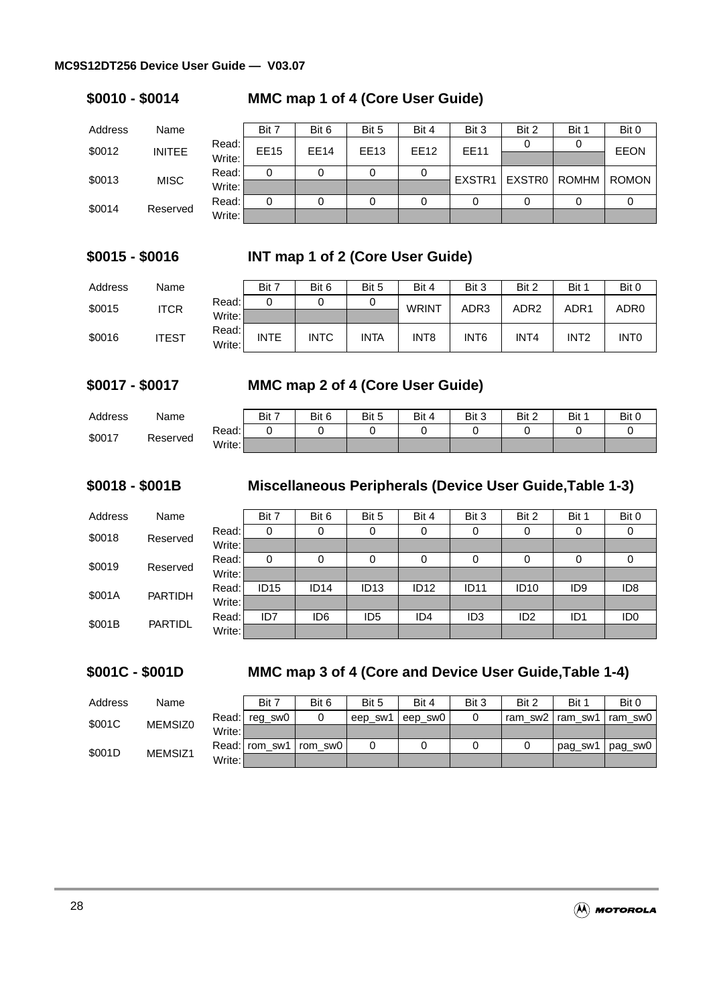**\$0010 - \$0014 MMC map 1 of 4 (Core User Guide)**

| Name   |                                          | Bit 7 | Bit 6 | Bit 5       | Bit 4 | Bit 3 | Bit 2          | Bit 1              | Bit 0        |
|--------|------------------------------------------|-------|-------|-------------|-------|-------|----------------|--------------------|--------------|
|        | Read:                                    |       |       |             |       |       |                |                    | <b>EEON</b>  |
|        | Write:                                   |       |       |             |       |       |                |                    |              |
|        | Read:                                    |       | 0     | 0           | 0     |       |                |                    | <b>ROMON</b> |
| \$0013 | Write:                                   |       |       |             |       |       |                |                    |              |
|        | Read:                                    |       | 0     |             |       |       |                |                    |              |
|        | Write:                                   |       |       |             |       |       |                |                    |              |
|        | <b>INITEE</b><br><b>MISC</b><br>Reserved |       | EE15  | <b>EE14</b> | EE13  | EE12  | EE11<br>EXSTR1 | EXSTR <sub>0</sub> | <b>ROMHM</b> |

### **\$0015 - \$0016 INT map 1 of 2 (Core User Guide)**

| Address | Name        |                 | Bit 7       | Bit 6       | Bit 5       | Bit 4            | Bit 3            | Bit 2            | Bit 1            | Bit 0            |
|---------|-------------|-----------------|-------------|-------------|-------------|------------------|------------------|------------------|------------------|------------------|
| \$0015  | <b>ITCR</b> | Read:           |             |             | 0           | <b>WRINT</b>     | ADR3             | ADR <sub>2</sub> | ADR1             | ADR0             |
|         |             | Write: l        |             |             |             |                  |                  |                  |                  |                  |
| \$0016  | ITEST       | Read:<br>Write: | <b>INTE</b> | <b>INTC</b> | <b>INTA</b> | INT <sub>8</sub> | INT <sub>6</sub> | INT <sub>4</sub> | INT <sub>2</sub> | INT <sub>0</sub> |

### **\$0017 - \$0017 MMC map 2 of 4 (Core User Guide)**

| Address | Name     |        | Bit 7 | Bit 6 | Bit 5 | Bit 4 | Bit 3 | Bit 2 | Bit 1 | Bit 0 |
|---------|----------|--------|-------|-------|-------|-------|-------|-------|-------|-------|
| \$0017  | Reserved | Read:  |       |       |       |       |       |       |       |       |
|         |          | Write: |       |       |       |       |       |       |       |       |

### **\$0018 - \$001B Miscellaneous Peripherals (Device User Guide[,Table 1-3](#page-49-1))**

| Bit 4<br>Bit 6<br>Bit 3<br>Bit 1<br>Bit 7<br>Bit 5<br>Bit 2<br>Address<br>Name<br>Read:<br>0<br>0<br>0<br>0<br>0<br>0<br>\$0018<br>Reserved<br>Write:      | Bit 0           |
|------------------------------------------------------------------------------------------------------------------------------------------------------------|-----------------|
|                                                                                                                                                            |                 |
|                                                                                                                                                            |                 |
|                                                                                                                                                            |                 |
| Read:<br>0<br>0<br>0<br>0<br>0<br>0<br>\$0019<br>Reserved                                                                                                  |                 |
| Write:                                                                                                                                                     |                 |
| Read:<br>ID <sub>15</sub><br>ID14<br>ID12<br>ID <sub>13</sub><br><b>ID11</b><br>ID10<br>ID <sub>9</sub><br>\$001A<br><b>PARTIDH</b>                        | ID8             |
| Write:                                                                                                                                                     |                 |
| ID7<br>ID <sub>6</sub><br>Read:<br>ID <sub>4</sub><br>ID <sub>2</sub><br>ID <sub>5</sub><br>ID <sub>3</sub><br>ID <sub>1</sub><br>\$001B<br><b>PARTIDL</b> | ID <sub>0</sub> |
| Write:                                                                                                                                                     |                 |

### **\$001C - \$001D MMC map 3 of 4 (Core and Device User Guide[,Table 1-4](#page-49-2))**

| Address | Name    |          | Bit 7   | Bit 6   | Bit 5   | Bit 4   | Bit 3 | Bit 2   | Bit 1   | Bit 0   |
|---------|---------|----------|---------|---------|---------|---------|-------|---------|---------|---------|
| \$001C  | MEMSIZ0 | Read:    | reg_sw0 |         | eep sw1 | eep sw0 |       | ram sw2 | ram sw1 | ram sw0 |
|         |         | Write:   |         |         |         |         |       |         |         |         |
| \$001D  | MEMSIZ1 | Read: I  | rom sw1 | rom sw0 |         |         |       |         | pag sw1 | pag_sw0 |
|         |         | Write: l |         |         |         |         |       |         |         |         |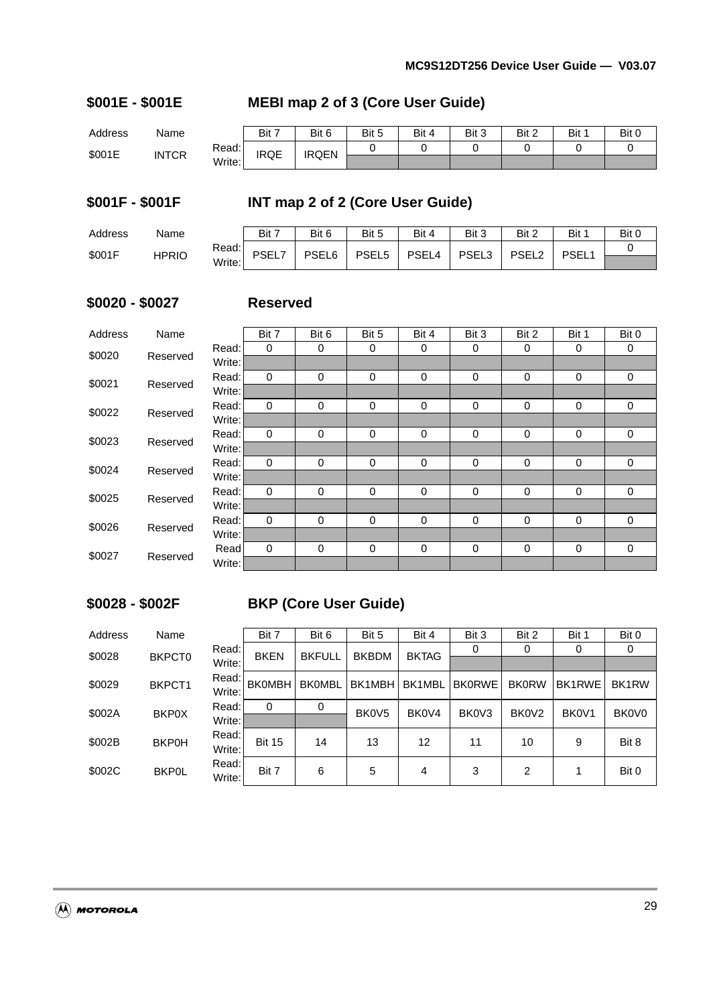### **\$001E - \$001E MEBI map 2 of 3 (Core User Guide)**

| Address | Name         |        | Bit 7       | Bit 6        | Bit 5 | Bit 4 | Bit 3 | Bit 2 | Bit | Bit 0 |
|---------|--------------|--------|-------------|--------------|-------|-------|-------|-------|-----|-------|
| \$001E  | <b>INTCR</b> | Read:  | <b>IRQE</b> | <b>IRQEN</b> |       |       |       |       |     |       |
|         |              | Write: |             |              |       |       |       |       |     |       |

### **\$001F - \$001F INT map 2 of 2 (Core User Guide)**

| Address | Name         |        | Bit 7      | Bit 6 | Bit 5             | Bit 4 | Bit 3             | Bit 2             | Bit         | Bit 0 |
|---------|--------------|--------|------------|-------|-------------------|-------|-------------------|-------------------|-------------|-------|
| \$001F  | <b>HPRIO</b> | Read:  | PSEL.<br>- | PSEL6 | PSEL <sub>5</sub> | PSEL4 | PSEL <sub>3</sub> | PSEL <sub>2</sub> | <b>PSEL</b> |       |
|         |              | Write: |            |       |                   |       |                   |                   |             |       |

### **\$0020 - \$0027 Reserved**

| Address | Name     |        | Bit 7       | Bit 6       | Bit 5       | Bit 4       | Bit 3       | Bit 2       | Bit 1       | Bit 0       |
|---------|----------|--------|-------------|-------------|-------------|-------------|-------------|-------------|-------------|-------------|
| \$0020  | Reserved | Read:  | 0           | 0           | 0           | 0           | 0           | 0           | 0           | 0           |
|         |          | Write: |             |             |             |             |             |             |             |             |
| \$0021  |          | Read:  | $\mathbf 0$ | $\mathbf 0$ | 0           | $\pmb{0}$   | 0           | $\mathbf 0$ | $\mathbf 0$ | $\mathbf 0$ |
|         | Reserved | Write: |             |             |             |             |             |             |             |             |
| \$0022  |          | Read:  | 0           | $\pmb{0}$   | $\mathbf 0$ | $\pmb{0}$   | 0           | 0           | 0           | $\pmb{0}$   |
|         | Reserved | Write: |             |             |             |             |             |             |             |             |
| \$0023  |          | Read:  | 0           | $\mathbf 0$ | $\mathbf 0$ | $\mathbf 0$ | $\mathbf 0$ | $\mathbf 0$ | $\mathbf 0$ | $\mathbf 0$ |
|         | Reserved | Write: |             |             |             |             |             |             |             |             |
| \$0024  |          | Read:  | $\Omega$    | $\mathbf 0$ | $\mathbf 0$ | $\mathbf 0$ | 0           | $\mathbf 0$ | $\mathbf 0$ | $\mathbf 0$ |
|         | Reserved | Write: |             |             |             |             |             |             |             |             |
| \$0025  |          | Read:  | 0           | 0           | $\mathbf 0$ | 0           | 0           | 0           | 0           | $\pmb{0}$   |
|         | Reserved | Write: |             |             |             |             |             |             |             |             |
| \$0026  |          | Read:  | $\mathbf 0$ | $\mathbf 0$ | $\mathbf 0$ | $\pmb{0}$   | $\mathbf 0$ | $\mathbf 0$ | $\mathbf 0$ | $\mathbf 0$ |
|         | Reserved | Write: |             |             |             |             |             |             |             |             |
| \$0027  |          | Read   | $\mathbf 0$ | 0           | $\mathbf 0$ | 0           | 0           | 0           | 0           | $\mathbf 0$ |
|         | Reserved | Write: |             |             |             |             |             |             |             |             |

### **\$0028 - \$002F BKP (Core User Guide)**

| Address | Name          |        | Bit 7         | Bit 6         | Bit 5        | Bit 4        | Bit 3         | Bit 2        | Bit 1  | Bit 0 |
|---------|---------------|--------|---------------|---------------|--------------|--------------|---------------|--------------|--------|-------|
| \$0028  | <b>BKPCT0</b> | Read:  | <b>BKEN</b>   | <b>BKFULL</b> | <b>BKBDM</b> | <b>BKTAG</b> | 0             | 0            | 0      | 0     |
|         |               | Write: |               |               |              |              |               |              |        |       |
| \$0029  | BKPCT1        | Read:  | <b>BK0MBH</b> | <b>BK0MBL</b> | BK1MBH       | BK1MBL       | <b>BK0RWE</b> | <b>BK0RW</b> | BK1RWE | BK1RW |
|         |               | Write: |               |               |              |              |               |              |        |       |
| \$002A  | <b>BKP0X</b>  | Read:  | 0             | 0             | BK0V5        | BK0V4        | BK0V3         | BK0V2        | BK0V1  | BK0V0 |
|         |               | Write: |               |               |              |              |               |              |        |       |
| \$002B  | <b>BKP0H</b>  | Read:  | <b>Bit 15</b> | 14            | 13           | 12           | 11            | 10           | 9      | Bit 8 |
|         |               | Write: |               |               |              |              |               |              |        |       |
| \$002C  | <b>BKP0L</b>  | Read:  | Bit 7         | 6             | 5            | 4            | 3             | 2            |        | Bit 0 |
|         |               | Write: |               |               |              |              |               |              |        |       |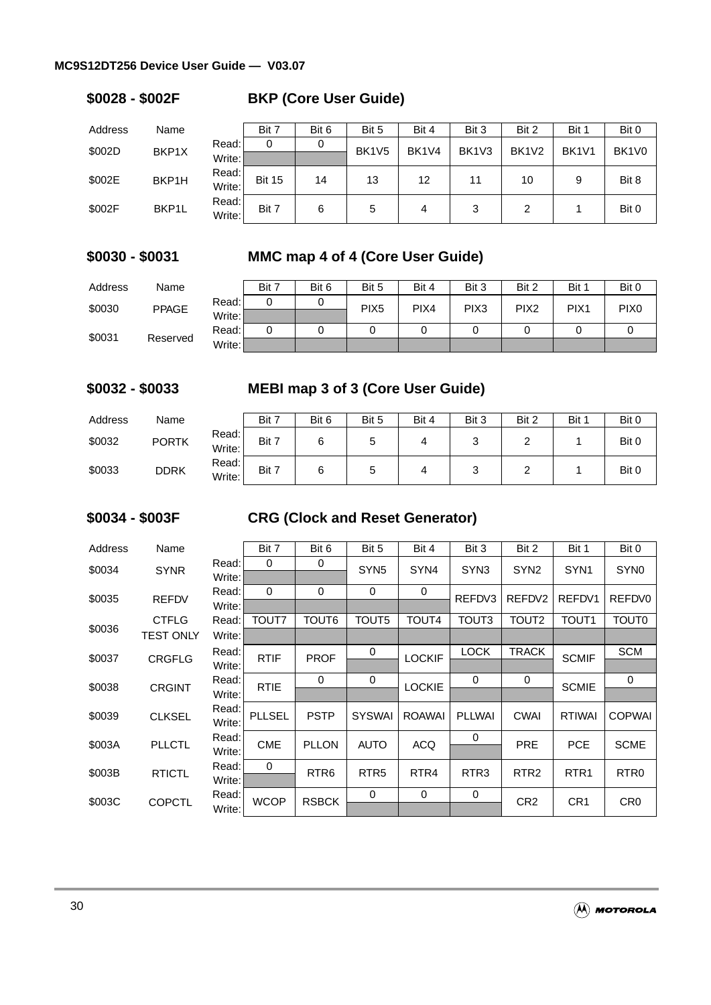### **\$0028 - \$002F BKP (Core User Guide)**

| Address | Name  |          | Bit 7         | Bit 6 | Bit 5 | Bit 4 | Bit 3                          | Bit 2                          | Bit 1             | Bit 0 |
|---------|-------|----------|---------------|-------|-------|-------|--------------------------------|--------------------------------|-------------------|-------|
| \$002D  | BKP1X | Read:    | 0             | 0     | BK1V5 | BK1V4 | BK <sub>1</sub> V <sub>3</sub> | BK <sub>1</sub> V <sub>2</sub> | BK <sub>1V1</sub> | BK1V0 |
|         |       | Write: l |               |       |       |       |                                |                                |                   |       |
| \$002E  | BKP1H | Read:    | <b>Bit 15</b> | 14    | 13    | 12    | 11                             | 10                             | 9                 | Bit 8 |
|         |       | Write:   |               |       |       |       |                                |                                |                   |       |
| \$002F  | BKP1L | Read:    | Bit 7         | 6     | 5     | 4     | 3                              | 2                              |                   | Bit 0 |
|         |       | Write:   |               |       |       |       |                                |                                |                   |       |

### **\$0030 - \$0031 MMC map 4 of 4 (Core User Guide)**

| Address | Name         |          | Bit 7 | Bit 6 | Bit 5            | Bit 4 | Bit 3            | Bit 2            | Bit 1            | Bit 0            |
|---------|--------------|----------|-------|-------|------------------|-------|------------------|------------------|------------------|------------------|
| \$0030  | <b>PPAGE</b> | Read:    |       |       | PIX <sub>5</sub> | PIX4  | PIX <sub>3</sub> | PIX <sub>2</sub> | PIX <sub>1</sub> | PIX <sub>0</sub> |
|         |              | Write: l |       |       |                  |       |                  |                  |                  |                  |
| \$0031  |              | Read:    |       |       |                  |       |                  |                  |                  |                  |
|         | Reserved     | Write:   |       |       |                  |       |                  |                  |                  |                  |

### **\$0032 - \$0033 MEBI map 3 of 3 (Core User Guide)**

| Address | Name         |                 | Bit 7 | Bit 6 | Bit 5 | Bit 4 | Bit 3 | Bit 2  | Bit 1 | Bit 0 |
|---------|--------------|-----------------|-------|-------|-------|-------|-------|--------|-------|-------|
| \$0032  | <b>PORTK</b> | Read:<br>Write: | Bit 7 | 6     |       |       | ບ     | ົ<br>∸ |       | Bit 0 |
| \$0033  | <b>DDRK</b>  | Read:<br>Write: | Bit 7 | 6     |       |       |       |        |       | Bit 0 |

### **\$0034 - \$003F CRG (Clock and Reset Generator)**

| Name             |                                                                                                                                   | Bit 7        | Bit 6                                                                    | Bit 5                                                                          | Bit 4                                                                | Bit 3                                                                  | Bit 2                                                           | Bit 1                                                                                          | Bit 0                                                                                                                |
|------------------|-----------------------------------------------------------------------------------------------------------------------------------|--------------|--------------------------------------------------------------------------|--------------------------------------------------------------------------------|----------------------------------------------------------------------|------------------------------------------------------------------------|-----------------------------------------------------------------|------------------------------------------------------------------------------------------------|----------------------------------------------------------------------------------------------------------------------|
|                  | Read:                                                                                                                             | 0            | 0                                                                        |                                                                                |                                                                      |                                                                        |                                                                 |                                                                                                | SYN <sub>0</sub>                                                                                                     |
|                  | Write:                                                                                                                            |              |                                                                          |                                                                                |                                                                      |                                                                        |                                                                 |                                                                                                |                                                                                                                      |
|                  | Read:                                                                                                                             | $\Omega$     | $\mathbf 0$                                                              | 0                                                                              | 0                                                                    |                                                                        |                                                                 |                                                                                                | REFDV0                                                                                                               |
|                  | Write:                                                                                                                            |              |                                                                          |                                                                                |                                                                      |                                                                        |                                                                 |                                                                                                |                                                                                                                      |
| <b>CTFLG</b>     | Read:                                                                                                                             | <b>TOUT7</b> | TOUT6                                                                    | TOUT5                                                                          | TOUT4                                                                | TOUT3                                                                  | TOUT2                                                           | <b>TOUT1</b>                                                                                   | <b>TOUT0</b>                                                                                                         |
| <b>TEST ONLY</b> | Write:                                                                                                                            |              |                                                                          |                                                                                |                                                                      |                                                                        |                                                                 |                                                                                                |                                                                                                                      |
|                  | Read:                                                                                                                             |              |                                                                          | 0                                                                              |                                                                      | <b>LOCK</b>                                                            | TRACK                                                           |                                                                                                | <b>SCM</b>                                                                                                           |
|                  | Write:                                                                                                                            |              |                                                                          |                                                                                |                                                                      |                                                                        |                                                                 |                                                                                                |                                                                                                                      |
|                  | Read:                                                                                                                             |              | 0                                                                        | 0                                                                              |                                                                      | 0                                                                      | 0                                                               |                                                                                                | 0                                                                                                                    |
|                  | Write:                                                                                                                            |              |                                                                          |                                                                                |                                                                      |                                                                        |                                                                 |                                                                                                |                                                                                                                      |
|                  | Read:                                                                                                                             |              |                                                                          |                                                                                |                                                                      |                                                                        |                                                                 |                                                                                                | <b>COPWAI</b>                                                                                                        |
|                  | Write:                                                                                                                            |              |                                                                          |                                                                                |                                                                      |                                                                        |                                                                 |                                                                                                |                                                                                                                      |
|                  | Read:                                                                                                                             |              |                                                                          |                                                                                |                                                                      | 0                                                                      |                                                                 |                                                                                                | <b>SCME</b>                                                                                                          |
|                  | Write:                                                                                                                            |              |                                                                          |                                                                                |                                                                      |                                                                        |                                                                 |                                                                                                |                                                                                                                      |
|                  | Read:                                                                                                                             | 0            |                                                                          |                                                                                |                                                                      |                                                                        |                                                                 |                                                                                                | RTR <sub>0</sub>                                                                                                     |
|                  | Write:                                                                                                                            |              |                                                                          |                                                                                |                                                                      |                                                                        |                                                                 |                                                                                                |                                                                                                                      |
|                  | Read:                                                                                                                             |              |                                                                          | 0                                                                              | 0                                                                    | 0                                                                      |                                                                 |                                                                                                | CR <sub>0</sub>                                                                                                      |
|                  | Write:                                                                                                                            |              |                                                                          |                                                                                |                                                                      |                                                                        |                                                                 |                                                                                                |                                                                                                                      |
|                  | <b>SYNR</b><br><b>REFDV</b><br><b>CRGFLG</b><br><b>CRGINT</b><br><b>CLKSEL</b><br><b>PLLCTL</b><br><b>RTICTL</b><br><b>COPCTL</b> |              | <b>RTIF</b><br><b>RTIE</b><br><b>PLLSEL</b><br><b>CME</b><br><b>WCOP</b> | <b>PROF</b><br><b>PSTP</b><br><b>PLLON</b><br>RTR <sub>6</sub><br><b>RSBCK</b> | SYN <sub>5</sub><br><b>SYSWAI</b><br><b>AUTO</b><br>RTR <sub>5</sub> | SYN4<br><b>LOCKIF</b><br><b>LOCKIE</b><br><b>ROAWAI</b><br>ACQ<br>RTR4 | SYN <sub>3</sub><br>REFDV3<br><b>PLLWAI</b><br>RTR <sub>3</sub> | SYN <sub>2</sub><br>REFDV2<br><b>CWAI</b><br><b>PRE</b><br>RTR <sub>2</sub><br>CR <sub>2</sub> | SYN1<br>REFDV1<br><b>SCMIF</b><br><b>SCMIE</b><br><b>RTIWAI</b><br><b>PCE</b><br>RTR <sub>1</sub><br>CR <sub>1</sub> |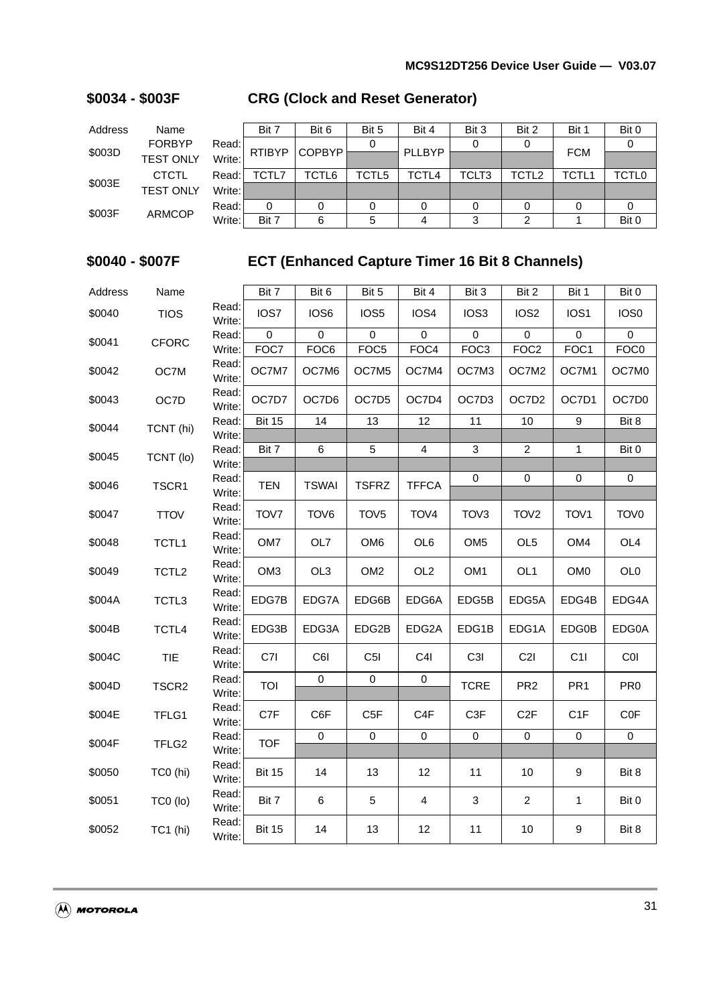### **\$0034 - \$003F CRG (Clock and Reset Generator)**

| Address | Name             |          | Bit 7         | Bit 6         | Bit 5 | Bit 4  | Bit 3 | Bit 2             | Bit 1      | Bit 0        |
|---------|------------------|----------|---------------|---------------|-------|--------|-------|-------------------|------------|--------------|
|         | <b>FORBYP</b>    | Read:    |               |               |       |        |       | 0                 |            |              |
| \$003D  | <b>TEST ONLY</b> | Write:   | <b>RTIBYP</b> | <b>COPBYP</b> |       | PLLBYP |       |                   | <b>FCM</b> |              |
|         | <b>CTCTL</b>     | Read:    | <b>TCTL7</b>  | TCTL6         | TCTL5 | TCTL4  | TCLT3 | TCTL <sub>2</sub> | TCTL1      | <b>TCTL0</b> |
| \$003E  | <b>TEST ONLY</b> | Write: l |               |               |       |        |       |                   |            |              |
| \$003F  | <b>ARMCOP</b>    | Read:    |               |               |       |        |       |                   |            |              |
|         |                  | Write:   | Bit 7         | 6             |       | 4      | 2     | ◠                 |            | Bit 0        |

### **\$0040 - \$007F ECT (Enhanced Capture Timer 16 Bit 8 Channels)**

| Address | Name              |                 | Bit 7           | Bit 6            | Bit 5            | Bit 4            | Bit 3            | Bit 2            | Bit 1            | Bit 0            |
|---------|-------------------|-----------------|-----------------|------------------|------------------|------------------|------------------|------------------|------------------|------------------|
| \$0040  | <b>TIOS</b>       | Read:<br>Write: | IOS7            | IOS6             | IOS <sub>5</sub> | IOS4             | IOS <sub>3</sub> | IOS2             | IOS <sub>1</sub> | IOS0             |
|         |                   | Read:           | 0               | 0                | 0                | 0                | 0                | 0                | 0                | $\mathbf 0$      |
| \$0041  | <b>CFORC</b>      | Write:          | FOC7            | FOC <sub>6</sub> | FOC <sub>5</sub> | FOC4             | FOC <sub>3</sub> | FOC <sub>2</sub> | FOC1             | FOC <sub>0</sub> |
| \$0042  | OC7M              | Read:<br>Write: | OC7M7           | OC7M6            | OC7M5            | OC7M4            | OC7M3            | OC7M2            | OC7M1            | OC7M0            |
| \$0043  | OC7D              | Read:<br>Write: | OC7D7           | OC7D6            | OC7D5            | OC7D4            | OC7D3            | OC7D2            | OC7D1            | OC7D0            |
| \$0044  | TCNT (hi)         | Read:           | <b>Bit 15</b>   | 14               | 13               | 12               | 11               | 10               | 9                | Bit 8            |
|         |                   | Write:          |                 |                  |                  |                  |                  |                  |                  |                  |
| \$0045  | TCNT (lo)         | Read:           | Bit 7           | 6                | 5                | 4                | 3                | $\boldsymbol{2}$ | 1                | Bit 0            |
|         |                   | Write:          |                 |                  |                  |                  |                  |                  |                  |                  |
| \$0046  | TSCR1             | Read:           | <b>TEN</b>      | <b>TSWAI</b>     | <b>TSFRZ</b>     | <b>TFFCA</b>     | 0                | 0                | $\pmb{0}$        | $\pmb{0}$        |
|         |                   | Write:          |                 |                  |                  |                  |                  |                  |                  |                  |
| \$0047  | <b>TTOV</b>       | Read:<br>Write: | TOV7            | TOV <sub>6</sub> | TOV <sub>5</sub> | TOV <sub>4</sub> | TOV <sub>3</sub> | TOV <sub>2</sub> | TOV <sub>1</sub> | TOV <sub>0</sub> |
| \$0048  | TCTL1             | Read:<br>Write: | OM7             | OL7              | OM <sub>6</sub>  | OL6              | OM <sub>5</sub>  | OL <sub>5</sub>  | OM4              | OL <sub>4</sub>  |
| \$0049  | TCTL <sub>2</sub> | Read:<br>Write: | OM <sub>3</sub> | OL <sub>3</sub>  | OM <sub>2</sub>  | OL <sub>2</sub>  | OM <sub>1</sub>  | OL <sub>1</sub>  | OM <sub>0</sub>  | OL <sub>0</sub>  |
| \$004A  | TCTL3             | Read:<br>Write: | EDG7B           | EDG7A            | EDG6B            | EDG6A            | EDG5B            | EDG5A            | EDG4B            | EDG4A            |
| \$004B  | TCTL4             | Read:<br>Write: | EDG3B           | EDG3A            | EDG2B            | EDG2A            | EDG1B            | EDG1A            | EDG0B            | EDG0A            |
| \$004C  | <b>TIE</b>        | Read:<br>Write: | C7I             | C6I              | C <sub>5</sub> I | C <sub>4</sub> I | C <sub>3</sub> I | C <sub>2</sub> I | C11              | <b>COI</b>       |
| \$004D  | TSCR <sub>2</sub> | Read:<br>Write: | TOI             | $\mathbf 0$      | $\pmb{0}$        | $\mathbf 0$      | <b>TCRE</b>      | PR <sub>2</sub>  | PR <sub>1</sub>  | PR <sub>0</sub>  |
| \$004E  | TFLG1             | Read:<br>Write: | C7F             | C6F              | C <sub>5</sub> F | C4F              | C <sub>3</sub> F | C <sub>2</sub> F | C1F              | <b>COF</b>       |
|         |                   | Read:           |                 | $\mathbf 0$      | $\mathbf 0$      | $\mathbf 0$      | $\mathbf 0$      | $\mathbf 0$      | $\mathbf 0$      | $\pmb{0}$        |
| \$004F  | TFLG2             | Write:          | <b>TOF</b>      |                  |                  |                  |                  |                  |                  |                  |
| \$0050  | TC0 (hi)          | Read:<br>Write: | <b>Bit 15</b>   | 14               | 13               | 12               | 11               | 10               | 9                | Bit 8            |
| \$0051  | TC0 (lo)          | Read:<br>Write: | Bit 7           | 6                | 5                | $\overline{4}$   | 3                | $\overline{c}$   | 1                | Bit 0            |
| \$0052  | <b>TC1</b> (hi)   | Read:<br>Write: | <b>Bit 15</b>   | 14               | 13               | 12               | 11               | $10$             | $\boldsymbol{9}$ | Bit 8            |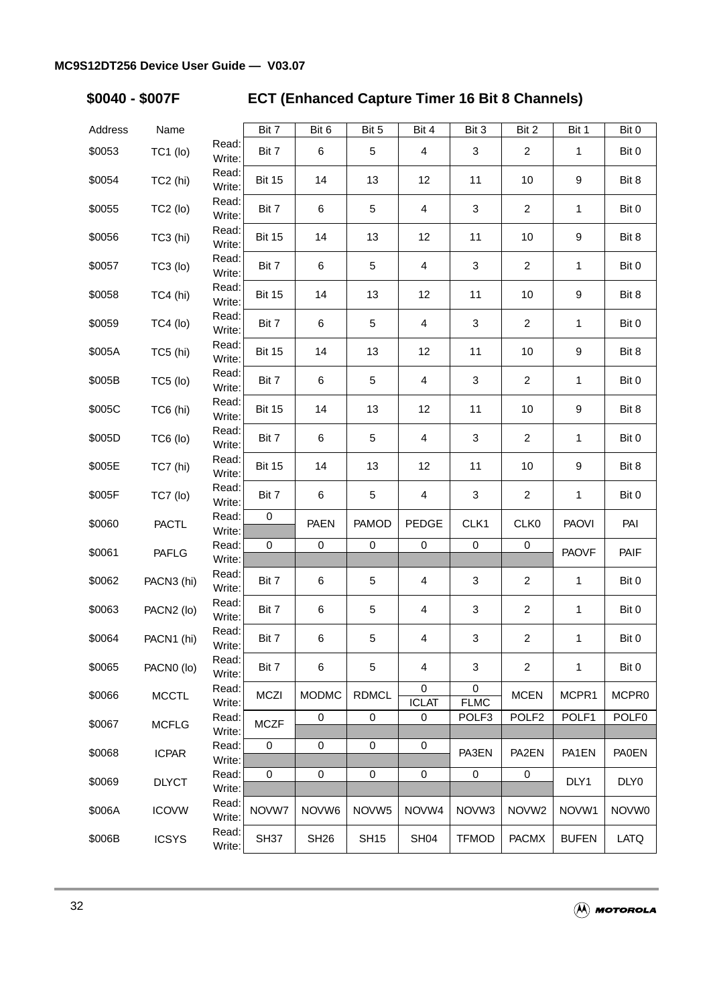# **\$0040 - \$007F ECT (Enhanced Capture Timer 16 Bit 8 Channels)**

| Address | Name            |                 | Bit 7         | Bit 6            | Bit 5             | Bit 4                   | Bit 3            | Bit 2             | Bit 1        | Bit 0             |
|---------|-----------------|-----------------|---------------|------------------|-------------------|-------------------------|------------------|-------------------|--------------|-------------------|
| \$0053  | $TC1$ (lo)      | Read:<br>Write: | Bit 7         | 6                | 5                 | 4                       | 3                | $\overline{c}$    | 1            | Bit 0             |
| \$0054  | <b>TC2 (hi)</b> | Read:<br>Write: | <b>Bit 15</b> | 14               | 13                | 12                      | 11               | 10                | 9            | Bit 8             |
| \$0055  | $TC2$ (lo)      | Read:<br>Write: | Bit 7         | 6                | 5                 | 4                       | 3                | $\overline{c}$    | 1            | Bit 0             |
| \$0056  | TC3 (hi)        | Read:<br>Write: | <b>Bit 15</b> | 14               | 13                | 12                      | 11               | 10                | 9            | Bit 8             |
| \$0057  | $TC3$ (lo)      | Read:<br>Write: | Bit 7         | 6                | 5                 | 4                       | 3                | $\overline{c}$    | 1            | Bit 0             |
| \$0058  | TC4 (hi)        | Read:<br>Write: | <b>Bit 15</b> | 14               | 13                | 12                      | 11               | 10                | 9            | Bit 8             |
| \$0059  | $TC4$ (lo)      | Read:<br>Write: | Bit 7         | 6                | 5                 | 4                       | 3                | $\overline{c}$    | 1            | Bit 0             |
| \$005A  | TC5 (hi)        | Read:<br>Write: | <b>Bit 15</b> | 14               | 13                | 12                      | 11               | 10                | 9            | Bit 8             |
| \$005B  | <b>TC5 (lo)</b> | Read:<br>Write: | Bit 7         | 6                | 5                 | 4                       | 3                | $\overline{c}$    | 1            | Bit 0             |
| \$005C  | TC6 (hi)        | Read:<br>Write: | <b>Bit 15</b> | 14               | 13                | 12                      | 11               | 10                | 9            | Bit 8             |
| \$005D  | TC6 (lo)        | Read:<br>Write: | Bit 7         | 6                | 5                 | 4                       | 3                | $\overline{c}$    | 1            | Bit 0             |
| \$005E  | TC7 (hi)        | Read:<br>Write: | <b>Bit 15</b> | 14               | 13                | 12                      | 11               | 10                | 9            | Bit 8             |
| \$005F  | TC7 (lo)        | Read:<br>Write: | Bit 7         | 6                | 5                 | $\overline{\mathbf{4}}$ | 3                | $\overline{c}$    | $\mathbf{1}$ | Bit 0             |
| \$0060  | <b>PACTL</b>    | Read:<br>Write: | 0             | <b>PAEN</b>      | <b>PAMOD</b>      | PEDGE                   | CLK1             | CLK0              | <b>PAOVI</b> | PAI               |
| \$0061  | <b>PAFLG</b>    | Read:<br>Write: | 0             | $\pmb{0}$        | $\pmb{0}$         | $\pmb{0}$               | $\pmb{0}$        | $\mathbf 0$       | <b>PAOVF</b> | PAIF              |
| \$0062  | PACN3 (hi)      | Read:<br>Write: | Bit 7         | 6                | 5                 | 4                       | 3                | $\overline{c}$    | $\mathbf{1}$ | Bit 0             |
| \$0063  | PACN2 (lo)      | Read:<br>Write: | Bit 7         | 6                | 5                 | 4                       | 3                | $\overline{c}$    | 1            | Bit 0             |
| \$0064  | PACN1 (hi)      | Read:<br>Write: | Bit 7         | 6                | 5                 | 4                       | 3                | $\overline{c}$    | 1            | Bit 0             |
| \$0065  | PACN0 (lo)      | Read:<br>Write: | Bit 7         | 6                | 5                 | 4                       | 3                | $\overline{c}$    | 1            | Bit 0             |
| \$0066  | <b>MCCTL</b>    | Read:<br>Write: | <b>MCZI</b>   | <b>MODMC</b>     | <b>RDMCL</b>      | 0<br><b>ICLAT</b>       | 0<br><b>FLMC</b> | <b>MCEN</b>       | MCPR1        | MCPR <sub>0</sub> |
| \$0067  | <b>MCFLG</b>    | Read:           | <b>MCZF</b>   | $\mathbf 0$      | $\,0\,$           | 0                       | POLF3            | POLF <sub>2</sub> | POLF1        | POLF <sub>0</sub> |
|         |                 | Write:<br>Read: | 0             | 0                | 0                 | 0                       |                  |                   |              |                   |
| \$0068  | <b>ICPAR</b>    | Write:          |               |                  |                   |                         | PA3EN            | PA2EN             | PA1EN        | PA0EN             |
| \$0069  | <b>DLYCT</b>    | Read:<br>Write: | 0             | 0                | 0                 | 0                       | 0                | $\pmb{0}$         | DLY1         | DLY0              |
| \$006A  | <b>ICOVW</b>    | Read:<br>Write: | NOVW7         | NOVW6            | NOVW <sub>5</sub> | NOVW4                   | NOVW3            | NOVW <sub>2</sub> | NOVW1        | NOVW0             |
| \$006B  | <b>ICSYS</b>    | Read:<br>Write: | <b>SH37</b>   | SH <sub>26</sub> | <b>SH15</b>       | <b>SH04</b>             | <b>TFMOD</b>     | <b>PACMX</b>      | <b>BUFEN</b> | <b>LATQ</b>       |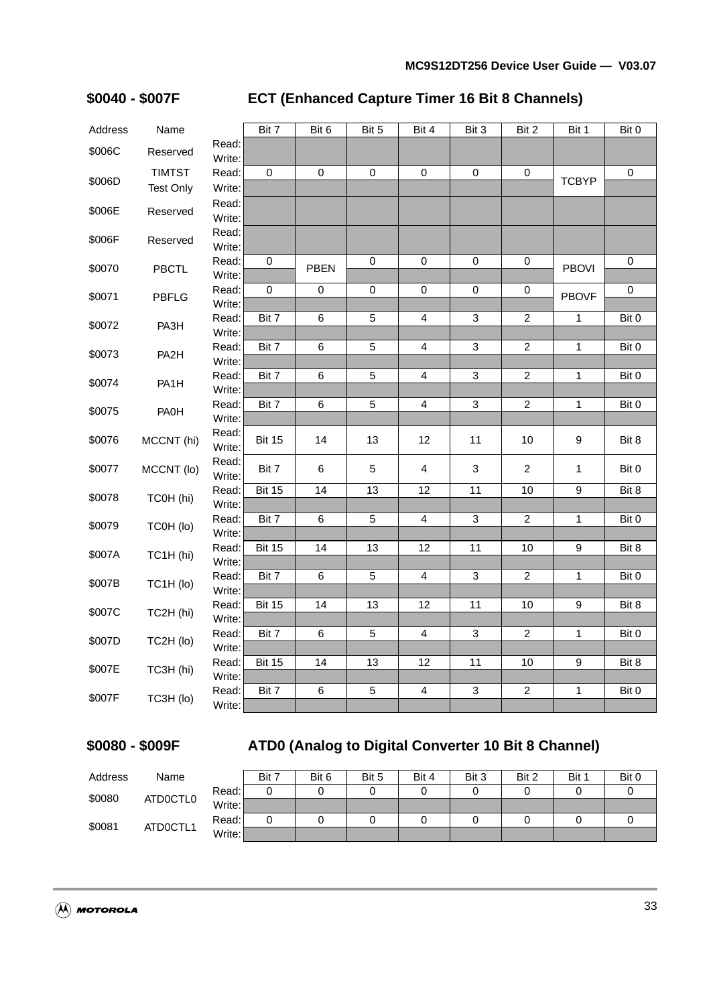# **\$0040 - \$007F ECT (Enhanced Capture Timer 16 Bit 8 Channels)**

| Address | Name             |                 | Bit 7         | Bit 6                 | Bit 5       | Bit 4                   | Bit 3          | Bit 2          | Bit 1        | Bit 0       |
|---------|------------------|-----------------|---------------|-----------------------|-------------|-------------------------|----------------|----------------|--------------|-------------|
| \$006C  | Reserved         | Read:<br>Write: |               |                       |             |                         |                |                |              |             |
| \$006D  | <b>TIMTST</b>    | Read:           | 0             | 0                     | 0           | $\,0\,$                 | 0              | 0              | <b>TCBYP</b> | $\mathbf 0$ |
|         | <b>Test Only</b> | Write:          |               |                       |             |                         |                |                |              |             |
| \$006E  | Reserved         | Read:<br>Write: |               |                       |             |                         |                |                |              |             |
| \$006F  | Reserved         | Read:<br>Write: |               |                       |             |                         |                |                |              |             |
| \$0070  | <b>PBCTL</b>     | Read:<br>Write: | 0             | <b>PBEN</b>           | 0           | 0                       | 0              | 0              | <b>PBOVI</b> | 0           |
| \$0071  | <b>PBFLG</b>     | Read:<br>Write: | 0             | $\overline{\text{o}}$ | 0           | $\pmb{0}$               | 0              | $\pmb{0}$      | <b>PBOVF</b> | 0           |
| \$0072  | PA3H             | Read:<br>Write: | Bit 7         | 6                     | $\mathbf 5$ | $\overline{4}$          | 3              | $\overline{c}$ | $\mathbf{1}$ | Bit 0       |
| \$0073  | PA2H             | Read:<br>Write: | Bit 7         | 6                     | $\mathbf 5$ | $\overline{\mathbf{4}}$ | 3              | $\overline{2}$ | 1            | Bit 0       |
| \$0074  | PA1H             | Read:<br>Write: | Bit 7         | 6                     | 5           | 4                       | 3              | 2              | 1            | Bit 0       |
| \$0075  | <b>PA0H</b>      | Read:<br>Write: | Bit 7         | 6                     | $\mathbf 5$ | 4                       | $\overline{3}$ | $\overline{c}$ | 1            | Bit 0       |
| \$0076  | MCCNT (hi)       | Read:<br>Write: | <b>Bit 15</b> | 14                    | 13          | 12                      | 11             | 10             | 9            | Bit 8       |
| \$0077  | MCCNT (lo)       | Read:<br>Write: | Bit 7         | 6                     | $\sqrt{5}$  | 4                       | 3              | $\overline{2}$ | 1            | Bit 0       |
| \$0078  | TC0H (hi)        | Read:<br>Write: | <b>Bit 15</b> | 14                    | 13          | 12                      | 11             | 10             | 9            | Bit 8       |
| \$0079  | TC0H (lo)        | Read:<br>Write: | Bit 7         | 6                     | $\mathbf 5$ | 4                       | 3              | $\overline{2}$ | 1            | Bit 0       |
| \$007A  | TC1H (hi)        | Read:<br>Write: | <b>Bit 15</b> | 14                    | 13          | 12                      | 11             | 10             | 9            | Bit 8       |
| \$007B  | TC1H (lo)        | Read:<br>Write: | Bit 7         | 6                     | 5           | $\overline{4}$          | 3              | $\overline{2}$ | 1            | Bit 0       |
| \$007C  | TC2H (hi)        | Read:<br>Write: | Bit 15        | 14                    | 13          | 12                      | 11             | 10             | 9            | Bit 8       |
| \$007D  | TC2H (lo)        | Read:<br>Write: | Bit 7         | 6                     | 5           | 4                       | $\overline{3}$ | $\overline{2}$ | 1            | Bit 0       |
| \$007E  | TC3H (hi)        | Read:<br>Write: | <b>Bit 15</b> | 14                    | 13          | 12                      | 11             | 10             | 9            | Bit 8       |
| \$007F  | TC3H (lo)        | Read:<br>Write: | Bit 7         | 6                     | 5           | 4                       | 3              | $\overline{c}$ | 1            | Bit 0       |

### **\$0080 - \$009F ATD0 (Analog to Digital Converter 10 Bit 8 Channel)**

| Address | Name     |        | Bit 7 | Bit 6 | Bit 5 | Bit 4 | Bit 3 | Bit 2 | Bit 1 | Bit 0 |
|---------|----------|--------|-------|-------|-------|-------|-------|-------|-------|-------|
| \$0080  | ATD0CTL0 | Read:  |       |       |       |       |       |       |       |       |
|         |          | Write: |       |       |       |       |       |       |       |       |
| \$0081  |          | Read:  |       |       |       |       |       |       |       |       |
|         | ATD0CTL1 | Write: |       |       |       |       |       |       |       |       |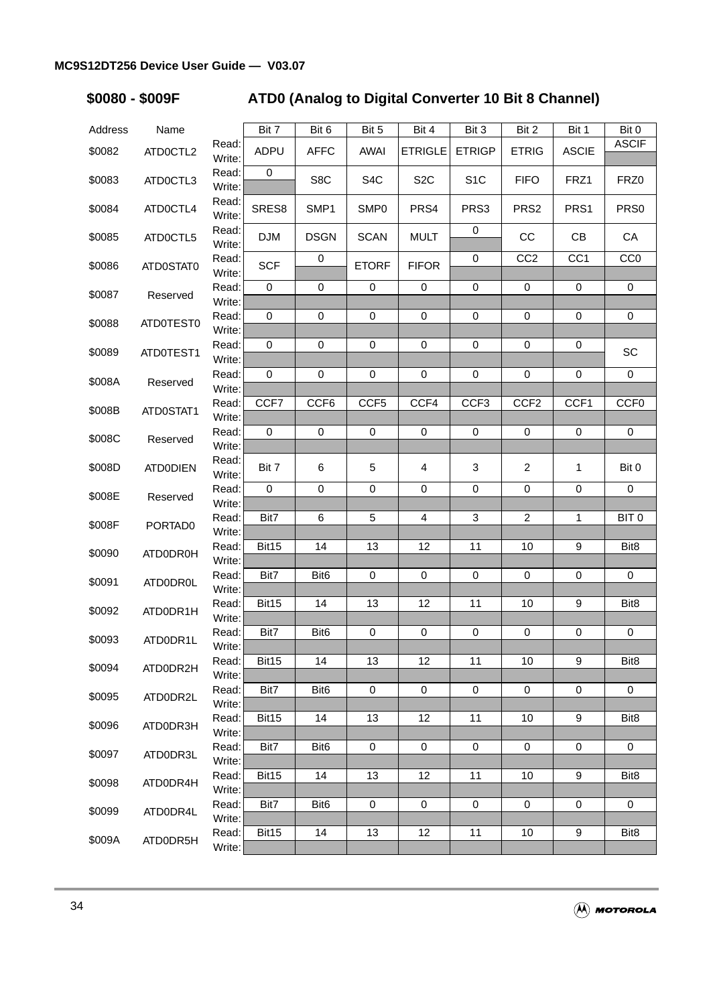# **\$0080 - \$009F ATD0 (Analog to Digital Converter 10 Bit 8 Channel)**

| Address | Name            |                 | Bit 7       | Bit 6            | Bit 5            | Bit 4            | Bit 3            | Bit 2            | Bit 1           | Bit 0            |
|---------|-----------------|-----------------|-------------|------------------|------------------|------------------|------------------|------------------|-----------------|------------------|
| \$0082  | ATD0CTL2        | Read:<br>Write: | <b>ADPU</b> | <b>AFFC</b>      | AWAI             | <b>ETRIGLE</b>   | <b>ETRIGP</b>    | <b>ETRIG</b>     | <b>ASCIE</b>    | <b>ASCIF</b>     |
| \$0083  | ATD0CTL3        | Read:<br>Write: | 0           | S8C              | S <sub>4</sub> C | S <sub>2</sub> C | S <sub>1</sub> C | <b>FIFO</b>      | FRZ1            | FRZ0             |
| \$0084  | ATD0CTL4        | Read:<br>Write: | SRES8       | SMP1             | SMP <sub>0</sub> | PRS4             | PRS3             | PRS <sub>2</sub> | PRS1            | PRS <sub>0</sub> |
| \$0085  | ATD0CTL5        | Read:<br>Write: | <b>DJM</b>  | <b>DSGN</b>      | <b>SCAN</b>      | <b>MULT</b>      | $\pmb{0}$        | CC               | CB              | CA               |
| \$0086  | ATD0STAT0       | Read:<br>Write: | <b>SCF</b>  | 0                | <b>ETORF</b>     | <b>FIFOR</b>     | 0                | CC <sub>2</sub>  | CC <sub>1</sub> | CC <sub>0</sub>  |
| \$0087  | Reserved        | Read:<br>Write: | 0           | 0                | $\pmb{0}$        | $\pmb{0}$        | 0                | 0                | 0               | 0                |
| \$0088  | ATD0TEST0       | Read:<br>Write: | 0           | 0                | 0                | 0                | 0                | 0                | 0               | 0                |
| \$0089  | ATD0TEST1       | Read:<br>Write: | 0           | 0                | 0                | 0                | 0                | 0                | 0               | SC               |
| \$008A  | Reserved        | Read:<br>Write: | 0           | $\pmb{0}$        | $\,0\,$          | $\pmb{0}$        | $\pmb{0}$        | $\pmb{0}$        | $\,0\,$         | $\pmb{0}$        |
| \$008B  | ATD0STAT1       | Read:<br>Write: | CCF7        | CCF <sub>6</sub> | CCF <sub>5</sub> | CCF4             | CCF <sub>3</sub> | CCF <sub>2</sub> | CCF1            | CCF <sub>0</sub> |
| \$008C  | Reserved        | Read:<br>Write: | 0           | 0                | $\,0\,$          | $\pmb{0}$        | $\mathbf 0$      | $\pmb{0}$        | 0               | $\pmb{0}$        |
| \$008D  | <b>ATDODIEN</b> | Read:<br>Write: | Bit 7       | 6                | 5                | 4                | 3                | $\overline{2}$   | 1               | Bit 0            |
| \$008E  | Reserved        | Read:<br>Write: | 0           | $\pmb{0}$        | $\mathbf 0$      | $\pmb{0}$        | 0                | $\pmb{0}$        | $\,0\,$         | $\pmb{0}$        |
| \$008F  | PORTAD0         | Read:<br>Write: | Bit7        | 6                | 5                | 4                | 3                | $\overline{c}$   | 1               | BIT <sub>0</sub> |
| \$0090  | ATD0DR0H        | Read:<br>Write: | Bit15       | 14               | 13               | 12               | 11               | 10               | 9               | Bit8             |
| \$0091  | ATD0DR0L        | Read:<br>Write: | Bit7        | Bit <sub>6</sub> | $\,0\,$          | 0                | $\mathbf 0$      | $\pmb{0}$        | 0               | $\,0\,$          |
| \$0092  | ATD0DR1H        | Read:<br>Write: | Bit15       | 14               | 13               | 12               | 11               | 10               | 9               | Bit8             |
| \$0093  | ATD0DR1L        | Read:<br>Write: | Bit7        | Bit <sub>6</sub> | $\,0\,$          | 0                | 0                | $\pmb{0}$        | 0               | 0                |
| \$0094  | ATD0DR2H        | Read:<br>Write: | Bit15       | 14               | 13               | 12               | 11               | 10               | 9               | Bit <sub>8</sub> |
| \$0095  | ATD0DR2L        | Read:<br>Write: | Bit7        | Bit <sub>6</sub> | $\mathbf 0$      | $\mathbf 0$      | 0                | 0                | 0               | $\mathbf 0$      |
| \$0096  | ATD0DR3H        | Read:<br>Write: | Bit15       | 14               | 13               | 12               | 11               | 10               | 9               | Bit <sub>8</sub> |
| \$0097  | ATD0DR3L        | Read:<br>Write: | Bit7        | Bit <sub>6</sub> | 0                | 0                | 0                | 0                | 0               | 0                |
| \$0098  | ATD0DR4H        | Read:<br>Write: | Bit15       | 14               | 13               | 12               | 11               | 10               | 9               | Bit <sub>8</sub> |
| \$0099  | ATD0DR4L        | Read:<br>Write: | Bit7        | Bit <sub>6</sub> | 0                | 0                | 0                | 0                | 0               | 0                |
| \$009A  | ATD0DR5H        | Read:<br>Write: | Bit15       | 14               | 13               | 12               | 11               | 10               | 9               | Bit8             |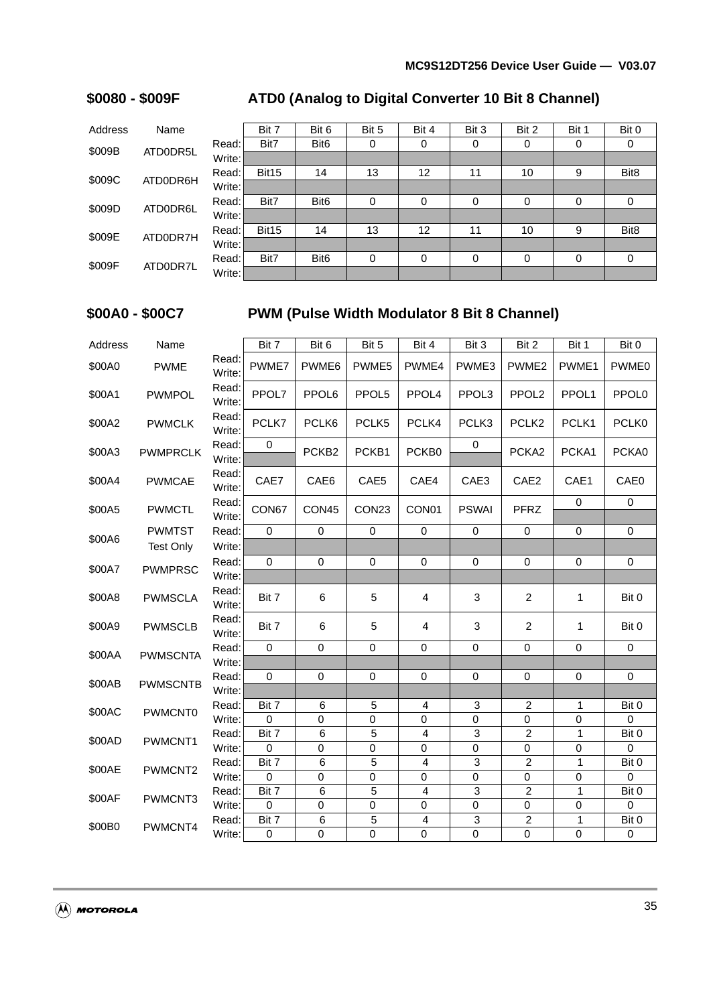# **\$0080 - \$009F ATD0 (Analog to Digital Converter 10 Bit 8 Channel)**

| Address          | Name     |        | Bit 7             | Bit 6            | Bit 5 | Bit 4   | Bit 3    | Bit 2 | Bit 1 | Bit 0            |
|------------------|----------|--------|-------------------|------------------|-------|---------|----------|-------|-------|------------------|
|                  | ATD0DR5L | Read:  | Bit7              | Bit <sub>6</sub> | 0     | 0       | 0        | 0     | 0     | 0                |
| \$009B<br>\$009C |          | Write: |                   |                  |       |         |          |       |       |                  |
|                  | ATD0DR6H | Read:  | Bit <sub>15</sub> | 14               | 13    | 12      | 11       | 10    | 9     | Bit <sub>8</sub> |
|                  |          | Write: |                   |                  |       |         |          |       |       |                  |
| \$009D           | ATD0DR6L | Read:  | Bit7              | Bit <sub>6</sub> | 0     | 0       | $\Omega$ | 0     | 0     | 0                |
|                  |          | Write: |                   |                  |       |         |          |       |       |                  |
| \$009E           | ATD0DR7H | Read:  | Bit15             | 14               | 13    | $12 \,$ | 11       | 10    | 9     | Bit <sub>8</sub> |
|                  |          | Write: |                   |                  |       |         |          |       |       |                  |
| \$009F           | ATD0DR7L | Read:  | Bit7              | Bit <sub>6</sub> | 0     | 0       | 0        | 0     | 0     | 0                |
|                  |          | Write: |                   |                  |       |         |          |       |       |                  |

### **\$00A0 - \$00C7 PWM (Pulse Width Modulator 8 Bit 8 Channel)**

| Address | Name             |                 | Bit 7       | Bit 6             | Bit 5             | Bit 4                   | Bit 3          | Bit 2             | Bit 1             | Bit 0             |
|---------|------------------|-----------------|-------------|-------------------|-------------------|-------------------------|----------------|-------------------|-------------------|-------------------|
| \$00A0  | <b>PWME</b>      | Read:<br>Write: | PWME7       | PWME6             | PWME5             | PWME4                   | PWME3          | PWME <sub>2</sub> | PWME1             | <b>PWME0</b>      |
| \$00A1  | <b>PWMPOL</b>    | Read:<br>Write: | PPOL7       | PPOL6             | PPOL5             | PPOL <sub>4</sub>       | PPOL3          | PPOL <sub>2</sub> | PPOL <sub>1</sub> | PPOL <sub>0</sub> |
| \$00A2  | <b>PWMCLK</b>    | Read:<br>Write: | PCLK7       | PCLK6             | PCLK5             | PCLK4                   | PCLK3          | PCLK <sub>2</sub> | PCLK1             | PCLK0             |
| \$00A3  | <b>PWMPRCLK</b>  | Read:<br>Write: | 0           | PCKB <sub>2</sub> | PCKB1             | PCKB <sub>0</sub>       | 0              | PCKA2             | PCKA1             | PCKA0             |
| \$00A4  | <b>PWMCAE</b>    | Read:<br>Write: | CAE7        | CAE6              | CAE5              | CAE4                    | CAE3           | CAE2              | CAE1              | CAE0              |
| \$00A5  | <b>PWMCTL</b>    | Read:<br>Write: | CON67       | CON45             | CON <sub>23</sub> | CON <sub>01</sub>       | <b>PSWAI</b>   | <b>PFRZ</b>       | $\mathbf 0$       | 0                 |
|         | <b>PWMTST</b>    | Read:           | $\mathbf 0$ | $\mathbf 0$       | 0                 | $\pmb{0}$               | $\mathbf 0$    | $\pmb{0}$         | $\mathbf 0$       | 0                 |
| \$00A6  | <b>Test Only</b> | Write:          |             |                   |                   |                         |                |                   |                   |                   |
| \$00A7  | <b>PWMPRSC</b>   | Read:           | 0           | $\pmb{0}$         | $\mathbf 0$       | $\pmb{0}$               | $\mathbf 0$    | $\pmb{0}$         | $\mathbf 0$       | $\mathbf 0$       |
|         |                  | Write:          |             |                   |                   |                         |                |                   |                   |                   |
| \$00A8  | <b>PWMSCLA</b>   | Read:<br>Write: | Bit 7       | 6                 | 5                 | 4                       | 3              | $\overline{2}$    | 1                 | Bit 0             |
| \$00A9  | <b>PWMSCLB</b>   | Read:<br>Write: | Bit 7       | 6                 | 5                 | 4                       | 3              | $\overline{2}$    | 1                 | Bit 0             |
| \$00AA  | <b>PWMSCNTA</b>  | Read:           | 0           | 0                 | 0                 | 0                       | 0              | 0                 | 0                 | $\pmb{0}$         |
|         |                  | Write:          |             |                   |                   |                         |                |                   |                   |                   |
| \$00AB  | <b>PWMSCNTB</b>  | Read:           | $\mathbf 0$ | $\mathbf 0$       | 0                 | $\mathsf 0$             | $\mathbf 0$    | $\mathbf 0$       | $\mathbf 0$       | $\mathbf 0$       |
|         |                  | Write:          |             |                   |                   |                         |                |                   |                   |                   |
| \$00AC  | <b>PWMCNT0</b>   | Read:           | Bit 7       | 6                 | 5                 | 4                       | 3              | $\overline{c}$    | 1                 | Bit 0             |
|         |                  | Write:          | $\mathbf 0$ | 0                 | 0                 | 0                       | 0              | $\overline{0}$    | 0                 | $\mathbf 0$       |
| \$00AD  | PWMCNT1          | Read:           | Bit 7       | 6                 | $\overline{5}$    | $\overline{\mathbf{4}}$ | $\overline{3}$ | 2                 | $\mathbf{1}$      | Bit 0             |
|         |                  | Write:          | 0           | 0                 | 0                 | 0                       | 0              | $\mathsf 0$       | $\mathbf 0$       | $\pmb{0}$         |
| \$00AE  | PWMCNT2          | Read:           | Bit 7       | 6                 | 5                 | 4                       | $\overline{3}$ | $\overline{c}$    | 1                 | Bit 0             |
|         |                  | Write:          | $\mathbf 0$ | 0                 | 0                 | 0                       | 0              | 0                 | 0                 | 0                 |
| \$00AF  | PWMCNT3          | Read:           | Bit 7       | 6                 | $\overline{5}$    | 4                       | $\overline{3}$ | $\overline{c}$    | 1                 | Bit 0             |
|         |                  | Write:          | 0           | 0                 | 0                 | 0                       | 0              | 0                 | 0                 | 0                 |
| \$00B0  | PWMCNT4          | Read:           | Bit 7       | 6                 | 5                 | 4                       | $\overline{3}$ | $\overline{2}$    | 1                 | Bit 0             |
|         |                  | Write:          | 0           | $\pmb{0}$         | 0                 | 0                       | 0              | $\mathsf 0$       | 0                 | $\mathbf 0$       |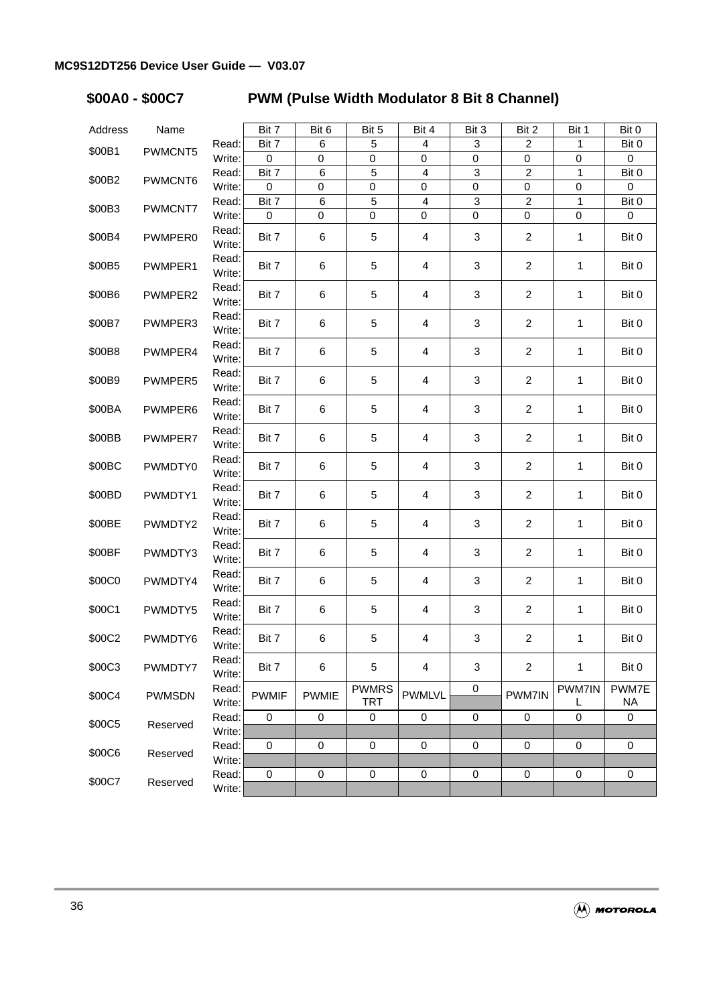### **\$00A0 - \$00C7 PWM (Pulse Width Modulator 8 Bit 8 Channel)**

| Address | Name          |                 | Bit 7        | Bit 6        | Bit 5               | Bit 4         | Bit 3                     | Bit 2          | Bit 1       | Bit 0              |
|---------|---------------|-----------------|--------------|--------------|---------------------|---------------|---------------------------|----------------|-------------|--------------------|
| \$00B1  | PWMCNT5       | Read:           | Bit 7        | 6            | 5                   | 4             | $\mathbf{3}$              | $\overline{c}$ | 1           | Bit 0              |
|         |               | Write:          | 0            | 0            | 0                   | 0             | 0                         | 0              | $\pmb{0}$   | $\pmb{0}$          |
| \$00B2  | PWMCNT6       | Read:           | Bit 7        | 6            | 5                   | 4             | $\mathbf{3}$              | $\overline{c}$ | 1           | Bit 0              |
|         |               | Write:          | 0            | 0            | $\,0\,$             | 0             | 0                         | 0              | $\,0\,$     | 0                  |
| \$00B3  | PWMCNT7       | Read:           | Bit 7        | 6            | 5                   | 4             | $\ensuremath{\mathsf{3}}$ | $\overline{c}$ | 1           | Bit 0              |
|         |               | Write:          | 0            | 0            | $\pmb{0}$           | 0             | 0                         | 0              | $\,0\,$     | 0                  |
| \$00B4  | PWMPER0       | Read:<br>Write: | Bit 7        | 6            | 5                   | 4             | $\ensuremath{\mathsf{3}}$ | $\overline{c}$ | 1           | Bit 0              |
| \$00B5  | PWMPER1       | Read:<br>Write: | Bit 7        | 6            | 5                   | 4             | $\ensuremath{\mathsf{3}}$ | $\overline{c}$ | 1           | Bit 0              |
| \$00B6  | PWMPER2       | Read:<br>Write: | Bit 7        | 6            | 5                   | 4             | 3                         | $\overline{c}$ | 1           | Bit 0              |
| \$00B7  | PWMPER3       | Read:<br>Write: | Bit 7        | 6            | 5                   | 4             | 3                         | $\overline{c}$ | 1           | Bit 0              |
| \$00B8  | PWMPER4       | Read:<br>Write: | Bit 7        | 6            | 5                   | 4             | $\ensuremath{\mathsf{3}}$ | $\overline{c}$ | 1           | Bit 0              |
| \$00B9  | PWMPER5       | Read:<br>Write: | Bit 7        | 6            | 5                   | 4             | $\ensuremath{\mathsf{3}}$ | $\overline{c}$ | 1           | Bit 0              |
| \$00BA  | PWMPER6       | Read:<br>Write: | Bit 7        | 6            | 5                   | 4             | $\mathbf 3$               | $\overline{c}$ | 1           | Bit 0              |
| \$00BB  | PWMPER7       | Read:<br>Write: | Bit 7        | 6            | 5                   | 4             | 3                         | $\overline{c}$ | 1           | Bit 0              |
| \$00BC  | PWMDTY0       | Read:<br>Write: | Bit 7        | 6            | 5                   | 4             | $\ensuremath{\mathsf{3}}$ | $\overline{c}$ | 1           | Bit 0              |
| \$00BD  | PWMDTY1       | Read:<br>Write: | Bit 7        | 6            | 5                   | 4             | $\ensuremath{\mathsf{3}}$ | $\overline{c}$ | 1           | Bit 0              |
| \$00BE  | PWMDTY2       | Read:<br>Write: | Bit 7        | 6            | 5                   | 4             | $\mathbf 3$               | $\overline{c}$ | 1           | Bit 0              |
| \$00BF  | PWMDTY3       | Read:<br>Write: | Bit 7        | 6            | 5                   | 4             | 3                         | $\overline{c}$ | 1           | Bit 0              |
| \$00C0  | PWMDTY4       | Read:<br>Write: | Bit 7        | 6            | 5                   | 4             | 3                         | $\overline{c}$ | 1           | Bit 0              |
| \$00C1  | PWMDTY5       | Read:<br>Write: | Bit 7        | 6            | 5                   | 4             | 3                         | $\overline{c}$ | 1           | Bit 0              |
| \$00C2  | PWMDTY6       | Read:<br>Write: | Bit 7        | 6            | 5                   | 4             | 3                         | $\overline{c}$ | 1           | Bit 0              |
| \$00C3  | PWMDTY7       | Read:<br>Write: | Bit 7        | 6            | 5                   | 4             | 3                         | $\overline{c}$ | 1           | Bit 0              |
| \$00C4  | <b>PWMSDN</b> | Read:<br>Write: | <b>PWMIF</b> | <b>PWMIE</b> | <b>PWMRS</b><br>TRT | <b>PWMLVL</b> | 0                         | PWM7IN         | PWM7IN<br>L | PWM7E<br><b>NA</b> |
| \$00C5  | Reserved      | Read:<br>Write: | 0            | 0            | 0                   | 0             | 0                         | $\pmb{0}$      | 0           | 0                  |
|         | Reserved      | Read:           | 0            | 0            | 0                   | 0             | 0                         | 0              | 0           | 0                  |
| \$00C6  |               | Write:          |              |              |                     |               |                           |                |             |                    |
| \$00C7  | Reserved      | Read:<br>Write: | 0            | 0            | 0                   | 0             | 0                         | 0              | 0           | 0                  |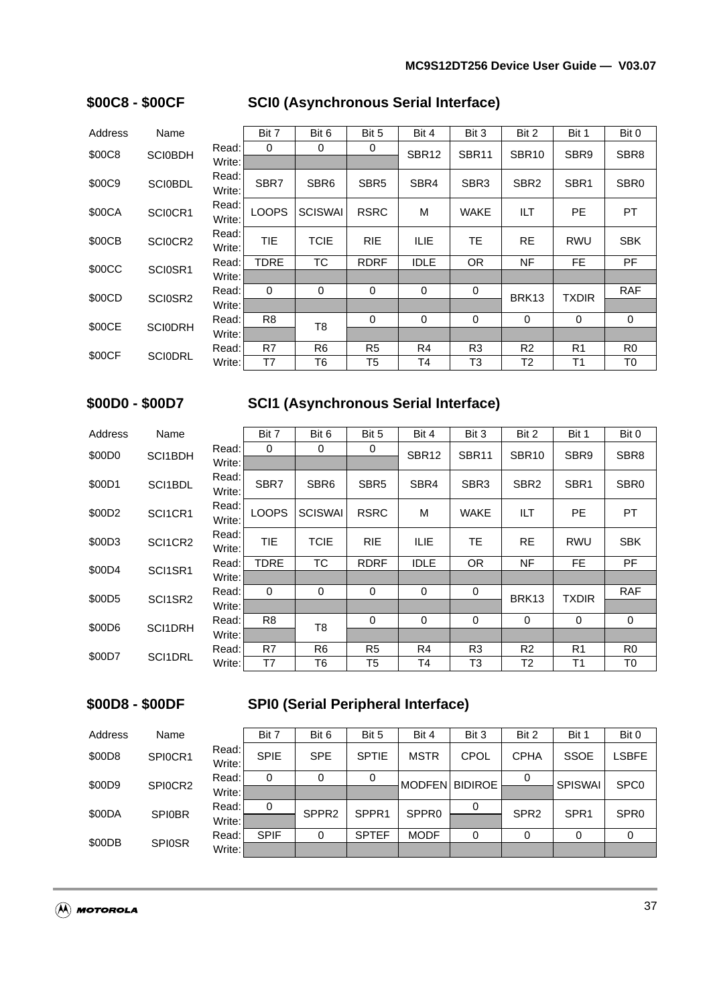#### **\$00C8 - \$00CF SCI0 (Asynchronous Serial Interface)**

| Address | Name           |        | Bit 7       | Bit 6            | Bit 5            | Bit 4             | Bit 3             | Bit 2             | Bit 1            | Bit 0            |
|---------|----------------|--------|-------------|------------------|------------------|-------------------|-------------------|-------------------|------------------|------------------|
| \$00C8  | <b>SCI0BDH</b> | Read:  | $\Omega$    | 0                | 0                | SBR <sub>12</sub> | SBR <sub>11</sub> | SBR <sub>10</sub> | SBR <sub>9</sub> | SBR <sub>8</sub> |
|         |                | Write: |             |                  |                  |                   |                   |                   |                  |                  |
| \$00C9  | <b>SCI0BDL</b> | Read:  | SBR7        | SBR <sub>6</sub> | SBR <sub>5</sub> | SBR4              | SBR <sub>3</sub>  | SBR <sub>2</sub>  | SBR <sub>1</sub> | SBR <sub>0</sub> |
|         |                | Write: |             |                  |                  |                   |                   |                   |                  |                  |
| \$00CA  | SCI0CR1        | Read:  | LOOPS       | <b>SCISWAI</b>   | <b>RSRC</b>      | M                 | <b>WAKE</b>       | ILT               | <b>PE</b>        | <b>PT</b>        |
|         |                | Write: |             |                  |                  |                   |                   |                   |                  |                  |
| \$00CB  | SCI0CR2        | Read:  | TIE         | <b>TCIE</b>      | <b>RIE</b>       | <b>ILIE</b>       | ТE                | <b>RE</b>         | <b>RWU</b>       | <b>SBK</b>       |
|         |                | Write: |             |                  |                  |                   |                   |                   |                  |                  |
| \$00CC  | SCI0SR1        | Read:  | <b>TDRE</b> | TC.              | <b>RDRF</b>      | <b>IDLE</b>       | <b>OR</b>         | <b>NF</b>         | FE.              | <b>PF</b>        |
|         |                | Write: |             |                  |                  |                   |                   |                   |                  |                  |
| \$00CD  | SCI0SR2        | Read:  | $\Omega$    | 0                | $\Omega$         | 0                 | $\mathbf 0$       | BRK <sub>13</sub> | <b>TXDIR</b>     | <b>RAF</b>       |
|         |                | Write: |             |                  |                  |                   |                   |                   |                  |                  |
| \$00CE  | <b>SCIODRH</b> | Read:  | R8          | T8               | 0                | 0                 | $\mathbf 0$       | 0                 | $\mathbf 0$      | 0                |
|         |                | Write: |             |                  |                  |                   |                   |                   |                  |                  |
| \$00CF  | <b>SCIODRL</b> | Read:  | R7          | R <sub>6</sub>   | R <sub>5</sub>   | R4                | R <sub>3</sub>    | R <sub>2</sub>    | R <sub>1</sub>   | R <sub>0</sub>   |
|         |                | Write: | T7          | T6               | T5               | T4                | T3                | T2                | T <sub>1</sub>   | T0               |
|         |                |        |             |                  |                  |                   |                   |                   |                  |                  |

#### **\$00D0 - \$00D7 SCI1 (Asynchronous Serial Interface)**

| Address | Name    |        | Bit 7          | Bit 6            | Bit 5            | Bit 4             | Bit 3            | Bit 2             | Bit 1            | Bit 0            |
|---------|---------|--------|----------------|------------------|------------------|-------------------|------------------|-------------------|------------------|------------------|
| \$00D0  | SCI1BDH | Read:  | 0              | 0                | 0                | SBR <sub>12</sub> | <b>SBR11</b>     | SBR <sub>10</sub> | SBR <sub>9</sub> | SBR <sub>8</sub> |
|         |         | Write: |                |                  |                  |                   |                  |                   |                  |                  |
| \$00D1  | SCI1BDL | Read:  | SBR7           | SBR <sub>6</sub> | SBR <sub>5</sub> | SBR4              | SBR <sub>3</sub> | SBR <sub>2</sub>  | SBR <sub>1</sub> | SBR <sub>0</sub> |
|         |         | Write: |                |                  |                  |                   |                  |                   |                  |                  |
| \$00D2  | SCI1CR1 | Read:  | <b>LOOPS</b>   | <b>SCISWAI</b>   | <b>RSRC</b>      | M                 | <b>WAKE</b>      | ILT               | <b>PE</b>        | <b>PT</b>        |
|         |         | Write: |                |                  |                  |                   |                  |                   |                  |                  |
| \$00D3  | SCI1CR2 | Read:  | TIE            | <b>TCIE</b>      | <b>RIE</b>       | ILIE              | TE               | <b>RE</b>         | <b>RWU</b>       | <b>SBK</b>       |
|         |         | Write: |                |                  |                  |                   |                  |                   |                  |                  |
| \$00D4  | SCI1SR1 | Read:  | <b>TDRE</b>    | ТC               | <b>RDRF</b>      | <b>IDLE</b>       | <b>OR</b>        | <b>NF</b>         | FE.              | <b>PF</b>        |
|         |         | Write: |                |                  |                  |                   |                  |                   |                  |                  |
| \$00D5  | SCI1SR2 | Read:  | 0              | 0                | 0                | $\mathbf 0$       | 0                | BRK13             | <b>TXDIR</b>     | <b>RAF</b>       |
|         |         | Write: |                |                  |                  |                   |                  |                   |                  |                  |
| \$00D6  | SCI1DRH | Read:  | R <sub>8</sub> | T8               | 0                | $\mathbf 0$       | 0                | $\mathbf 0$       | $\mathbf 0$      | 0                |
|         |         | Write: |                |                  |                  |                   |                  |                   |                  |                  |
| \$00D7  | SCI1DRL | Read:  | R7             | R <sub>6</sub>   | R <sub>5</sub>   | R4                | R <sub>3</sub>   | R <sub>2</sub>    | R <sub>1</sub>   | R <sub>0</sub>   |
|         |         | Write: | T7             | T6               | T5               | T4                | T3               | Т2                | T <sub>1</sub>   | T0               |
|         |         |        |                |                  |                  |                   |                  |                   |                  |                  |

#### **\$00D8 - \$00DF SPI0 (Serial Peripheral Interface)**

| Address | Name          |                 | Bit 7       | Bit 6             | Bit 5             | Bit 4             | Bit 3       | Bit 2            | Bit 1            | Bit 0            |
|---------|---------------|-----------------|-------------|-------------------|-------------------|-------------------|-------------|------------------|------------------|------------------|
| \$00D8  | SPI0CR1       | Read:<br>Write: | <b>SPIE</b> | <b>SPE</b>        | <b>SPTIE</b>      | <b>MSTR</b>       | <b>CPOL</b> | <b>CPHA</b>      | <b>SSOE</b>      | <b>LSBFE</b>     |
| \$00D9  | SPI0CR2       | Read:           | 0           | 0                 | 0                 | MODFEN BIDIROE    |             | 0                | <b>SPISWAI</b>   | SPC <sub>0</sub> |
|         |               | Write:          |             |                   |                   |                   |             |                  |                  |                  |
| \$00DA  | <b>SPIOBR</b> | Read:           | 0           | SPPR <sub>2</sub> | SPPR <sub>1</sub> | SPPR <sub>0</sub> | 0           | SPR <sub>2</sub> | SPR <sub>1</sub> | SPR <sub>0</sub> |
|         |               | Write:          |             |                   |                   |                   |             |                  |                  |                  |
| \$00DB  | <b>SPI0SR</b> | Read:           | <b>SPIF</b> | 0                 | <b>SPTEF</b>      | <b>MODF</b>       |             | 0                | 0                | 0                |
|         |               | Write:          |             |                   |                   |                   |             |                  |                  |                  |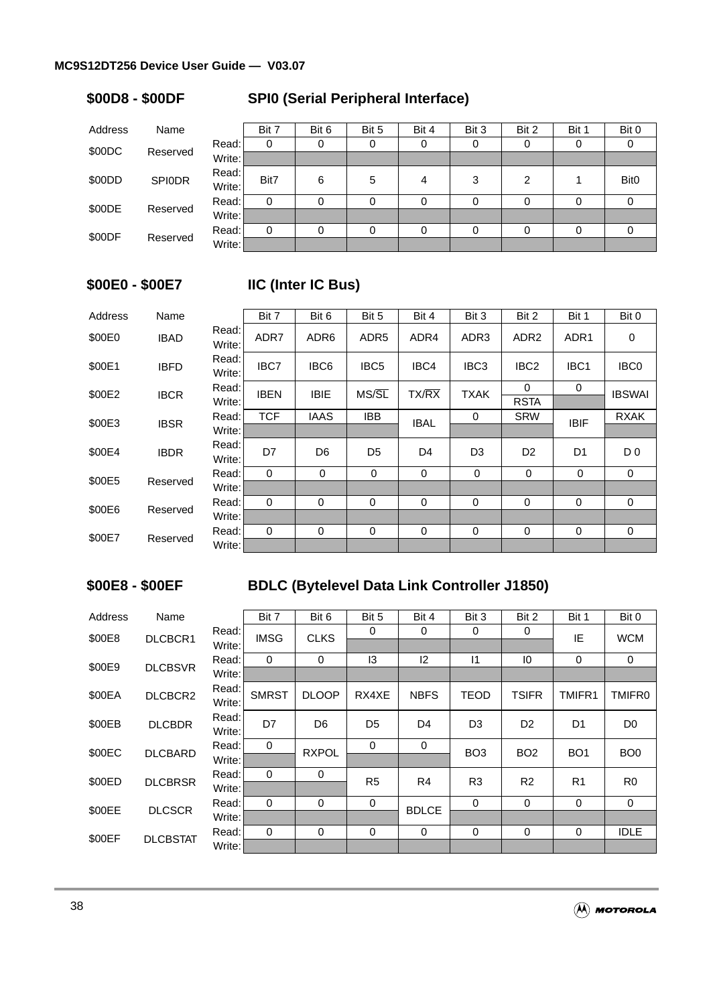#### **\$00D8 - \$00DF SPI0 (Serial Peripheral Interface)**

| Address | Name          |        | Bit 7 | Bit 6 | Bit 5 | Bit 4 | Bit 3 | Bit 2 | Bit 1 | Bit 0            |
|---------|---------------|--------|-------|-------|-------|-------|-------|-------|-------|------------------|
| \$00DC  | Reserved      | Read:  | 0     | 0     | 0     | 0     |       | 0     |       | 0                |
|         |               | Write: |       |       |       |       |       |       |       |                  |
| \$00DD  | <b>SPIODR</b> | Read:  | Bit7  | 6     | 5     | 4     | 3     | 2     |       | Bit <sub>0</sub> |
|         |               | Write: |       |       |       |       |       |       |       |                  |
| \$00DE  | Reserved      | Read:  | 0     |       | 0     | 0     |       | 0     |       | 0                |
|         |               | Write: |       |       |       |       |       |       |       |                  |
| \$00DF  |               | Read:  | 0     |       | 0     | 0     |       | 0     |       |                  |
|         | Reserved      | Write: |       |       |       |       |       |       |       |                  |

#### **\$00E0 - \$00E7 IIC (Inter IC Bus)**

| Address | Name        |                 | Bit 7       | Bit 6            | Bit 5            | Bit 4          | Bit 3            | Bit 2            | Bit 1            | Bit 0            |
|---------|-------------|-----------------|-------------|------------------|------------------|----------------|------------------|------------------|------------------|------------------|
| \$00E0  | <b>IBAD</b> | Read:<br>Write: | ADR7        | ADR <sub>6</sub> | ADR <sub>5</sub> | ADR4           | ADR <sub>3</sub> | ADR <sub>2</sub> | ADR <sub>1</sub> | $\mathbf 0$      |
| \$00E1  | <b>IBFD</b> | Read:<br>Write: | IBC7        | IBC <sub>6</sub> | IBC <sub>5</sub> | IBC4           | IBC <sub>3</sub> | IBC <sub>2</sub> | IBC <sub>1</sub> | IBC <sub>0</sub> |
| \$00E2  | <b>IBCR</b> | Read:           | <b>IBEN</b> | <b>IBIE</b>      | MS/SL            | TX/RX          | <b>TXAK</b>      | $\mathbf 0$      | $\mathbf 0$      | <b>IBSWAI</b>    |
|         |             | Write:          |             |                  |                  |                |                  | <b>RSTA</b>      |                  |                  |
| \$00E3  | <b>IBSR</b> | Read:           | <b>TCF</b>  | <b>IAAS</b>      | <b>IBB</b>       | <b>IBAL</b>    | $\mathbf 0$      | <b>SRW</b>       | <b>IBIF</b>      | <b>RXAK</b>      |
|         |             | Write:          |             |                  |                  |                |                  |                  |                  |                  |
| \$00E4  | <b>IBDR</b> | Read:<br>Write: | D7          | D <sub>6</sub>   | D <sub>5</sub>   | D <sub>4</sub> | D <sub>3</sub>   | D <sub>2</sub>   | D <sub>1</sub>   | D <sub>0</sub>   |
| \$00E5  |             | Read:           | $\mathbf 0$ | $\Omega$         | 0                | 0              | 0                | $\mathbf 0$      | $\mathbf 0$      | 0                |
|         | Reserved    | Write:          |             |                  |                  |                |                  |                  |                  |                  |
| \$00E6  |             | Read:           | $\mathbf 0$ | 0                | $\mathbf 0$      | 0              | $\mathbf 0$      | 0                | 0                | $\mathbf 0$      |
|         | Reserved    | Write:          |             |                  |                  |                |                  |                  |                  |                  |
| \$00E7  | Reserved    | Read:           | 0           | 0                | $\mathbf 0$      | 0              | $\mathbf 0$      | $\mathbf 0$      | 0                | 0                |
|         |             | Write: l        |             |                  |                  |                |                  |                  |                  |                  |

#### **\$00E8 - \$00EF BDLC (Bytelevel Data Link Controller J1850)**

| Address | Name            |        | Bit 7        | Bit 6          | Bit 5          | Bit 4          | Bit 3           | Bit 2           | Bit 1           | Bit 0           |
|---------|-----------------|--------|--------------|----------------|----------------|----------------|-----------------|-----------------|-----------------|-----------------|
| \$00E8  | DLCBCR1         | Read:  | <b>IMSG</b>  | <b>CLKS</b>    | 0              | 0              | 0               | 0               | IE              | <b>WCM</b>      |
|         |                 | Write: |              |                |                |                |                 |                 |                 |                 |
| \$00E9  | <b>DLCBSVR</b>  | Read:  | $\Omega$     | 0              | $\mathsf{I}3$  | 12             | $\mathsf{I}$    | 10              | $\mathbf 0$     | $\mathbf 0$     |
|         |                 | Write: |              |                |                |                |                 |                 |                 |                 |
| \$00EA  | DLCBCR2         | Read:  | <b>SMRST</b> | <b>DLOOP</b>   | RX4XE          | <b>NBFS</b>    | <b>TEOD</b>     | <b>TSIFR</b>    | TMIFR1          | <b>TMIFR0</b>   |
|         |                 | Write: |              |                |                |                |                 |                 |                 |                 |
| \$00EB  | <b>DLCBDR</b>   | Read:  | D7           | D <sub>6</sub> | D <sub>5</sub> | D <sub>4</sub> | D <sub>3</sub>  | D <sub>2</sub>  | D <sub>1</sub>  | D <sub>0</sub>  |
|         |                 | Write: |              |                |                |                |                 |                 |                 |                 |
| \$00EC  | <b>DLCBARD</b>  | Read:  | $\mathbf 0$  | <b>RXPOL</b>   | 0              | 0              | BO <sub>3</sub> | BO <sub>2</sub> | BO <sub>1</sub> | BO <sub>0</sub> |
|         |                 | Write: |              |                |                |                |                 |                 |                 |                 |
| \$00ED  | <b>DLCBRSR</b>  | Read:  | $\mathbf 0$  | 0              | R <sub>5</sub> | R4             | R <sub>3</sub>  | R <sub>2</sub>  | R <sub>1</sub>  | R <sub>0</sub>  |
|         |                 | Write: |              |                |                |                |                 |                 |                 |                 |
| \$00EE  | <b>DLCSCR</b>   | Read:  | 0            | 0              | $\mathbf 0$    | <b>BDLCE</b>   | $\mathbf 0$     | $\pmb{0}$       | 0               | 0               |
|         |                 | Write: |              |                |                |                |                 |                 |                 |                 |
| \$00EF  | <b>DLCBSTAT</b> | Read:  | $\mathbf 0$  | $\mathbf 0$    | $\mathbf 0$    | 0              | $\Omega$        | $\mathbf 0$     | $\mathbf 0$     | <b>IDLE</b>     |
|         |                 | Write: |              |                |                |                |                 |                 |                 |                 |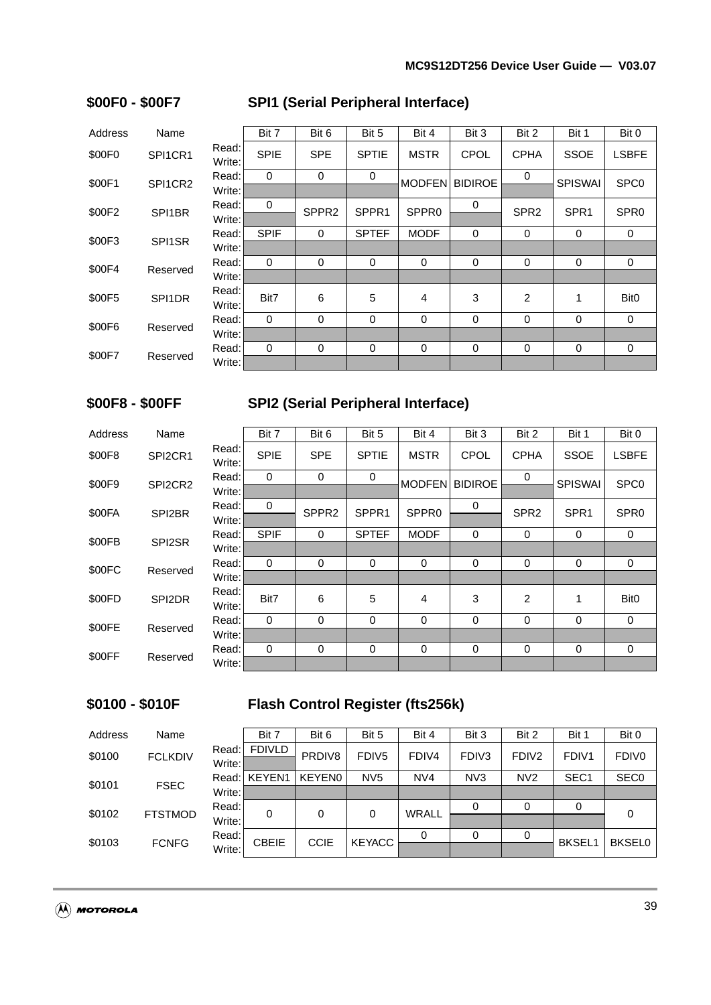#### **\$00F0 - \$00F7 SPI1 (Serial Peripheral Interface)**

| Address | Name     |                 | Bit 7       | Bit 6             | Bit 5             | Bit 4             | Bit 3          | Bit 2            | Bit 1            | Bit 0            |
|---------|----------|-----------------|-------------|-------------------|-------------------|-------------------|----------------|------------------|------------------|------------------|
| \$00F0  | SPI1CR1  | Read:<br>Write: | <b>SPIE</b> | <b>SPE</b>        | <b>SPTIE</b>      | <b>MSTR</b>       | <b>CPOL</b>    | <b>CPHA</b>      | <b>SSOE</b>      | <b>LSBFE</b>     |
| \$00F1  | SPI1CR2  | Read:           | $\Omega$    | $\mathbf 0$       | 0                 | <b>MODFEN</b>     | <b>BIDIROE</b> | 0                | <b>SPISWAI</b>   | SPC <sub>0</sub> |
|         |          | Write:          |             |                   |                   |                   |                |                  |                  |                  |
| \$00F2  | SPI1BR   | Read:           | 0           | SPPR <sub>2</sub> | SPPR <sub>1</sub> | SPPR <sub>0</sub> | 0              | SPR <sub>2</sub> | SPR <sub>1</sub> | SPR <sub>0</sub> |
|         |          | Write:          |             |                   |                   |                   |                |                  |                  |                  |
|         |          | Read:           | <b>SPIF</b> | $\mathbf 0$       | <b>SPTEF</b>      | <b>MODF</b>       | 0              | $\mathbf 0$      | $\mathbf 0$      | $\pmb{0}$        |
| \$00F3  | SPI1SR   | Write:          |             |                   |                   |                   |                |                  |                  |                  |
|         |          | Read:           | $\Omega$    | $\mathbf 0$       | $\mathbf 0$       | 0                 | $\mathbf 0$    | 0                | 0                | 0                |
| \$00F4  | Reserved | Write:          |             |                   |                   |                   |                |                  |                  |                  |
|         |          | Read:           |             |                   |                   |                   |                |                  |                  |                  |
| \$00F5  | SPI1DR   | Write:          | Bit7        | 6                 | 5                 | 4                 | 3              | $\overline{2}$   | 1                | Bit <sub>0</sub> |
|         |          | Read:           | $\Omega$    | $\mathbf 0$       | $\mathbf 0$       | 0                 | $\mathbf 0$    | 0                | 0                | 0                |
| \$00F6  | Reserved | Write:          |             |                   |                   |                   |                |                  |                  |                  |
|         |          | Read:           | 0           | $\mathbf 0$       | $\mathbf 0$       | 0                 | $\mathbf 0$    | $\mathbf 0$      | 0                | 0                |
| \$00F7  | Reserved | Write:          |             |                   |                   |                   |                |                  |                  |                  |

#### **\$00F8 - \$00FF SPI2 (Serial Peripheral Interface)**

| Address | Name     |                 | Bit 7       | Bit 6             | Bit 5        | Bit 4             | Bit 3          | Bit 2            | Bit 1            | Bit 0            |
|---------|----------|-----------------|-------------|-------------------|--------------|-------------------|----------------|------------------|------------------|------------------|
| \$00F8  | SPI2CR1  | Read:<br>Write: | <b>SPIE</b> | <b>SPE</b>        | <b>SPTIE</b> | <b>MSTR</b>       | <b>CPOL</b>    | <b>CPHA</b>      | <b>SSOE</b>      | <b>LSBFE</b>     |
| \$00F9  | SPI2CR2  | Read:<br>Write: | 0           | 0                 | 0            | <b>MODFEN</b>     | <b>BIDIROE</b> | 0                | <b>SPISWAI</b>   | SPC <sub>0</sub> |
| \$00FA  | SPI2BR   | Read:<br>Write: | 0           | SPPR <sub>2</sub> | SPPR1        | SPPR <sub>0</sub> | 0              | SPR <sub>2</sub> | SPR <sub>1</sub> | SPR <sub>0</sub> |
| \$00FB  | SPI2SR   | Read:<br>Write: | <b>SPIF</b> | 0                 | <b>SPTEF</b> | <b>MODF</b>       | 0              | 0                | $\mathbf 0$      | 0                |
| \$00FC  | Reserved | Read:<br>Write: | $\Omega$    | 0                 | 0            | $\mathbf 0$       | $\mathbf 0$    | 0                | $\mathbf 0$      | 0                |
| \$00FD  | SPI2DR   | Read:<br>Write: | Bit7        | 6                 | 5            | $\overline{4}$    | 3              | $\overline{2}$   | 1                | Bit <sub>0</sub> |
| \$00FE  | Reserved | Read:           | $\mathbf 0$ | 0                 | 0            | $\mathbf 0$       | $\mathbf 0$    | $\mathbf 0$      | $\mathbf 0$      | $\mathbf 0$      |
| \$00FF  | Reserved | Write:<br>Read: | $\Omega$    | 0                 | 0            | 0                 | $\mathbf 0$    | 0                | $\mathbf 0$      | 0                |
|         |          | Write:          |             |                   |              |                   |                |                  |                  |                  |

#### **\$0100 - \$010F Flash Control Register (fts256k)**

| Address | Name           |        | Bit 7         | Bit 6       | Bit 5             | Bit 4           | Bit 3             | Bit 2             | Bit 1            | Bit 0             |
|---------|----------------|--------|---------------|-------------|-------------------|-----------------|-------------------|-------------------|------------------|-------------------|
| \$0100  | <b>FCLKDIV</b> | Read:  | <b>FDIVLD</b> | PRDIV8      | FDIV <sub>5</sub> | FDIV4           | FDIV <sub>3</sub> | FDIV <sub>2</sub> | FDIV1            | FDIV <sub>0</sub> |
|         |                | Write: |               |             |                   |                 |                   |                   |                  |                   |
| \$0101  | <b>FSEC</b>    | Read:  | KEYEN1        | KEYEN0      | NV <sub>5</sub>   | NV <sub>4</sub> | N <sub>V</sub> 3  | N <sub>V</sub> 2  | SEC <sub>1</sub> | SEC <sub>0</sub>  |
|         |                | Write: |               |             |                   |                 |                   |                   |                  |                   |
| \$0102  | <b>FTSTMOD</b> | Read:  | 0             | 0           | 0                 | WRALL           | $\Omega$          | 0                 | 0                | 0                 |
|         |                | Write: |               |             |                   |                 |                   |                   |                  |                   |
| \$0103  | <b>FCNFG</b>   | Read:  | <b>CBEIE</b>  | <b>CCIE</b> | <b>KEYACC</b>     | 0               | 0                 | 0                 | <b>BKSEL1</b>    | <b>BKSEL0</b>     |
|         |                | Write: |               |             |                   |                 |                   |                   |                  |                   |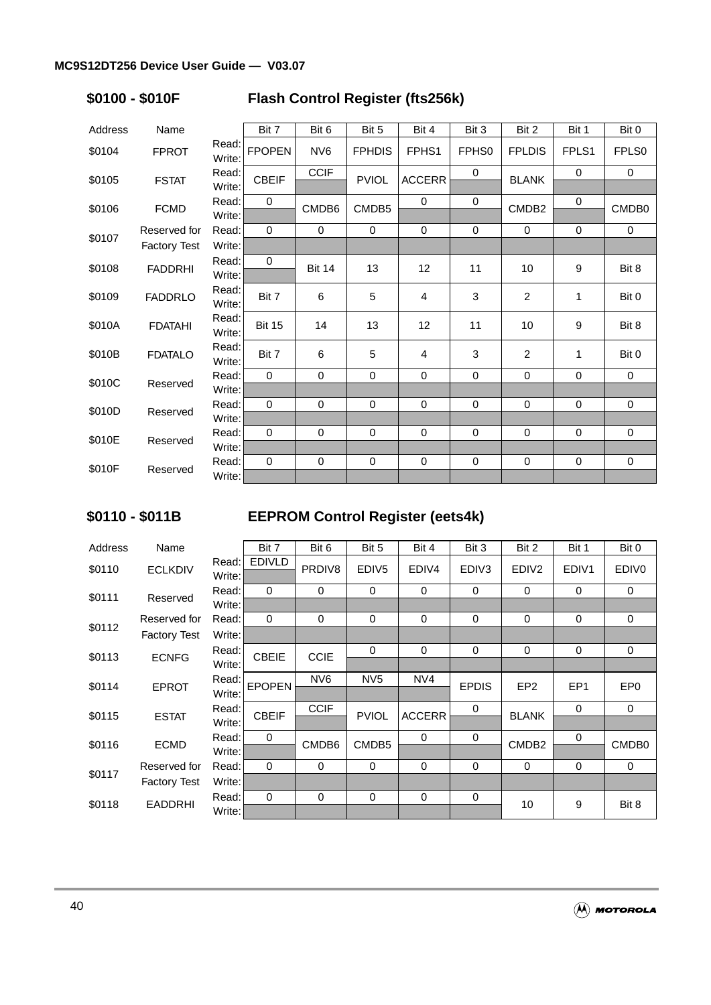#### **\$0100 - \$010F Flash Control Register (fts256k)**

| Address | Name                |                 | Bit 7         | Bit 6           | Bit 5             | Bit 4         | Bit 3             | Bit 2             | Bit 1       | Bit 0       |
|---------|---------------------|-----------------|---------------|-----------------|-------------------|---------------|-------------------|-------------------|-------------|-------------|
| \$0104  | <b>FPROT</b>        | Read:<br>Write: | <b>FPOPEN</b> | NV <sub>6</sub> | <b>FPHDIS</b>     | FPHS1         | FPHS <sub>0</sub> | <b>FPLDIS</b>     | FPLS1       | FPLS0       |
| \$0105  | <b>FSTAT</b>        | Read:<br>Write: | <b>CBEIF</b>  | <b>CCIF</b>     | <b>PVIOL</b>      | <b>ACCERR</b> | $\mathbf 0$       | <b>BLANK</b>      | $\mathbf 0$ | $\mathbf 0$ |
| \$0106  | <b>FCMD</b>         | Read:<br>Write: | 0             | CMDB6           | CMDB <sub>5</sub> | 0             | 0                 | CMDB <sub>2</sub> | 0           | CMDB0       |
|         | Reserved for        | Read:           | $\mathbf 0$   | $\mathbf 0$     | $\mathbf 0$       | 0             | $\mathbf 0$       | 0                 | 0           | 0           |
| \$0107  | <b>Factory Test</b> | Write:          |               |                 |                   |               |                   |                   |             |             |
| \$0108  | <b>FADDRHI</b>      | Read:<br>Write: | $\mathbf 0$   | <b>Bit 14</b>   | 13                | 12            | 11                | 10                | 9           | Bit 8       |
| \$0109  | <b>FADDRLO</b>      | Read:<br>Write: | Bit 7         | 6               | 5                 | 4             | 3                 | $\overline{2}$    | 1           | Bit 0       |
| \$010A  | <b>FDATAHI</b>      | Read:<br>Write: | <b>Bit 15</b> | 14              | 13                | 12            | 11                | 10                | 9           | Bit 8       |
| \$010B  | <b>FDATALO</b>      | Read:<br>Write: | Bit 7         | 6               | 5                 | 4             | 3                 | 2                 | 1           | Bit 0       |
| \$010C  | Reserved            | Read:<br>Write: | $\Omega$      | $\mathbf 0$     | $\mathbf 0$       | $\mathbf 0$   | $\mathbf 0$       | $\mathbf 0$       | $\mathbf 0$ | $\mathbf 0$ |
|         |                     | Read:           | $\mathbf 0$   | $\mathbf 0$     | $\mathbf 0$       | 0             | $\mathbf 0$       | $\mathbf 0$       | $\mathbf 0$ | $\mathbf 0$ |
| \$010D  | Reserved            | Write:          |               |                 |                   |               |                   |                   |             |             |
| \$010E  | Reserved            | Read:           | $\mathbf 0$   | $\mathbf 0$     | $\mathbf 0$       | $\mathbf 0$   | $\mathbf 0$       | $\mathbf 0$       | $\mathbf 0$ | $\mathbf 0$ |
|         |                     | Write:          |               |                 |                   |               |                   |                   |             |             |
| \$010F  | Reserved            | Read:           | $\mathbf 0$   | $\mathbf 0$     | $\mathbf 0$       | 0             | $\mathbf 0$       | 0                 | 0           | $\pmb{0}$   |
|         |                     | Write:          |               |                 |                   |               |                   |                   |             |             |

## **\$0110 - \$011B EEPROM Control Register (eets4k)**

| Address | Name                |                 | Bit 7         | Bit 6           | Bit 5             | Bit 4           | Bit 3             | Bit 2             | Bit 1           | Bit 0             |
|---------|---------------------|-----------------|---------------|-----------------|-------------------|-----------------|-------------------|-------------------|-----------------|-------------------|
| \$0110  | <b>ECLKDIV</b>      | Read:<br>Write: | <b>EDIVLD</b> | PRDIV8          | EDIV <sub>5</sub> | EDIV4           | EDIV <sub>3</sub> | EDIV <sub>2</sub> | EDIV1           | EDIV <sub>0</sub> |
| \$0111  | Reserved            | Read:           | $\mathbf 0$   | 0               | 0                 | 0               | $\mathbf 0$       | 0                 | $\mathbf 0$     | $\mathbf 0$       |
|         |                     | Write:          |               |                 |                   |                 |                   |                   |                 |                   |
| \$0112  | Reserved for        | Read:           | $\mathbf 0$   | $\pmb{0}$       | $\mathbf 0$       | 0               | $\mathbf 0$       | 0                 | 0               | 0                 |
|         | <b>Factory Test</b> | Write:          |               |                 |                   |                 |                   |                   |                 |                   |
| \$0113  | <b>ECNFG</b>        | Read:           | <b>CBEIE</b>  | <b>CCIE</b>     | $\mathbf 0$       | 0               | $\mathbf 0$       | 0                 | 0               | $\mathbf 0$       |
|         |                     | Write:          |               |                 |                   |                 |                   |                   |                 |                   |
| \$0114  |                     | Read:           | <b>EPOPEN</b> | NV <sub>6</sub> | NV <sub>5</sub>   | NV <sub>4</sub> | <b>EPDIS</b>      | EP <sub>2</sub>   | EP <sub>1</sub> | EP <sub>0</sub>   |
|         | <b>EPROT</b>        | Write:          |               |                 |                   |                 |                   |                   |                 |                   |
| \$0115  |                     | Read:           | <b>CBEIF</b>  | <b>CCIF</b>     | <b>PVIOL</b>      | <b>ACCERR</b>   | $\mathbf 0$       | <b>BLANK</b>      | $\mathbf 0$     | $\mathbf 0$       |
|         | <b>ESTAT</b>        | Write:          |               |                 |                   |                 |                   |                   |                 |                   |
| \$0116  | <b>ECMD</b>         | Read:           | $\mathbf 0$   | CMDB6           | CMDB <sub>5</sub> | 0               | 0                 | CMDB <sub>2</sub> | 0               | CMDB <sub>0</sub> |
|         |                     | Write:          |               |                 |                   |                 |                   |                   |                 |                   |
|         | Reserved for        | Read:           | $\mathbf 0$   | $\mathbf 0$     | $\mathbf 0$       | $\mathbf 0$     | $\Omega$          | $\mathbf 0$       | $\mathbf 0$     | $\mathbf 0$       |
| \$0117  | <b>Factory Test</b> | Write:          |               |                 |                   |                 |                   |                   |                 |                   |
| \$0118  |                     | Read:           | $\mathbf 0$   | 0               | 0                 | 0               | 0                 | 10                | 9               | Bit 8             |
|         | <b>EADDRHI</b>      | Write:          |               |                 |                   |                 |                   |                   |                 |                   |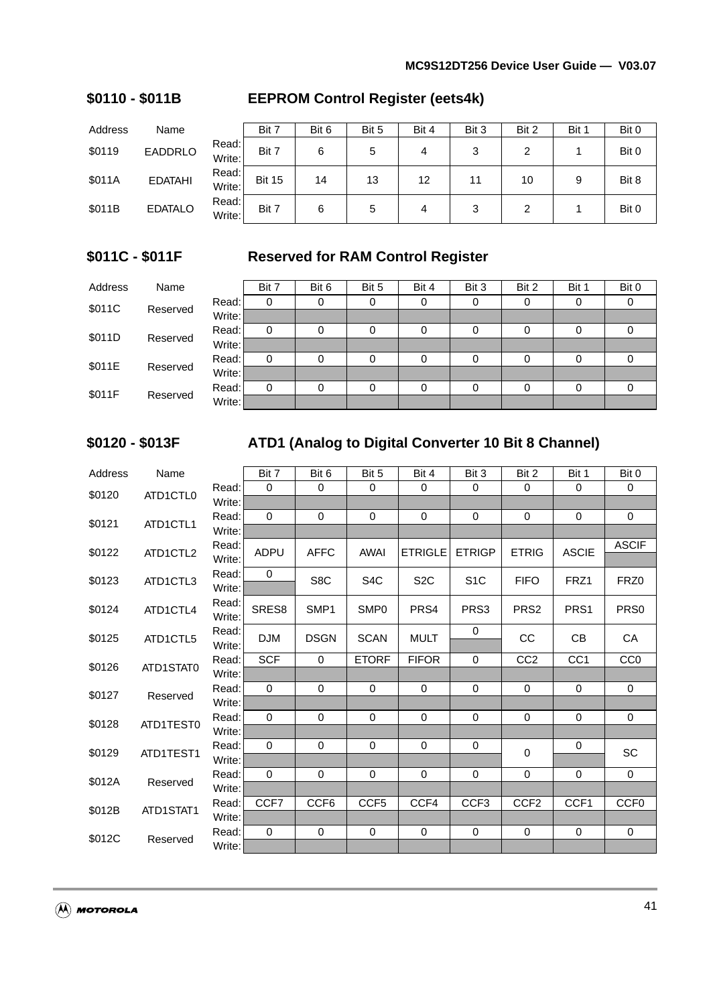#### **\$0110 - \$011B EEPROM Control Register (eets4k)**

| Address | Name           |                 | Bit 7         | Bit 6 | Bit 5 | Bit 4 | Bit 3 | Bit 2 | Bit 1 | Bit 0 |
|---------|----------------|-----------------|---------------|-------|-------|-------|-------|-------|-------|-------|
| \$0119  | EADDRLO        | Read:<br>Write: | Bit 7         | 6     | 5     | 4     | 3     | 2     |       | Bit 0 |
| \$011A  | <b>EDATAHI</b> | Read:<br>Write: | <b>Bit 15</b> | 14    | 13    | 12    | 11    | 10    | 9     | Bit 8 |
| \$011B  | <b>EDATALO</b> | Read:<br>Write: | Bit 7         | 6     | 5     | 4     | ີ     | 2     |       | Bit 0 |

#### **\$011C - \$011F Reserved for RAM Control Register**

| Address | Name     |        | Bit 7 | Bit 6 | Bit 5 | Bit 4 | Bit 3 | Bit 2 | Bit 1 | Bit 0 |
|---------|----------|--------|-------|-------|-------|-------|-------|-------|-------|-------|
| \$011C  | Reserved | Read:  | 0     | 0     | 0     | 0     |       | 0     |       | O     |
|         |          | Write: |       |       |       |       |       |       |       |       |
| \$011D  | Reserved | Read:  | 0     | 0     | 0     | 0     |       | 0     |       | 0     |
|         |          | Write: |       |       |       |       |       |       |       |       |
| \$011E  |          | Read:  | 0     | 0     | 0     |       |       | 0     |       | O     |
|         | Reserved | Write: |       |       |       |       |       |       |       |       |
| \$011F  |          | Read:  | 0     | 0     | 0     | 0     |       | 0     |       | O     |
|         | Reserved | Write: |       |       |       |       |       |       |       |       |

#### **\$0120 - \$013F ATD1 (Analog to Digital Converter 10 Bit 8 Channel)**

| Address | Name      |        | Bit 7       | Bit 6            | Bit 5            | Bit 4            | Bit 3            | Bit 2            | Bit 1           | Bit 0            |
|---------|-----------|--------|-------------|------------------|------------------|------------------|------------------|------------------|-----------------|------------------|
|         |           | Read:  | $\mathbf 0$ | $\mathbf 0$      | 0                | $\mathbf 0$      | 0                | $\mathbf 0$      | $\mathbf 0$     | $\mathbf 0$      |
| \$0120  | ATD1CTL0  | Write: |             |                  |                  |                  |                  |                  |                 |                  |
|         |           | Read:  | 0           | $\mathbf 0$      | $\mathbf 0$      | $\mathbf 0$      | 0                | $\mathbf 0$      | 0               | $\mathbf 0$      |
| \$0121  | ATD1CTL1  | Write: |             |                  |                  |                  |                  |                  |                 |                  |
|         |           | Read:  |             |                  |                  |                  |                  |                  |                 | <b>ASCIF</b>     |
| \$0122  | ATD1CTL2  | Write: | <b>ADPU</b> | <b>AFFC</b>      | AWAI             | <b>ETRIGLE</b>   | <b>ETRIGP</b>    | <b>ETRIG</b>     | <b>ASCIE</b>    |                  |
|         |           | Read:  | 0           |                  |                  |                  |                  |                  |                 |                  |
| \$0123  | ATD1CTL3  | Write: |             | S8C              | S <sub>4</sub> C | S <sub>2</sub> C | S <sub>1</sub> C | <b>FIFO</b>      | FRZ1            | FRZ0             |
|         |           | Read:  | SRES8       | SMP1             | SMP0             | PRS4             | PRS3             | PRS <sub>2</sub> | PRS1            | PRS <sub>0</sub> |
| \$0124  | ATD1CTL4  | Write: |             |                  |                  |                  |                  |                  |                 |                  |
| \$0125  | ATD1CTL5  | Read:  | <b>DJM</b>  | <b>DSGN</b>      | <b>SCAN</b>      | <b>MULT</b>      | 0                | CC               | CВ              | CA               |
|         |           | Write: |             |                  |                  |                  |                  |                  |                 |                  |
|         |           | Read:  | <b>SCF</b>  | $\mathbf 0$      | <b>ETORF</b>     | <b>FIFOR</b>     | $\mathbf 0$      | CC <sub>2</sub>  | CC <sub>1</sub> | CC <sub>0</sub>  |
| \$0126  | ATD1STAT0 | Write: |             |                  |                  |                  |                  |                  |                 |                  |
|         |           | Read:  | 0           | $\mathbf 0$      | $\mathbf 0$      | $\mathbf 0$      | $\pmb{0}$        | $\pmb{0}$        | $\mathbf 0$     | $\mathsf 0$      |
| \$0127  | Reserved  | Write: |             |                  |                  |                  |                  |                  |                 |                  |
| \$0128  | ATD1TEST0 | Read:  | $\mathbf 0$ | $\mathbf 0$      | $\mathbf 0$      | $\mathbf 0$      | $\mathbf 0$      | $\mathbf 0$      | $\mathbf 0$     | $\mathbf 0$      |
|         |           | Write: |             |                  |                  |                  |                  |                  |                 |                  |
| \$0129  | ATD1TEST1 | Read:  | $\mathbf 0$ | $\mathbf 0$      | $\mathbf 0$      | $\mathbf 0$      | 0                | $\mathbf 0$      | 0               | SC               |
|         |           | Write: |             |                  |                  |                  |                  |                  |                 |                  |
|         |           | Read:  | 0           | $\mathbf 0$      | 0                | 0                | 0                | $\pmb{0}$        | 0               | $\mathsf 0$      |
| \$012A  | Reserved  | Write: |             |                  |                  |                  |                  |                  |                 |                  |
|         |           | Read:  | CCF7        | CCF <sub>6</sub> | CCF <sub>5</sub> | CCF4             | CCF <sub>3</sub> | CCF <sub>2</sub> | CCF1            | CCF <sub>0</sub> |
| \$012B  | ATD1STAT1 | Write: |             |                  |                  |                  |                  |                  |                 |                  |
| \$012C  |           | Read:  | $\mathbf 0$ | $\mathbf 0$      | $\mathbf 0$      | 0                | $\mathbf 0$      | 0                | 0               | $\mathbf 0$      |
|         | Reserved  | Write: |             |                  |                  |                  |                  |                  |                 |                  |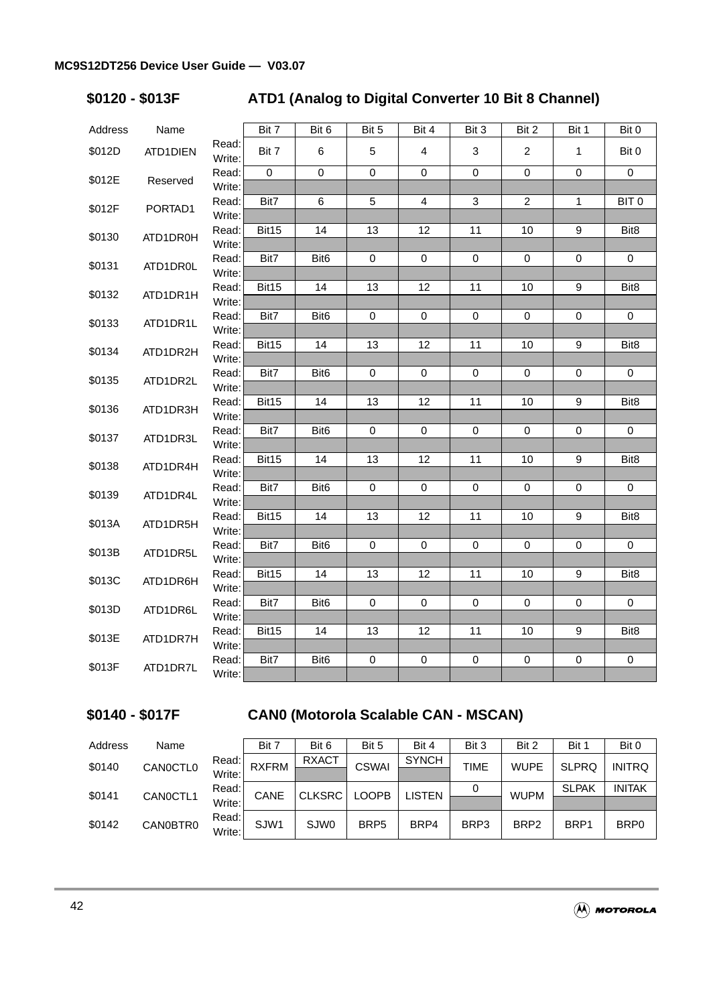#### **\$0120 - \$013F ATD1 (Analog to Digital Converter 10 Bit 8 Channel)**

| Address | Name     |                 | Bit 7       | Bit 6            | Bit 5       | Bit 4                   | Bit 3          | Bit 2          | Bit 1       | Bit 0            |
|---------|----------|-----------------|-------------|------------------|-------------|-------------------------|----------------|----------------|-------------|------------------|
| \$012D  | ATD1DIEN | Read:<br>Write: | Bit 7       | 6                | 5           | $\overline{\mathbf{4}}$ | $\mathfrak{S}$ | $\overline{2}$ | 1           | Bit 0            |
| \$012E  | Reserved | Read:           | $\mathbf 0$ | $\mathbf 0$      | $\mathbf 0$ | $\mathbf 0$             | $\mathbf 0$    | $\mathbf 0$    | $\mathbf 0$ | $\mathbf 0$      |
|         |          | Write:          |             |                  |             |                         |                |                |             |                  |
| \$012F  | PORTAD1  | Read:           | Bit7        | 6                | 5           | 4                       | $\mathbf{3}$   | $\overline{2}$ | 1           | BIT <sub>0</sub> |
|         |          | Write:          |             |                  |             |                         |                |                |             |                  |
| \$0130  | ATD1DR0H | Read:           | Bit15       | 14               | 13          | 12                      | 11             | 10             | 9           | Bit8             |
|         |          | Write:          |             |                  |             |                         |                |                |             |                  |
| \$0131  | ATD1DR0L | Read:           | Bit7        | Bit <sub>6</sub> | 0           | 0                       | 0              | 0              | 0           | 0                |
|         |          | Write:          |             |                  |             |                         |                |                |             |                  |
| \$0132  | ATD1DR1H | Read:           | Bit15       | 14               | 13          | 12                      | 11             | 10             | 9           | Bit <sub>8</sub> |
|         |          | Write:          |             |                  |             |                         |                |                |             |                  |
| \$0133  | ATD1DR1L | Read:           | Bit7        | Bit <sub>6</sub> | 0           | 0                       | 0              | 0              | 0           | $\pmb{0}$        |
|         |          | Write:          |             |                  |             |                         |                |                |             |                  |
| \$0134  | ATD1DR2H | Read:           | Bit15       | 14               | 13          | 12                      | 11             | 10             | 9           | Bit8             |
|         |          | Write:          |             |                  |             |                         |                |                |             |                  |
| \$0135  | ATD1DR2L | Read:           | Bit7        | Bit <sub>6</sub> | $\mathbf 0$ | 0                       | 0              | 0              | 0           | 0                |
|         |          | Write:<br>Read: | Bit15       | 14               | 13          | 12                      | 11             | 10             | 9           | Bit <sub>8</sub> |
| \$0136  | ATD1DR3H | Write:          |             |                  |             |                         |                |                |             |                  |
|         |          | Read:           | Bit7        | Bit <sub>6</sub> | $\mathbf 0$ | 0                       | 0              | $\mathbf 0$    | 0           | $\mathbf 0$      |
| \$0137  | ATD1DR3L | Write:          |             |                  |             |                         |                |                |             |                  |
|         |          | Read:           | Bit15       | 14               | 13          | 12                      | 11             | 10             | 9           | Bit <sub>8</sub> |
| \$0138  | ATD1DR4H | Write:          |             |                  |             |                         |                |                |             |                  |
|         |          | Read:           | Bit7        | Bit <sub>6</sub> | 0           | 0                       | 0              | 0              | 0           | 0                |
| \$0139  | ATD1DR4L | Write:          |             |                  |             |                         |                |                |             |                  |
|         |          | Read:           | Bit15       | 14               | 13          | 12                      | 11             | 10             | 9           | Bit8             |
| \$013A  | ATD1DR5H | Write:          |             |                  |             |                         |                |                |             |                  |
|         |          | Read:           | Bit7        | Bit <sub>6</sub> | 0           | 0                       | $\mathbf 0$    | 0              | 0           | $\mathbf 0$      |
| \$013B  | ATD1DR5L | Write:          |             |                  |             |                         |                |                |             |                  |
|         |          | Read:           | Bit15       | 14               | 13          | 12                      | 11             | 10             | 9           | Bit <sub>8</sub> |
| \$013C  | ATD1DR6H | Write:          |             |                  |             |                         |                |                |             |                  |
|         |          | Read:           | Bit7        | Bit <sub>6</sub> | $\mathbf 0$ | 0                       | 0              | $\mathbf 0$    | 0           | $\pmb{0}$        |
| \$013D  | ATD1DR6L | Write:          |             |                  |             |                         |                |                |             |                  |
|         |          | Read:           | Bit15       | 14               | 13          | 12                      | 11             | 10             | 9           | Bit <sub>8</sub> |
| \$013E  | ATD1DR7H | Write:          |             |                  |             |                         |                |                |             |                  |
| \$013F  | ATD1DR7L | Read:           | Bit7        | Bit <sub>6</sub> | 0           | 0                       | 0              | 0              | 0           | $\pmb{0}$        |
|         |          | Write:          |             |                  |             |                         |                |                |             |                  |

#### **\$0140 - \$017F CAN0 (Motorola Scalable CAN - MSCAN)**

| Address | Name            |        | Bit 7            | Bit 6            | Bit 5            | Bit 4         | Bit 3       | Bit 2            | Bit 1        | Bit 0            |
|---------|-----------------|--------|------------------|------------------|------------------|---------------|-------------|------------------|--------------|------------------|
| \$0140  | <b>CANOCTLO</b> | Read:  | <b>RXFRM</b>     | <b>RXACT</b>     | <b>CSWAI</b>     | <b>SYNCH</b>  | <b>TIME</b> | <b>WUPE</b>      | <b>SLPRQ</b> | <b>INITRQ</b>    |
|         |                 | Write: |                  |                  |                  |               |             |                  |              |                  |
|         |                 | Read:  |                  |                  |                  |               | 0           |                  | <b>SLPAK</b> | <b>INITAK</b>    |
| \$0141  | CAN0CTL1        | Write: | <b>CANE</b>      | <b>CLKSRC</b>    | <b>LOOPB</b>     | <b>LISTEN</b> |             | <b>WUPM</b>      |              |                  |
| \$0142  |                 | Read:  | SJW <sub>1</sub> | SJW <sub>0</sub> | BRP <sub>5</sub> | BRP4          | BRP3        | BRP <sub>2</sub> | BRP1         | BRP <sub>0</sub> |
|         | CAN0BTR0        | Write: |                  |                  |                  |               |             |                  |              |                  |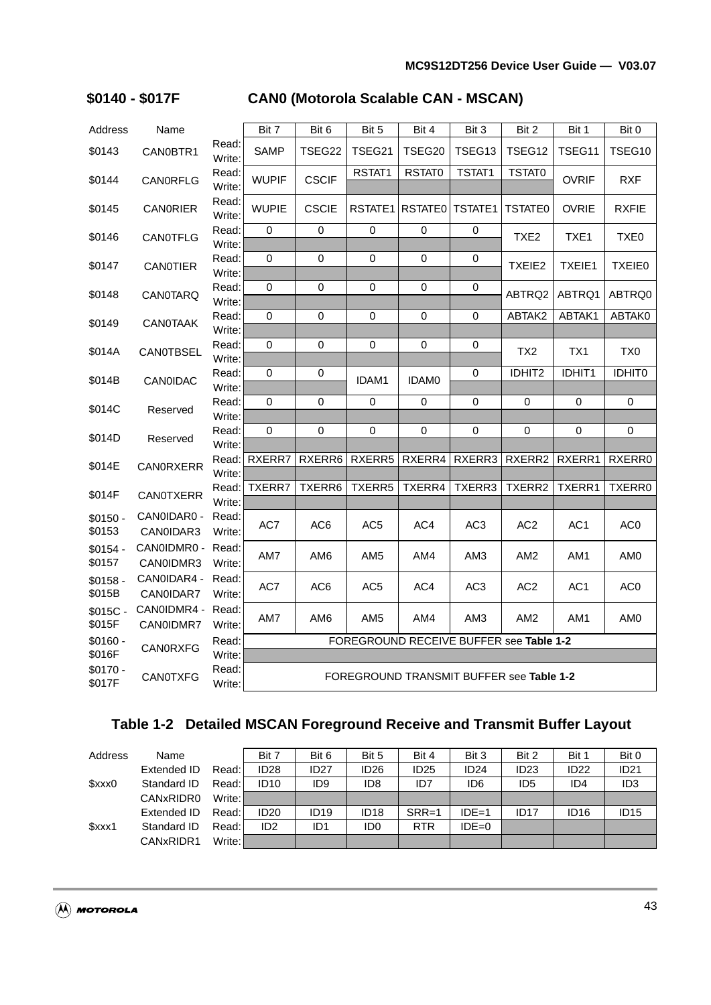**\$0140 - \$017F CAN0 (Motorola Scalable CAN - MSCAN)**

| Address                       | Name                     |                           | Bit 7         | Bit 6           | Bit 5           | Bit 4                                    | Bit 3           | Bit 2            | Bit 1            | Bit 0            |
|-------------------------------|--------------------------|---------------------------|---------------|-----------------|-----------------|------------------------------------------|-----------------|------------------|------------------|------------------|
| \$0143                        | CAN0BTR1                 | Read:<br>Write:           | <b>SAMP</b>   | TSEG22          | TSEG21          | TSEG20                                   | TSEG13          | TSEG12           | TSEG11           | TSEG10           |
| \$0144                        | CANORFLG                 | Read:<br>Write:           | <b>WUPIF</b>  | <b>CSCIF</b>    | RSTAT1          | RSTAT0                                   | TSTAT1          | <b>TSTAT0</b>    | <b>OVRIF</b>     | <b>RXF</b>       |
| \$0145                        | <b>CANORIER</b>          | Read:<br>Write:           | <b>WUPIE</b>  | <b>CSCIE</b>    | RSTATE1         | RSTATE0                                  | TSTATE1         | <b>TSTATE0</b>   | <b>OVRIE</b>     | <b>RXFIE</b>     |
| \$0146                        | <b>CANOTFLG</b>          | Read:<br>Write:           | 0             | 0               | 0               | 0                                        | 0               | TXE <sub>2</sub> | TXE <sub>1</sub> | TXE <sub>0</sub> |
| \$0147                        | <b>CANOTIER</b>          | Read:<br>Write:           | 0             | 0               | 0               | 0                                        | 0               | TXEIE2           | TXEIE1           | <b>TXEIE0</b>    |
| \$0148                        | <b>CANOTARQ</b>          | Read:<br>Write:           | 0             | 0               | 0               | 0                                        | 0               | ABTRQ2           | ABTRQ1           | ABTRQ0           |
| \$0149                        | <b>CANOTAAK</b>          | Read:<br>Write:           | 0             | 0               | 0               | 0                                        | 0               | ABTAK2           | ABTAK1           | ABTAK0           |
| \$014A                        | <b>CAN0TBSEL</b>         | Read:<br>Write:           | 0             | 0               | 0               | 0                                        | 0               | TX <sub>2</sub>  | TX1              | TX <sub>0</sub>  |
| \$014B                        | CANOIDAC                 | Read:<br>Write:           | 0             | 0               | IDAM1           | <b>IDAMO</b>                             | 0               | <b>IDHIT2</b>    | IDHIT1           | <b>IDHITO</b>    |
| \$014C                        | Reserved                 | Read:<br>Write:           | 0             | 0               | 0               | 0                                        | 0               | 0                | 0                | 0                |
| \$014D                        | Reserved                 | Read:<br>Write:           | 0             | 0               | 0               | 0                                        | 0               | 0                | 0                | 0                |
| \$014E                        | <b>CANORXERR</b>         | Read:<br>Write:           | RXERR7        | RXERR6          | RXERR5          | RXERR4                                   | RXERR3          | RXERR2           | RXERR1           | RXERR0           |
| \$014F                        | <b>CANOTXERR</b>         | Read:<br>Write:           | <b>TXERR7</b> | TXERR6          | <b>TXERR5</b>   | TXERR4                                   | TXERR3          | TXERR2           | TXERR1           | TXERR0           |
| $$0150 -$<br>\$0153           | CANOIDAR0 -<br>CANOIDAR3 | Read:<br>Write:           | AC7           | AC6             | AC <sub>5</sub> | AC4                                      | AC <sub>3</sub> | AC <sub>2</sub>  | AC <sub>1</sub>  | AC <sub>0</sub>  |
| $$0154 -$<br>\$0157           | CANOIDMR0 -<br>CANOIDMR3 | Read:<br>Write:           | AM7           | AM6             | AM <sub>5</sub> | AM4                                      | AM3             | AM <sub>2</sub>  | AM1              | AM <sub>0</sub>  |
| $$0158 -$<br>\$015B           | CANOIDAR4 -<br>CAN0IDAR7 | Read:<br>Write:           | AC7           | AC <sub>6</sub> | AC <sub>5</sub> | AC4                                      | AC <sub>3</sub> | AC <sub>2</sub>  | AC <sub>1</sub>  | AC <sub>0</sub>  |
| $$015C -$<br>\$015F           | CANOIDMR4 -<br>CAN0IDMR7 | Read:<br>Write:           | AM7           | AM6             | AM5             | AM4                                      | AM3             | AM2              | AM1              | AM0              |
| $$0160 -$                     | <b>CAN0RXFG</b>          | Read:                     |               |                 |                 | FOREGROUND RECEIVE BUFFER see Table 1-2  |                 |                  |                  |                  |
| \$016F<br>$$0170 -$<br>\$017F | <b>CAN0TXFG</b>          | Write:<br>Read:<br>Write: |               |                 |                 | FOREGROUND TRANSMIT BUFFER see Table 1-2 |                 |                  |                  |                  |

#### <span id="page-42-0"></span>**Table 1-2 Detailed MSCAN Foreground Receive and Transmit Buffer Layout**

| Address | Name        |        | Bit 7           | Bit 6           | Bit 5            | Bit 4      | Bit 3   | Bit 2            | Bit 1            | Bit 0            |
|---------|-------------|--------|-----------------|-----------------|------------------|------------|---------|------------------|------------------|------------------|
|         | Extended ID | Read:  | <b>ID28</b>     | ID27            | ID <sub>26</sub> | ID25       | ID24    | ID <sub>23</sub> | ID22             | <b>ID21</b>      |
| \$xxx0  | Standard ID | Read:  | <b>ID10</b>     | ID9             | ID8              | ID7        | ID6     | ID5              | ID4              | ID3              |
|         | CANxRIDR0   | Write: |                 |                 |                  |            |         |                  |                  |                  |
|         | Extended ID | Read:  | <b>ID20</b>     | ID19            | ID <sub>18</sub> | $SRR=1$    | $IDE=1$ | ID <sub>17</sub> | ID <sub>16</sub> | ID <sub>15</sub> |
| \$xxx1  | Standard ID | Read:  | ID <sub>2</sub> | ID <sub>1</sub> | ID0              | <b>RTR</b> | $IDE=0$ |                  |                  |                  |
|         | CANxRIDR1   | Write: |                 |                 |                  |            |         |                  |                  |                  |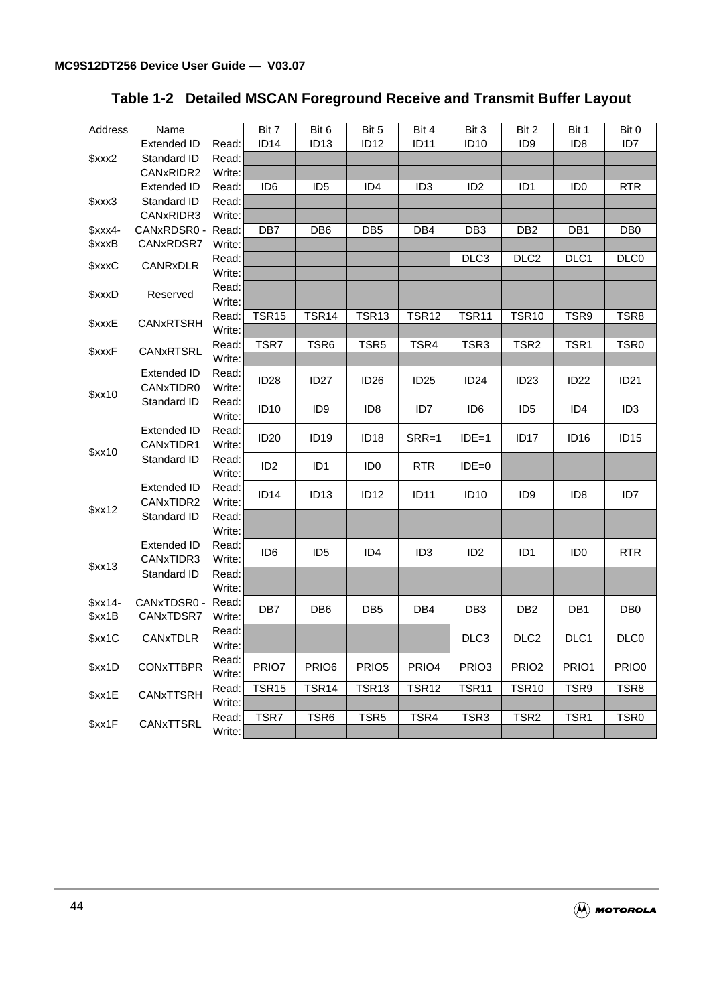## **Table 1-2 Detailed MSCAN Foreground Receive and Transmit Buffer Layout**

| Address  | Name                     |                 | Bit 7            | Bit 6             | Bit 5             | Bit 4             | Bit 3             | Bit 2             | Bit 1            | Bit 0             |
|----------|--------------------------|-----------------|------------------|-------------------|-------------------|-------------------|-------------------|-------------------|------------------|-------------------|
|          | <b>Extended ID</b>       | Read:           | ID14             | ID <sub>13</sub>  | ID <sub>12</sub>  | <b>ID11</b>       | <b>ID10</b>       | ID <sub>9</sub>   | ID <sub>8</sub>  | ID7               |
| \$xxx2   | Standard ID<br>CANxRIDR2 | Read:<br>Write: |                  |                   |                   |                   |                   |                   |                  |                   |
|          | <b>Extended ID</b>       | Read:           | ID <sub>6</sub>  | ID <sub>5</sub>   | ID <sub>4</sub>   | ID <sub>3</sub>   | ID <sub>2</sub>   | ID <sub>1</sub>   | ID <sub>0</sub>  | RTR               |
| \$xxx3   | Standard ID              | Read:           |                  |                   |                   |                   |                   |                   |                  |                   |
|          | CANxRIDR3                | Write:          |                  |                   |                   |                   |                   |                   |                  |                   |
| \$xxx4-  | CANxRDSR0 - Read:        |                 | DB7              | DB <sub>6</sub>   | DB <sub>5</sub>   | DB4               | DB3               | DB <sub>2</sub>   | DB <sub>1</sub>  | DB <sub>0</sub>   |
| \$xxxB   | CANxRDSR7                | Write:          |                  |                   |                   |                   |                   |                   |                  |                   |
|          |                          | Read:           |                  |                   |                   |                   | DLC3              | DLC <sub>2</sub>  | DLC1             | DLC0              |
| \$xxxC   | <b>CANRxDLR</b>          | Write:          |                  |                   |                   |                   |                   |                   |                  |                   |
|          |                          | Read:           |                  |                   |                   |                   |                   |                   |                  |                   |
| \$xxxD   | Reserved                 | Write:          |                  |                   |                   |                   |                   |                   |                  |                   |
|          |                          | Read:           | <b>TSR15</b>     | TSR14             | TSR13             | TSR <sub>12</sub> | TSR11             | TSR10             | TSR9             | TSR8              |
| \$xxxE   | <b>CANxRTSRH</b>         | Write:          |                  |                   |                   |                   |                   |                   |                  |                   |
|          |                          | Read:           | TSR7             | TSR6              | TSR5              | TSR4              | TSR <sub>3</sub>  | TSR <sub>2</sub>  | TSR1             | TSR0              |
| \$xxxF   | <b>CANxRTSRL</b>         | Write:          |                  |                   |                   |                   |                   |                   |                  |                   |
|          | <b>Extended ID</b>       | Read:           |                  |                   |                   |                   |                   |                   |                  |                   |
|          | CANxTIDR0                | Write:          | ID <sub>28</sub> | ID <sub>27</sub>  | ID <sub>26</sub>  | ID <sub>25</sub>  | ID <sub>24</sub>  | ID <sub>23</sub>  | ID <sub>22</sub> | ID <sub>21</sub>  |
| \$xx10   | Standard ID              | Read:           |                  |                   |                   |                   |                   |                   |                  |                   |
|          |                          | Write:          | ID <sub>10</sub> | ID <sub>9</sub>   | ID <sub>8</sub>   | ID <sub>7</sub>   | ID6               | ID5               | ID <sub>4</sub>  | ID <sub>3</sub>   |
|          | <b>Extended ID</b>       | Read:           | ID <sub>20</sub> |                   | ID <sub>18</sub>  | $SRR=1$           | $IDE=1$           | ID <sub>17</sub>  | ID <sub>16</sub> | ID <sub>15</sub>  |
|          | CANxTIDR1                | Write:          |                  | ID <sub>19</sub>  |                   |                   |                   |                   |                  |                   |
| \$xx10   | Standard ID              | Read:           | ID <sub>2</sub>  | ID <sub>1</sub>   | ID <sub>0</sub>   | <b>RTR</b>        | $IDE=0$           |                   |                  |                   |
|          |                          | Write:          |                  |                   |                   |                   |                   |                   |                  |                   |
|          | <b>Extended ID</b>       | Read:           | ID <sub>14</sub> | ID <sub>13</sub>  | ID <sub>12</sub>  | ID <sub>11</sub>  | ID <sub>10</sub>  | ID <sub>9</sub>   | ID <sub>8</sub>  | ID7               |
| \$xx12   | CANxTIDR2                | Write:          |                  |                   |                   |                   |                   |                   |                  |                   |
|          | Standard ID              | Read:           |                  |                   |                   |                   |                   |                   |                  |                   |
|          |                          | Write:          |                  |                   |                   |                   |                   |                   |                  |                   |
|          | Extended ID              | Read:           | ID6              | ID <sub>5</sub>   | ID4               | ID <sub>3</sub>   | ID <sub>2</sub>   | ID <sub>1</sub>   | ID <sub>0</sub>  | <b>RTR</b>        |
| \$xx13   | CANxTIDR3                | Write:          |                  |                   |                   |                   |                   |                   |                  |                   |
|          | Standard ID              | Read:           |                  |                   |                   |                   |                   |                   |                  |                   |
|          |                          | Write:          |                  |                   |                   |                   |                   |                   |                  |                   |
| $$xx14-$ | CANxTDSR0 -              | Read:           | DB7              | DB <sub>6</sub>   | DB <sub>5</sub>   | DB4               | DB3               | DB <sub>2</sub>   | DB1              | DB <sub>0</sub>   |
| \$xx1B   | CANxTDSR7                | Write:          |                  |                   |                   |                   |                   |                   |                  |                   |
| \$xx1C   | <b>CANxTDLR</b>          | Read:           |                  |                   |                   |                   | DLC3              | DLC <sub>2</sub>  | DLC1             | DLC0              |
|          |                          | Write:          |                  |                   |                   |                   |                   |                   |                  |                   |
| \$xx1D   | <b>CONxTTBPR</b>         | Read:           | PRIO7            | PRIO <sub>6</sub> | PRIO <sub>5</sub> | PRIO <sub>4</sub> | PRIO <sub>3</sub> | PRIO <sub>2</sub> | PRIO1            | PRIO <sub>0</sub> |
|          |                          | Write:          |                  |                   |                   |                   |                   |                   |                  |                   |
| \$xx1E   | <b>CANxTTSRH</b>         | Read:           | <b>TSR15</b>     | TSR14             | TSR <sub>13</sub> | <b>TSR12</b>      | <b>TSR11</b>      | <b>TSR10</b>      | TSR9             | TSR8              |
|          |                          | Write:          |                  |                   |                   |                   |                   |                   |                  |                   |
| \$xx1F   | CANxTTSRL                | Read:           | TSR7             | TSR6              | TSR5              | TSR4              | TSR3              | TSR <sub>2</sub>  | TSR1             | TSR0              |
|          |                          | Write:          |                  |                   |                   |                   |                   |                   |                  |                   |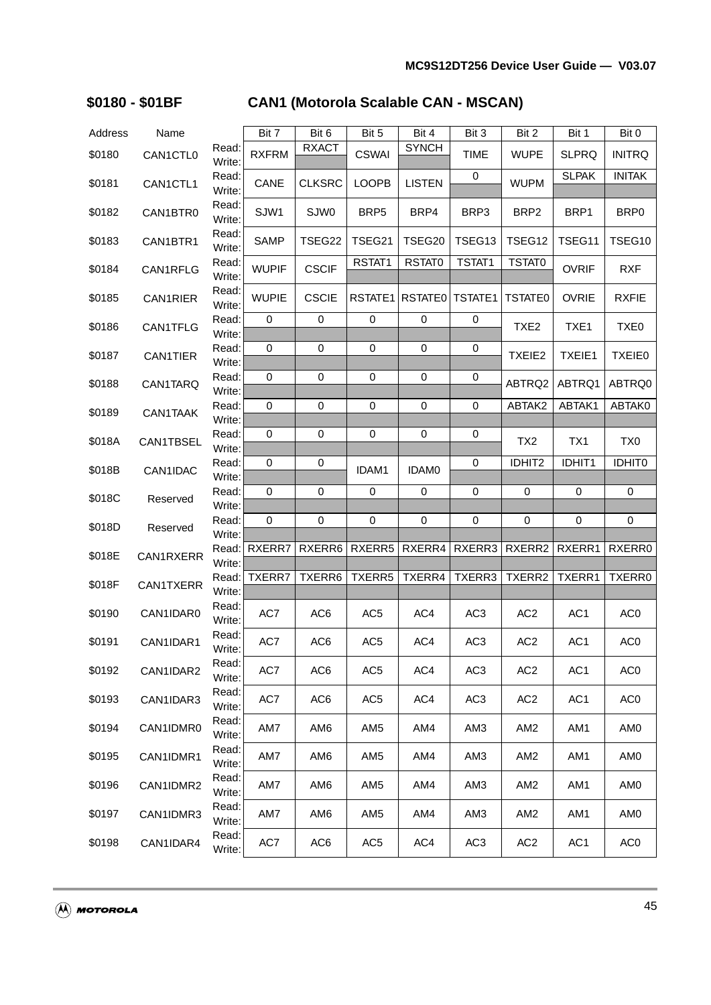#### **\$0180 - \$01BF CAN1 (Motorola Scalable CAN - MSCAN)**

| Address | Name            |                 | Bit 7         | Bit 6           | Bit 5            | Bit 4         | Bit 3           | Bit 2            | Bit 1           | Bit 0            |
|---------|-----------------|-----------------|---------------|-----------------|------------------|---------------|-----------------|------------------|-----------------|------------------|
| \$0180  | CAN1CTL0        | Read:<br>Write: | <b>RXFRM</b>  | RXACT           | <b>CSWAI</b>     | <b>SYNCH</b>  | <b>TIME</b>     | <b>WUPE</b>      | <b>SLPRQ</b>    | <b>INITRQ</b>    |
| \$0181  | CAN1CTL1        | Read:<br>Write: | CANE          | <b>CLKSRC</b>   | <b>LOOPB</b>     | <b>LISTEN</b> | $\,0\,$         | <b>WUPM</b>      | <b>SLPAK</b>    | <b>INITAK</b>    |
| \$0182  | CAN1BTR0        | Read:<br>Write: | SJW1          | SJW0            | BRP <sub>5</sub> | BRP4          | BRP3            | BRP <sub>2</sub> | BRP1            | BRP <sub>0</sub> |
| \$0183  | CAN1BTR1        | Read:<br>Write: | <b>SAMP</b>   | TSEG22          | TSEG21           | TSEG20        | TSEG13          | TSEG12           | TSEG11          | TSEG10           |
| \$0184  | CAN1RFLG        | Read:<br>Write: | <b>WUPIF</b>  | <b>CSCIF</b>    | RSTAT1           | RSTAT0        | TSTAT1          | TSTAT0           | <b>OVRIF</b>    | <b>RXF</b>       |
| \$0185  | CAN1RIER        | Read:<br>Write: | <b>WUPIE</b>  | <b>CSCIE</b>    | RSTATE1          | RSTATE0       | TSTATE1         | <b>TSTATE0</b>   | <b>OVRIE</b>    | <b>RXFIE</b>     |
| \$0186  | CAN1TFLG        | Read:<br>Write: | 0             | 0               | $\pmb{0}$        | 0             | 0               | TXE <sub>2</sub> | TXE1            | TXE <sub>0</sub> |
| \$0187  | <b>CAN1TIER</b> | Read:<br>Write: | 0             | 0               | 0                | 0             | 0               | TXEIE2           | TXEIE1          | <b>TXEIE0</b>    |
| \$0188  | CAN1TARQ        | Read:<br>Write: | 0             | 0               | 0                | 0             | 0               | ABTRQ2           | ABTRQ1          | ABTRQ0           |
| \$0189  | CAN1TAAK        | Read:<br>Write: | 0             | 0               | 0                | 0             | 0               | ABTAK2           | ABTAK1          | ABTAK0           |
| \$018A  | CAN1TBSEL       | Read:<br>Write: | 0             | 0               | 0                | 0             | 0               | TX <sub>2</sub>  | TX1             | TX <sub>0</sub>  |
| \$018B  | CAN1IDAC        | Read:<br>Write: | 0             | 0               | IDAM1            | IDAM0         | 0               | IDHIT2           | <b>IDHIT1</b>   | <b>IDHIT0</b>    |
| \$018C  | Reserved        | Read:<br>Write: | 0             | 0               | 0                | 0             | 0               | 0                | 0               | 0                |
| \$018D  | Reserved        | Read:<br>Write: | 0             | 0               | 0                | 0             | 0               | 0                | 0               | 0                |
| \$018E  | CAN1RXERR       | Read:<br>Write: | RXERR7        | RXERR6          | RXERR5           | RXERR4        | RXERR3          | RXERR2           | RXERR1          | RXERR0           |
| \$018F  | CAN1TXERR       | Read:<br>Write: | <b>TXERR7</b> | TXERR6          | <b>TXERR5</b>    | TXERR4        | TXERR3          | TXERR2           | TXERR1          | TXERR0           |
| \$0190  | CAN1IDAR0       | Read:<br>Write: | AC7           | AC <sub>6</sub> | AC <sub>5</sub>  | AC4           | AC <sub>3</sub> | AC <sub>2</sub>  | AC <sub>1</sub> | AC <sub>0</sub>  |
| \$0191  | CAN1IDAR1       | Read:<br>Write: | AC7           | AC <sub>6</sub> | AC <sub>5</sub>  | AC4           | AC <sub>3</sub> | AC <sub>2</sub>  | AC <sub>1</sub> | AC <sub>0</sub>  |
| \$0192  | CAN1IDAR2       | Read:<br>Write: | AC7           | AC6             | AC <sub>5</sub>  | AC4           | AC <sub>3</sub> | AC <sub>2</sub>  | AC <sub>1</sub> | AC <sub>0</sub>  |
| \$0193  | CAN1IDAR3       | Read:<br>Write: | AC7           | AC6             | AC <sub>5</sub>  | AC4           | AC <sub>3</sub> | AC <sub>2</sub>  | AC <sub>1</sub> | AC <sub>0</sub>  |
| \$0194  | CAN1IDMR0       | Read:<br>Write: | AM7           | AM6             | AM <sub>5</sub>  | AM4           | AM3             | AM <sub>2</sub>  | AM1             | AM <sub>0</sub>  |
| \$0195  | CAN1IDMR1       | Read:<br>Write: | AM7           | AM6             | AM <sub>5</sub>  | AM4           | AM3             | AM <sub>2</sub>  | AM1             | AM <sub>0</sub>  |
| \$0196  | CAN1IDMR2       | Read:<br>Write: | AM7           | AM6             | AM <sub>5</sub>  | AM4           | AM3             | AM <sub>2</sub>  | AM1             | AM <sub>0</sub>  |
| \$0197  | CAN1IDMR3       | Read:<br>Write: | AM7           | AM6             | AM <sub>5</sub>  | AM4           | AM3             | AM <sub>2</sub>  | AM1             | AM <sub>0</sub>  |
| \$0198  | CAN1IDAR4       | Read:<br>Write: | AC7           | AC6             | AC <sub>5</sub>  | AC4           | AC <sub>3</sub> | AC <sub>2</sub>  | AC <sub>1</sub> | AC <sub>0</sub>  |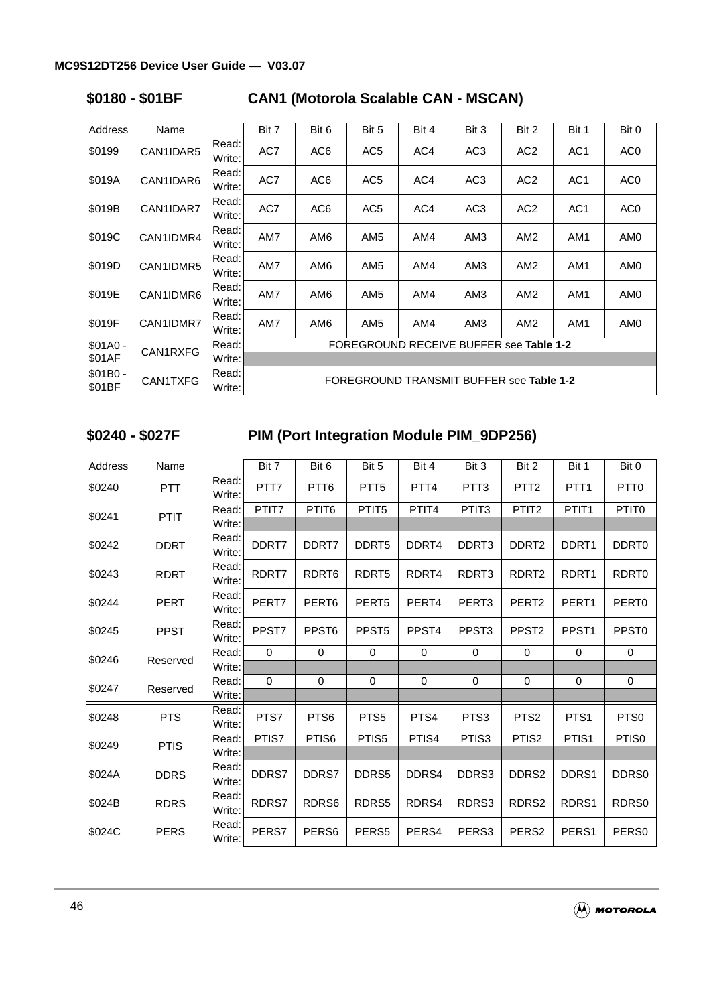#### **\$0180 - \$01BF CAN1 (Motorola Scalable CAN - MSCAN)**

| Address  | Name      |        | Bit 7 | Bit 6           | Bit 5           | Bit 4 | Bit 3                                    | Bit 2           | Bit 1           | Bit 0 |
|----------|-----------|--------|-------|-----------------|-----------------|-------|------------------------------------------|-----------------|-----------------|-------|
|          |           |        |       |                 |                 |       |                                          |                 |                 |       |
| \$0199   | CAN1IDAR5 | Read:  | AC7   | AC6             | AC <sub>5</sub> | AC4   | AC <sub>3</sub>                          | AC <sub>2</sub> | AC <sub>1</sub> | AC0   |
|          |           | Write: |       |                 |                 |       |                                          |                 |                 |       |
|          |           | Read:  |       |                 |                 |       |                                          |                 |                 |       |
| \$019A   | CAN1IDAR6 | Write: | AC7   | AC6             | AC <sub>5</sub> | AC4   | AC <sub>3</sub>                          | AC <sub>2</sub> | AC <sub>1</sub> | AC0   |
|          |           | Read:  |       |                 |                 |       |                                          |                 |                 |       |
| \$019B   | CAN1IDAR7 | Write: | AC7   | AC6             | AC <sub>5</sub> | AC4   | AC <sub>3</sub>                          | AC <sub>2</sub> | AC <sub>1</sub> | AC0   |
|          |           | Read:  |       |                 |                 |       |                                          |                 |                 |       |
| \$019C   | CAN1IDMR4 | Write: | AM7   | AM <sub>6</sub> | AM <sub>5</sub> | AM4   | AM3                                      | AM <sub>2</sub> | AM <sub>1</sub> | AM0   |
|          |           | Read:  |       |                 |                 |       |                                          |                 |                 |       |
| \$019D   | CAN1IDMR5 | Write: | AM7   | AM <sub>6</sub> | AM <sub>5</sub> | AM4   | AM3                                      | AM <sub>2</sub> | AM <sub>1</sub> | AM0   |
|          |           | Read:  |       |                 |                 |       |                                          |                 |                 |       |
| \$019E   | CAN1IDMR6 | Write: | AM7   | AM6             | AM <sub>5</sub> | AM4   | AM3                                      | AM <sub>2</sub> | AM1             | AM0   |
|          |           | Read:  |       |                 |                 |       |                                          |                 |                 |       |
| \$019F   | CAN1IDMR7 | Write: | AM7   | AM6             | AM <sub>5</sub> | AM4   | AM3                                      | AM <sub>2</sub> | AM1             | AM0   |
| \$01A0 - |           | Read:  |       |                 |                 |       | FOREGROUND RECEIVE BUFFER see Table 1-2  |                 |                 |       |
| \$01AF   | CAN1RXFG  | Write: |       |                 |                 |       |                                          |                 |                 |       |
| \$01B0 - |           | Read:  |       |                 |                 |       |                                          |                 |                 |       |
| \$01BF   | CAN1TXFG  | Write: |       |                 |                 |       | FOREGROUND TRANSMIT BUFFER see Table 1-2 |                 |                 |       |

#### **\$0240 - \$027F PIM (Port Integration Module PIM\_9DP256)**

| Address | Name        |                 | Bit 7       | Bit 6             | Bit 5             | Bit 4            | Bit 3             | Bit 2             | Bit 1             | Bit 0             |
|---------|-------------|-----------------|-------------|-------------------|-------------------|------------------|-------------------|-------------------|-------------------|-------------------|
| \$0240  | PTT         | Read:<br>Write: | PTT7        | PTT6              | PTT <sub>5</sub>  | PTT <sub>4</sub> | PTT <sub>3</sub>  | PTT <sub>2</sub>  | PTT <sub>1</sub>  | PTT <sub>0</sub>  |
| \$0241  | PTIT        | Read:           | PTIT7       | PTIT <sub>6</sub> | PTIT <sub>5</sub> | PTIT4            | PTIT <sub>3</sub> | PTIT <sub>2</sub> | PTIT <sub>1</sub> | PTIT <sub>0</sub> |
|         |             | Write:          |             |                   |                   |                  |                   |                   |                   |                   |
| \$0242  | <b>DDRT</b> | Read:<br>Write: | DDRT7       | DDRT7             | DDRT5             | DDRT4            | DDRT3             | DDRT <sub>2</sub> | DDRT1             | DDRT0             |
| \$0243  | <b>RDRT</b> | Read:<br>Write: | RDRT7       | RDRT <sub>6</sub> | RDRT <sub>5</sub> | RDRT4            | RDRT <sub>3</sub> | RDRT <sub>2</sub> | RDRT <sub>1</sub> | RDRT <sub>0</sub> |
| \$0244  | PERT        | Read:<br>Write: | PERT7       | PERT6             | PERT <sub>5</sub> | PERT4            | PERT3             | PERT <sub>2</sub> | PERT1             | PERT <sub>0</sub> |
| \$0245  | <b>PPST</b> | Read:<br>Write: | PPST7       | PPST <sub>6</sub> | PPST <sub>5</sub> | PPST4            | PPST <sub>3</sub> | PPST <sub>2</sub> | PPST <sub>1</sub> | PPST <sub>0</sub> |
| \$0246  | Reserved    | Read:           | 0           | 0                 | 0                 | 0                | $\mathbf 0$       | 0                 | 0                 | $\mathbf 0$       |
|         |             | Write:          |             |                   |                   |                  |                   |                   |                   |                   |
| \$0247  | Reserved    | Read:           | $\mathbf 0$ | $\mathbf 0$       | $\mathbf 0$       | $\mathbf 0$      | $\mathbf 0$       | $\mathbf 0$       | $\mathbf 0$       | $\mathbf 0$       |
|         |             | Write:          |             |                   |                   |                  |                   |                   |                   |                   |
| \$0248  | <b>PTS</b>  | Read:<br>Write: | PTS7        | PTS6              | PTS <sub>5</sub>  | PTS4             | PTS <sub>3</sub>  | PTS <sub>2</sub>  | PTS <sub>1</sub>  | PTS <sub>0</sub>  |
| \$0249  | <b>PTIS</b> | Read:           | PTIS7       | PTIS6             | PTIS5             | PTIS4            | PTIS3             | PTIS <sub>2</sub> | PTIS1             | PTIS0             |
|         |             | Write:          |             |                   |                   |                  |                   |                   |                   |                   |
| \$024A  | <b>DDRS</b> | Read:<br>Write: | DDRS7       | DDRS7             | DDRS5             | DDRS4            | DDRS3             | DDRS <sub>2</sub> | DDRS1             | DDR <sub>S0</sub> |
| \$024B  | <b>RDRS</b> | Read:<br>Write: | RDRS7       | RDRS6             | RDRS5             | RDRS4            | RDRS3             | RDRS2             | RDRS1             | RDRS0             |
| \$024C  | <b>PERS</b> | Read:<br>Write: | PERS7       | PERS6             | PERS5             | PERS4            | PERS3             | PERS <sub>2</sub> | PERS1             | PERS <sub>0</sub> |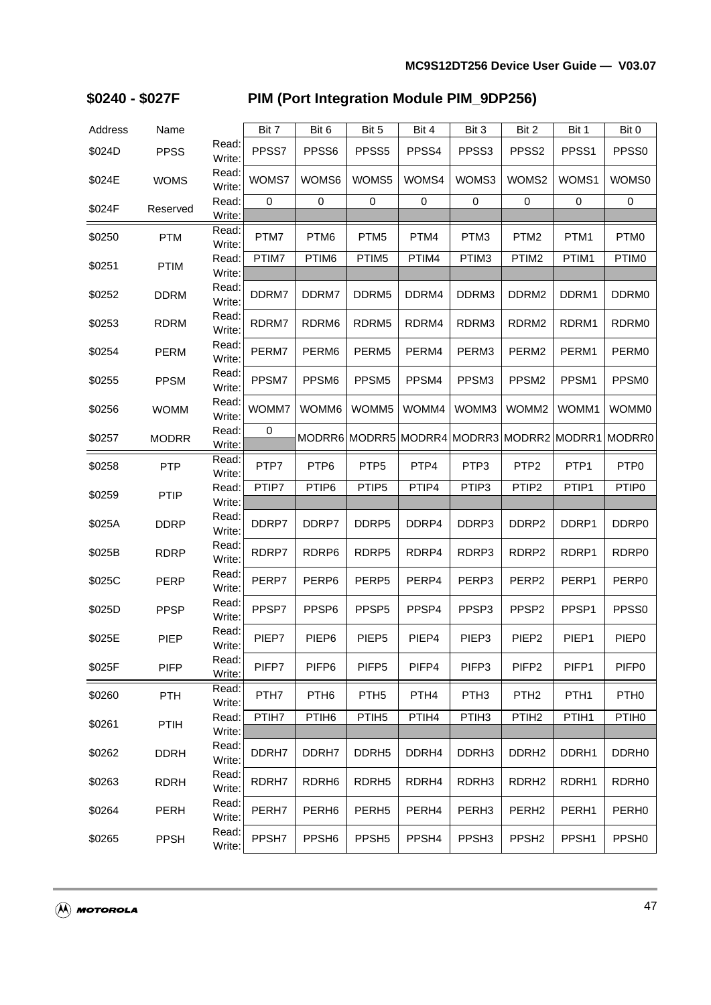**\$0240 - \$027F PIM (Port Integration Module PIM\_9DP256)**

| Address | Name         |                 | Bit 7       | Bit 6             | Bit 5             | Bit 4                              | Bit 3             | Bit 2             | Bit 1             | Bit 0             |
|---------|--------------|-----------------|-------------|-------------------|-------------------|------------------------------------|-------------------|-------------------|-------------------|-------------------|
| \$024D  | <b>PPSS</b>  | Read:<br>Write: | PPSS7       | PPSS6             | PPSS <sub>5</sub> | PPSS4                              | PPSS <sub>3</sub> | PPSS <sub>2</sub> | PPSS <sub>1</sub> | PPSS <sub>0</sub> |
| \$024E  | <b>WOMS</b>  | Read:<br>Write: | WOMS7       | WOMS6             | WOMS5             | WOMS4                              | WOMS3             | WOMS2             | WOMS1             | WOMS0             |
| \$024F  | Reserved     | Read:           | $\mathbf 0$ | $\mathbf 0$       | $\mathbf 0$       | 0                                  | 0                 | 0                 | 0                 | 0                 |
|         |              | Write:<br>Read: |             |                   |                   |                                    |                   |                   |                   |                   |
| \$0250  | <b>PTM</b>   | Write:          | PTM7        | PTM6              | PTM <sub>5</sub>  | PTM4                               | PTM3              | PTM <sub>2</sub>  | PTM1              | PTM <sub>0</sub>  |
| \$0251  | PTIM         | Read:<br>Write: | PTIM7       | PTIM6             | PTIM5             | PTIM4                              | PTIM3             | PTIM2             | PTIM1             | PTIM0             |
| \$0252  | <b>DDRM</b>  | Read:<br>Write: | DDRM7       | DDRM7             | DDRM <sub>5</sub> | DDRM4                              | DDRM3             | DDRM <sub>2</sub> | DDRM1             | DDRM <sub>0</sub> |
| \$0253  | <b>RDRM</b>  | Read:<br>Write: | RDRM7       | RDRM6             | RDRM <sub>5</sub> | RDRM4                              | RDRM3             | RDRM <sub>2</sub> | RDRM1             | RDRM0             |
| \$0254  | <b>PERM</b>  | Read:<br>Write: | PERM7       | PERM6             | PERM <sub>5</sub> | PERM4                              | PERM3             | PERM <sub>2</sub> | PERM1             | PERM <sub>0</sub> |
| \$0255  | <b>PPSM</b>  | Read:<br>Write: | PPSM7       | PPSM6             | PPSM <sub>5</sub> | PPSM4                              | PPSM3             | PPSM <sub>2</sub> | PPSM1             | PPSM0             |
| \$0256  | <b>WOMM</b>  | Read:<br>Write: | WOMM7       | WOMM6             | WOMM <sub>5</sub> | WOMM4                              | WOMM3             | WOMM <sub>2</sub> | WOMM1             | WOMM0             |
| \$0257  | <b>MODRR</b> | Read:<br>Write: | 0           |                   |                   | MODRR6 MODRR5 MODRR4 MODRR3 MODRR2 |                   |                   | MODRR1 MODRR0     |                   |
| \$0258  | PTP          | Read:<br>Write: | PTP7        | PTP <sub>6</sub>  | PTP <sub>5</sub>  | PTP4                               | PTP <sub>3</sub>  | PTP <sub>2</sub>  | PTP <sub>1</sub>  | PTP <sub>0</sub>  |
| \$0259  | PTIP         | Read:           | PTIP7       | PTIP6             | PTIP5             | PTIP4                              | PTIP <sub>3</sub> | PTIP <sub>2</sub> | PTIP1             | PTIP <sub>0</sub> |
|         |              | Write:          |             |                   |                   |                                    |                   |                   |                   |                   |
| \$025A  | <b>DDRP</b>  | Read:<br>Write: | DDRP7       | DDRP7             | DDRP5             | DDRP4                              | DDRP3             | DDRP2             | DDRP1             | DDRP <sub>0</sub> |
| \$025B  | <b>RDRP</b>  | Read:<br>Write: | RDRP7       | RDRP6             | RDRP5             | RDRP4                              | RDRP3             | RDRP <sub>2</sub> | RDRP1             | RDRP0             |
| \$025C  | PERP         | Read:<br>Write: | PERP7       | PERP6             | PERP5             | PERP4                              | PERP3             | PERP2             | PERP1             | PERP0             |
| \$025D  | <b>PPSP</b>  | Read:<br>Write: | PPSP7       | PPSP <sub>6</sub> | PPSP <sub>5</sub> | PPSP4                              | PPSP <sub>3</sub> | PPSP <sub>2</sub> | PPSP <sub>1</sub> | PPSS <sub>0</sub> |
| \$025E  | <b>PIEP</b>  | Read:<br>Write: | PIEP7       | PIEP6             | PIEP <sub>5</sub> | PIEP4                              | PIEP <sub>3</sub> | PIEP <sub>2</sub> | PIEP1             | PIEP0             |
| \$025F  | <b>PIFP</b>  | Read:<br>Write: | PIFP7       | PIFP <sub>6</sub> | PIFP <sub>5</sub> | PIFP4                              | PIFP3             | PIFP <sub>2</sub> | PIFP1             | PIFP <sub>0</sub> |
| \$0260  | <b>PTH</b>   | Read:<br>Write: | PTH7        | PTH <sub>6</sub>  | PTH <sub>5</sub>  | PTH <sub>4</sub>                   | PTH <sub>3</sub>  | PTH <sub>2</sub>  | PTH <sub>1</sub>  | PTH <sub>0</sub>  |
| \$0261  | PTIH         | Read:           | PTIH7       | PTIH <sub>6</sub> | PTIH <sub>5</sub> | PTIH4                              | PTIH <sub>3</sub> | PTIH <sub>2</sub> | PTIH1             | PTIH <sub>0</sub> |
|         |              | Write:          |             |                   |                   |                                    |                   |                   |                   |                   |
| \$0262  | <b>DDRH</b>  | Read:<br>Write: | DDRH7       | DDRH7             | DDRH <sub>5</sub> | DDRH4                              | DDRH <sub>3</sub> | DDRH <sub>2</sub> | DDRH1             | DDRH <sub>0</sub> |
| \$0263  | <b>RDRH</b>  | Read:<br>Write: | RDRH7       | RDRH <sub>6</sub> | RDRH <sub>5</sub> | RDRH4                              | RDRH <sub>3</sub> | RDRH <sub>2</sub> | RDRH1             | RDRH <sub>0</sub> |
| \$0264  | <b>PERH</b>  | Read:<br>Write: | PERH7       | PERH <sub>6</sub> | PERH <sub>5</sub> | PERH4                              | PERH <sub>3</sub> | PERH <sub>2</sub> | PERH <sub>1</sub> | PERH <sub>0</sub> |
| \$0265  | <b>PPSH</b>  | Read:<br>Write: | PPSH7       | PPSH <sub>6</sub> | PPSH <sub>5</sub> | PPSH4                              | PPSH <sub>3</sub> | PPSH <sub>2</sub> | PPSH1             | PPSH <sub>0</sub> |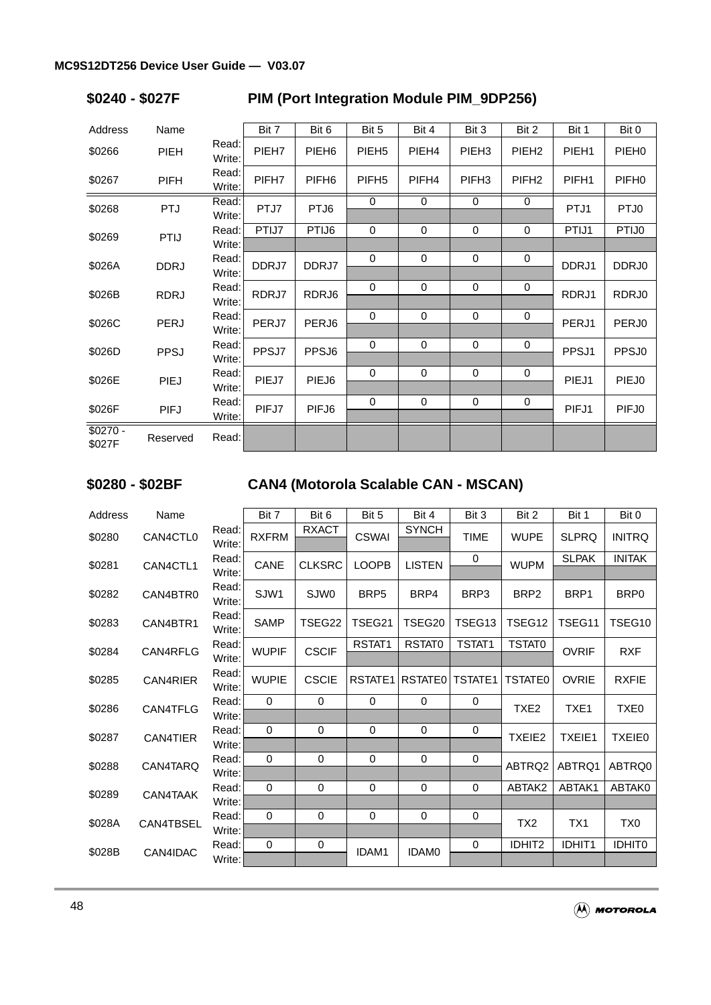#### **\$0240 - \$027F PIM (Port Integration Module PIM\_9DP256)**

| Address             | Name        |                 | Bit 7 | Bit 6             | Bit 5             | Bit 4       | Bit 3             | Bit 2             | Bit 1             | Bit 0             |
|---------------------|-------------|-----------------|-------|-------------------|-------------------|-------------|-------------------|-------------------|-------------------|-------------------|
| \$0266              | <b>PIEH</b> | Read:<br>Write: | PIEH7 | PIEH <sub>6</sub> | PIEH <sub>5</sub> | PIEH4       | PIEH <sub>3</sub> | PIEH <sub>2</sub> | PIEH1             | PIEH <sub>0</sub> |
| \$0267              | <b>PIFH</b> | Read:<br>Write: | PIFH7 | PIFH <sub>6</sub> | PIFH <sub>5</sub> | PIFH4       | PIFH <sub>3</sub> | PIFH <sub>2</sub> | PIFH <sub>1</sub> | PIFH <sub>0</sub> |
| \$0268              | PTJ         | Read:<br>Write: | PTJ7  | PTJ6              | $\mathbf 0$       | 0           | $\mathbf 0$       | 0                 | PTJ1              | PTJ0              |
| \$0269              | PTIJ        | Read:           | PTIJ7 | PTIJ6             | $\mathbf 0$       | 0           | $\mathbf 0$       | 0                 | PTIJ1             | PTIJ0             |
|                     |             | Write:          |       |                   |                   |             |                   |                   |                   |                   |
| \$026A              | <b>DDRJ</b> | Read:<br>Write: | DDRJ7 | DDRJ7             | 0                 | 0           | $\mathbf 0$       | 0                 | DDRJ1             | DDRJ0             |
|                     |             | Read:           |       |                   | 0                 | 0           | 0                 | 0                 |                   |                   |
| \$026B              | <b>RDRJ</b> | Write:          | RDRJ7 | RDRJ6             |                   |             |                   |                   | RDRJ1             | RDRJ0             |
| \$026C              | PERJ        | Read:           | PERJ7 | PERJ6             | $\mathbf 0$       | $\mathbf 0$ | $\mathbf 0$       | $\mathbf 0$       | PERJ1             | PERJ0             |
|                     |             | Write:          |       |                   |                   |             |                   |                   |                   |                   |
| \$026D              | <b>PPSJ</b> | Read:<br>Write: | PPSJ7 | PPSJ <sub>6</sub> | 0                 | $\mathbf 0$ | $\mathbf 0$       | 0                 | PPSJ1             | PPSJ0             |
| \$026E              | PIEJ        | Read:           | PIEJ7 | PIEJ6             | $\mathbf 0$       | $\mathbf 0$ | $\mathbf 0$       | 0                 | PIEJ1             | PIEJ0             |
|                     |             | Write:          |       |                   |                   |             |                   |                   |                   |                   |
| \$026F              | PIFJ        | Read:           | PIFJ7 | PIFJ6             | 0                 | 0           | 0                 | 0                 | PIFJ1             | PIFJ0             |
|                     |             | Write:          |       |                   |                   |             |                   |                   |                   |                   |
| $$0270 -$<br>\$027F | Reserved    | Read:           |       |                   |                   |             |                   |                   |                   |                   |

#### **\$0280 - \$02BF CAN4 (Motorola Scalable CAN - MSCAN)**

| Address | Name            |                 | Bit 7        | Bit 6         | Bit 5            | Bit 4          | Bit 3       | Bit 2            | Bit 1            | Bit 0            |
|---------|-----------------|-----------------|--------------|---------------|------------------|----------------|-------------|------------------|------------------|------------------|
| \$0280  | CAN4CTL0        | Read:<br>Write: | <b>RXFRM</b> | <b>RXACT</b>  | <b>CSWAI</b>     | <b>SYNCH</b>   | TIME        | <b>WUPE</b>      | <b>SLPRQ</b>     | <b>INITRQ</b>    |
| \$0281  | CAN4CTL1        | Read:<br>Write: | CANE         | <b>CLKSRC</b> | <b>LOOPB</b>     | <b>LISTEN</b>  | $\mathbf 0$ | <b>WUPM</b>      | <b>SLPAK</b>     | <b>INITAK</b>    |
| \$0282  | CAN4BTR0        | Read:<br>Write: | SJW1         | SJW0          | BRP <sub>5</sub> | BRP4           | BRP3        | BRP <sub>2</sub> | BRP1             | BRP <sub>0</sub> |
| \$0283  | CAN4BTR1        | Read:<br>Write: | <b>SAMP</b>  | TSEG22        | TSEG21           | TSEG20         | TSEG13      | TSEG12           | TSEG11           | TSEG10           |
| \$0284  | CAN4RFLG        | Read:<br>Write: | <b>WUPIF</b> | <b>CSCIF</b>  | RSTAT1           | RSTAT0         | TSTAT1      | TSTAT0           | <b>OVRIF</b>     | <b>RXF</b>       |
| \$0285  | <b>CAN4RIER</b> | Read:<br>Write: | <b>WUPIE</b> | <b>CSCIE</b>  | <b>RSTATE1</b>   | <b>RSTATE0</b> | TSTATE1     | <b>TSTATE0</b>   | <b>OVRIE</b>     | <b>RXFIE</b>     |
| \$0286  | CAN4TFLG        | Read:<br>Write: | $\mathbf 0$  | $\mathbf 0$   | 0                | 0              | 0           | TXE <sub>2</sub> | TXE <sub>1</sub> | TXE <sub>0</sub> |
| \$0287  | <b>CAN4TIER</b> | Read:<br>Write: | 0            | $\mathbf 0$   | 0                | 0              | 0           | TXEIE2           | TXEIE1           | <b>TXEIE0</b>    |
| \$0288  | CAN4TARQ        | Read:<br>Write: | $\mathbf 0$  | $\mathbf 0$   | $\mathbf 0$      | 0              | $\mathbf 0$ | ABTRQ2           | ABTRQ1           | ABTRQ0           |
| \$0289  |                 | Read:           | $\mathbf 0$  | $\mathbf 0$   | 0                | 0              | $\mathbf 0$ | ABTAK2           | ABTAK1           | ABTAK0           |
|         | CAN4TAAK        | Write:          |              |               |                  |                |             |                  |                  |                  |
| \$028A  | CAN4TBSEL       | Read:           | $\Omega$     | $\Omega$      | 0                | 0              | $\mathbf 0$ | TX <sub>2</sub>  | TX1              | TX <sub>0</sub>  |
|         |                 | Write:          | $\mathbf 0$  |               |                  |                |             |                  |                  |                  |
| \$028B  | CAN4IDAC        | Read:<br>Write: |              | 0             | IDAM1            | <b>IDAM0</b>   | 0           | IDHIT2           | IDHIT1           | <b>IDHIT0</b>    |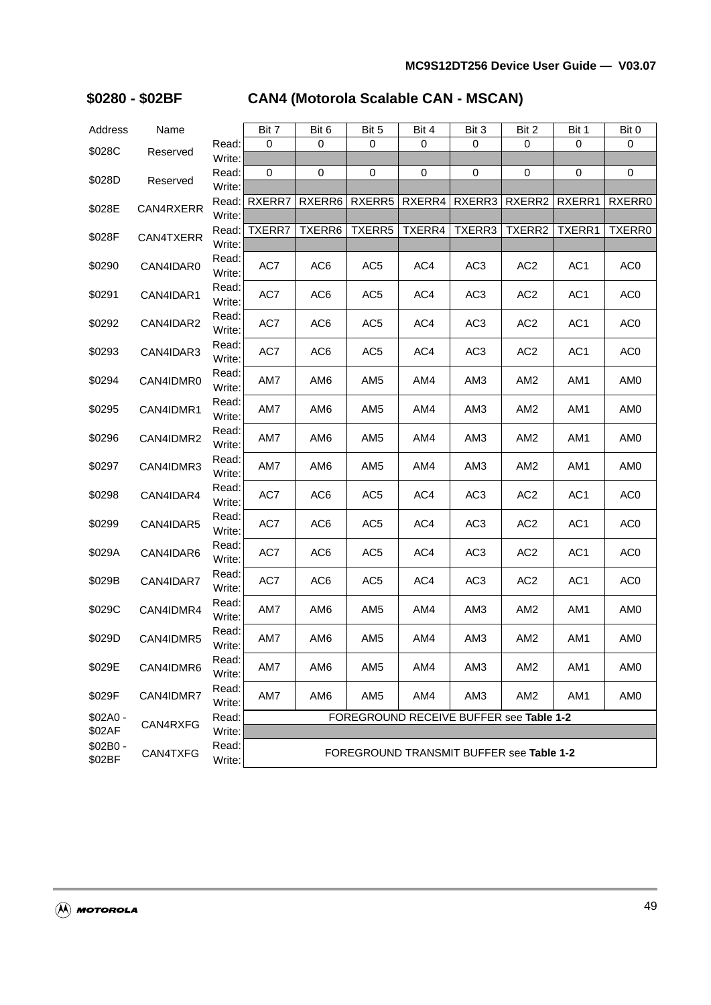## **\$0280 - \$02BF CAN4 (Motorola Scalable CAN - MSCAN)**

| Address            | Name      |                 | Bit 7         | Bit 6                                    | Bit 5                                   | Bit 4  | Bit 3           | Bit 2           | Bit 1           | Bit 0           |
|--------------------|-----------|-----------------|---------------|------------------------------------------|-----------------------------------------|--------|-----------------|-----------------|-----------------|-----------------|
| \$028C             | Reserved  | Read:<br>Write: | 0             | 0                                        | 0                                       | 0      | 0               | 0               | 0               | $\mathbf 0$     |
|                    |           | Read:           | 0             | 0                                        | 0                                       | 0      | 0               | 0               | 0               | $\mathbf 0$     |
| \$028D             | Reserved  | Write:          |               |                                          |                                         |        |                 |                 |                 |                 |
| \$028E             | CAN4RXERR | Read:<br>Write: | RXERR7        | RXERR6                                   | RXERR5                                  | RXERR4 | RXERR3          | RXERR2          | RXERR1          | RXERR0          |
| \$028F             | CAN4TXERR | Read:<br>Write: | <b>TXERR7</b> | TXERR6                                   | <b>TXERR5</b>                           | TXERR4 | TXERR3          | TXERR2          | TXERR1          | TXERR0          |
| \$0290             | CAN4IDAR0 | Read:<br>Write: | AC7           | AC6                                      | AC <sub>5</sub>                         | AC4    | AC <sub>3</sub> | AC <sub>2</sub> | AC <sub>1</sub> | AC <sub>0</sub> |
| \$0291             | CAN4IDAR1 | Read:<br>Write: | AC7           | AC6                                      | AC5                                     | AC4    | AC <sub>3</sub> | AC <sub>2</sub> | AC <sub>1</sub> | AC <sub>0</sub> |
| \$0292             | CAN4IDAR2 | Read:<br>Write: | AC7           | AC6                                      | AC <sub>5</sub>                         | AC4    | AC <sub>3</sub> | AC <sub>2</sub> | AC <sub>1</sub> | AC <sub>0</sub> |
| \$0293             | CAN4IDAR3 | Read:<br>Write: | AC7           | AC6                                      | AC5                                     | AC4    | AC <sub>3</sub> | AC <sub>2</sub> | AC <sub>1</sub> | AC <sub>0</sub> |
| \$0294             | CAN4IDMR0 | Read:<br>Write: | AM7           | AM6                                      | AM5                                     | AM4    | AM3             | AM <sub>2</sub> | AM1             | AM0             |
| \$0295             | CAN4IDMR1 | Read:<br>Write: | AM7           | AM6                                      | AM5                                     | AM4    | AM3             | AM <sub>2</sub> | AM1             | AM0             |
| \$0296             | CAN4IDMR2 | Read:<br>Write: | AM7           | AM6                                      | AM5                                     | AM4    | AM3             | AM <sub>2</sub> | AM1             | AM0             |
| \$0297             | CAN4IDMR3 | Read:<br>Write: | AM7           | AM6                                      | AM5                                     | AM4    | AM3             | AM <sub>2</sub> | AM1             | AM0             |
| \$0298             | CAN4IDAR4 | Read:<br>Write: | AC7           | AC6                                      | AC <sub>5</sub>                         | AC4    | AC <sub>3</sub> | AC <sub>2</sub> | AC <sub>1</sub> | AC <sub>0</sub> |
| \$0299             | CAN4IDAR5 | Read:<br>Write: | AC7           | AC6                                      | AC <sub>5</sub>                         | AC4    | AC <sub>3</sub> | AC <sub>2</sub> | AC <sub>1</sub> | AC <sub>0</sub> |
| \$029A             | CAN4IDAR6 | Read:<br>Write: | AC7           | AC6                                      | AC <sub>5</sub>                         | AC4    | AC <sub>3</sub> | AC <sub>2</sub> | AC <sub>1</sub> | AC <sub>0</sub> |
| \$029B             | CAN4IDAR7 | Read:<br>Write: | AC7           | AC6                                      | AC <sub>5</sub>                         | AC4    | AC <sub>3</sub> | AC <sub>2</sub> | AC <sub>1</sub> | AC <sub>0</sub> |
| \$029C             | CAN4IDMR4 | Read:<br>Write: | AM7           | AM6                                      | AM5                                     | AM4    | AM3             | AM <sub>2</sub> | AM1             | AM0             |
| \$029D             | CAN4IDMR5 | Read:<br>Write: | AM7           | AM6                                      | AM5                                     | AM4    | AM3             | AM <sub>2</sub> | AM1             | AM0             |
| \$029E             | CAN4IDMR6 | Read:<br>Write: | AM7           | AM6                                      | AM5                                     | AM4    | AM3             | AM2             | AM1             | AM <sub>0</sub> |
| \$029F             | CAN4IDMR7 | Read:<br>Write: | AM7           | AM6                                      | AM5                                     | AM4    | AM3             | AM2             | AM1             | AM <sub>0</sub> |
| $$02A0 -$          | CAN4RXFG  | Read:           |               |                                          | FOREGROUND RECEIVE BUFFER see Table 1-2 |        |                 |                 |                 |                 |
| \$02AF             |           | Write:          |               |                                          |                                         |        |                 |                 |                 |                 |
| \$02B0 -<br>\$02BF | CAN4TXFG  | Read:<br>Write: |               | FOREGROUND TRANSMIT BUFFER see Table 1-2 |                                         |        |                 |                 |                 |                 |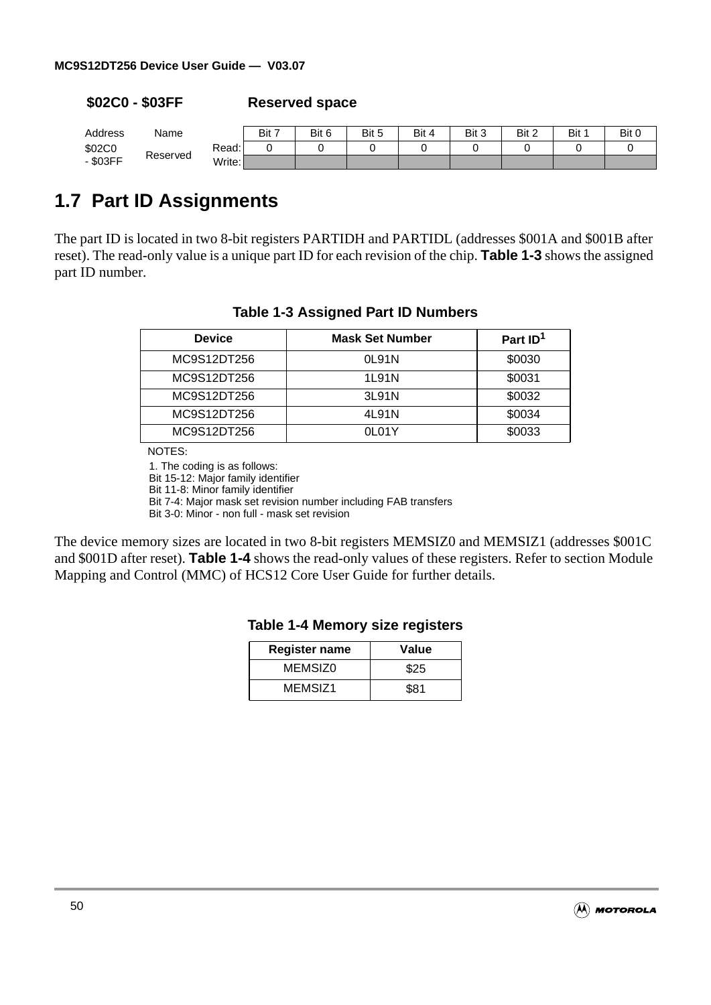#### **\$02C0 - \$03FF Reserved space**

| Address  | Name     |        | Bit 7 | Bit 6 | Bit 5 | Bit 4 | Bit 3 | Bit 2 | Bit 1 | Bit 0 |
|----------|----------|--------|-------|-------|-------|-------|-------|-------|-------|-------|
| \$02C0   |          | Read:  |       |       |       |       |       |       |       |       |
| - \$03FF | Reserved | Write: |       |       |       |       |       |       |       |       |

## **1.7 Part ID Assignments**

<span id="page-49-0"></span>The part ID is located in two 8-bit registers PARTIDH and PARTIDL (addresses \$001A and \$001B after reset). The read-only value is a unique part ID for each revision of the chip. **[Table 1-3](#page-49-0)** shows the assigned part ID number.

| <b>Device</b> | <b>Mask Set Number</b> | Part ID <sup>1</sup> |
|---------------|------------------------|----------------------|
| MC9S12DT256   | 0L91N                  | \$0030               |
| MC9S12DT256   | 1L91N                  | \$0031               |
| MC9S12DT256   | 3L91N                  | \$0032               |
| MC9S12DT256   | 4L91N                  | \$0034               |
| MC9S12DT256   | $0$ LO <sub>1</sub> Y  | \$0033               |

#### **Table 1-3 Assigned Part ID Numbers**

NOTES:

1. The coding is as follows:

Bit 15-12: Major family identifier

Bit 11-8: Minor family identifier

Bit 7-4: Major mask set revision number including FAB transfers

Bit 3-0: Minor - non full - mask set revision

<span id="page-49-1"></span>The device memory sizes are located in two 8-bit registers MEMSIZ0 and MEMSIZ1 (addresses \$001C and \$001D after reset). **[Table 1-4](#page-49-1)** shows the read-only values of these registers. Refer to section Module Mapping and Control (MMC) of HCS12 Core User Guide for further details.

#### **Table 1-4 Memory size registers**

| <b>Register name</b> | Value |
|----------------------|-------|
| MEMSIZ0              | \$25  |
| MEMSIZ1              | \$81  |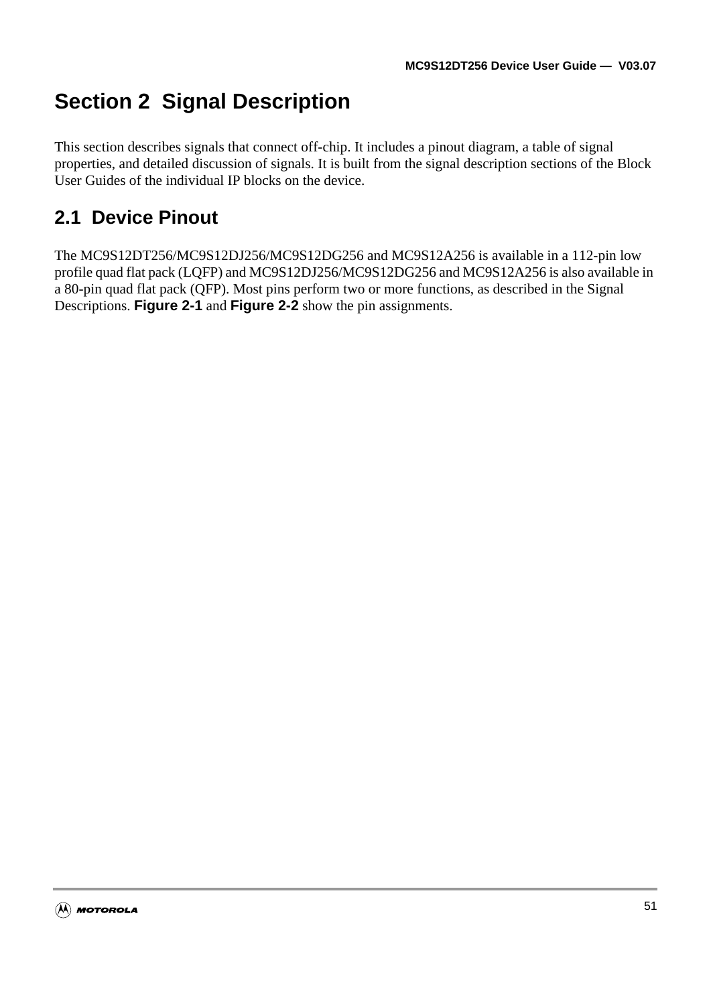# **Section 2 Signal Description**

This section describes signals that connect off-chip. It includes a pinout diagram, a table of signal properties, and detailed discussion of signals. It is built from the signal description sections of the Block User Guides of the individual IP blocks on the device.

# **2.1 Device Pinout**

The MC9S12DT256/MC9S12DJ256/MC9S12DG256 and MC9S12A256 is available in a 112-pin low profile quad flat pack (LQFP) and MC9S12DJ256/MC9S12DG256 and MC9S12A256 is also available in a 80-pin quad flat pack (QFP). Most pins perform two or more functions, as described in the Signal Descriptions. **[Figure 2-1](#page-51-0)** and **[Figure 2-2](#page-52-0)** show the pin assignments.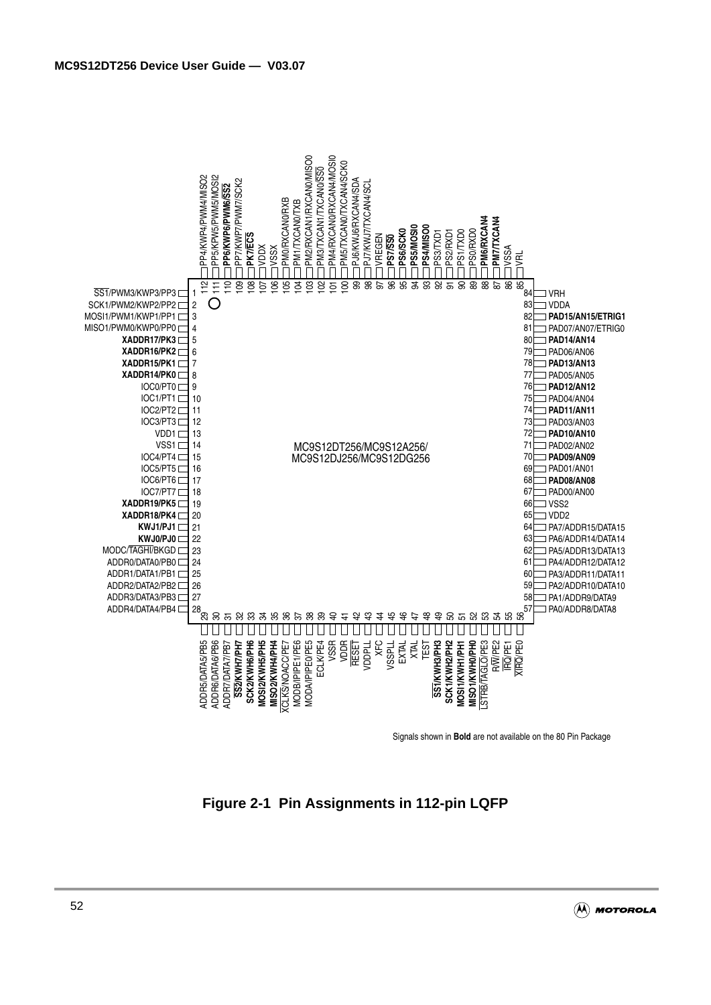

Signals shown in **Bold** are not available on the 80 Pin Package

<span id="page-51-0"></span>**Figure 2-1 Pin Assignments in 112-pin LQFP**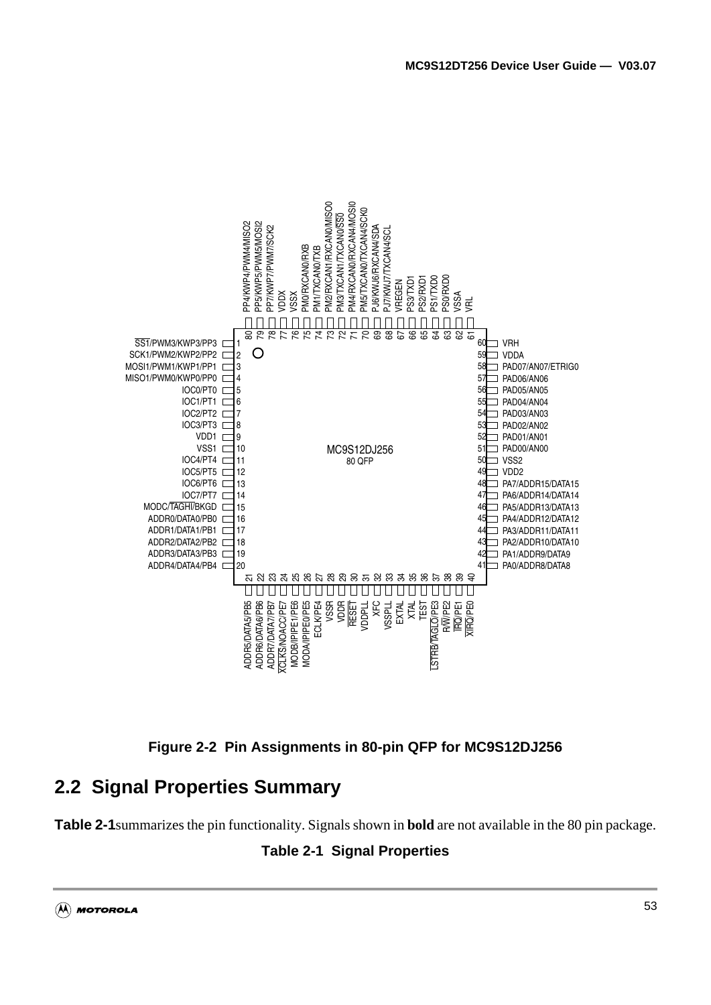

**Figure 2-2 Pin Assignments in 80-pin QFP for MC9S12DJ256**

## <span id="page-52-0"></span>**2.2 Signal Properties Summary**

<span id="page-52-1"></span>**[Table 2-1](#page-52-1)**summarizes the pin functionality. Signals shown in **bold** are not available in the 80 pin package.

#### **Table 2-1 Signal Properties**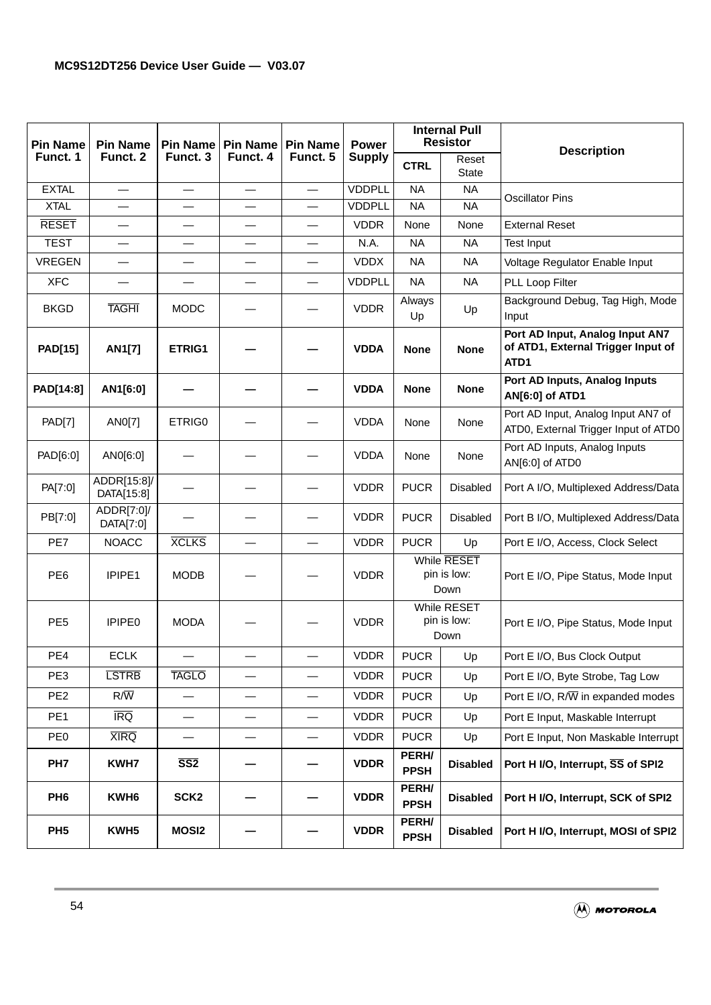| <b>Pin Name</b> | <b>Pin Name</b>           | <b>Pin Name</b>          | <b>Pin Name</b>          | <b>Pin Name</b>          | <b>Power</b><br><b>Supply</b> |                      | <b>Internal Pull</b><br><b>Resistor</b> | <b>Description</b>                                                            |  |
|-----------------|---------------------------|--------------------------|--------------------------|--------------------------|-------------------------------|----------------------|-----------------------------------------|-------------------------------------------------------------------------------|--|
| Funct. 1        | Funct. 2                  | Funct. 3                 | Funct. 4                 | Funct. 5                 |                               | <b>CTRL</b>          | Reset<br><b>State</b>                   |                                                                               |  |
| <b>EXTAL</b>    | $\overline{\phantom{0}}$  |                          |                          |                          | <b>VDDPLL</b>                 | <b>NA</b>            | <b>NA</b>                               | Oscillator Pins                                                               |  |
| <b>XTAL</b>     |                           |                          |                          |                          | <b>VDDPLL</b>                 | <b>NA</b>            | <b>NA</b>                               |                                                                               |  |
| <b>RESET</b>    | $\overline{\phantom{0}}$  |                          |                          |                          | <b>VDDR</b>                   | None                 | None                                    | <b>External Reset</b>                                                         |  |
| <b>TEST</b>     | $\overline{\phantom{0}}$  | —                        | $\overline{\phantom{0}}$ |                          | N.A.                          | <b>NA</b>            | <b>NA</b>                               | <b>Test Input</b>                                                             |  |
| <b>VREGEN</b>   |                           |                          |                          |                          | <b>VDDX</b>                   | <b>NA</b>            | <b>NA</b>                               | Voltage Regulator Enable Input                                                |  |
| <b>XFC</b>      |                           | $\overline{\phantom{0}}$ | $\overline{\phantom{0}}$ | $\overline{\phantom{0}}$ | <b>VDDPLL</b>                 | <b>NA</b>            | <b>NA</b>                               | PLL Loop Filter                                                               |  |
| <b>BKGD</b>     | <b>TAGHI</b>              | <b>MODC</b>              |                          |                          | <b>VDDR</b>                   | Always<br>Up         | Up                                      | Background Debug, Tag High, Mode<br>Input                                     |  |
| <b>PAD[15]</b>  | AN1[7]                    | ETRIG1                   |                          |                          | <b>VDDA</b>                   | <b>None</b>          | <b>None</b>                             | Port AD Input, Analog Input AN7<br>of ATD1, External Trigger Input of<br>ATD1 |  |
| PAD[14:8]       | AN1[6:0]                  |                          |                          |                          | <b>VDDA</b>                   | <b>None</b>          | <b>None</b>                             | Port AD Inputs, Analog Inputs<br><b>AN[6:0] of ATD1</b>                       |  |
| PAD[7]          | AN0[7]                    | ETRIG0                   |                          |                          | <b>VDDA</b>                   | None                 | None                                    | Port AD Input, Analog Input AN7 of<br>ATD0, External Trigger Input of ATD0    |  |
| PAD[6:0]        | AN0[6:0]                  |                          |                          |                          | <b>VDDA</b>                   | None                 | None                                    | Port AD Inputs, Analog Inputs<br>AN[6:0] of ATD0                              |  |
| PA[7:0]         | ADDR[15:8]/<br>DATA[15:8] |                          |                          |                          | <b>VDDR</b>                   | <b>PUCR</b>          | Disabled                                | Port A I/O, Multiplexed Address/Data                                          |  |
| PB[7:0]         | ADDR[7:0]/<br>DATA[7:0]   |                          |                          |                          | <b>VDDR</b>                   | <b>PUCR</b>          | Disabled                                | Port B I/O, Multiplexed Address/Data                                          |  |
| PE7             | <b>NOACC</b>              | <b>XCLKS</b>             |                          |                          | <b>VDDR</b>                   | <b>PUCR</b>          | Up                                      | Port E I/O, Access, Clock Select                                              |  |
| PE <sub>6</sub> | IPIPE1                    | <b>MODB</b>              |                          |                          | <b>VDDR</b>                   |                      | While RESET<br>pin is low:<br>Down      | Port E I/O, Pipe Status, Mode Input                                           |  |
| PE <sub>5</sub> | IPIPE0                    | <b>MODA</b>              |                          |                          | <b>VDDR</b>                   |                      | While RESET<br>pin is low:<br>Down      | Port E I/O, Pipe Status, Mode Input                                           |  |
| PE4             | <b>ECLK</b>               |                          |                          |                          | <b>VDDR</b>                   | <b>PUCR</b>          | Up                                      | Port E I/O, Bus Clock Output                                                  |  |
| PE3             | <b>LSTRB</b>              | <b>TAGLO</b>             |                          |                          | <b>VDDR</b>                   | <b>PUCR</b>          | Up                                      | Port E I/O, Byte Strobe, Tag Low                                              |  |
| PE <sub>2</sub> | $R/\overline{W}$          |                          |                          | —                        | <b>VDDR</b>                   | <b>PUCR</b>          | Up                                      | Port E I/O, $R/\overline{W}$ in expanded modes                                |  |
| PE <sub>1</sub> | <b>IRQ</b>                |                          | $\overline{\phantom{0}}$ |                          | <b>VDDR</b>                   | <b>PUCR</b>          | Up                                      | Port E Input, Maskable Interrupt                                              |  |
| PE <sub>0</sub> | <b>XIRQ</b>               | —                        |                          |                          | <b>VDDR</b>                   | <b>PUCR</b>          | Up                                      | Port E Input, Non Maskable Interrupt                                          |  |
| PH <sub>7</sub> | <b>KWH7</b>               | $\overline{\text{SS2}}$  |                          |                          | <b>VDDR</b>                   | PERH/<br><b>PPSH</b> | <b>Disabled</b>                         | Port H I/O, Interrupt, SS of SPI2                                             |  |
| PH <sub>6</sub> | KWH <sub>6</sub>          | SCK <sub>2</sub>         |                          |                          | <b>VDDR</b>                   | PERH/<br><b>PPSH</b> | <b>Disabled</b>                         | Port H I/O, Interrupt, SCK of SPI2                                            |  |
| PH <sub>5</sub> | KWH <sub>5</sub>          | <b>MOSI2</b>             |                          |                          | <b>VDDR</b>                   | PERH/<br><b>PPSH</b> | <b>Disabled</b>                         | Port H I/O, Interrupt, MOSI of SPI2                                           |  |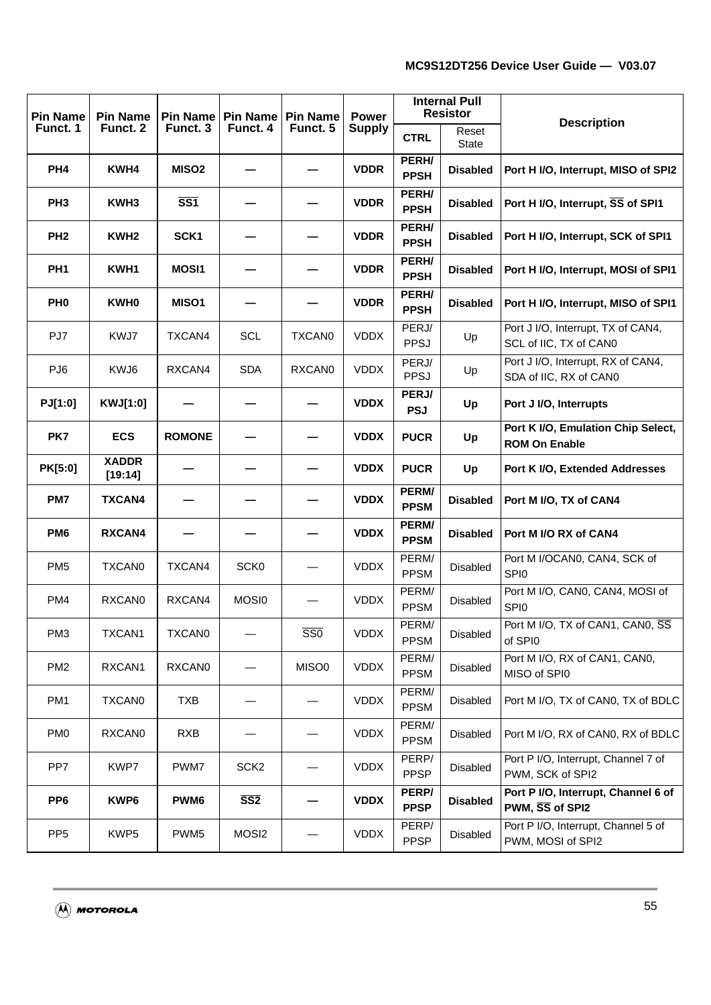| <b>Pin Name</b> | <b>Pin Name</b>         | Pin Name                  | <b>Pin Name</b>         | <b>Pin Name</b>  | <b>Power</b>  | <b>Internal Pull</b><br><b>Resistor</b> |                 |                                                              |  |
|-----------------|-------------------------|---------------------------|-------------------------|------------------|---------------|-----------------------------------------|-----------------|--------------------------------------------------------------|--|
| Funct. 1        | Funct. 2                | Funct. 3                  | Funct. 4                | Funct. 5         | <b>Supply</b> | <b>CTRL</b>                             | Reset<br>State  | <b>Description</b>                                           |  |
| PH <sub>4</sub> | KWH4                    | MISO <sub>2</sub>         |                         |                  | <b>VDDR</b>   | PERH/<br><b>PPSH</b>                    | <b>Disabled</b> | Port H I/O, Interrupt, MISO of SPI2                          |  |
| PH <sub>3</sub> | KWH <sub>3</sub>        | $\overline{\textbf{SS1}}$ |                         |                  | <b>VDDR</b>   | PERH/<br><b>PPSH</b>                    | <b>Disabled</b> | Port H I/O, Interrupt, SS of SPI1                            |  |
| PH <sub>2</sub> | KWH <sub>2</sub>        | SCK <sub>1</sub>          |                         |                  | <b>VDDR</b>   | PERH/<br><b>PPSH</b>                    | <b>Disabled</b> | Port H I/O, Interrupt, SCK of SPI1                           |  |
| PH <sub>1</sub> | KWH1                    | <b>MOSI1</b>              |                         |                  | <b>VDDR</b>   | PERH/<br><b>PPSH</b>                    | <b>Disabled</b> | Port H I/O, Interrupt, MOSI of SPI1                          |  |
| PH <sub>0</sub> | <b>KWH0</b>             | MISO1                     |                         |                  | <b>VDDR</b>   | PERH/<br><b>PPSH</b>                    | <b>Disabled</b> | Port H I/O, Interrupt, MISO of SPI1                          |  |
| PJ7             | KWJ7                    | TXCAN4                    | <b>SCL</b>              | <b>TXCAN0</b>    | <b>VDDX</b>   | PERJ/<br><b>PPSJ</b>                    | Up              | Port J I/O, Interrupt, TX of CAN4,<br>SCL of IIC, TX of CAN0 |  |
| PJ <sub>6</sub> | KWJ6                    | RXCAN4                    | <b>SDA</b>              | RXCAN0           | <b>VDDX</b>   | PERJ/<br><b>PPSJ</b>                    | Up              | Port J I/O, Interrupt, RX of CAN4,<br>SDA of IIC, RX of CAN0 |  |
| PJ[1:0]         | <b>KWJ[1:0]</b>         |                           |                         |                  | <b>VDDX</b>   | PERJ/<br><b>PSJ</b>                     | Up              | Port J I/O, Interrupts                                       |  |
| PK7             | <b>ECS</b>              | <b>ROMONE</b>             |                         |                  | <b>VDDX</b>   | <b>PUCR</b>                             | Up              | Port K I/O, Emulation Chip Select,<br><b>ROM On Enable</b>   |  |
| PK[5:0]         | <b>XADDR</b><br>[19:14] |                           |                         |                  | <b>VDDX</b>   | <b>PUCR</b>                             | Up              | Port K I/O, Extended Addresses                               |  |
| PM7             | <b>TXCAN4</b>           |                           |                         |                  | <b>VDDX</b>   | PERM/<br><b>PPSM</b>                    | <b>Disabled</b> | Port M I/O, TX of CAN4                                       |  |
| PM <sub>6</sub> | <b>RXCAN4</b>           |                           |                         |                  | <b>VDDX</b>   | PERM/<br><b>PPSM</b>                    | <b>Disabled</b> | Port M I/O RX of CAN4                                        |  |
| PM <sub>5</sub> | <b>TXCAN0</b>           | TXCAN4                    | SCK <sub>0</sub>        |                  | <b>VDDX</b>   | PERM/<br><b>PPSM</b>                    | <b>Disabled</b> | Port M I/OCAN0, CAN4, SCK of<br>SPI <sub>0</sub>             |  |
| PM4             | RXCAN0                  | RXCAN4                    | MOSI0                   |                  | <b>VDDX</b>   | PERM/<br><b>PPSM</b>                    | Disabled        | Port M I/O, CAN0, CAN4, MOSI of<br>SPI0                      |  |
| PM <sub>3</sub> | TXCAN1                  | <b>TXCAN0</b>             |                         | $\overline{SS0}$ | <b>VDDX</b>   | PERM/<br><b>PPSM</b>                    | Disabled        | Port M I/O, TX of CAN1, CAN0, SS<br>of SPI0                  |  |
| PM <sub>2</sub> | RXCAN1                  | RXCAN0                    |                         | MISO0            | <b>VDDX</b>   | PERM/<br><b>PPSM</b>                    | Disabled        | Port M I/O, RX of CAN1, CAN0,<br>MISO of SPI0                |  |
| PM <sub>1</sub> | <b>TXCAN0</b>           | TXB                       |                         |                  | <b>VDDX</b>   | PERM/<br><b>PPSM</b>                    | Disabled        | Port M I/O, TX of CAN0, TX of BDLC                           |  |
| PM <sub>0</sub> | RXCAN <sub>0</sub>      | <b>RXB</b>                |                         |                  | <b>VDDX</b>   | PERM/<br><b>PPSM</b>                    | Disabled        | Port M I/O, RX of CAN0, RX of BDLC                           |  |
| PP7             | KWP7                    | PWM7                      | SCK <sub>2</sub>        |                  | <b>VDDX</b>   | PERP/<br><b>PPSP</b>                    | Disabled        | Port P I/O, Interrupt, Channel 7 of<br>PWM, SCK of SPI2      |  |
| PP <sub>6</sub> | KWP6                    | PWM <sub>6</sub>          | $\overline{\text{SS2}}$ |                  | <b>VDDX</b>   | PERP/<br><b>PPSP</b>                    | <b>Disabled</b> | Port P I/O, Interrupt, Channel 6 of<br>PWM, SS of SPI2       |  |
| PP <sub>5</sub> | KWP5                    | PWM <sub>5</sub>          | MOSI <sub>2</sub>       |                  | <b>VDDX</b>   | PERP/<br>PPSP                           | Disabled        | Port P I/O, Interrupt, Channel 5 of<br>PWM, MOSI of SPI2     |  |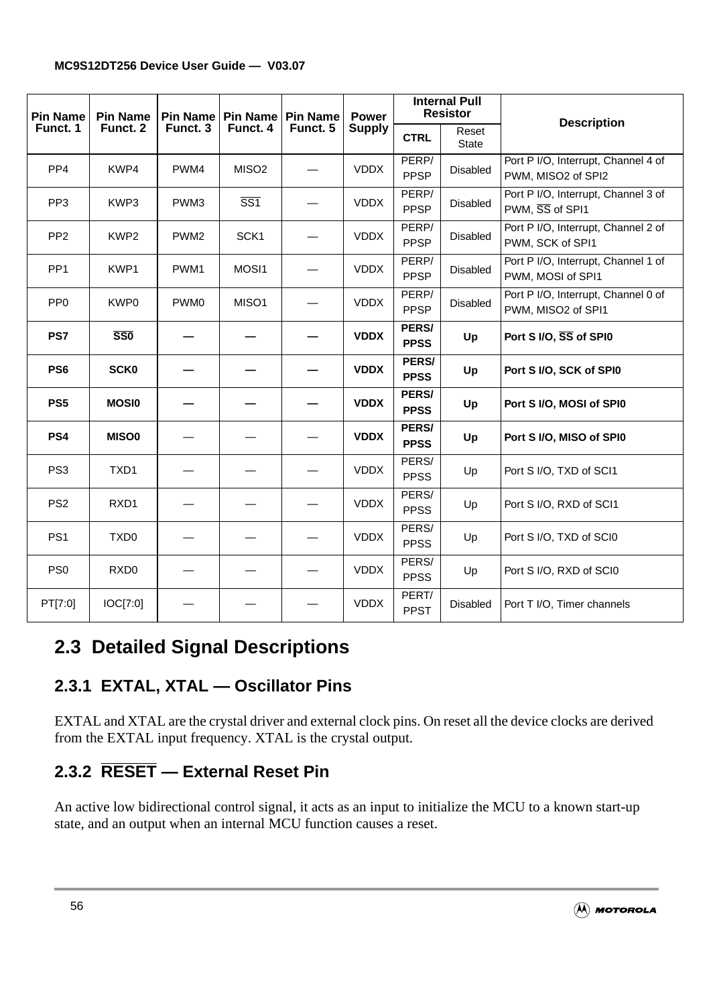| <b>Pin Name</b> | <b>Pin Name</b>         | <b>Pin Name</b>  | <b>Pin Name</b>   | <b>Pin Name</b> | <b>Power</b>  |                      | <b>Internal Pull</b><br><b>Resistor</b> | <b>Description</b>                                        |  |
|-----------------|-------------------------|------------------|-------------------|-----------------|---------------|----------------------|-----------------------------------------|-----------------------------------------------------------|--|
| Funct. 1        | Funct. 2                | Funct. 3         | Funct. 4          | Funct. 5        | <b>Supply</b> | <b>CTRL</b>          | Reset<br>State                          |                                                           |  |
| PP <sub>4</sub> | KWP4                    | PWM4             | MISO <sub>2</sub> |                 | <b>VDDX</b>   | PERP/<br>PPSP        | <b>Disabled</b>                         | Port P I/O, Interrupt, Channel 4 of<br>PWM, MISO2 of SPI2 |  |
| PP <sub>3</sub> | KWP3                    | PWM3             | $\overline{SS1}$  |                 | <b>VDDX</b>   | PERP/<br><b>PPSP</b> | Disabled                                | Port P I/O, Interrupt, Channel 3 of<br>PWM, SS of SPI1    |  |
| PP <sub>2</sub> | KWP <sub>2</sub>        | PWM <sub>2</sub> | SCK1              |                 | <b>VDDX</b>   | PERP/<br><b>PPSP</b> | <b>Disabled</b>                         | Port P I/O, Interrupt, Channel 2 of<br>PWM, SCK of SPI1   |  |
| PP <sub>1</sub> | KWP1                    | PWM1             | MOSI1             |                 | <b>VDDX</b>   | PERP/<br><b>PPSP</b> | Disabled                                | Port P I/O, Interrupt, Channel 1 of<br>PWM, MOSI of SPI1  |  |
| PP <sub>0</sub> | KWP0                    | PWM <sub>0</sub> | MISO1             |                 | <b>VDDX</b>   | PERP/<br><b>PPSP</b> | <b>Disabled</b>                         | Port P I/O, Interrupt, Channel 0 of<br>PWM, MISO2 of SPI1 |  |
| PS7             | $\overline{\text{SS0}}$ |                  |                   |                 | <b>VDDX</b>   | PERS/<br><b>PPSS</b> | Up                                      | Port S I/O, SS of SPI0                                    |  |
| PS <sub>6</sub> | <b>SCK0</b>             |                  |                   |                 | <b>VDDX</b>   | PERS/<br><b>PPSS</b> | Up                                      | Port S I/O, SCK of SPI0                                   |  |
| PS <sub>5</sub> | <b>MOSI0</b>            |                  |                   |                 | <b>VDDX</b>   | PERS/<br><b>PPSS</b> | Up                                      | Port S I/O, MOSI of SPI0                                  |  |
| PS4             | <b>MISO0</b>            |                  |                   |                 | <b>VDDX</b>   | PERS/<br><b>PPSS</b> | Up                                      | Port S I/O, MISO of SPI0                                  |  |
| PS <sub>3</sub> | TXD1                    |                  |                   |                 | <b>VDDX</b>   | PERS/<br><b>PPSS</b> | Up                                      | Port S I/O, TXD of SCI1                                   |  |
| PS <sub>2</sub> | RXD <sub>1</sub>        |                  |                   |                 | <b>VDDX</b>   | PERS/<br><b>PPSS</b> | Up                                      | Port S I/O, RXD of SCI1                                   |  |
| PS <sub>1</sub> | TXD <sub>0</sub>        |                  |                   |                 | <b>VDDX</b>   | PERS/<br><b>PPSS</b> | Up                                      | Port S I/O, TXD of SCI0                                   |  |
| PS <sub>0</sub> | RXD <sub>0</sub>        |                  |                   |                 | <b>VDDX</b>   | PERS/<br><b>PPSS</b> | Up                                      | Port S I/O, RXD of SCI0                                   |  |
| PT[7:0]         | IOC[7:0]                |                  |                   |                 | <b>VDDX</b>   | PERT/<br><b>PPST</b> | <b>Disabled</b>                         | Port T I/O, Timer channels                                |  |

## **2.3 Detailed Signal Descriptions**

## **2.3.1 EXTAL, XTAL — Oscillator Pins**

EXTAL and XTAL are the crystal driver and external clock pins. On reset all the device clocks are derived from the EXTAL input frequency. XTAL is the crystal output.

## **2.3.2 RESET — External Reset Pin**

An active low bidirectional control signal, it acts as an input to initialize the MCU to a known start-up state, and an output when an internal MCU function causes a reset.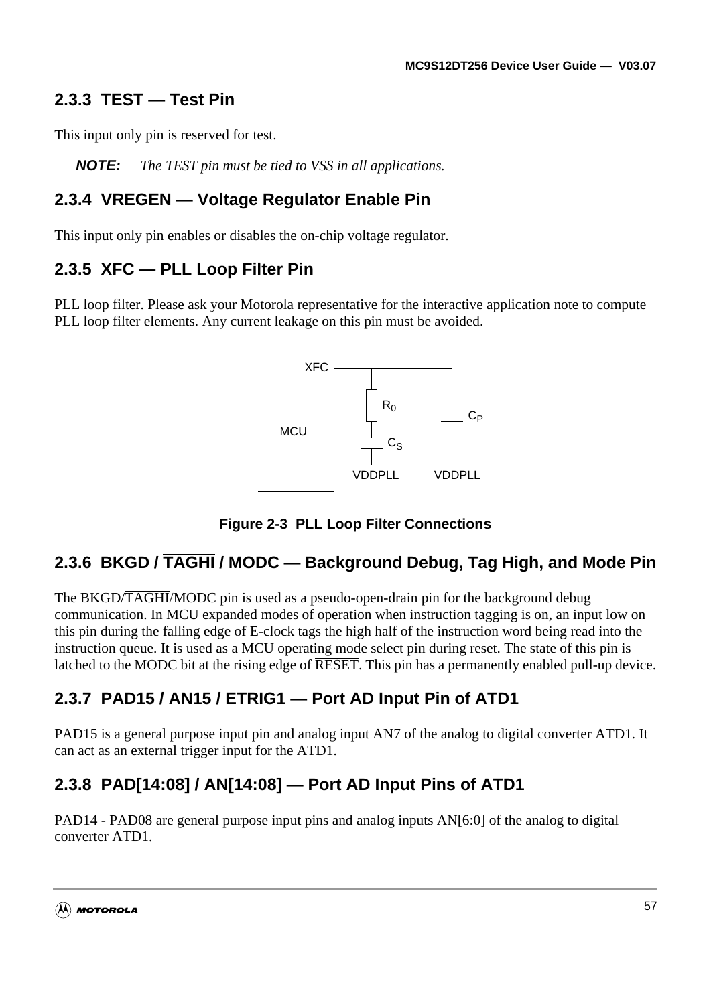#### **2.3.3 TEST — Test Pin**

This input only pin is reserved for test.

*NOTE: The TEST pin must be tied to VSS in all applications.*

#### **2.3.4 VREGEN — Voltage Regulator Enable Pin**

This input only pin enables or disables the on-chip voltage regulator.

#### **2.3.5 XFC — PLL Loop Filter Pin**

PLL loop filter. Please ask your Motorola representative for the interactive application note to compute PLL loop filter elements. Any current leakage on this pin must be avoided.



**Figure 2-3 PLL Loop Filter Connections**

## **2.3.6 BKGD / TAGHI / MODC — Background Debug, Tag High, and Mode Pin**

The BKGD/TAGHI/MODC pin is used as a pseudo-open-drain pin for the background debug communication. In MCU expanded modes of operation when instruction tagging is on, an input low on this pin during the falling edge of E-clock tags the high half of the instruction word being read into the instruction queue. It is used as a MCU operating mode select pin during reset. The state of this pin is latched to the MODC bit at the rising edge of RESET. This pin has a permanently enabled pull-up device.

## **2.3.7 PAD15 / AN15 / ETRIG1 — Port AD Input Pin of ATD1**

PAD15 is a general purpose input pin and analog input AN7 of the analog to digital converter ATD1. It can act as an external trigger input for the ATD1.

## **2.3.8 PAD[14:08] / AN[14:08] — Port AD Input Pins of ATD1**

PAD14 - PAD08 are general purpose input pins and analog inputs AN[6:0] of the analog to digital converter ATD1.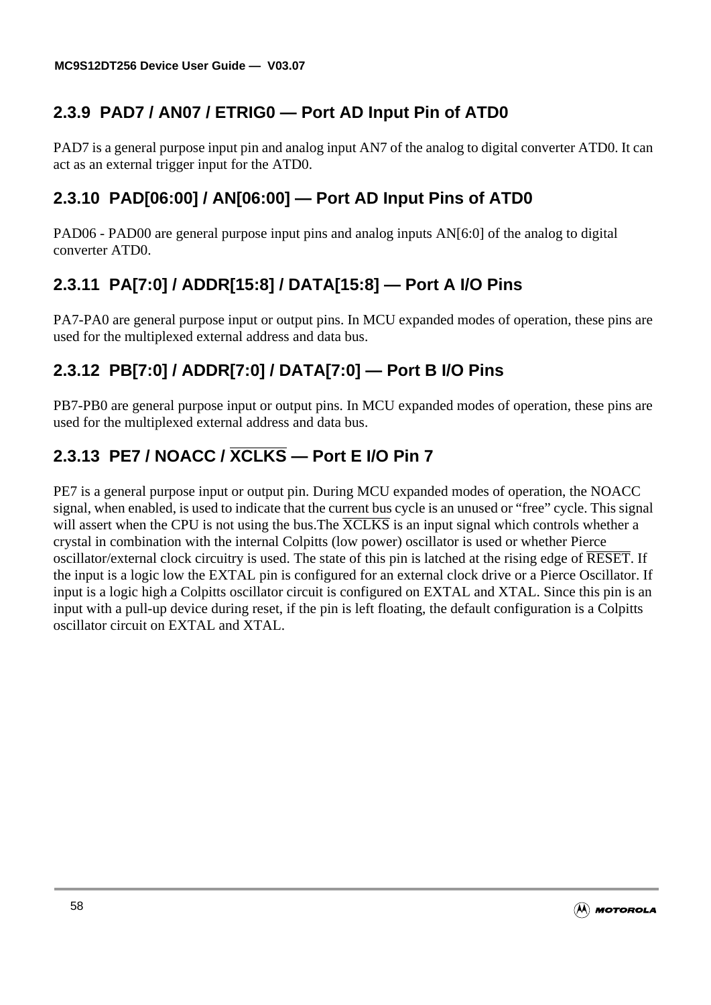#### **2.3.9 PAD7 / AN07 / ETRIG0 — Port AD Input Pin of ATD0**

PAD7 is a general purpose input pin and analog input AN7 of the analog to digital converter ATD0. It can act as an external trigger input for the ATD0.

#### **2.3.10 PAD[06:00] / AN[06:00] — Port AD Input Pins of ATD0**

PAD06 - PAD00 are general purpose input pins and analog inputs AN[6:0] of the analog to digital converter ATD0.

## **2.3.11 PA[7:0] / ADDR[15:8] / DATA[15:8] — Port A I/O Pins**

PA7-PA0 are general purpose input or output pins. In MCU expanded modes of operation, these pins are used for the multiplexed external address and data bus.

## **2.3.12 PB[7:0] / ADDR[7:0] / DATA[7:0] — Port B I/O Pins**

PB7-PB0 are general purpose input or output pins. In MCU expanded modes of operation, these pins are used for the multiplexed external address and data bus.

## **2.3.13 PE7 / NOACC / XCLKS — Port E I/O Pin 7**

PE7 is a general purpose input or output pin. During MCU expanded modes of operation, the NOACC signal, when enabled, is used to indicate that the current bus cycle is an unused or "free" cycle. This signal will assert when the CPU is not using the bus. The  $\overline{XCLKS}$  is an input signal which controls whether a crystal in combination with the internal Colpitts (low power) oscillator is used or whether Pierce oscillator/external clock circuitry is used. The state of this pin is latched at the rising edge of RESET. If the input is a logic low the EXTAL pin is configured for an external clock drive or a Pierce Oscillator. If input is a logic high a Colpitts oscillator circuit is configured on EXTAL and XTAL. Since this pin is an .input with a pull-up device during reset, if the pin is left floating, the default configuration is a Colpitts oscillator circuit on EXTAL and XTAL.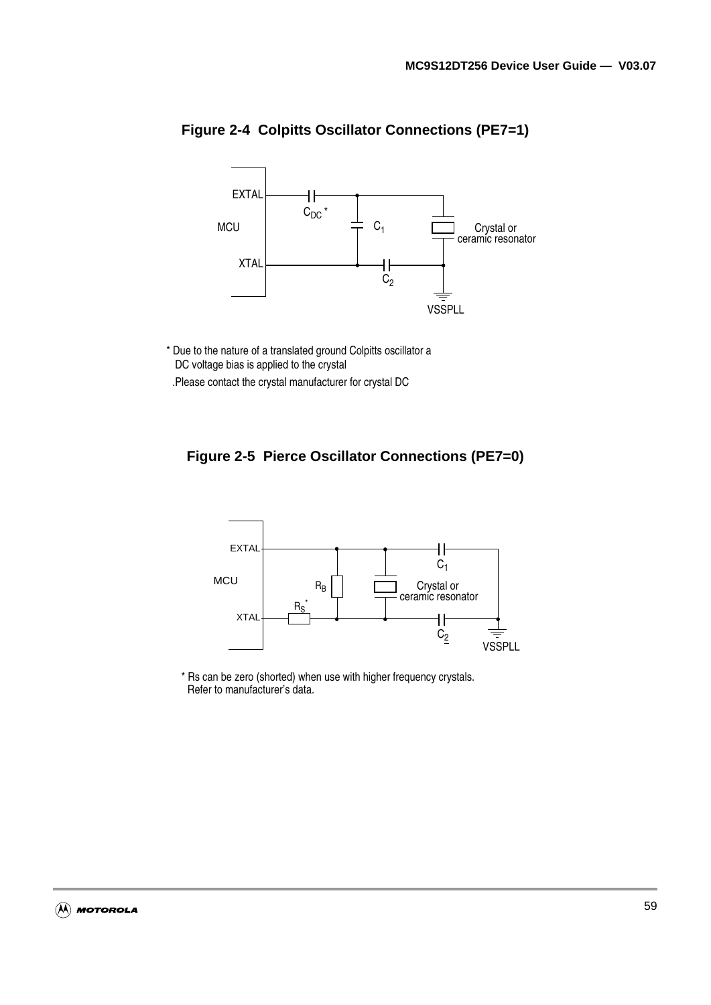

**Figure 2-4 Colpitts Oscillator Connections (PE7=1)**

\* Due to the nature of a translated ground Colpitts oscillator a DC voltage bias is applied to the crystal .Please contact the crystal manufacturer for crystal DC





\* Rs can be zero (shorted) when use with higher frequency crystals. Refer to manufacturer's data.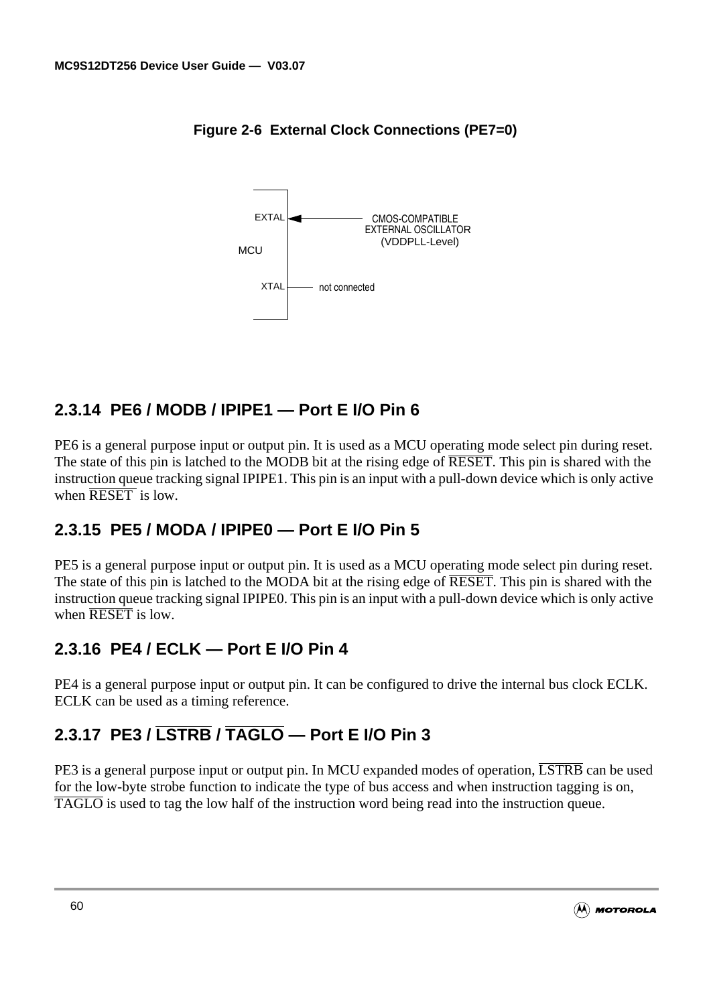

#### **Figure 2-6 External Clock Connections (PE7=0)**

#### **2.3.14 PE6 / MODB / IPIPE1 — Port E I/O Pin 6**

PE6 is a general purpose input or output pin. It is used as a MCU operating mode select pin during reset. The state of this pin is latched to the MODB bit at the rising edge of RESET. This pin is shared with the instruction queue tracking signal IPIPE1. This pin is an input with a pull-down device which is only active when  $\overline{\text{RESET}}$  is low.

#### **2.3.15 PE5 / MODA / IPIPE0 — Port E I/O Pin 5**

PE5 is a general purpose input or output pin. It is used as a MCU operating mode select pin during reset. The state of this pin is latched to the MODA bit at the rising edge of RESET. This pin is shared with the instruction queue tracking signal IPIPE0. This pin is an input with a pull-down device which is only active when RESET is low.

#### **2.3.16 PE4 / ECLK — Port E I/O Pin 4**

PE4 is a general purpose input or output pin. It can be configured to drive the internal bus clock ECLK. ECLK can be used as a timing reference.

### **2.3.17 PE3 / LSTRB / TAGLO — Port E I/O Pin 3**

PE3 is a general purpose input or output pin. In MCU expanded modes of operation, LSTRB can be used for the low-byte strobe function to indicate the type of bus access and when instruction tagging is on, TAGLO is used to tag the low half of the instruction word being read into the instruction queue.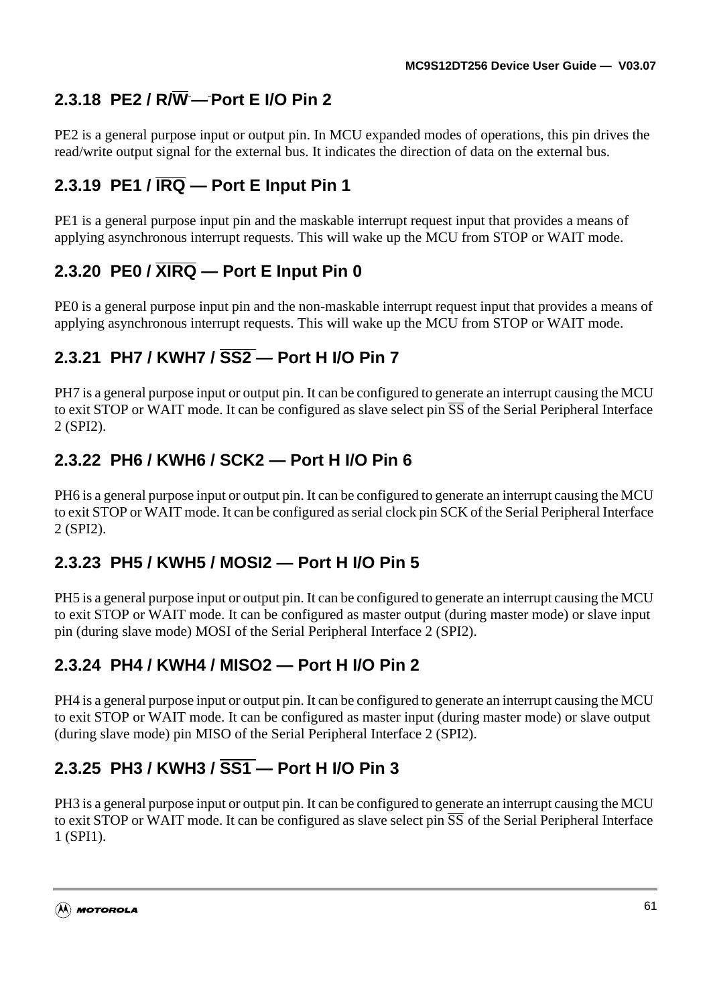## **2.3.18 PE2 / R/W — Port E I/O Pin 2**

PE2 is a general purpose input or output pin. In MCU expanded modes of operations, this pin drives the read/write output signal for the external bus. It indicates the direction of data on the external bus.

## **2.3.19 PE1 / IRQ — Port E Input Pin 1**

PE1 is a general purpose input pin and the maskable interrupt request input that provides a means of applying asynchronous interrupt requests. This will wake up the MCU from STOP or WAIT mode.

### **2.3.20 PE0 / XIRQ — Port E Input Pin 0**

PE0 is a general purpose input pin and the non-maskable interrupt request input that provides a means of applying asynchronous interrupt requests. This will wake up the MCU from STOP or WAIT mode.

#### **2.3.21 PH7 / KWH7 / SS2 — Port H I/O Pin 7**

PH7 is a general purpose input or output pin. It can be configured to generate an interrupt causing the MCU to exit STOP or WAIT mode. It can be configured as slave select pin SS of the Serial Peripheral Interface 2 (SPI2).

#### **2.3.22 PH6 / KWH6 / SCK2 — Port H I/O Pin 6**

PH6 is a general purpose input or output pin. It can be configured to generate an interrupt causing the MCU to exit STOP or WAIT mode. It can be configured as serial clock pin SCK of the Serial Peripheral Interface 2 (SPI2).

#### **2.3.23 PH5 / KWH5 / MOSI2 — Port H I/O Pin 5**

PH5 is a general purpose input or output pin. It can be configured to generate an interrupt causing the MCU to exit STOP or WAIT mode. It can be configured as master output (during master mode) or slave input pin (during slave mode) MOSI of the Serial Peripheral Interface 2 (SPI2).

### **2.3.24 PH4 / KWH4 / MISO2 — Port H I/O Pin 2**

PH4 is a general purpose input or output pin. It can be configured to generate an interrupt causing the MCU to exit STOP or WAIT mode. It can be configured as master input (during master mode) or slave output (during slave mode) pin MISO of the Serial Peripheral Interface 2 (SPI2).

### **2.3.25 PH3 / KWH3 / SS1 — Port H I/O Pin 3**

PH3 is a general purpose input or output pin. It can be configured to generate an interrupt causing the MCU to exit STOP or WAIT mode. It can be configured as slave select pin  $\overline{SS}$  of the Serial Peripheral Interface 1 (SPI1).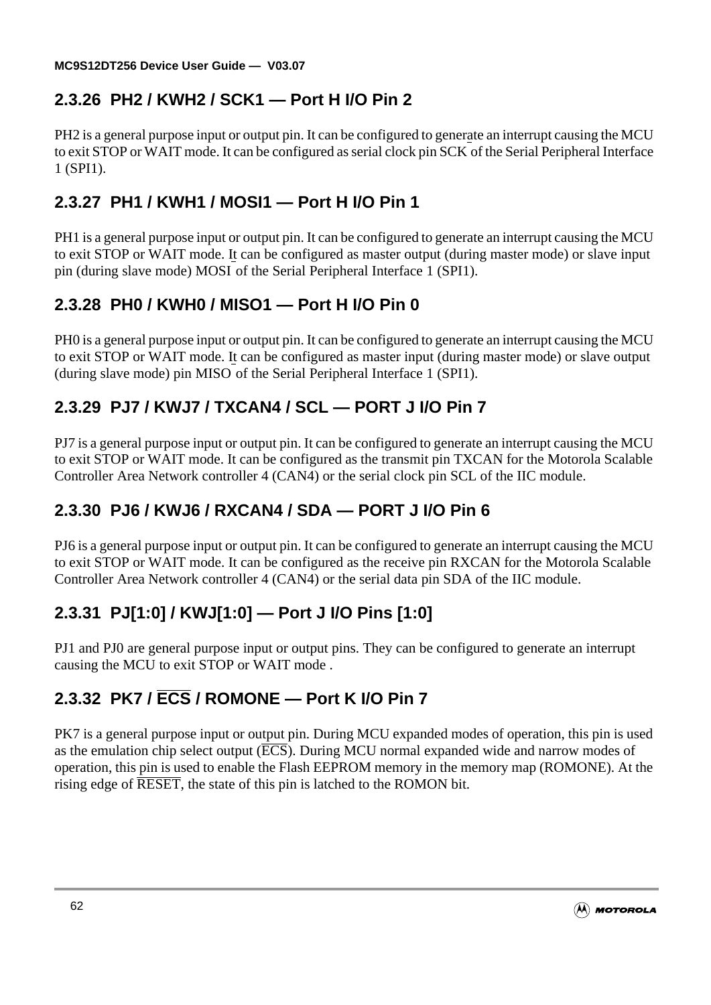## **2.3.26 PH2 / KWH2 / SCK1 — Port H I/O Pin 2**

PH2 is a general purpose input or output pin. It can be configured to generate an interrupt causing the MCU to exit STOP or WAIT mode. It can be configured as serial clock pin SCK of the Serial Peripheral Interface 1 (SPI1).

## **2.3.27 PH1 / KWH1 / MOSI1 — Port H I/O Pin 1**

PH1 is a general purpose input or output pin. It can be configured to generate an interrupt causing the MCU to exit STOP or WAIT mode. It can be configured as master output (during master mode) or slave input pin (during slave mode) MOSI of the Serial Peripheral Interface 1 (SPI1).

## **2.3.28 PH0 / KWH0 / MISO1 — Port H I/O Pin 0**

PH0 is a general purpose input or output pin. It can be configured to generate an interrupt causing the MCU to exit STOP or WAIT mode. It can be configured as master input (during master mode) or slave output (during slave mode) pin MISO of the Serial Peripheral Interface 1 (SPI1).

## **2.3.29 PJ7 / KWJ7 / TXCAN4 / SCL — PORT J I/O Pin 7**

PJ7 is a general purpose input or output pin. It can be configured to generate an interrupt causing the MCU to exit STOP or WAIT mode. It can be configured as the transmit pin TXCAN for the Motorola Scalable Controller Area Network controller 4 (CAN4) or the serial clock pin SCL of the IIC module.

## **2.3.30 PJ6 / KWJ6 / RXCAN4 / SDA — PORT J I/O Pin 6**

PJ6 is a general purpose input or output pin. It can be configured to generate an interrupt causing the MCU to exit STOP or WAIT mode. It can be configured as the receive pin RXCAN for the Motorola Scalable Controller Area Network controller 4 (CAN4) or the serial data pin SDA of the IIC module.

## **2.3.31 PJ[1:0] / KWJ[1:0] — Port J I/O Pins [1:0]**

PJ1 and PJ0 are general purpose input or output pins. They can be configured to generate an interrupt causing the MCU to exit STOP or WAIT mode .

### **2.3.32 PK7 / ECS / ROMONE — Port K I/O Pin 7**

PK7 is a general purpose input or output pin. During MCU expanded modes of operation, this pin is used as the emulation chip select output  $(\overline{ECS})$ . During MCU normal expanded wide and narrow modes of operation, this pin is used to enable the Flash EEPROM memory in the memory map (ROMONE). At the rising edge of RESET, the state of this pin is latched to the ROMON bit.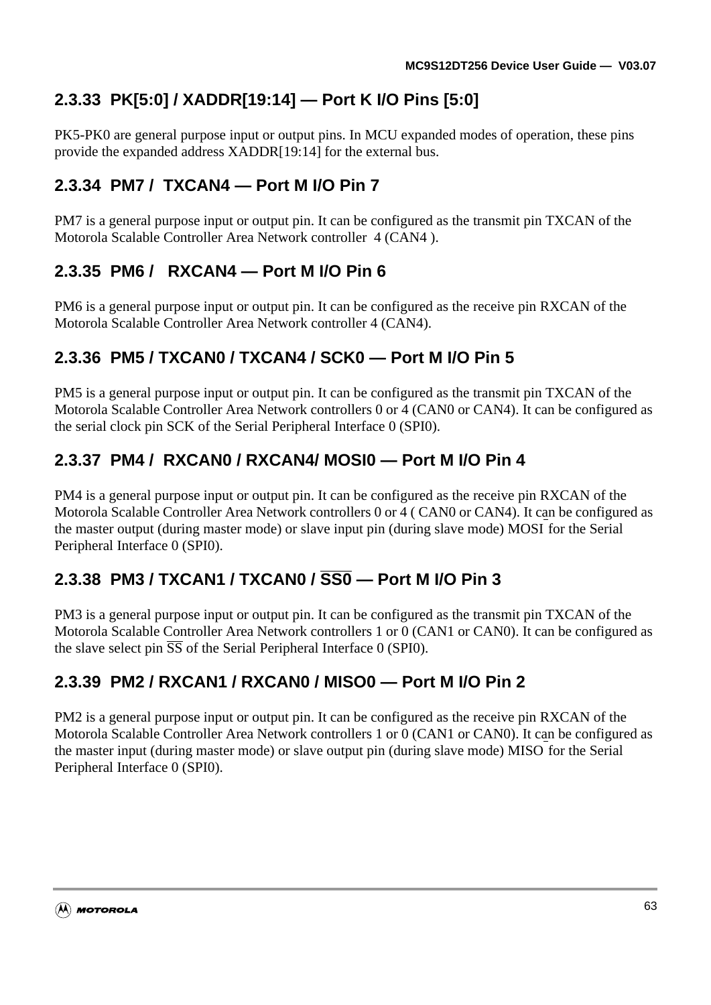## **2.3.33 PK[5:0] / XADDR[19:14] — Port K I/O Pins [5:0]**

PK5-PK0 are general purpose input or output pins. In MCU expanded modes of operation, these pins provide the expanded address XADDR[19:14] for the external bus.

#### **2.3.34 PM7 / TXCAN4 — Port M I/O Pin 7**

PM7 is a general purpose input or output pin. It can be configured as the transmit pin TXCAN of the Motorola Scalable Controller Area Network controller 4 (CAN4 ).

#### **2.3.35 PM6 / RXCAN4 — Port M I/O Pin 6**

PM6 is a general purpose input or output pin. It can be configured as the receive pin RXCAN of the Motorola Scalable Controller Area Network controller 4 (CAN4).

#### **2.3.36 PM5 / TXCAN0 / TXCAN4 / SCK0 — Port M I/O Pin 5**

PM5 is a general purpose input or output pin. It can be configured as the transmit pin TXCAN of the Motorola Scalable Controller Area Network controllers 0 or 4 (CAN0 or CAN4). It can be configured as the serial clock pin SCK of the Serial Peripheral Interface 0 (SPI0).

#### **2.3.37 PM4 / RXCAN0 / RXCAN4/ MOSI0 — Port M I/O Pin 4**

PM4 is a general purpose input or output pin. It can be configured as the receive pin RXCAN of the Motorola Scalable Controller Area Network controllers 0 or 4 ( CAN0 or CAN4). It can be configured as the master output (during master mode) or slave input pin (during slave mode) MOSI for the Serial Peripheral Interface 0 (SPI0).

### **2.3.38 PM3 / TXCAN1 / TXCAN0 / SS0 — Port M I/O Pin 3**

PM3 is a general purpose input or output pin. It can be configured as the transmit pin TXCAN of the Motorola Scalable Controller Area Network controllers 1 or 0 (CAN1 or CAN0). It can be configured as the slave select pin  $\overline{SS}$  of the Serial Peripheral Interface 0 (SPI0).

#### **2.3.39 PM2 / RXCAN1 / RXCAN0 / MISO0 — Port M I/O Pin 2**

PM2 is a general purpose input or output pin. It can be configured as the receive pin RXCAN of the Motorola Scalable Controller Area Network controllers 1 or 0 (CAN1 or CAN0). It can be configured as the master input (during master mode) or slave output pin (during slave mode) MISO for the Serial Peripheral Interface 0 (SPI0).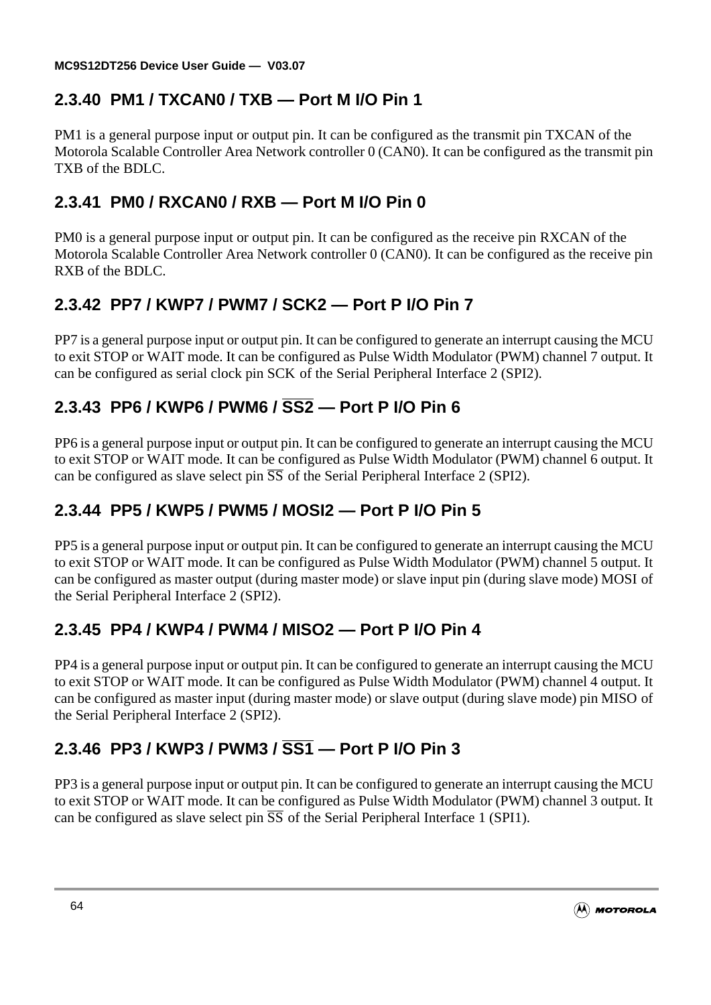## **2.3.40 PM1 / TXCAN0 / TXB — Port M I/O Pin 1**

PM1 is a general purpose input or output pin. It can be configured as the transmit pin TXCAN of the Motorola Scalable Controller Area Network controller 0 (CAN0). It can be configured as the transmit pin TXB of the BDLC.

### **2.3.41 PM0 / RXCAN0 / RXB — Port M I/O Pin 0**

PM0 is a general purpose input or output pin. It can be configured as the receive pin RXCAN of the Motorola Scalable Controller Area Network controller 0 (CAN0). It can be configured as the receive pin RXB of the BDLC.

### **2.3.42 PP7 / KWP7 / PWM7 / SCK2 — Port P I/O Pin 7**

PP7 is a general purpose input or output pin. It can be configured to generate an interrupt causing the MCU to exit STOP or WAIT mode. It can be configured as Pulse Width Modulator (PWM) channel 7 output. It can be configured as serial clock pin SCK of the Serial Peripheral Interface 2 (SPI2).

### **2.3.43 PP6 / KWP6 / PWM6 / SS2 — Port P I/O Pin 6**

PP6 is a general purpose input or output pin. It can be configured to generate an interrupt causing the MCU to exit STOP or WAIT mode. It can be configured as Pulse Width Modulator (PWM) channel 6 output. It can be configured as slave select pin  $\overline{SS}$  of the Serial Peripheral Interface 2 (SPI2).

### **2.3.44 PP5 / KWP5 / PWM5 / MOSI2 — Port P I/O Pin 5**

PP5 is a general purpose input or output pin. It can be configured to generate an interrupt causing the MCU to exit STOP or WAIT mode. It can be configured as Pulse Width Modulator (PWM) channel 5 output. It can be configured as master output (during master mode) or slave input pin (during slave mode) MOSI of the Serial Peripheral Interface 2 (SPI2).

### **2.3.45 PP4 / KWP4 / PWM4 / MISO2 — Port P I/O Pin 4**

PP4 is a general purpose input or output pin. It can be configured to generate an interrupt causing the MCU to exit STOP or WAIT mode. It can be configured as Pulse Width Modulator (PWM) channel 4 output. It can be configured as master input (during master mode) or slave output (during slave mode) pin MISO of the Serial Peripheral Interface 2 (SPI2).

## **2.3.46 PP3 / KWP3 / PWM3 / SS1 — Port P I/O Pin 3**

PP3 is a general purpose input or output pin. It can be configured to generate an interrupt causing the MCU to exit STOP or WAIT mode. It can be configured as Pulse Width Modulator (PWM) channel 3 output. It can be configured as slave select pin  $\overline{SS}$  of the Serial Peripheral Interface 1 (SPI1).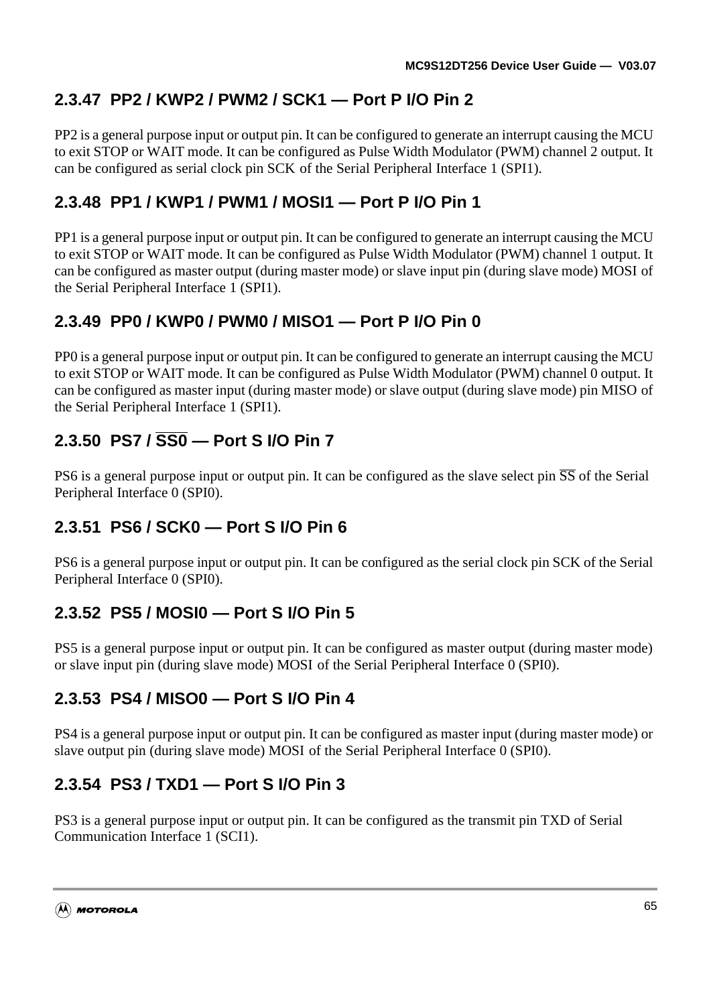## **2.3.47 PP2 / KWP2 / PWM2 / SCK1 — Port P I/O Pin 2**

PP2 is a general purpose input or output pin. It can be configured to generate an interrupt causing the MCU to exit STOP or WAIT mode. It can be configured as Pulse Width Modulator (PWM) channel 2 output. It can be configured as serial clock pin SCK of the Serial Peripheral Interface 1 (SPI1).

### **2.3.48 PP1 / KWP1 / PWM1 / MOSI1 — Port P I/O Pin 1**

PP1 is a general purpose input or output pin. It can be configured to generate an interrupt causing the MCU to exit STOP or WAIT mode. It can be configured as Pulse Width Modulator (PWM) channel 1 output. It can be configured as master output (during master mode) or slave input pin (during slave mode) MOSI of the Serial Peripheral Interface 1 (SPI1).

#### **2.3.49 PP0 / KWP0 / PWM0 / MISO1 — Port P I/O Pin 0**

PP0 is a general purpose input or output pin. It can be configured to generate an interrupt causing the MCU to exit STOP or WAIT mode. It can be configured as Pulse Width Modulator (PWM) channel 0 output. It can be configured as master input (during master mode) or slave output (during slave mode) pin MISO of the Serial Peripheral Interface 1 (SPI1).

## **2.3.50 PS7 / SS0 — Port S I/O Pin 7**

PS6 is a general purpose input or output pin. It can be configured as the slave select pin  $\overline{SS}$  of the Serial Peripheral Interface 0 (SPI0).

### **2.3.51 PS6 / SCK0 — Port S I/O Pin 6**

PS6 is a general purpose input or output pin. It can be configured as the serial clock pin SCK of the Serial Peripheral Interface 0 (SPI0).

#### **2.3.52 PS5 / MOSI0 — Port S I/O Pin 5**

PS5 is a general purpose input or output pin. It can be configured as master output (during master mode) or slave input pin (during slave mode) MOSI of the Serial Peripheral Interface 0 (SPI0).

#### **2.3.53 PS4 / MISO0 — Port S I/O Pin 4**

PS4 is a general purpose input or output pin. It can be configured as master input (during master mode) or slave output pin (during slave mode) MOSI of the Serial Peripheral Interface 0 (SPI0).

#### **2.3.54 PS3 / TXD1 — Port S I/O Pin 3**

PS3 is a general purpose input or output pin. It can be configured as the transmit pin TXD of Serial Communication Interface 1 (SCI1).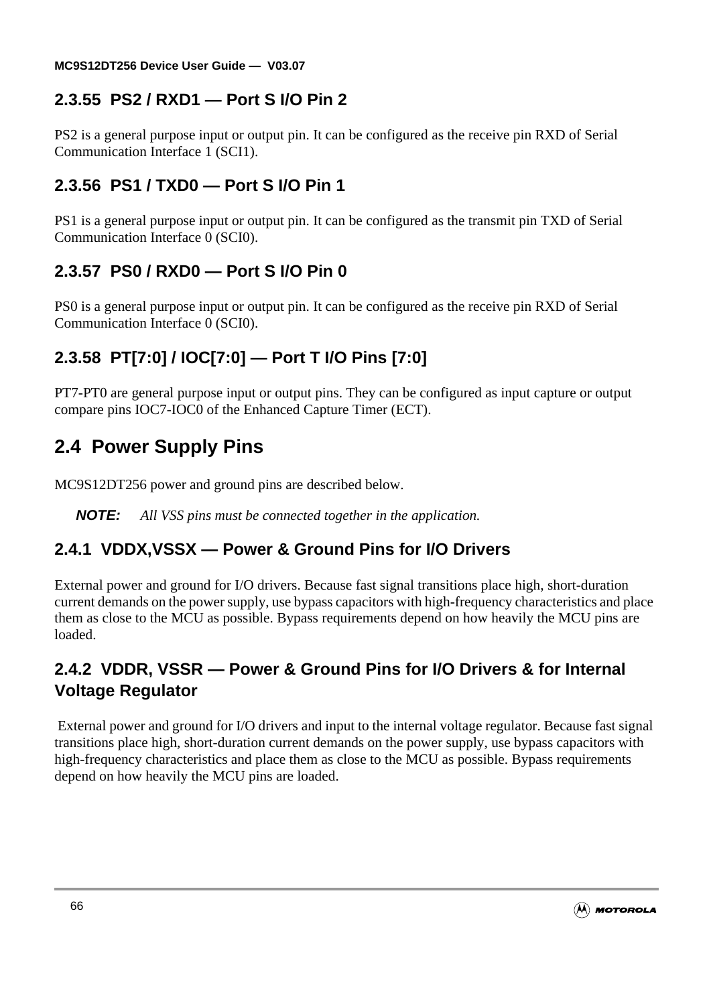## **2.3.55 PS2 / RXD1 — Port S I/O Pin 2**

PS2 is a general purpose input or output pin. It can be configured as the receive pin RXD of Serial Communication Interface 1 (SCI1).

### **2.3.56 PS1 / TXD0 — Port S I/O Pin 1**

PS1 is a general purpose input or output pin. It can be configured as the transmit pin TXD of Serial Communication Interface 0 (SCI0).

#### **2.3.57 PS0 / RXD0 — Port S I/O Pin 0**

PS0 is a general purpose input or output pin. It can be configured as the receive pin RXD of Serial Communication Interface 0 (SCI0).

## **2.3.58 PT[7:0] / IOC[7:0] — Port T I/O Pins [7:0]**

PT7-PT0 are general purpose input or output pins. They can be configured as input capture or output compare pins IOC7-IOC0 of the Enhanced Capture Timer (ECT).

## **2.4 Power Supply Pins**

MC9S12DT256 power and ground pins are described below.

*NOTE: All VSS pins must be connected together in the application.*

#### **2.4.1 VDDX,VSSX — Power & Ground Pins for I/O Drivers**

External power and ground for I/O drivers. Because fast signal transitions place high, short-duration current demands on the power supply, use bypass capacitors with high-frequency characteristics and place them as close to the MCU as possible. Bypass requirements depend on how heavily the MCU pins are loaded.

#### **2.4.2 VDDR, VSSR — Power & Ground Pins for I/O Drivers & for Internal Voltage Regulator**

External power and ground for I/O drivers and input to the internal voltage regulator. Because fast signal transitions place high, short-duration current demands on the power supply, use bypass capacitors with high-frequency characteristics and place them as close to the MCU as possible. Bypass requirements depend on how heavily the MCU pins are loaded.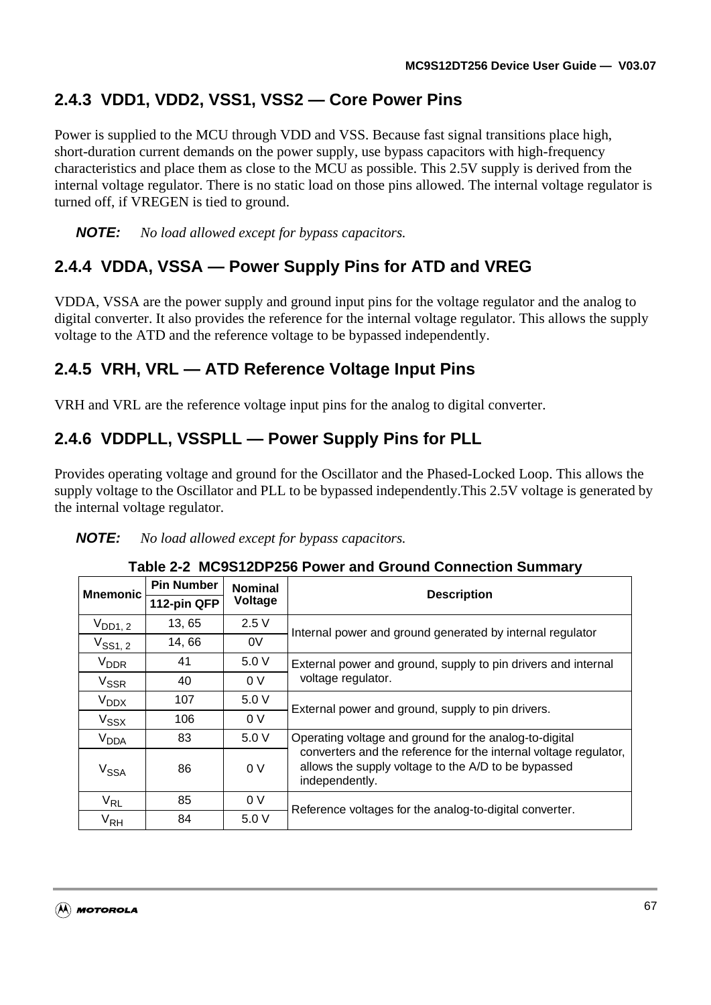### **2.4.3 VDD1, VDD2, VSS1, VSS2 — Core Power Pins**

Power is supplied to the MCU through VDD and VSS. Because fast signal transitions place high, short-duration current demands on the power supply, use bypass capacitors with high-frequency characteristics and place them as close to the MCU as possible. This 2.5V supply is derived from the internal voltage regulator. There is no static load on those pins allowed. The internal voltage regulator is turned off, if VREGEN is tied to ground.

#### *NOTE: No load allowed except for bypass capacitors.*

### **2.4.4 VDDA, VSSA — Power Supply Pins for ATD and VREG**

VDDA, VSSA are the power supply and ground input pins for the voltage regulator and the analog to digital converter. It also provides the reference for the internal voltage regulator. This allows the supply voltage to the ATD and the reference voltage to be bypassed independently.

#### **2.4.5 VRH, VRL — ATD Reference Voltage Input Pins**

VRH and VRL are the reference voltage input pins for the analog to digital converter.

#### **2.4.6 VDDPLL, VSSPLL — Power Supply Pins for PLL**

*NOTE: No load allowed except for bypass capacitors.*

Provides operating voltage and ground for the Oscillator and the Phased-Locked Loop. This allows the supply voltage to the Oscillator and PLL to be bypassed independently.This 2.5V voltage is generated by the internal voltage regulator.

|                        | <b>Pin Number</b> |                           |                                                                                                                                           |  |  |  |
|------------------------|-------------------|---------------------------|-------------------------------------------------------------------------------------------------------------------------------------------|--|--|--|
| <b>Mnemonic</b>        |                   | <b>Nominal</b><br>Voltage | <b>Description</b>                                                                                                                        |  |  |  |
|                        | 112-pin QFP       |                           |                                                                                                                                           |  |  |  |
| $V_{DD1, 2}$           | 13, 65            | 2.5V                      | Internal power and ground generated by internal regulator                                                                                 |  |  |  |
| $V_{SS1, 2}$           | 14,66             | 0V                        |                                                                                                                                           |  |  |  |
| <b>V<sub>DDR</sub></b> | 41                | 5.0 V                     | External power and ground, supply to pin drivers and internal                                                                             |  |  |  |
| <b>V<sub>SSR</sub></b> | 40                | 0 <sub>V</sub>            | voltage regulator.                                                                                                                        |  |  |  |
| $V_{DDX}$              | 107               | 5.0 V                     | External power and ground, supply to pin drivers.                                                                                         |  |  |  |
| V <sub>SSX</sub>       | 106               | 0 <sub>V</sub>            |                                                                                                                                           |  |  |  |
| <b>V<sub>DDA</sub></b> | 83                | 5.0 V                     | Operating voltage and ground for the analog-to-digital                                                                                    |  |  |  |
| V <sub>SSA</sub>       | 86                | 0 <sub>V</sub>            | converters and the reference for the internal voltage regulator,<br>allows the supply voltage to the A/D to be bypassed<br>independently. |  |  |  |
| $V_{RL}$               | 85                | 0 <sub>V</sub>            | Reference voltages for the analog-to-digital converter.                                                                                   |  |  |  |
| V <sub>RH</sub>        | 84                | 5.0 V                     |                                                                                                                                           |  |  |  |

#### **Table 2-2 MC9S12DP256 Power and Ground Connection Summary**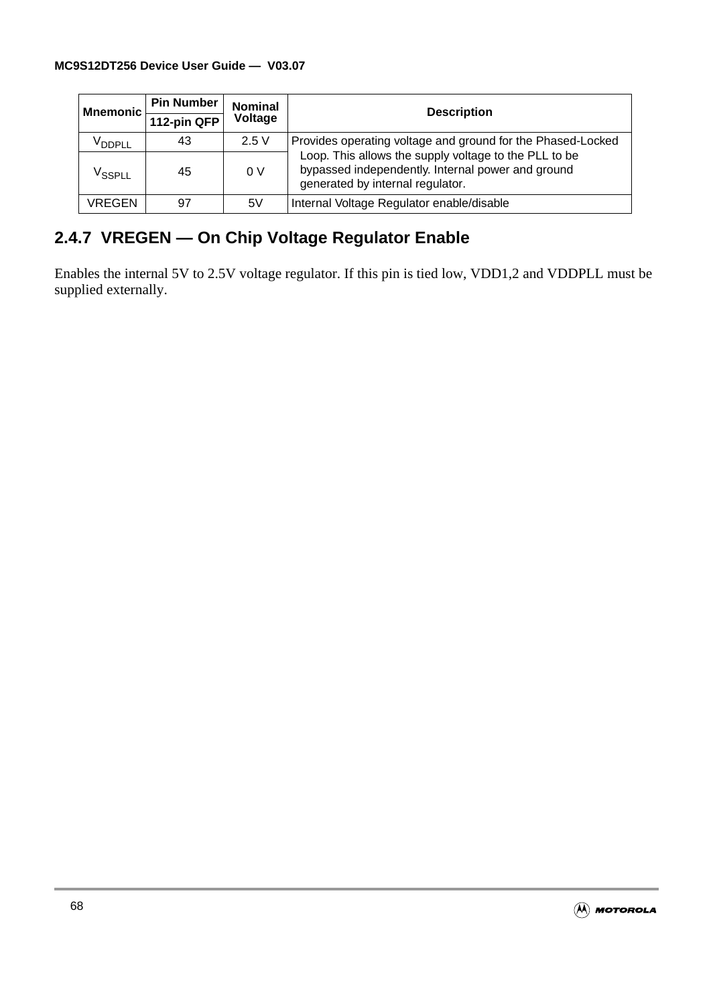| <b>Mnemonic</b>     | <b>Pin Number</b> | <b>Nominal</b> | <b>Description</b>                                                                                                                             |  |  |  |
|---------------------|-------------------|----------------|------------------------------------------------------------------------------------------------------------------------------------------------|--|--|--|
|                     | 112-pin QFP       | <b>Voltage</b> |                                                                                                                                                |  |  |  |
| ו ופחח <sup>ע</sup> | 43                | 2.5V           | Provides operating voltage and ground for the Phased-Locked                                                                                    |  |  |  |
| Vsspll              | 45                | 0 V            | Loop. This allows the supply voltage to the PLL to be<br>bypassed independently. Internal power and ground<br>generated by internal regulator. |  |  |  |
| VREGEN              | 97                | 5V             | Internal Voltage Regulator enable/disable                                                                                                      |  |  |  |

## **2.4.7 VREGEN — On Chip Voltage Regulator Enable**

Enables the internal 5V to 2.5V voltage regulator. If this pin is tied low, VDD1,2 and VDDPLL must be supplied externally.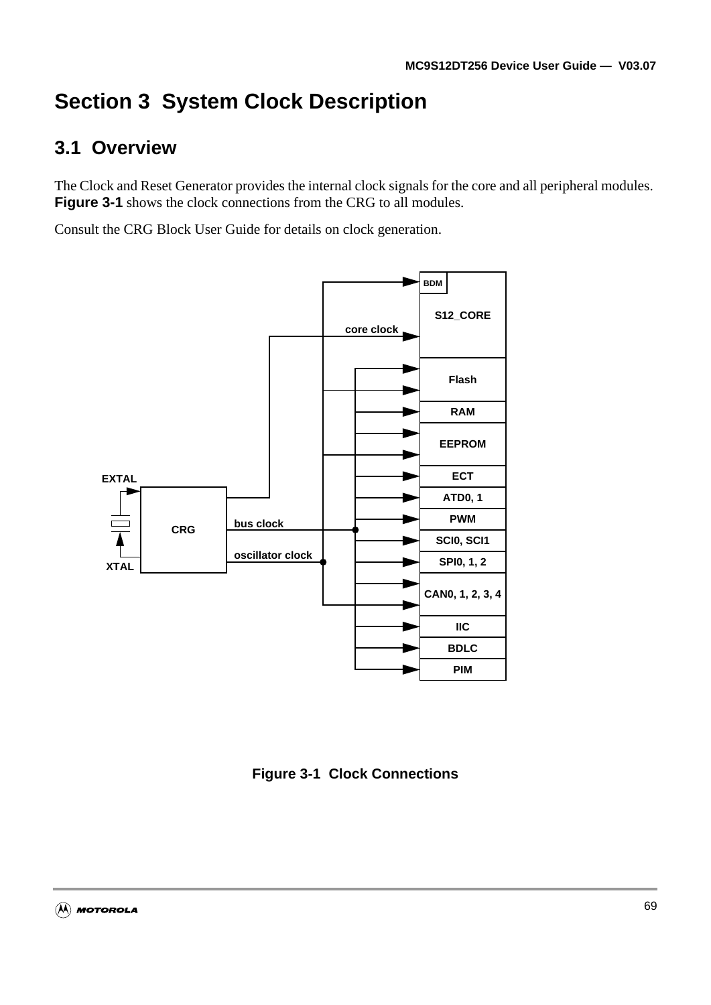# **Section 3 System Clock Description**

# **3.1 Overview**

The Clock and Reset Generator provides the internal clock signals for the core and all peripheral modules. **[Figure 3-1](#page-68-0)** shows the clock connections from the CRG to all modules.

Consult the CRG Block User Guide for details on clock generation.



<span id="page-68-0"></span>**Figure 3-1 Clock Connections**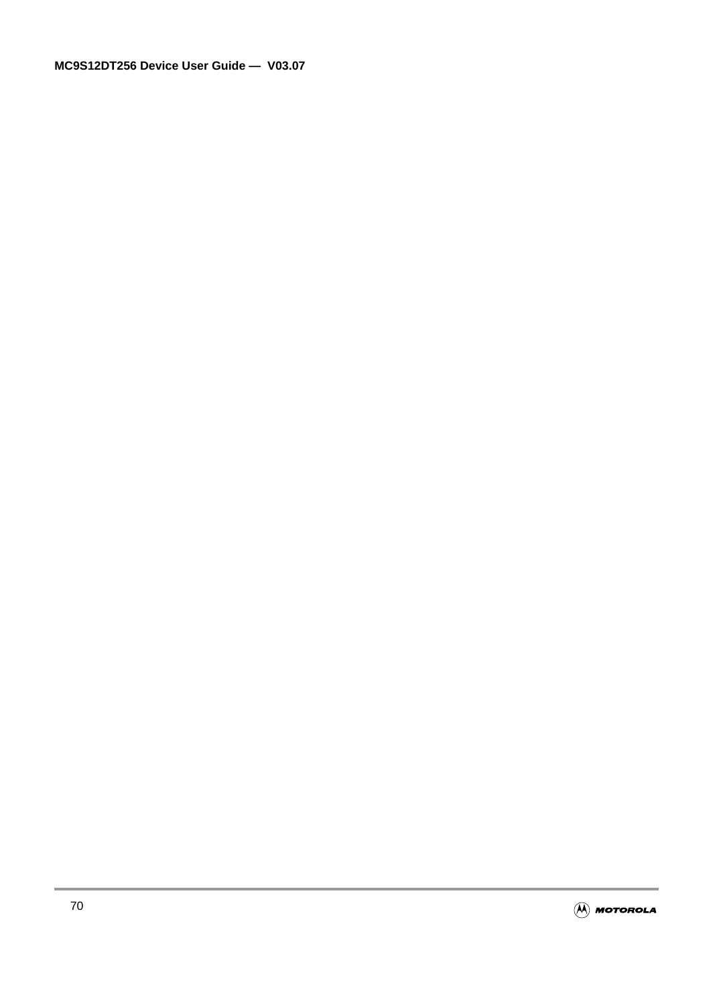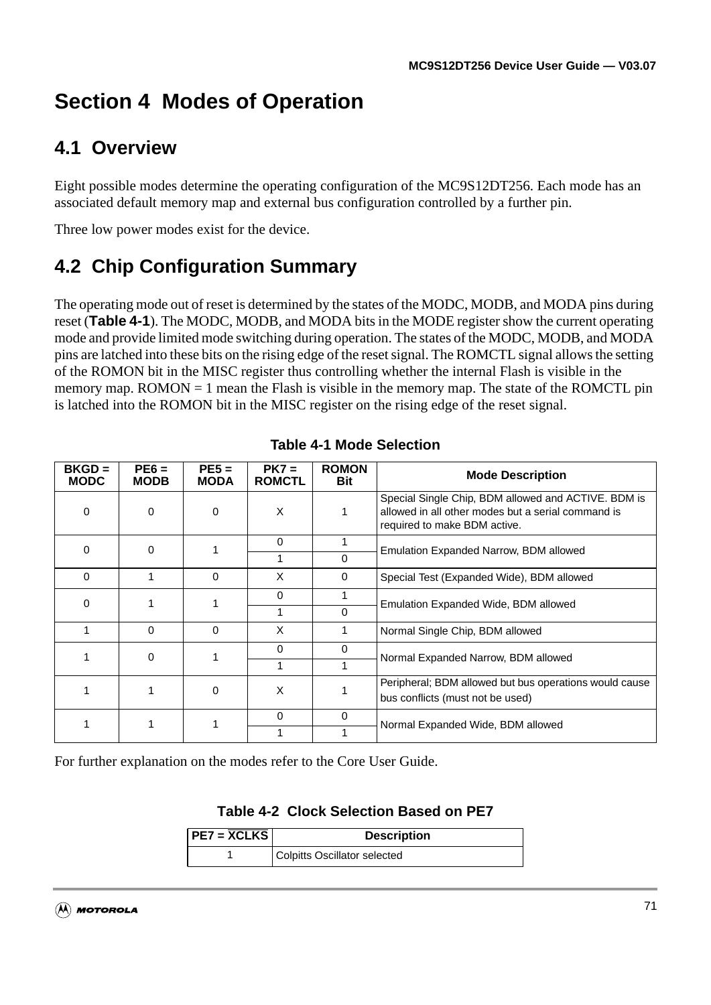# **Section 4 Modes of Operation**

# **4.1 Overview**

Eight possible modes determine the operating configuration of the MC9S12DT256. Each mode has an associated default memory map and external bus configuration controlled by a further pin.

Three low power modes exist for the device.

# **4.2 Chip Configuration Summary**

The operating mode out of reset is determined by the states of the MODC, MODB, and MODA pins during reset (**[Table 4-1](#page-70-0)**). The MODC, MODB, and MODA bits in the MODE register show the current operating mode and provide limited mode switching during operation. The states of the MODC, MODB, and MODA pins are latched into these bits on the rising edge of the reset signal. The ROMCTL signal allows the setting of the ROMON bit in the MISC register thus controlling whether the internal Flash is visible in the memory map. ROMON = 1 mean the Flash is visible in the memory map. The state of the ROMCTL pin is latched into the ROMON bit in the MISC register on the rising edge of the reset signal.

<span id="page-70-0"></span>

| $BKGD =$<br><b>MODC</b> | $PE6 =$<br><b>MODB</b> | $PE5 =$<br><b>MODA</b> | $PK7 =$<br><b>ROMCTL</b> | <b>ROMON</b><br>Bit | <b>Mode Description</b>                                                                                                                   |  |  |
|-------------------------|------------------------|------------------------|--------------------------|---------------------|-------------------------------------------------------------------------------------------------------------------------------------------|--|--|
| 0                       | 0                      | 0                      | X                        |                     | Special Single Chip, BDM allowed and ACTIVE. BDM is<br>allowed in all other modes but a serial command is<br>required to make BDM active. |  |  |
| $\Omega$                | 0                      |                        | 0                        |                     | <b>Emulation Expanded Narrow, BDM allowed</b>                                                                                             |  |  |
|                         |                        |                        |                          | $\Omega$            |                                                                                                                                           |  |  |
| 0                       |                        | 0                      | X                        | $\Omega$            | Special Test (Expanded Wide), BDM allowed                                                                                                 |  |  |
| $\Omega$                |                        |                        | 0                        |                     |                                                                                                                                           |  |  |
|                         |                        |                        |                          | $\Omega$            | Emulation Expanded Wide, BDM allowed                                                                                                      |  |  |
|                         | 0                      | 0                      | X                        |                     | Normal Single Chip, BDM allowed                                                                                                           |  |  |
|                         | 0                      |                        | 0                        | 0                   |                                                                                                                                           |  |  |
|                         |                        |                        |                          |                     | Normal Expanded Narrow, BDM allowed                                                                                                       |  |  |
|                         |                        | 0                      | X                        |                     | Peripheral; BDM allowed but bus operations would cause                                                                                    |  |  |
|                         |                        |                        |                          |                     | bus conflicts (must not be used)                                                                                                          |  |  |
|                         |                        |                        | 0                        | $\Omega$            | Normal Expanded Wide, BDM allowed                                                                                                         |  |  |
|                         |                        |                        |                          |                     |                                                                                                                                           |  |  |

|  | <b>Table 4-1 Mode Selection</b> |
|--|---------------------------------|
|  |                                 |

For further explanation on the modes refer to the Core User Guide.

|  |  | <b>Table 4-2 Clock Selection Based on PE7</b> |
|--|--|-----------------------------------------------|
|--|--|-----------------------------------------------|

| $ PE7 = XCLKS $ | <b>Description</b>           |
|-----------------|------------------------------|
|                 | Colpitts Oscillator selected |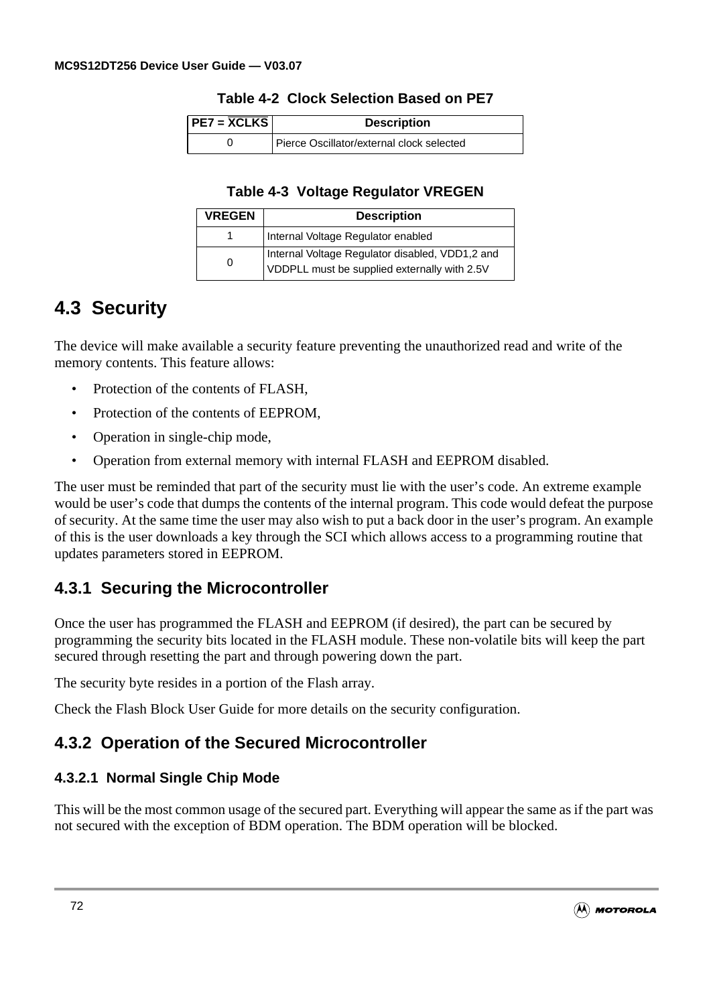|  | Table 4-2 Clock Selection Based on PE7 |  |  |
|--|----------------------------------------|--|--|
|--|----------------------------------------|--|--|

| $PE7 = XCLKS$ | <b>Description</b>                        |
|---------------|-------------------------------------------|
|               | Pierce Oscillator/external clock selected |

#### **Table 4-3 Voltage Regulator VREGEN**

| <b>VREGEN</b> | <b>Description</b>                                                                              |
|---------------|-------------------------------------------------------------------------------------------------|
|               | Internal Voltage Regulator enabled                                                              |
| 0             | Internal Voltage Regulator disabled, VDD1,2 and<br>VDDPLL must be supplied externally with 2.5V |

## **4.3 Security**

The device will make available a security feature preventing the unauthorized read and write of the memory contents. This feature allows:

- Protection of the contents of FLASH,
- Protection of the contents of EEPROM,
- Operation in single-chip mode,
- Operation from external memory with internal FLASH and EEPROM disabled.

The user must be reminded that part of the security must lie with the user's code. An extreme example would be user's code that dumps the contents of the internal program. This code would defeat the purpose of security. At the same time the user may also wish to put a back door in the user's program. An example of this is the user downloads a key through the SCI which allows access to a programming routine that updates parameters stored in EEPROM.

#### **4.3.1 Securing the Microcontroller**

Once the user has programmed the FLASH and EEPROM (if desired), the part can be secured by programming the security bits located in the FLASH module. These non-volatile bits will keep the part secured through resetting the part and through powering down the part.

The security byte resides in a portion of the Flash array.

Check the Flash Block User Guide for more details on the security configuration.

#### **4.3.2 Operation of the Secured Microcontroller**

#### **4.3.2.1 Normal Single Chip Mode**

This will be the most common usage of the secured part. Everything will appear the same as if the part was not secured with the exception of BDM operation. The BDM operation will be blocked.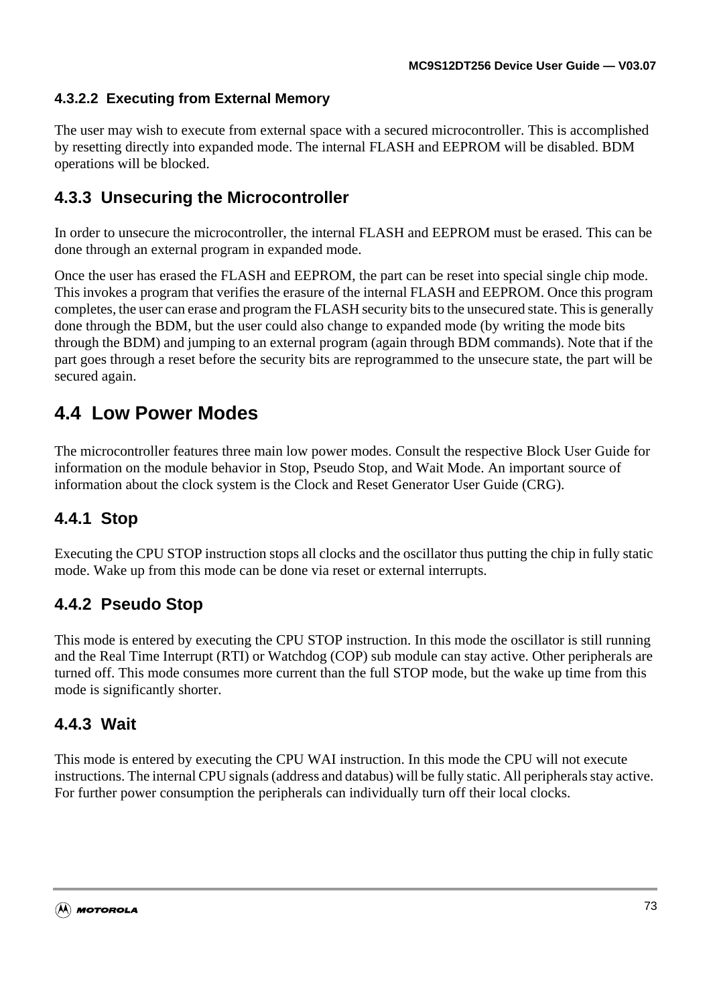### **4.3.2.2 Executing from External Memory**

The user may wish to execute from external space with a secured microcontroller. This is accomplished by resetting directly into expanded mode. The internal FLASH and EEPROM will be disabled. BDM operations will be blocked.

### **4.3.3 Unsecuring the Microcontroller**

In order to unsecure the microcontroller, the internal FLASH and EEPROM must be erased. This can be done through an external program in expanded mode.

Once the user has erased the FLASH and EEPROM, the part can be reset into special single chip mode. This invokes a program that verifies the erasure of the internal FLASH and EEPROM. Once this program completes, the user can erase and program the FLASH security bits to the unsecured state. This is generally done through the BDM, but the user could also change to expanded mode (by writing the mode bits through the BDM) and jumping to an external program (again through BDM commands). Note that if the part goes through a reset before the security bits are reprogrammed to the unsecure state, the part will be secured again.

## **4.4 Low Power Modes**

The microcontroller features three main low power modes. Consult the respective Block User Guide for information on the module behavior in Stop, Pseudo Stop, and Wait Mode. An important source of information about the clock system is the Clock and Reset Generator User Guide (CRG).

## **4.4.1 Stop**

Executing the CPU STOP instruction stops all clocks and the oscillator thus putting the chip in fully static mode. Wake up from this mode can be done via reset or external interrupts.

## **4.4.2 Pseudo Stop**

This mode is entered by executing the CPU STOP instruction. In this mode the oscillator is still running and the Real Time Interrupt (RTI) or Watchdog (COP) sub module can stay active. Other peripherals are turned off. This mode consumes more current than the full STOP mode, but the wake up time from this mode is significantly shorter.

### **4.4.3 Wait**

This mode is entered by executing the CPU WAI instruction. In this mode the CPU will not execute instructions. The internal CPU signals (address and databus) will be fully static. All peripherals stay active. For further power consumption the peripherals can individually turn off their local clocks.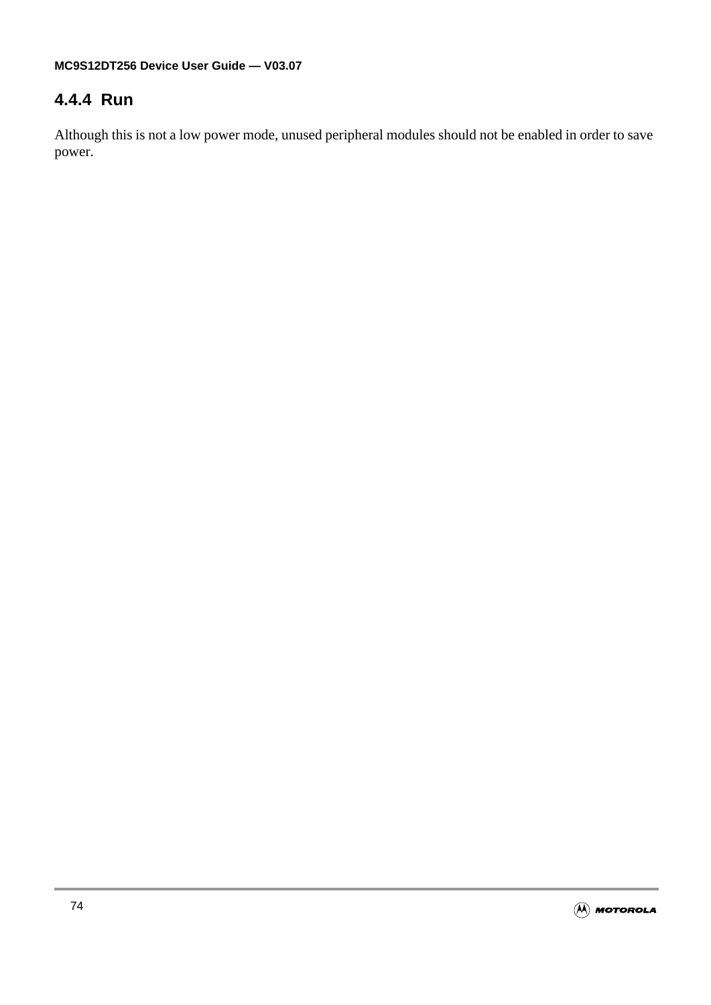## **4.4.4 Run**

Although this is not a low power mode, unused peripheral modules should not be enabled in order to save power.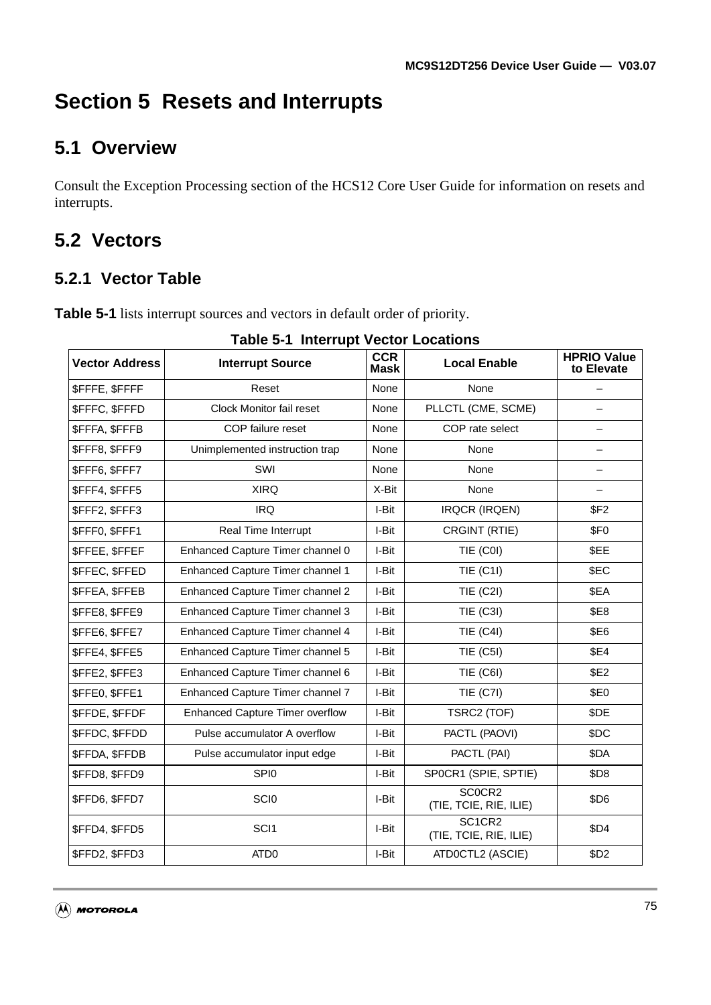# **Section 5 Resets and Interrupts**

## **5.1 Overview**

Consult the Exception Processing section of the HCS12 Core User Guide for information on resets and interrupts.

## **5.2 Vectors**

## **5.2.1 Vector Table**

<span id="page-74-0"></span>**[Table 5-1](#page-74-0)** lists interrupt sources and vectors in default order of priority.

| <b>Vector Address</b>      | <b>Interrupt Source</b>                | <b>CCR</b><br><b>Mask</b> | <b>Local Enable</b>              | <b>HPRIO Value</b><br>to Elevate |
|----------------------------|----------------------------------------|---------------------------|----------------------------------|----------------------------------|
| <b>SFFFE, SFFFF</b>        | Reset                                  | None                      | None                             |                                  |
| <b>\$FFFC, \$FFFD</b>      | Clock Monitor fail reset               | None                      | PLLCTL (CME, SCME)               |                                  |
| <b><i>SFFFA, SFFFB</i></b> | COP failure reset                      | None                      | COP rate select                  | —                                |
| \$FFF8, \$FFF9             | Unimplemented instruction trap         | None                      | None                             | $\qquad \qquad -$                |
| <b>\$FFF6, \$FFF7</b>      | SWI                                    | None                      | None                             |                                  |
| \$FFF4, \$FFF5             | <b>XIRQ</b>                            | X-Bit                     | None                             | $\qquad \qquad -$                |
| \$FFF2, \$FFF3             | <b>IRQ</b>                             | I-Bit                     | <b>IRQCR (IRQEN)</b>             | <b>\$F2</b>                      |
| \$FFF0, \$FFF1             | <b>Real Time Interrupt</b>             | I-Bit                     | CRGINT (RTIE)                    | \$F <sub>0</sub>                 |
| <b>SFFEE, SFFEF</b>        | Enhanced Capture Timer channel 0       | I-Bit                     | TIE (C0I)                        | \$EE                             |
| <b>\$FFEC, \$FFED</b>      | Enhanced Capture Timer channel 1       | I-Bit                     | <b>TIE (C1I)</b>                 | \$EC                             |
| <b>SFFEA, SFFEB</b>        | Enhanced Capture Timer channel 2       | I-Bit                     | <b>TIE (C2I)</b>                 | \$EA                             |
| \$FFE8, \$FFE9             | Enhanced Capture Timer channel 3       | I-Bit                     | <b>TIE (C3I)</b>                 | \$E8                             |
| \$FFE6, \$FFE7             | Enhanced Capture Timer channel 4       | I-Bit                     | TIE $(C4I)$                      | <b>\$E6</b>                      |
| \$FFE4, \$FFE5             | Enhanced Capture Timer channel 5       | I-Bit                     | <b>TIE (C5I)</b>                 | <b>\$E4</b>                      |
| \$FFE2, \$FFE3             | Enhanced Capture Timer channel 6       | I-Bit                     | <b>TIE (C6I)</b>                 | <b>\$E2</b>                      |
| \$FFE0, \$FFE1             | Enhanced Capture Timer channel 7       | I-Bit                     | TIE (C7I)                        | \$E0                             |
| <b><i>SFFDE, SFFDF</i></b> | <b>Enhanced Capture Timer overflow</b> | I-Bit                     | TSRC2 (TOF)                      | \$DE                             |
| <b>\$FFDC, \$FFDD</b>      | Pulse accumulator A overflow           | I-Bit                     | PACTL (PAOVI)                    | \$DC                             |
| <b>\$FFDA, \$FFDB</b>      | Pulse accumulator input edge           | I-Bit                     | PACTL (PAI)                      | \$DA                             |
| \$FFD8, \$FFD9             | SPI0                                   | I-Bit                     | SP0CR1 (SPIE, SPTIE)             | \$D8                             |
| \$FFD6, \$FFD7             | <b>SCI0</b>                            | I-Bit                     | SCOCR2<br>(TIE, TCIE, RIE, ILIE) | \$D6                             |
| \$FFD4, \$FFD5             | SCI <sub>1</sub>                       | I-Bit                     | SC1CR2<br>(TIE, TCIE, RIE, ILIE) | \$D4                             |
| \$FFD2, \$FFD3             | ATD <sub>0</sub>                       | I-Bit                     | ATD0CTL2 (ASCIE)                 | \$D2                             |

**Table 5-1 Interrupt Vector Locations**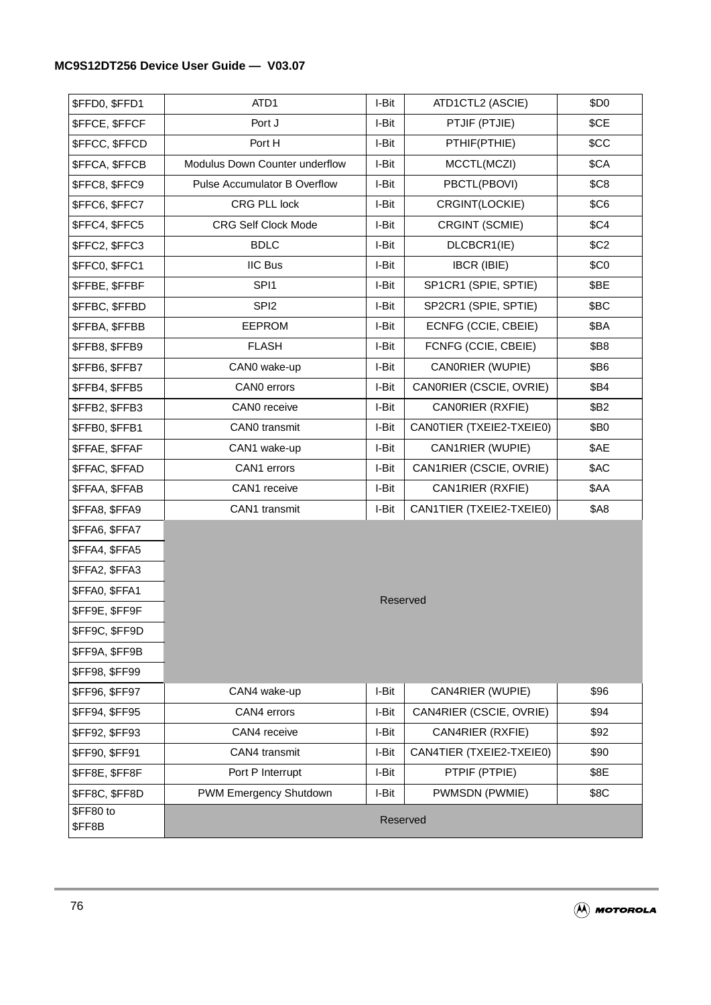| \$FFD0, \$FFD1             | ATD1                           | I-Bit | ATD1CTL2 (ASCIE)         | \$D0 |  |  |  |
|----------------------------|--------------------------------|-------|--------------------------|------|--|--|--|
| <b><i>SFFCE, SFFCF</i></b> | Port J                         | I-Bit | PTJIF (PTJIE)            | \$CE |  |  |  |
| <b>\$FFCC, \$FFCD</b>      | Port H                         | I-Bit | PTHIF(PTHIE)             | \$CC |  |  |  |
| <b>\$FFCA, \$FFCB</b>      | Modulus Down Counter underflow | I-Bit | MCCTL(MCZI)              | \$CA |  |  |  |
| \$FFC8, \$FFC9             | Pulse Accumulator B Overflow   | I-Bit | PBCTL(PBOVI)             | \$C8 |  |  |  |
| \$FFC6, \$FFC7             | CRG PLL lock                   | I-Bit | CRGINT(LOCKIE)           | \$C6 |  |  |  |
| \$FFC4, \$FFC5             | <b>CRG Self Clock Mode</b>     | I-Bit | CRGINT (SCMIE)           | \$C4 |  |  |  |
| \$FFC2, \$FFC3             | <b>BDLC</b>                    | I-Bit | DLCBCR1(IE)              | \$C2 |  |  |  |
| \$FFC0, \$FFC1             | <b>IIC Bus</b>                 | I-Bit | IBCR (IBIE)              | \$CO |  |  |  |
| <b>\$FFBE, \$FFBF</b>      | SPI <sub>1</sub>               | I-Bit | SP1CR1 (SPIE, SPTIE)     | \$BE |  |  |  |
| <b>\$FFBC, \$FFBD</b>      | SPI <sub>2</sub>               | I-Bit | SP2CR1 (SPIE, SPTIE)     | \$BC |  |  |  |
| <b>\$FFBA, \$FFBB</b>      | EEPROM                         | I-Bit | ECNFG (CCIE, CBEIE)      | \$BA |  |  |  |
| \$FFB8, \$FFB9             | <b>FLASH</b>                   | I-Bit | FCNFG (CCIE, CBEIE)      | \$B8 |  |  |  |
| \$FFB6, \$FFB7             | CAN0 wake-up                   | I-Bit | CANORIER (WUPIE)         | \$B6 |  |  |  |
| \$FFB4, \$FFB5             | CAN0 errors                    | I-Bit | CANORIER (CSCIE, OVRIE)  | \$B4 |  |  |  |
| \$FFB2, \$FFB3             | CAN0 receive                   | I-Bit | CANORIER (RXFIE)         | \$B2 |  |  |  |
| \$FFB0, \$FFB1             | CAN0 transmit                  | I-Bit | CANOTIER (TXEIE2-TXEIE0) | \$B0 |  |  |  |
| <b>\$FFAE, \$FFAF</b>      | CAN1 wake-up                   | I-Bit | CAN1RIER (WUPIE)         | \$AE |  |  |  |
| <b>\$FFAC, \$FFAD</b>      | CAN1 errors                    | I-Bit | CAN1RIER (CSCIE, OVRIE)  | \$AC |  |  |  |
| <b>\$FFAA, \$FFAB</b>      | CAN1 receive                   | I-Bit | CAN1RIER (RXFIE)         | \$AA |  |  |  |
| \$FFA8, \$FFA9             | CAN1 transmit                  | I-Bit | CAN1TIER (TXEIE2-TXEIE0) | \$A8 |  |  |  |
| \$FFA6, \$FFA7             |                                |       |                          |      |  |  |  |
| \$FFA4, \$FFA5             |                                |       |                          |      |  |  |  |
| \$FFA2, \$FFA3             |                                |       |                          |      |  |  |  |
| \$FFA0, \$FFA1             |                                |       | Reserved                 |      |  |  |  |
| \$FF9E, \$FF9F             |                                |       |                          |      |  |  |  |
| \$FF9C, \$FF9D             |                                |       |                          |      |  |  |  |
| \$FF9A, \$FF9B             |                                |       |                          |      |  |  |  |
| <b>\$FF98, \$FF99</b>      |                                |       |                          |      |  |  |  |
| <b>\$FF96, \$FF97</b>      | CAN4 wake-up                   | I-Bit | CAN4RIER (WUPIE)         | \$96 |  |  |  |
| <b>\$FF94, \$FF95</b>      | CAN4 errors                    | I-Bit | CAN4RIER (CSCIE, OVRIE)  | \$94 |  |  |  |
| <b>\$FF92, \$FF93</b>      | CAN4 receive                   | I-Bit | CAN4RIER (RXFIE)         | \$92 |  |  |  |
| <b>\$FF90, \$FF91</b>      | CAN4 transmit                  | I-Bit | CAN4TIER (TXEIE2-TXEIE0) | \$90 |  |  |  |
| \$FF8E, \$FF8F             | Port P Interrupt               | I-Bit | PTPIF (PTPIE)            | \$8E |  |  |  |
| \$FF8C, \$FF8D             | PWM Emergency Shutdown         | l-Bit | PWMSDN (PWMIE)           | \$8C |  |  |  |
| \$FF80 to<br>\$FF8B        | Reserved                       |       |                          |      |  |  |  |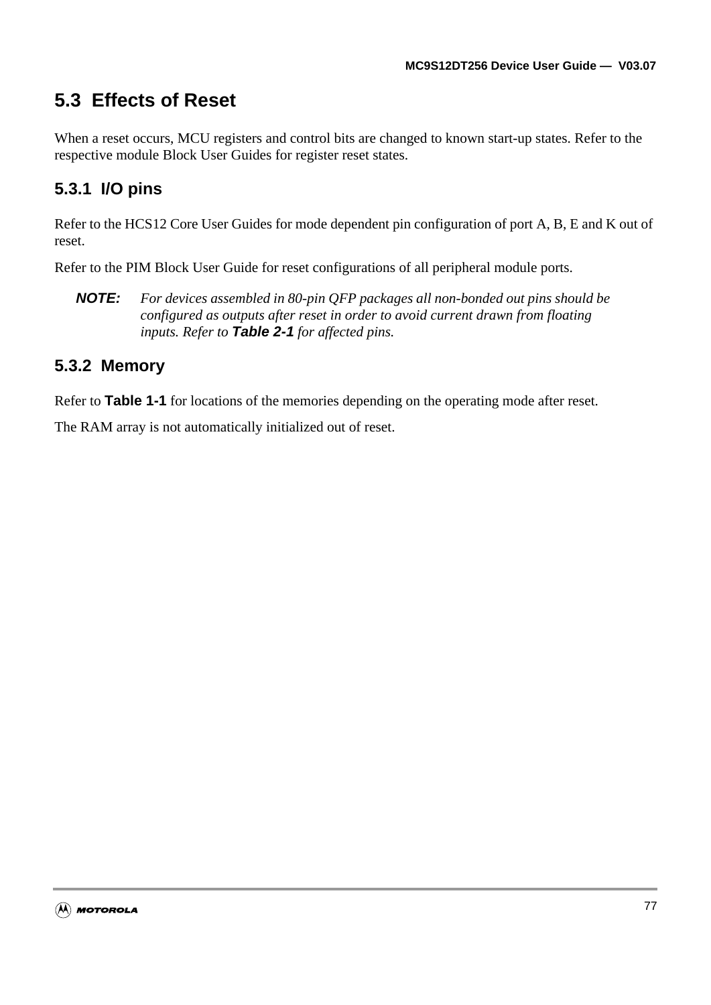## **5.3 Effects of Reset**

When a reset occurs, MCU registers and control bits are changed to known start-up states. Refer to the respective module Block User Guides for register reset states.

## **5.3.1 I/O pins**

Refer to the HCS12 Core User Guides for mode dependent pin configuration of port A, B, E and K out of reset.

Refer to the PIM Block User Guide for reset configurations of all peripheral module ports.

*NOTE: For devices assembled in 80-pin QFP packages all non-bonded out pins should be configured as outputs after reset in order to avoid current drawn from floating inputs. Refer to [Table 2-1](#page-52-0) for affected pins.*

### **5.3.2 Memory**

Refer to **[Table 1-1](#page-23-0)** for locations of the memories depending on the operating mode after reset.

The RAM array is not automatically initialized out of reset.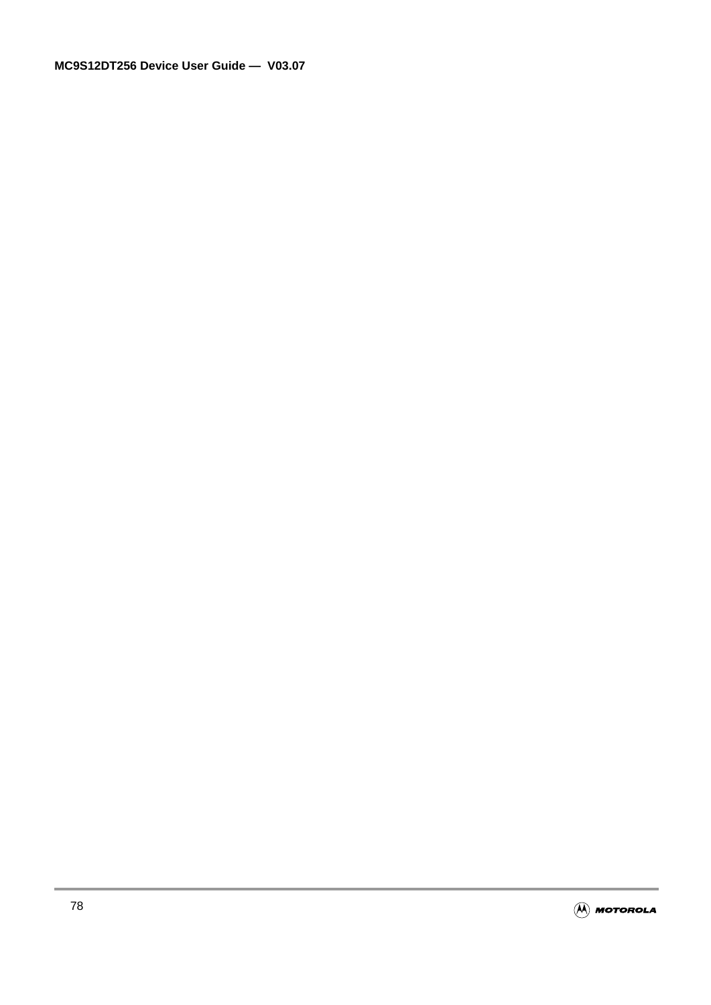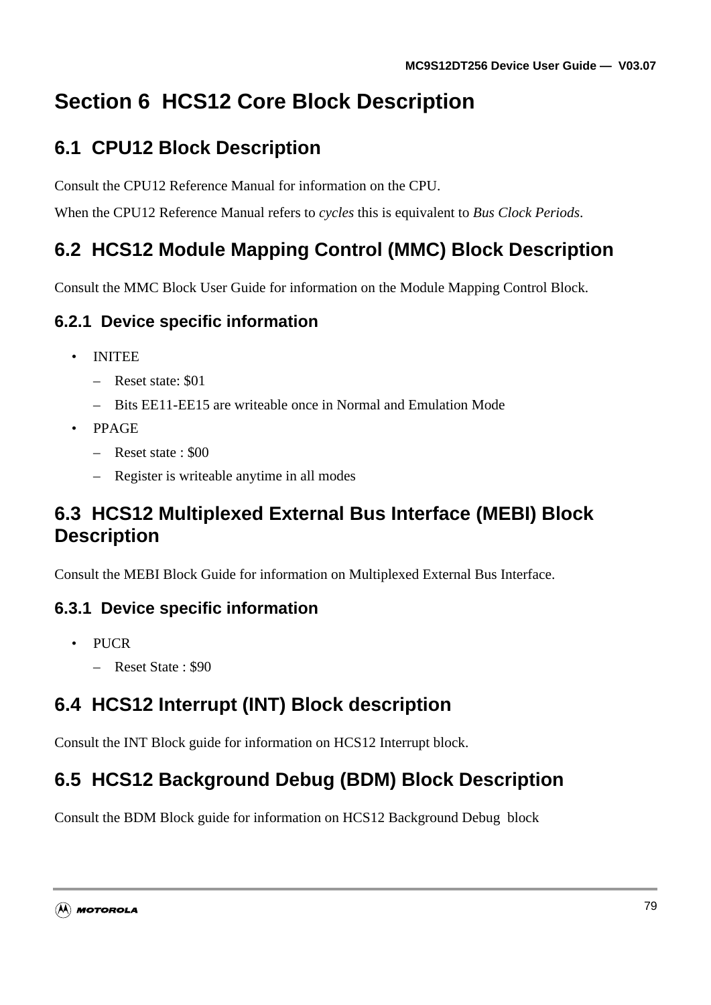# **Section 6 HCS12 Core Block Description**

# **6.1 CPU12 Block Description**

Consult the CPU12 Reference Manual for information on the CPU.

When the CPU12 Reference Manual refers to *cycles* this is equivalent to *Bus Clock Periods*.

# **6.2 HCS12 Module Mapping Control (MMC) Block Description**

Consult the MMC Block User Guide for information on the Module Mapping Control Block.

## **6.2.1 Device specific information**

- INITEE
	- Reset state: \$01
	- Bits EE11-EE15 are writeable once in Normal and Emulation Mode
- PPAGE
	- Reset state : \$00
	- Register is writeable anytime in all modes

## **6.3 HCS12 Multiplexed External Bus Interface (MEBI) Block Description**

Consult the MEBI Block Guide for information on Multiplexed External Bus Interface.

## **6.3.1 Device specific information**

- PUCR
	- Reset State : \$90

# **6.4 HCS12 Interrupt (INT) Block description**

Consult the INT Block guide for information on HCS12 Interrupt block.

# **6.5 HCS12 Background Debug (BDM) Block Description**

Consult the BDM Block guide for information on HCS12 Background Debug block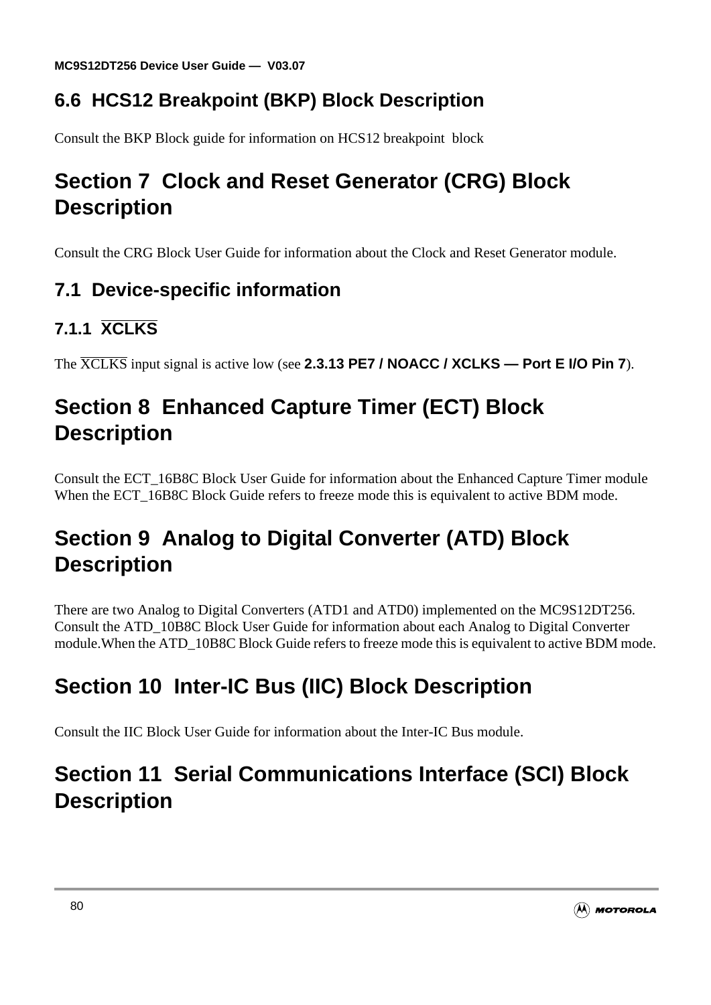# **6.6 HCS12 Breakpoint (BKP) Block Description**

Consult the BKP Block guide for information on HCS12 breakpoint block

# **Section 7 Clock and Reset Generator (CRG) Block Description**

Consult the CRG Block User Guide for information about the Clock and Reset Generator module.

## **7.1 Device-specific information**

## **7.1.1 XCLKS**

The XCLKS input signal is active low (see **[2.3.13 PE7 / NOACC / XCLKS — Port E I/O Pin 7](#page-57-0)**).

# **Section 8 Enhanced Capture Timer (ECT) Block Description**

Consult the ECT\_16B8C Block User Guide for information about the Enhanced Capture Timer module When the ECT\_16B8C Block Guide refers to freeze mode this is equivalent to active BDM mode.

# **Section 9 Analog to Digital Converter (ATD) Block Description**

There are two Analog to Digital Converters (ATD1 and ATD0) implemented on the MC9S12DT256. Consult the ATD\_10B8C Block User Guide for information about each Analog to Digital Converter module.When the ATD\_10B8C Block Guide refers to freeze mode this is equivalent to active BDM mode.

# **Section 10 Inter-IC Bus (IIC) Block Description**

Consult the IIC Block User Guide for information about the Inter-IC Bus module.

# **Section 11 Serial Communications Interface (SCI) Block Description**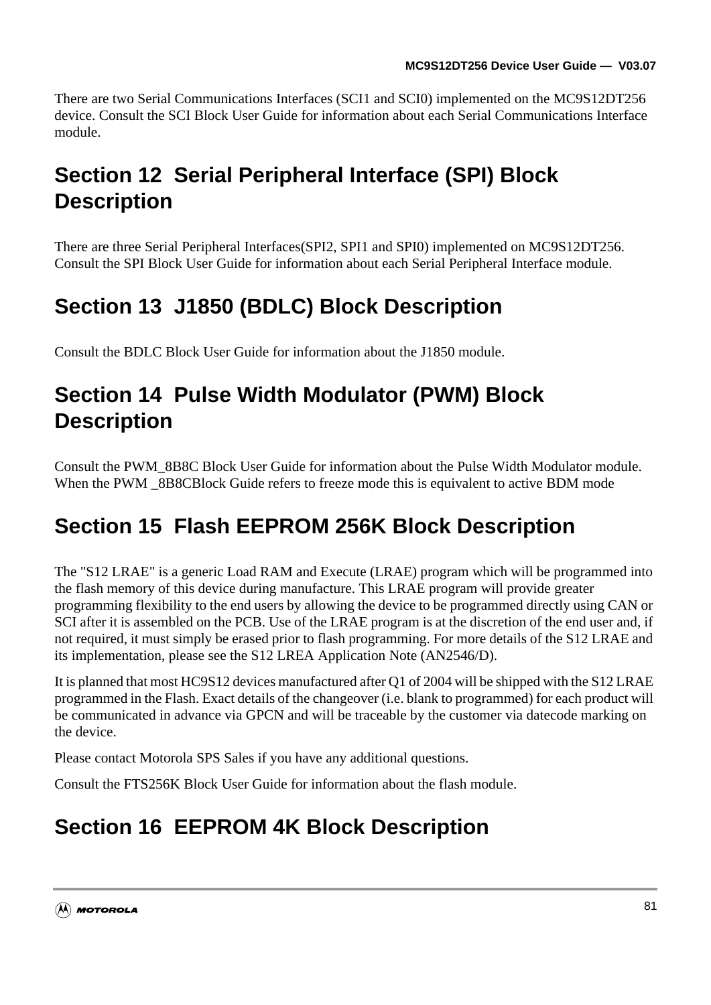There are two Serial Communications Interfaces (SCI1 and SCI0) implemented on the MC9S12DT256 device. Consult the SCI Block User Guide for information about each Serial Communications Interface module.

# **Section 12 Serial Peripheral Interface (SPI) Block Description**

There are three Serial Peripheral Interfaces(SPI2, SPI1 and SPI0) implemented on MC9S12DT256. Consult the SPI Block User Guide for information about each Serial Peripheral Interface module.

# **Section 13 J1850 (BDLC) Block Description**

Consult the BDLC Block User Guide for information about the J1850 module.

# **Section 14 Pulse Width Modulator (PWM) Block Description**

Consult the PWM\_8B8C Block User Guide for information about the Pulse Width Modulator module. When the PWM  $\beta$  8B8CBlock Guide refers to freeze mode this is equivalent to active BDM mode

# **Section 15 Flash EEPROM 256K Block Description**

The "S12 LRAE" is a generic Load RAM and Execute (LRAE) program which will be programmed into the flash memory of this device during manufacture. This LRAE program will provide greater programming flexibility to the end users by allowing the device to be programmed directly using CAN or SCI after it is assembled on the PCB. Use of the LRAE program is at the discretion of the end user and, if not required, it must simply be erased prior to flash programming. For more details of the S12 LRAE and its implementation, please see the S12 LREA Application Note (AN2546/D).

It is planned that most HC9S12 devices manufactured after Q1 of 2004 will be shipped with the S12 LRAE programmed in the Flash. Exact details of the changeover (i.e. blank to programmed) for each product will be communicated in advance via GPCN and will be traceable by the customer via datecode marking on the device.

Please contact Motorola SPS Sales if you have any additional questions.

Consult the FTS256K Block User Guide for information about the flash module.

# **Section 16 EEPROM 4K Block Description**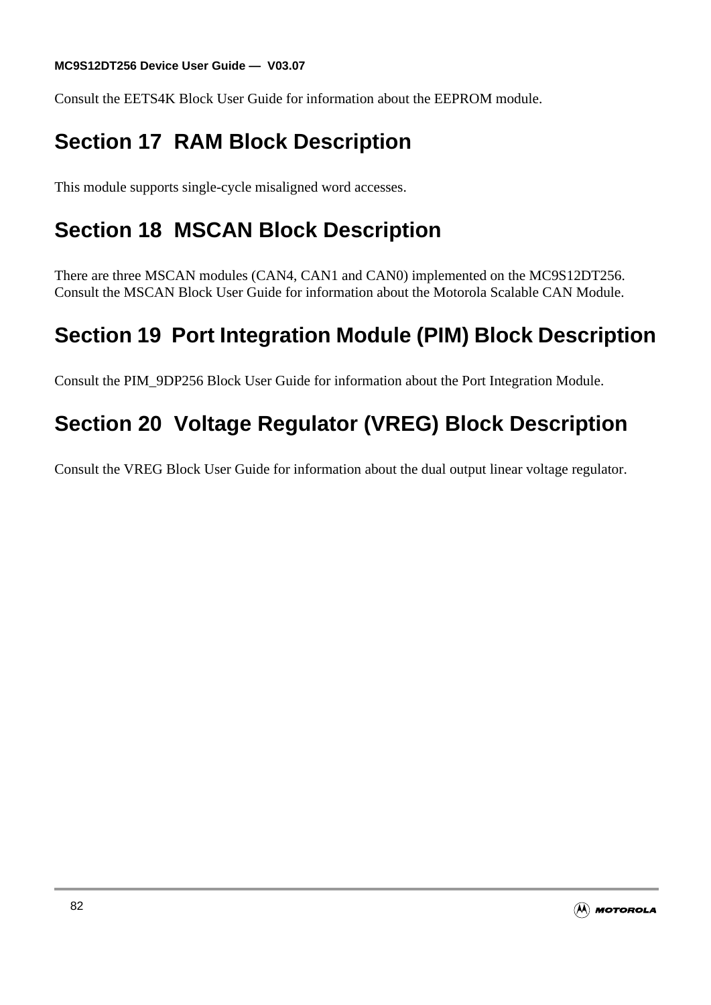Consult the EETS4K Block User Guide for information about the EEPROM module.

# **Section 17 RAM Block Description**

This module supports single-cycle misaligned word accesses.

# **Section 18 MSCAN Block Description**

There are three MSCAN modules (CAN4, CAN1 and CAN0) implemented on the MC9S12DT256. Consult the MSCAN Block User Guide for information about the Motorola Scalable CAN Module.

# **Section 19 Port Integration Module (PIM) Block Description**

Consult the PIM\_9DP256 Block User Guide for information about the Port Integration Module.

# **Section 20 Voltage Regulator (VREG) Block Description**

Consult the VREG Block User Guide for information about the dual output linear voltage regulator.

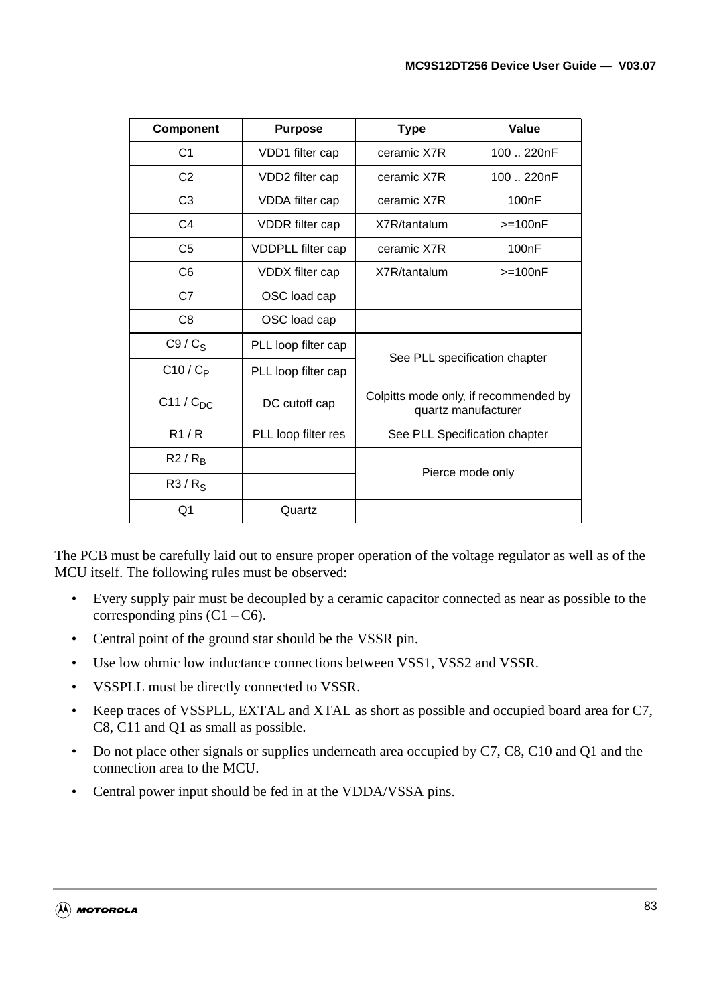| Component         | <b>Purpose</b>           | <b>Type</b>                                                  | Value                         |  |
|-------------------|--------------------------|--------------------------------------------------------------|-------------------------------|--|
| C <sub>1</sub>    | VDD1 filter cap          | ceramic X7R                                                  | 100  220nF                    |  |
| C <sub>2</sub>    | VDD2 filter cap          | ceramic X7R                                                  | 100  220nF                    |  |
| C <sub>3</sub>    | VDDA filter cap          | ceramic X7R                                                  | 100nF                         |  |
| C <sub>4</sub>    | <b>VDDR</b> filter cap   | X7R/tantalum                                                 | $>=100nF$                     |  |
| C <sub>5</sub>    | <b>VDDPLL</b> filter cap | ceramic X7R                                                  | 100nF                         |  |
| C <sub>6</sub>    | <b>VDDX</b> filter cap   | X7R/tantalum                                                 | $>=100nF$                     |  |
| C7                | OSC load cap             |                                                              |                               |  |
| C <sub>8</sub>    | OSC load cap             |                                                              |                               |  |
| $C9/C_S$          | PLL loop filter cap      |                                                              | See PLL specification chapter |  |
| $C10/C_{p}$       | PLL loop filter cap      |                                                              |                               |  |
| $C11/C_{DC}$      | DC cutoff cap            | Colpitts mode only, if recommended by<br>quartz manufacturer |                               |  |
| R1/R              | PLL loop filter res      |                                                              | See PLL Specification chapter |  |
| R2/R <sub>B</sub> |                          |                                                              |                               |  |
| R3/R <sub>S</sub> |                          |                                                              | Pierce mode only              |  |
| Q1                | Quartz                   |                                                              |                               |  |

The PCB must be carefully laid out to ensure proper operation of the voltage regulator as well as of the MCU itself. The following rules must be observed:

- Every supply pair must be decoupled by a ceramic capacitor connected as near as possible to the corresponding pins  $(C1 - C6)$ .
- Central point of the ground star should be the VSSR pin.
- Use low ohmic low inductance connections between VSS1, VSS2 and VSSR.
- VSSPLL must be directly connected to VSSR.
- Keep traces of VSSPLL, EXTAL and XTAL as short as possible and occupied board area for C7, C8, C11 and Q1 as small as possible.
- Do not place other signals or supplies underneath area occupied by C7, C8, C10 and Q1 and the connection area to the MCU.
- Central power input should be fed in at the VDDA/VSSA pins.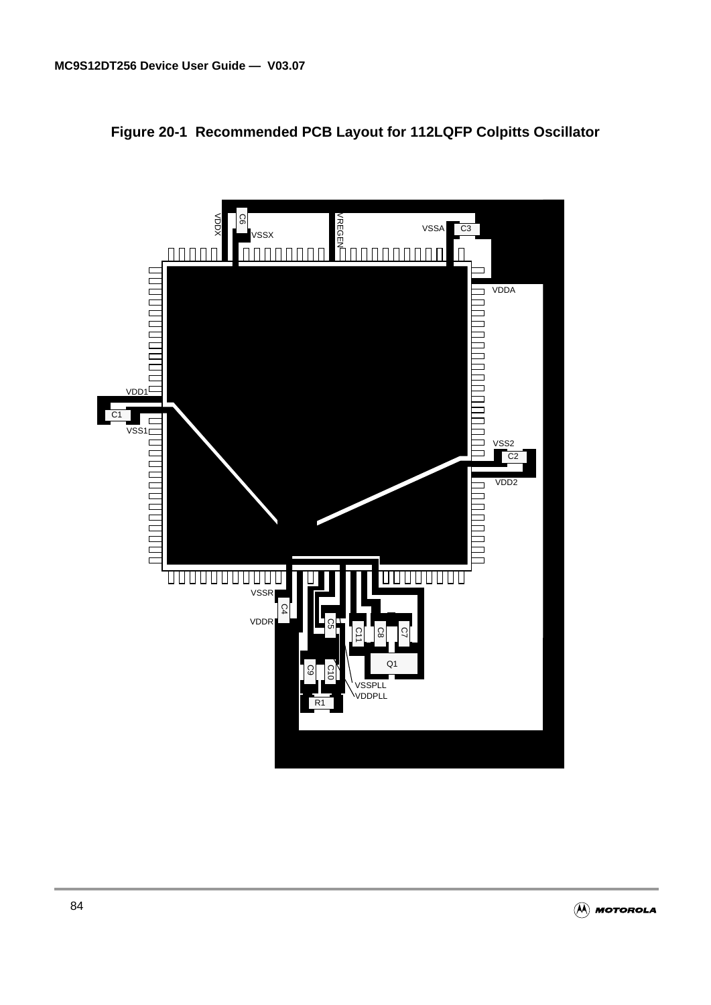



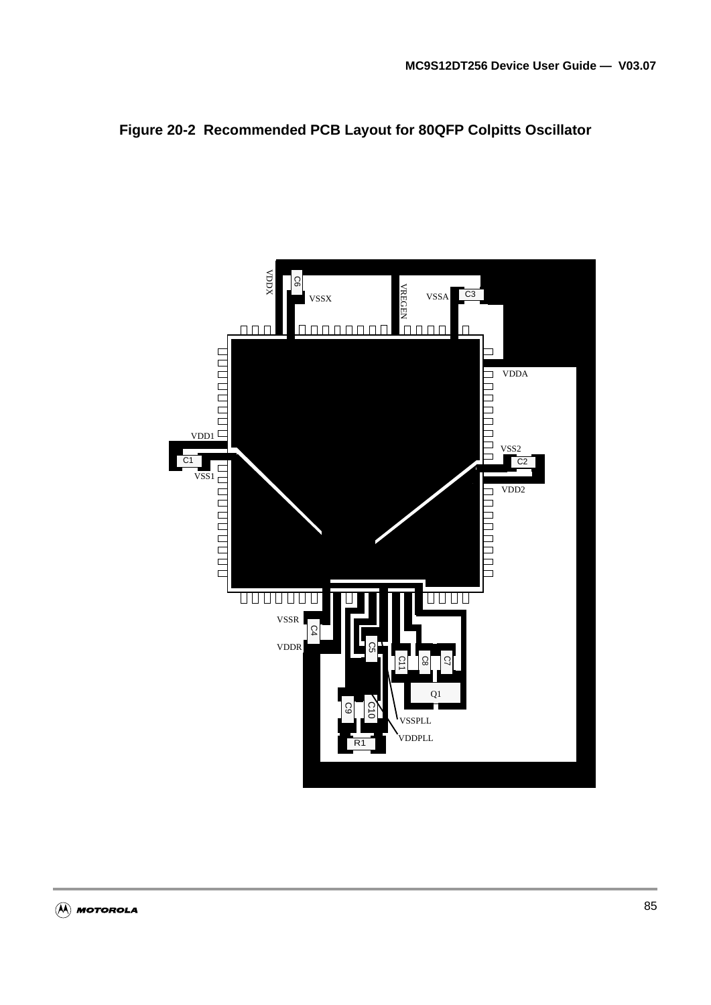

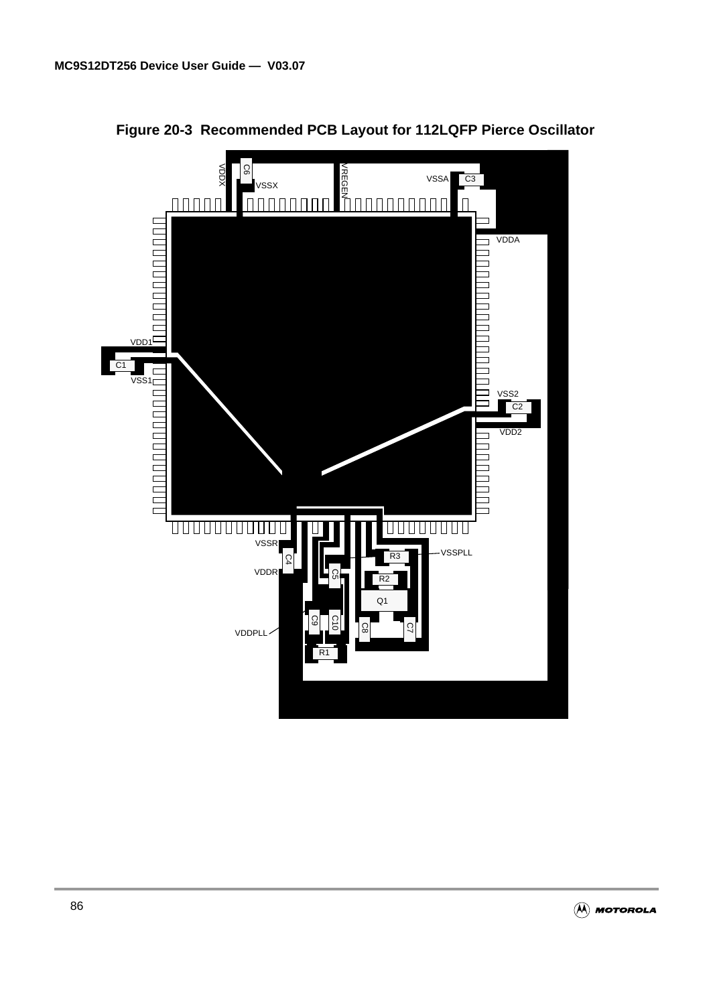

**Figure 20-3 Recommended PCB Layout for 112LQFP Pierce Oscillator**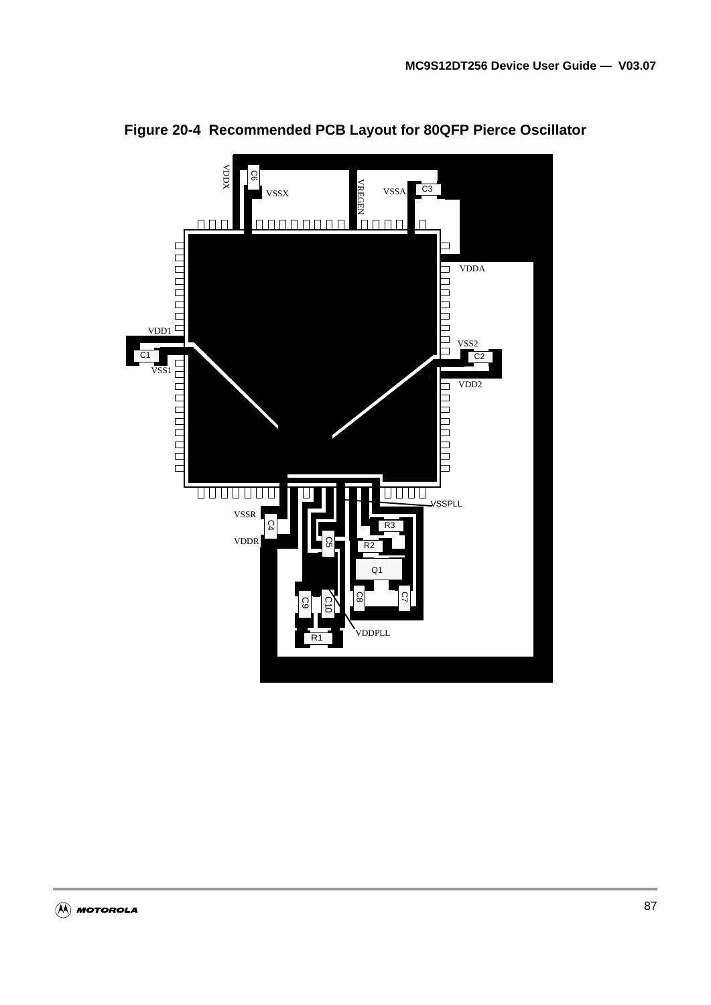

**Figure 20-4 Recommended PCB Layout for 80QFP Pierce Oscillator**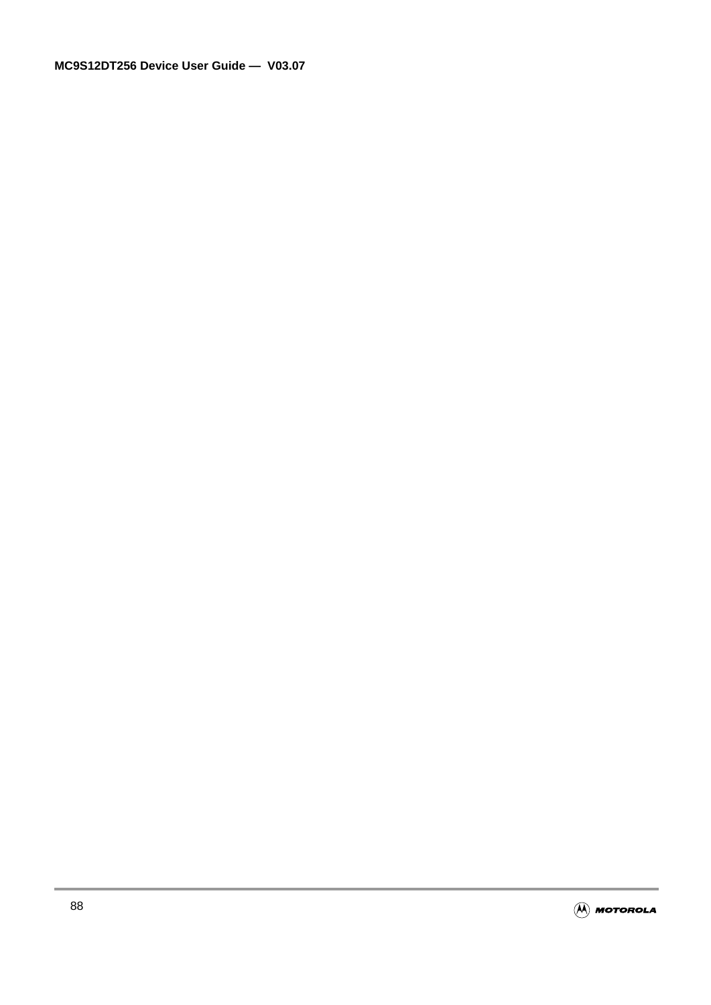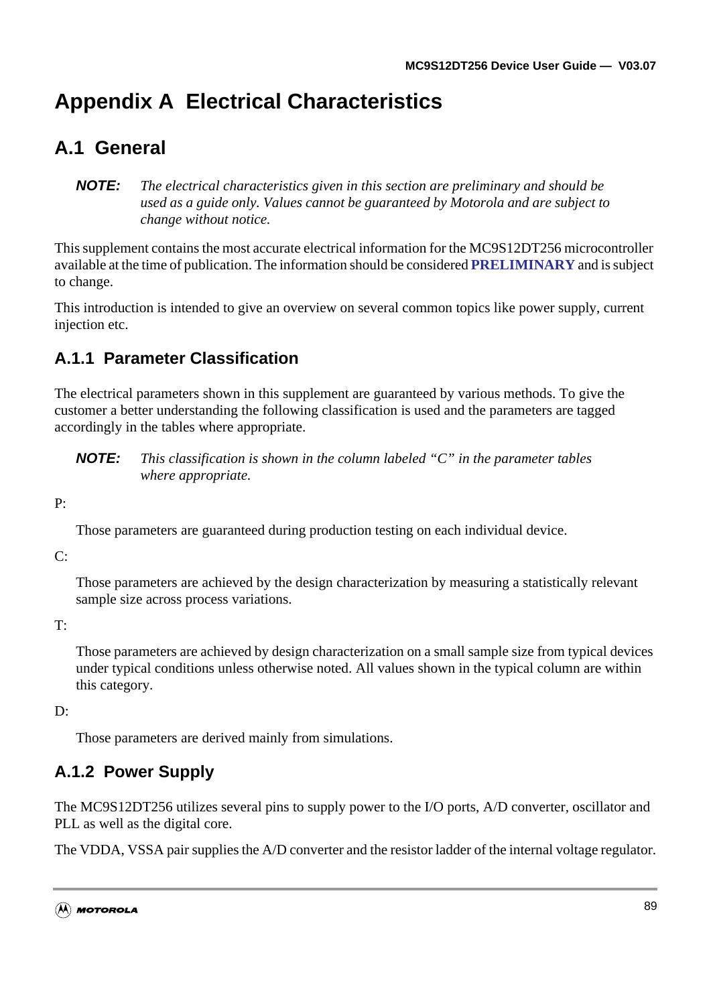# **Appendix A Electrical Characteristics**

## **A.1 General**

*NOTE: The electrical characteristics given in this section are preliminary and should be used as a guide only. Values cannot be guaranteed by Motorola and are subject to change without notice.*

This supplement contains the most accurate electrical information for the MC9S12DT256 microcontroller available at the time of publication. The information should be considered **PRELIMINARY** and is subject to change.

This introduction is intended to give an overview on several common topics like power supply, current injection etc.

## **A.1.1 Parameter Classification**

The electrical parameters shown in this supplement are guaranteed by various methods. To give the customer a better understanding the following classification is used and the parameters are tagged accordingly in the tables where appropriate.

*NOTE: This classification is shown in the column labeled "C" in the parameter tables where appropriate.*

P:

Those parameters are guaranteed during production testing on each individual device.

C:

Those parameters are achieved by the design characterization by measuring a statistically relevant sample size across process variations.

T:

Those parameters are achieved by design characterization on a small sample size from typical devices under typical conditions unless otherwise noted. All values shown in the typical column are within this category.

D:

Those parameters are derived mainly from simulations.

## **A.1.2 Power Supply**

The MC9S12DT256 utilizes several pins to supply power to the I/O ports, A/D converter, oscillator and PLL as well as the digital core.

The VDDA, VSSA pair supplies the A/D converter and the resistor ladder of the internal voltage regulator.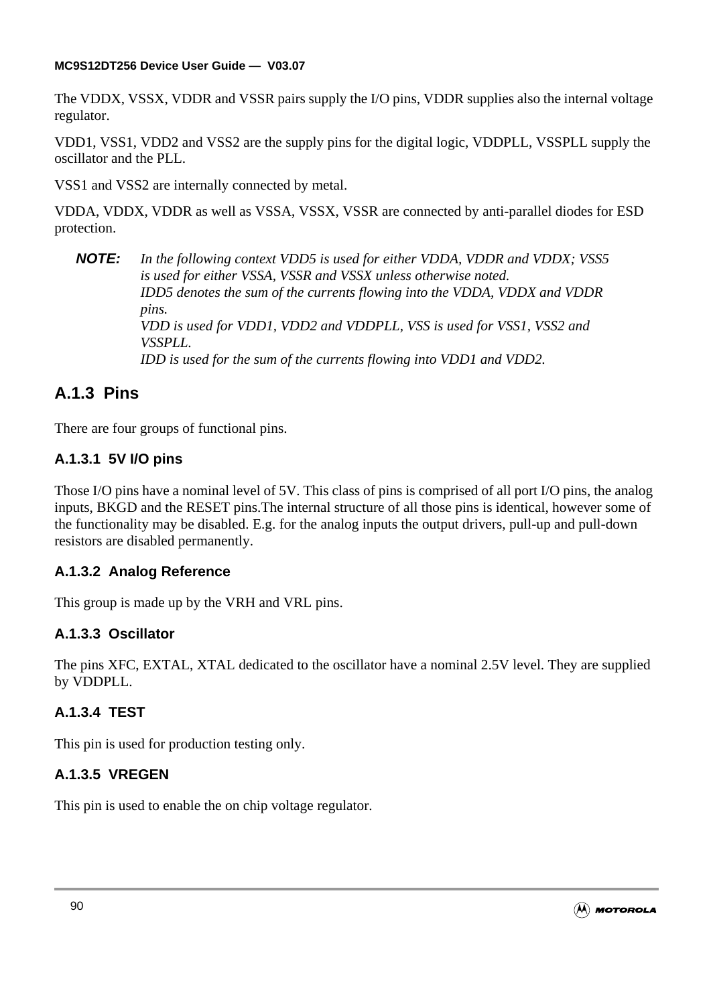#### **MC9S12DT256 Device User Guide — V03.07**

The VDDX, VSSX, VDDR and VSSR pairs supply the I/O pins, VDDR supplies also the internal voltage regulator.

VDD1, VSS1, VDD2 and VSS2 are the supply pins for the digital logic, VDDPLL, VSSPLL supply the oscillator and the PLL.

VSS1 and VSS2 are internally connected by metal.

VDDA, VDDX, VDDR as well as VSSA, VSSX, VSSR are connected by anti-parallel diodes for ESD protection.

*NOTE: In the following context VDD5 is used for either VDDA, VDDR and VDDX; VSS5 is used for either VSSA, VSSR and VSSX unless otherwise noted. IDD5 denotes the sum of the currents flowing into the VDDA, VDDX and VDDR pins. VDD is used for VDD1, VDD2 and VDDPLL, VSS is used for VSS1, VSS2 and VSSPLL. IDD is used for the sum of the currents flowing into VDD1 and VDD2.*

## **A.1.3 Pins**

There are four groups of functional pins.

### **A.1.3.1 5V I/O pins**

Those I/O pins have a nominal level of 5V. This class of pins is comprised of all port I/O pins, the analog inputs, BKGD and the RESET pins.The internal structure of all those pins is identical, however some of the functionality may be disabled. E.g. for the analog inputs the output drivers, pull-up and pull-down resistors are disabled permanently.

### **A.1.3.2 Analog Reference**

This group is made up by the VRH and VRL pins.

### **A.1.3.3 Oscillator**

The pins XFC, EXTAL, XTAL dedicated to the oscillator have a nominal 2.5V level. They are supplied by VDDPLL.

### **A.1.3.4 TEST**

This pin is used for production testing only.

### **A.1.3.5 VREGEN**

This pin is used to enable the on chip voltage regulator.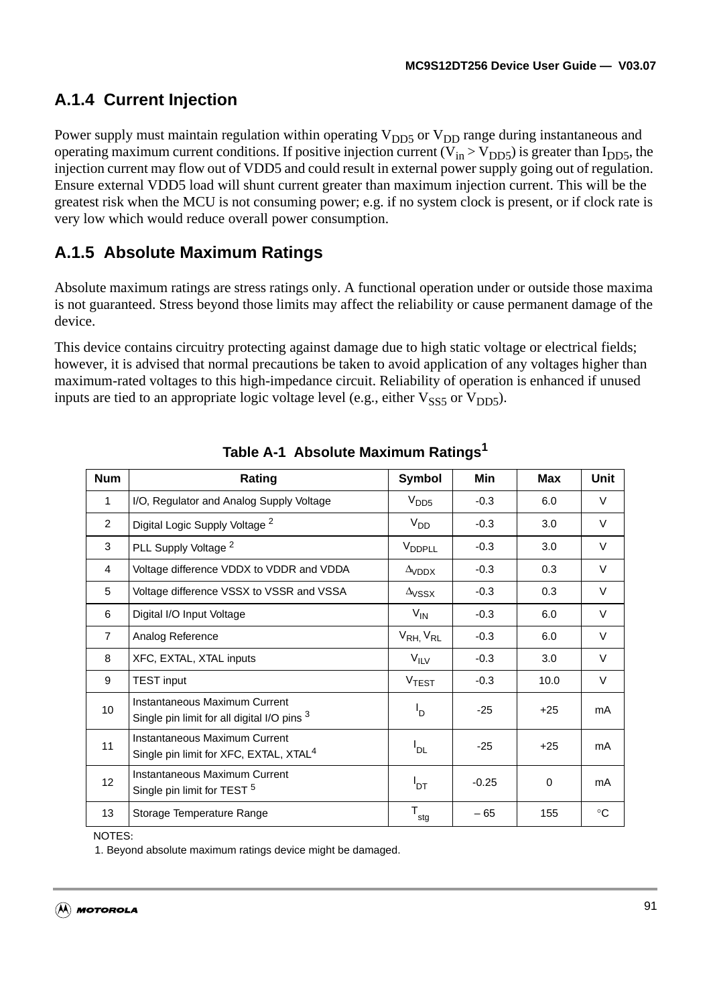## <span id="page-90-0"></span>**A.1.4 Current Injection**

Power supply must maintain regulation within operating  $V_{DD5}$  or  $V_{DD}$  range during instantaneous and operating maximum current conditions. If positive injection current ( $V_{in} > V_{DD5}$ ) is greater than I<sub>DD5</sub>, the injection current may flow out of VDD5 and could result in external power supply going out of regulation. Ensure external VDD5 load will shunt current greater than maximum injection current. This will be the greatest risk when the MCU is not consuming power; e.g. if no system clock is present, or if clock rate is very low which would reduce overall power consumption.

## **A.1.5 Absolute Maximum Ratings**

Absolute maximum ratings are stress ratings only. A functional operation under or outside those maxima is not guaranteed. Stress beyond those limits may affect the reliability or cause permanent damage of the device.

This device contains circuitry protecting against damage due to high static voltage or electrical fields; however, it is advised that normal precautions be taken to avoid application of any voltages higher than maximum-rated voltages to this high-impedance circuit. Reliability of operation is enhanced if unused inputs are tied to an appropriate logic voltage level (e.g., either  $V_{SS5}$  or  $V_{DD5}$ ).

| <b>Num</b>      | Rating                                                                              | <b>Symbol</b>                    | Min     | <b>Max</b> | <b>Unit</b> |
|-----------------|-------------------------------------------------------------------------------------|----------------------------------|---------|------------|-------------|
| $\mathbf{1}$    | I/O, Regulator and Analog Supply Voltage                                            | V <sub>DD5</sub>                 | $-0.3$  | 6.0        | V           |
| $\overline{2}$  | Digital Logic Supply Voltage <sup>2</sup>                                           | $V_{DD}$                         | $-0.3$  | 3.0        | $\vee$      |
| 3               | PLL Supply Voltage <sup>2</sup>                                                     | V <sub>DDPLL</sub>               | $-0.3$  | 3.0        | $\vee$      |
| 4               | Voltage difference VDDX to VDDR and VDDA                                            | $\Delta$ <sub>VDDX</sub>         | $-0.3$  | 0.3        | $\vee$      |
| 5               | Voltage difference VSSX to VSSR and VSSA                                            | $\Delta$ <sub>VSSX</sub>         | $-0.3$  | 0.3        | $\vee$      |
| 6               | Digital I/O Input Voltage                                                           | $V_{\text{IN}}$                  | $-0.3$  | 6.0        | $\vee$      |
| $\overline{7}$  | Analog Reference                                                                    | V <sub>RH,</sub> V <sub>RL</sub> | $-0.3$  | 6.0        | $\vee$      |
| 8               | XFC, EXTAL, XTAL inputs                                                             | $V_{\text{ILV}}$                 | $-0.3$  | 3.0        | V           |
| 9               | <b>TEST</b> input                                                                   | $V$ TEST                         | $-0.3$  | 10.0       | $\vee$      |
| 10 <sup>1</sup> | Instantaneous Maximum Current<br>Single pin limit for all digital I/O pins 3        | $\mathsf{I}_{\mathsf{D}}$        | $-25$   | $+25$      | mA          |
| 11              | Instantaneous Maximum Current<br>Single pin limit for XFC, EXTAL, XTAL <sup>4</sup> | <sup>I</sup> DL                  | $-25$   | $+25$      | mA          |
| 12 <sub>2</sub> | Instantaneous Maximum Current<br>Single pin limit for TEST <sup>5</sup>             | $I_{\mathsf{DT}}$                | $-0.25$ | 0          | mA          |
| 13              | Storage Temperature Range                                                           | $\mathsf{T}_{\text{stg}}$        | $-65$   | 155        | $^{\circ}C$ |

|  |  | Table A-1 Absolute Maximum Ratings <sup>1</sup> |  |
|--|--|-------------------------------------------------|--|
|--|--|-------------------------------------------------|--|

NOTES:

1. Beyond absolute maximum ratings device might be damaged.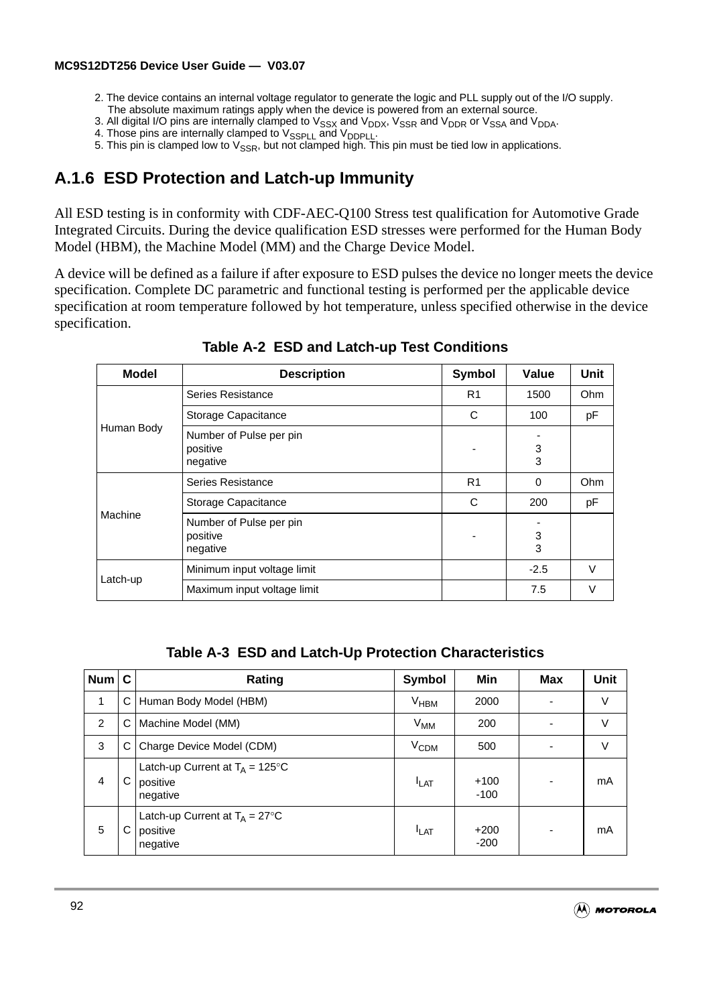#### **MC9S12DT256 Device User Guide — V03.07**

- <span id="page-91-0"></span>2. The device contains an internal voltage regulator to generate the logic and PLL supply out of the I/O supply.
- The absolute maximum ratings apply when the device is powered from an external source.
- 3. All digital I/O pins are internally clamped to  $V_{SSX}$  and  $V_{DDX}$ ,  $V_{SSR}$  and  $V_{DDR}$  or  $V_{SSA}$  and  $V_{DDA}$ .
- 4. Those pins are internally clamped to V<sub>SSPLL</sub> and V<sub>DDPLL</sub>.
- 5. This pin is clamped low to  $\vee_{\mathsf{SSR}}$ , but not clamped high. This pin must be tied low in applications.

## **A.1.6 ESD Protection and Latch-up Immunity**

All ESD testing is in conformity with CDF-AEC-Q100 Stress test qualification for Automotive Grade Integrated Circuits. During the device qualification ESD stresses were performed for the Human Body Model (HBM), the Machine Model (MM) and the Charge Device Model.

A device will be defined as a failure if after exposure to ESD pulses the device no longer meets the device specification. Complete DC parametric and functional testing is performed per the applicable device specification at room temperature followed by hot temperature, unless specified otherwise in the device specification.

| <b>Model</b> | <b>Description</b>                              | Symbol         | Value  | Unit   |
|--------------|-------------------------------------------------|----------------|--------|--------|
|              | Series Resistance                               | R <sub>1</sub> | 1500   | Ohm    |
|              | Storage Capacitance                             | С              | 100    | pF     |
| Human Body   | Number of Pulse per pin<br>positive<br>negative |                | 3<br>3 |        |
|              | Series Resistance                               | R <sub>1</sub> | 0      | Ohm    |
|              | Storage Capacitance                             | C              | 200    | pF     |
| Machine      | Number of Pulse per pin<br>positive<br>negative |                | 3<br>3 |        |
| Latch-up     | Minimum input voltage limit                     |                | $-2.5$ | V      |
|              | Maximum input voltage limit                     |                | 7.5    | $\vee$ |

**Table A-2 ESD and Latch-up Test Conditions**

| $Num \mid$     | C | Rating                                                           | Symbol           | Min              | <b>Max</b>               | Unit |
|----------------|---|------------------------------------------------------------------|------------------|------------------|--------------------------|------|
| 1              | C | Human Body Model (HBM)                                           | $V_{HBM}$        | 2000             | ٠                        | V    |
| 2              | С | Machine Model (MM)                                               | $V_{MM}$         | 200              | $\blacksquare$           | V    |
| 3              | C | Charge Device Model (CDM)                                        | V <sub>CDM</sub> | 500              | $\overline{\phantom{a}}$ | V    |
| $\overline{4}$ | С | Latch-up Current at $T_A = 125^{\circ}C$<br>positive<br>negative | $I_{LAT}$        | $+100$<br>$-100$ | ٠                        | mA   |
| 5              | С | Latch-up Current at $T_A = 27^{\circ}C$<br>positive<br>negative  | $I_{LAT}$        | $+200$<br>$-200$ | $\overline{\phantom{0}}$ | mA   |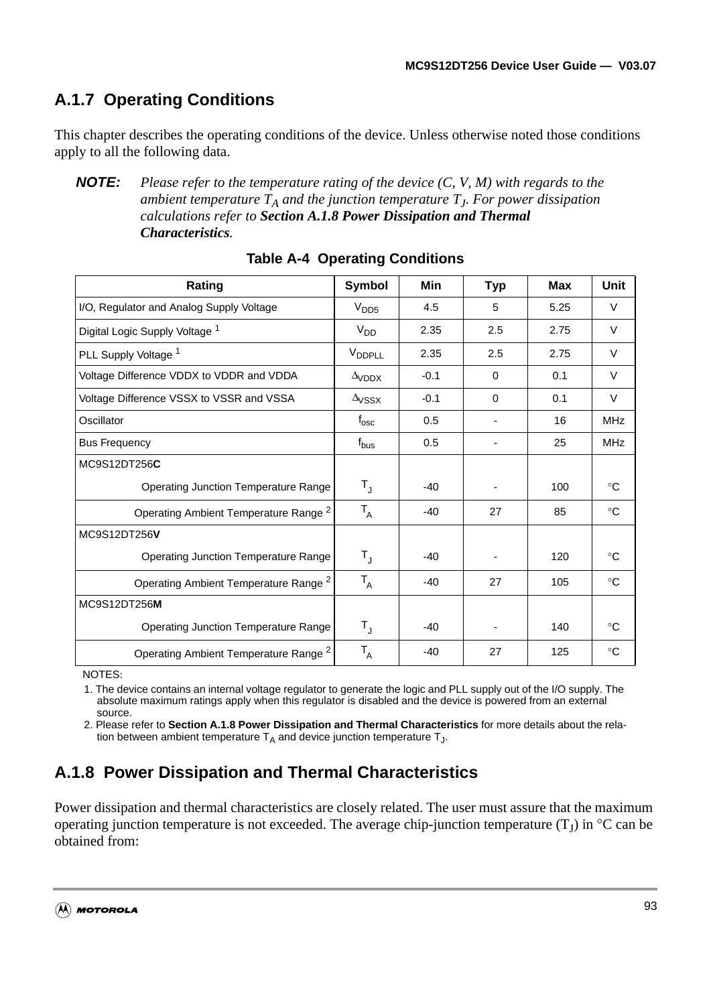## **A.1.7 Operating Conditions**

This chapter describes the operating conditions of the device. Unless otherwise noted those conditions apply to all the following data.

*NOTE: Please refer to the temperature rating of the device (C, V, M) with regards to the ambient temperature*  $T_A$  *and the junction temperature*  $T_J$ *. For power dissipation calculations refer to [Section A.1.8 Power Dissipation and Thermal](#page-92-0) [Characteristics](#page-92-0).*

<span id="page-92-3"></span>

| Rating                                           | <b>Symbol</b>             | Min    | <b>Typ</b> | <b>Max</b> | <b>Unit</b>     |
|--------------------------------------------------|---------------------------|--------|------------|------------|-----------------|
| I/O, Regulator and Analog Supply Voltage         | V <sub>DD5</sub>          | 4.5    | 5          | 5.25       | $\vee$          |
| Digital Logic Supply Voltage <sup>1</sup>        | $V_{DD}$                  | 2.35   | 2.5        | 2.75       | V               |
| PLL Supply Voltage <sup>1</sup>                  | V <sub>DDPLL</sub>        | 2.35   | 2.5        | 2.75       | V               |
| Voltage Difference VDDX to VDDR and VDDA         | $\Delta$ <sub>VDDX</sub>  | $-0.1$ | $\Omega$   | 0.1        | $\vee$          |
| Voltage Difference VSSX to VSSR and VSSA         | $\Delta$ <sub>VSSX</sub>  | $-0.1$ | $\Omega$   | 0.1        | $\vee$          |
| Oscillator                                       | $f_{\rm osc}$             | 0.5    |            | 16         | <b>MHz</b>      |
| <b>Bus Frequency</b>                             | $f_{bus}$                 | 0.5    |            | 25         | <b>MHz</b>      |
| MC9S12DT256C                                     |                           |        |            |            |                 |
| <b>Operating Junction Temperature Range</b>      | $T_{\rm J}$               | $-40$  |            | 100        | °C              |
| Operating Ambient Temperature Range <sup>2</sup> | $T_{A}$                   | $-40$  | 27         | 85         | $\rm ^{\circ}C$ |
| MC9S12DT256V                                     |                           |        |            |            |                 |
| <b>Operating Junction Temperature Range</b>      | $T_{\rm J}$               | $-40$  |            | 120        | °C              |
| Operating Ambient Temperature Range <sup>2</sup> | $T_{A}$                   | $-40$  | 27         | 105        | $\rm ^{\circ}C$ |
| MC9S12DT256M                                     |                           |        |            |            |                 |
| <b>Operating Junction Temperature Range</b>      | $T_{\rm J}$               | $-40$  |            | 140        | °C              |
| Operating Ambient Temperature Range <sup>2</sup> | $\mathsf{T}_{\mathsf{A}}$ | $-40$  | 27         | 125        | $\rm ^{\circ}C$ |

<span id="page-92-4"></span>**Table A-4 Operating Conditions**

NOTES:

<span id="page-92-1"></span>1. The device contains an internal voltage regulator to generate the logic and PLL supply out of the I/O supply. The absolute maximum ratings apply when this regulator is disabled and the device is powered from an external source.

<span id="page-92-2"></span>2. Please refer to **[Section A.1.8 Power Dissipation and Thermal Characteristics](#page-92-0)** for more details about the relation between ambient temperature  $T_A$  and device junction temperature  $T_J$ .

## <span id="page-92-0"></span>**A.1.8 Power Dissipation and Thermal Characteristics**

Power dissipation and thermal characteristics are closely related. The user must assure that the maximum operating junction temperature is not exceeded. The average chip-junction temperature  $(T<sub>I</sub>)$  in  $^{\circ}C$  can be obtained from: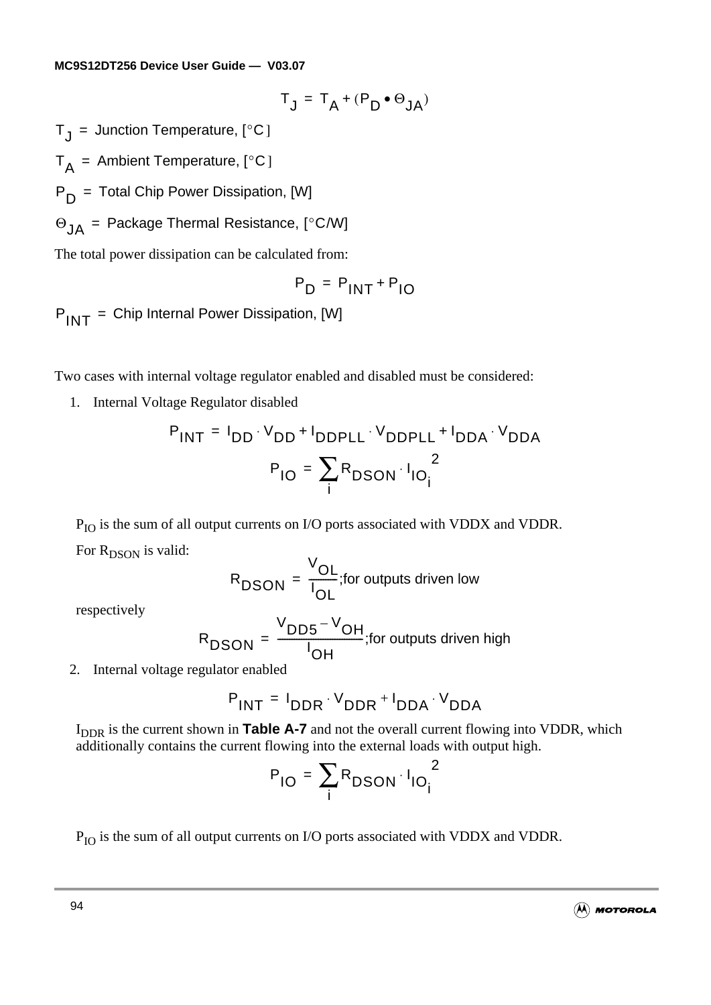$$
\mathsf{T}_{\mathsf{J}} = \mathsf{T}_{\mathsf{A}} + (\mathsf{P}_{\mathsf{D}} \bullet \Theta_{\mathsf{J} \mathsf{A}})
$$

 $T_1$  = Junction Temperature,  $[°C]$ 

 $T_A$  = Ambient Temperature,  $[°C]$ 

 $P_D$  = Total Chip Power Dissipation, [W]

<sup>Θ</sup>JA <sup>=</sup> Package Thermal Resistance, [°C/W]

The total power dissipation can be calculated from:

$$
P_D = P_{INT} + P_{IO}
$$

 $P_{INT}$  = Chip Internal Power Dissipation, [W]

Two cases with internal voltage regulator enabled and disabled must be considered:

1. Internal Voltage Regulator disabled

$$
P_{INT} = I_{DD} \cdot V_{DD} + I_{DDPLL} \cdot V_{DDPLL} + I_{DDA} \cdot V_{DDA}
$$

$$
P_{IO} = \sum_{i} R_{DSON} \cdot I_{IO}^{2}
$$

 $P_{IO}$  is the sum of all output currents on I/O ports associated with VDDX and VDDR.

For  $R_{DSON}$  is valid:

$$
R_{DSON} = \frac{V_{OL}}{I_{OL}}
$$
; for outputs driven low

respectively

$$
R_{DSON} = \frac{V_{DD5} - V_{OH}}{I_{OH}}
$$
; for outputs driven high

2. Internal voltage regulator enabled

$$
P_{INT} = I_{DDR} \cdot V_{DDR} + I_{DDA} \cdot V_{DDA}
$$

I<sub>DDR</sub> is the current shown in **[Table A-7](#page-97-0)** and not the overall current flowing into VDDR, which additionally contains the current flowing into the external loads with output high.

$$
P_{IO} = \sum_{i} R_{DSON} \cdot I_{IO}^2
$$

 $P_{IO}$  is the sum of all output currents on I/O ports associated with VDDX and VDDR.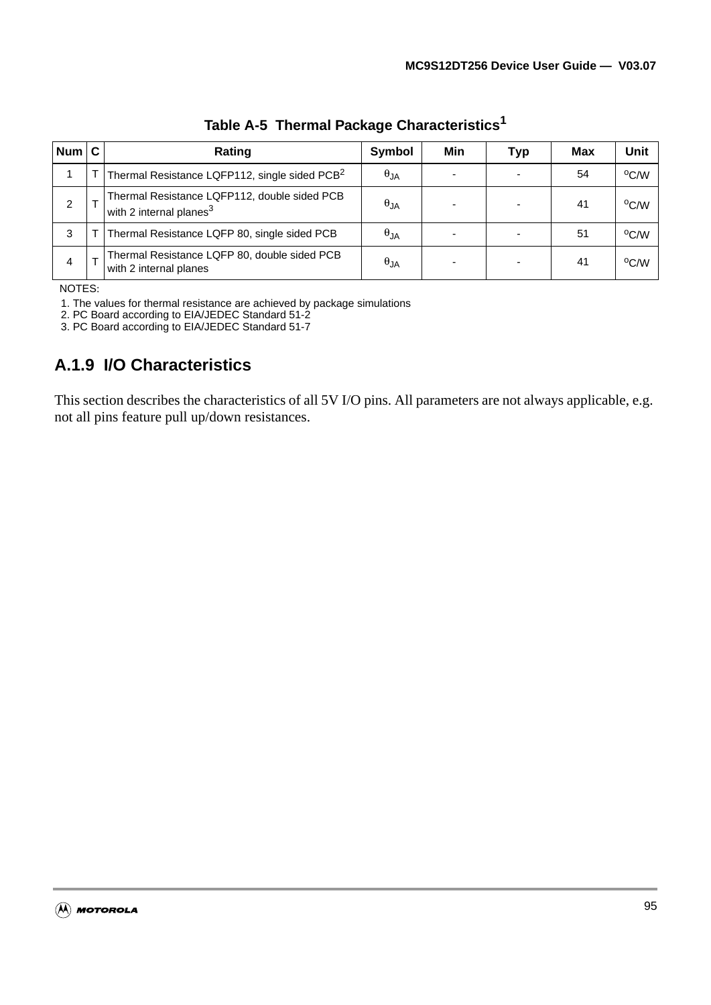| $Num$ $C$ | Rating                                                                              | Symbol        | Min | Тур | Max | Unit |
|-----------|-------------------------------------------------------------------------------------|---------------|-----|-----|-----|------|
|           | Thermal Resistance LQFP112, single sided PCB <sup>2</sup>                           | $\theta_{JA}$ |     |     | 54  | °C/W |
| 2         | Thermal Resistance LQFP112, double sided PCB<br>with 2 internal planes <sup>3</sup> | $\theta_{JA}$ |     |     | 41  | °C/W |
| 3         | Thermal Resistance LQFP 80, single sided PCB                                        | $\theta_{JA}$ |     |     | 51  | °C/W |
| 4         | Thermal Resistance LQFP 80, double sided PCB<br>with 2 internal planes              | $\theta_{JA}$ |     |     | 41  | °C/W |

**Table A-5 Thermal Package Characteristics<sup>1</sup>**

NOTES:

1. The values for thermal resistance are achieved by package simulations

2. PC Board according to EIA/JEDEC Standard 51-2

3. PC Board according to EIA/JEDEC Standard 51-7

## **A.1.9 I/O Characteristics**

This section describes the characteristics of all 5V I/O pins. All parameters are not always applicable, e.g. not all pins feature pull up/down resistances.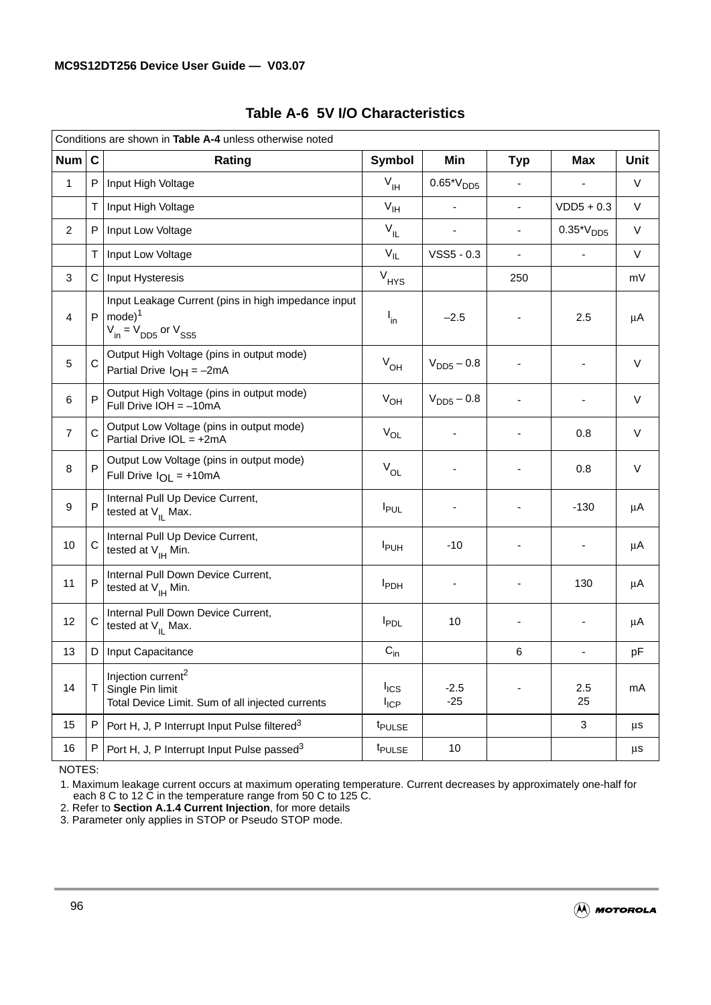|                  |              | Conditions are shown in Table A-4 unless otherwise noted                                                       |                               |                              |                              |                          |         |
|------------------|--------------|----------------------------------------------------------------------------------------------------------------|-------------------------------|------------------------------|------------------------------|--------------------------|---------|
| <b>Num</b>       | $\mathbf c$  | Rating                                                                                                         | Symbol                        | Min                          | <b>Typ</b>                   | <b>Max</b>               | Unit    |
| $\mathbf 1$      | P            | Input High Voltage                                                                                             | $V_{\vert H}$                 | $0.65*V_{DD5}$               |                              |                          | V       |
|                  | $\mathsf T$  | Input High Voltage                                                                                             | V <sub>IH</sub>               |                              | $\overline{\phantom{a}}$     | $VDD5 + 0.3$             | V       |
| $\overline{2}$   | P            | Input Low Voltage                                                                                              | $V_{IL}$                      |                              | $\overline{\phantom{0}}$     | $0.35*V_{DD5}$           | V       |
|                  | $\mathsf T$  | Input Low Voltage                                                                                              | $V_{IL}$                      | VSS5 - 0.3                   | $\frac{1}{2}$                |                          | V       |
| 3                | C            | Input Hysteresis                                                                                               | $V_{HYS}$                     |                              | 250                          |                          | mV      |
| 4                | P            | Input Leakage Current (pins in high impedance input<br>$mode)$ <sup>1</sup><br>$V_{in} = V_{DD5}$ or $V_{SS5}$ | $I_{in}$                      | $-2.5$                       | $\qquad \qquad \blacksquare$ | 2.5                      | μA      |
| 5                | C            | Output High Voltage (pins in output mode)<br>Partial Drive $I_{OH} = -2mA$                                     | $\rm V_{OH}$                  | $V_{DD5} - 0.8$              |                              |                          | V       |
| 6                | P            | Output High Voltage (pins in output mode)<br>Full Drive $IOH = -10mA$                                          | $V_{OH}$                      | $V_{DD5} - 0.8$              |                              |                          | V       |
| $\overline{7}$   | С            | Output Low Voltage (pins in output mode)<br>Partial Drive IOL = +2mA                                           | $V_{OL}$                      |                              |                              | 0.8                      | V       |
| 8                | P            | Output Low Voltage (pins in output mode)<br>Full Drive $I_{OL}$ = +10mA                                        | $V_{OL}$                      |                              |                              | 0.8                      | V       |
| $\boldsymbol{9}$ | P            | Internal Pull Up Device Current,<br>tested at $V_{\parallel}$ Max.                                             | $I_{PUL}$                     |                              |                              | $-130$                   | μA      |
| 10               | C            | Internal Pull Up Device Current,<br>tested at $V_{\vert H}$ Min.                                               | I <sub>PUH</sub>              | $-10$                        |                              | $\overline{\phantom{a}}$ | μA      |
| 11               | P            | Internal Pull Down Device Current,<br>tested at $V_{\vert H}$ Min.                                             | <b>I</b> <sub>PDH</sub>       | $\qquad \qquad \blacksquare$ |                              | 130                      | μA      |
| 12               | C            | Internal Pull Down Device Current,<br>tested at $V_{\parallel}$ Max.                                           | $I_{PDL}$                     | 10                           |                              |                          | μA      |
| 13               | D            | Input Capacitance                                                                                              | $C_{in}$                      |                              | 6                            |                          | pF      |
| 14               | $\top$       | Injection current <sup>2</sup><br>Single Pin limit<br>Total Device Limit. Sum of all injected currents         | $I_{\text{ICS}}$<br>$I_{ICP}$ | $-2.5$<br>$-25$              |                              | 2.5<br>25                | mA      |
| 15               | $\mathsf{P}$ | Port H, J, P Interrupt Input Pulse filtered <sup>3</sup>                                                       | t <sub>PULSE</sub>            |                              |                              | 3                        | $\mu$ s |
| 16               | $\mathsf{P}$ | Port H, J, P Interrupt Input Pulse passed <sup>3</sup>                                                         | t <sub>PULSE</sub>            | 10                           |                              |                          | $\mu s$ |

### <span id="page-95-1"></span>**Table A-6 5V I/O Characteristics**

NOTES:

1. Maximum leakage current occurs at maximum operating temperature. Current decreases by approximately one-half for each 8 C to 12 C in the temperature range from 50 C to 125 C.

2. Refer to **[Section A.1.4 Current Injection](#page-90-0)**, for more details

<span id="page-95-0"></span>3. Parameter only applies in STOP or Pseudo STOP mode.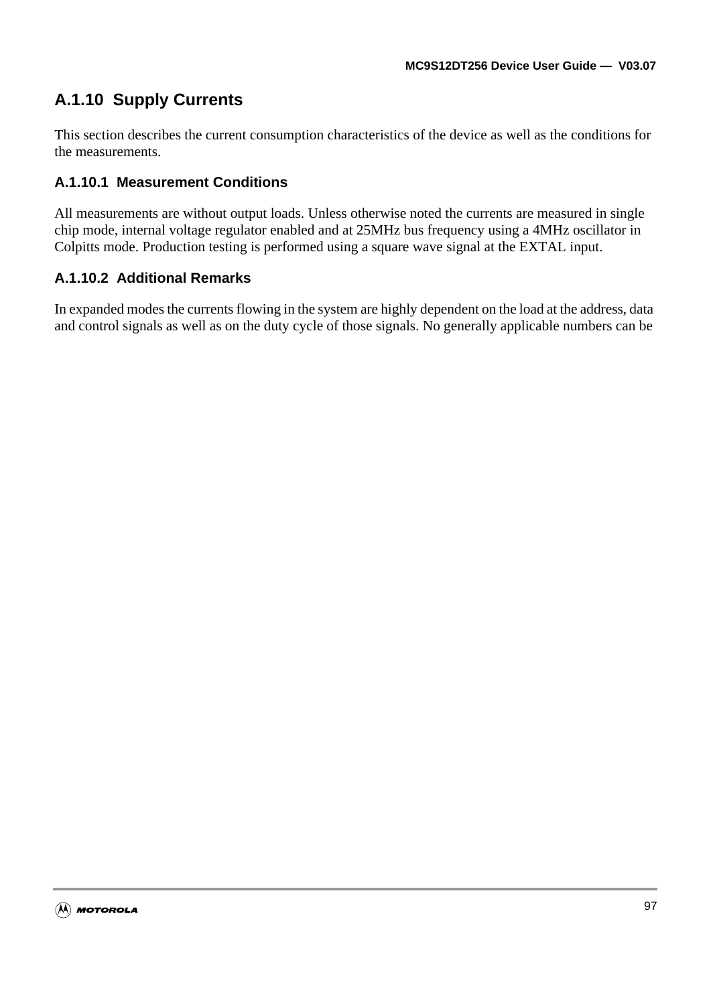## **A.1.10 Supply Currents**

This section describes the current consumption characteristics of the device as well as the conditions for the measurements.

### **A.1.10.1 Measurement Conditions**

All measurements are without output loads. Unless otherwise noted the currents are measured in single chip mode, internal voltage regulator enabled and at 25MHz bus frequency using a 4MHz oscillator in Colpitts mode. Production testing is performed using a square wave signal at the EXTAL input.

### **A.1.10.2 Additional Remarks**

In expanded modes the currents flowing in the system are highly dependent on the load at the address, data and control signals as well as on the duty cycle of those signals. No generally applicable numbers can be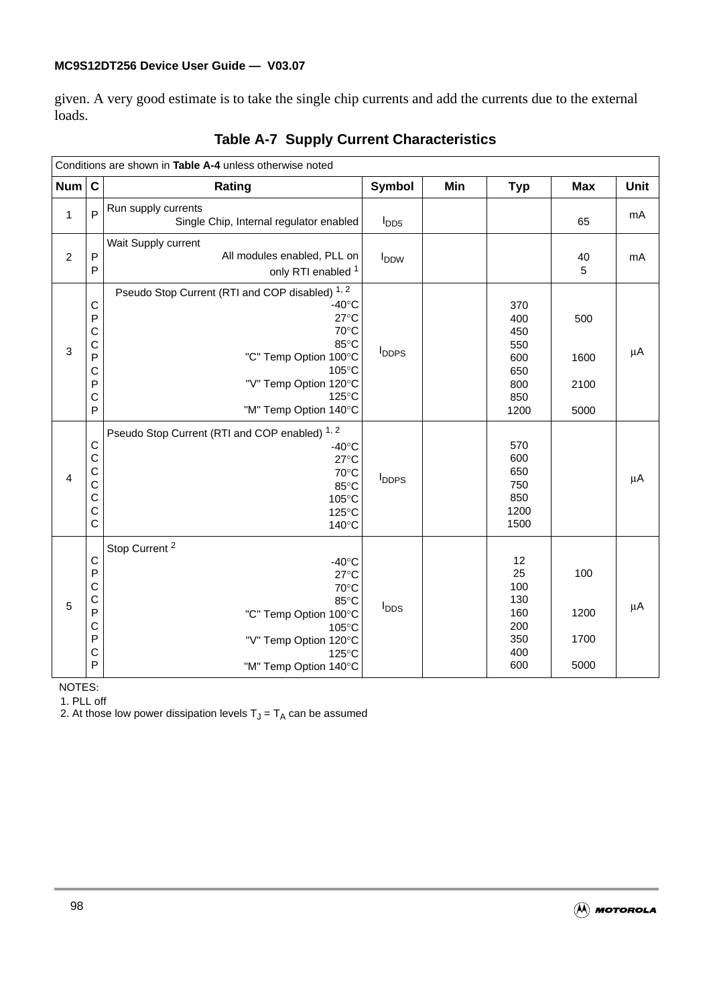given. A very good estimate is to take the single chip currents and add the currents due to the external loads.

<span id="page-97-0"></span>

|                | Conditions are shown in Table A-4 unless otherwise noted                                        |                                                                                                                                                                                                   |                          |     |                                                              |                             |         |  |
|----------------|-------------------------------------------------------------------------------------------------|---------------------------------------------------------------------------------------------------------------------------------------------------------------------------------------------------|--------------------------|-----|--------------------------------------------------------------|-----------------------------|---------|--|
| Num            | $\mathbf c$                                                                                     | Rating                                                                                                                                                                                            | Symbol                   | Min | <b>Typ</b>                                                   | <b>Max</b>                  | Unit    |  |
| $\mathbf{1}$   | P                                                                                               | Run supply currents<br>Single Chip, Internal regulator enabled                                                                                                                                    | $I_{DD5}$                |     |                                                              | 65                          | mA      |  |
| $\overline{2}$ | $\sf P$<br>P                                                                                    | Wait Supply current<br>All modules enabled, PLL on<br>only RTI enabled 1                                                                                                                          | $I_{DDW}$                |     |                                                              | 40<br>$\sqrt{5}$            | mA      |  |
| 3              | $\mathsf{C}$<br>$\mathsf{P}$<br>C<br>$\mathsf{C}$<br>P<br>C<br>P<br>$\mathsf{C}$<br>P           | Pseudo Stop Current (RTI and COP disabled) 1, 2<br>$-40^{\circ}$ C<br>$27^{\circ}$ C<br>70°C<br>85°C<br>"C" Temp Option 100°C<br>105°C<br>"V" Temp Option 120°C<br>125°C<br>"M" Temp Option 140°C | <b>I</b> <sub>DDPS</sub> |     | 370<br>400<br>450<br>550<br>600<br>650<br>800<br>850<br>1200 | 500<br>1600<br>2100<br>5000 | μA      |  |
| 4              | C<br>$\mathsf C$<br>C<br>C<br>C<br>C<br>$\mathbf C$                                             | Pseudo Stop Current (RTI and COP enabled) 1, 2<br>$-40^{\circ}$ C<br>$27^{\circ}$ C<br>70°C<br>85°C<br>105°C<br>125°C<br>140°C                                                                    | <b>I</b> <sub>DDPS</sub> |     | 570<br>600<br>650<br>750<br>850<br>1200<br>1500              |                             | $\mu A$ |  |
| 5              | $\mathsf C$<br>$\mathsf{P}$<br>C<br>C<br>P<br>$\mathsf{C}$<br>$\mathsf{P}$<br>$\mathsf{C}$<br>P | Stop Current <sup>2</sup><br>$-40^{\circ}$ C<br>$27^{\circ}$ C<br>70°C<br>85°C<br>"C" Temp Option 100°C<br>105°C<br>"V" Temp Option 120°C<br>125°C<br>"M" Temp Option 140°C                       | $I_{\text{DDS}}$         |     | 12<br>25<br>100<br>130<br>160<br>200<br>350<br>400<br>600    | 100<br>1200<br>1700<br>5000 | μA      |  |

**Table A-7 Supply Current Characteristics**

NOTES:

<span id="page-97-2"></span>1. PLL off

<span id="page-97-1"></span>2. At those low power dissipation levels  $T_J = T_A$  can be assumed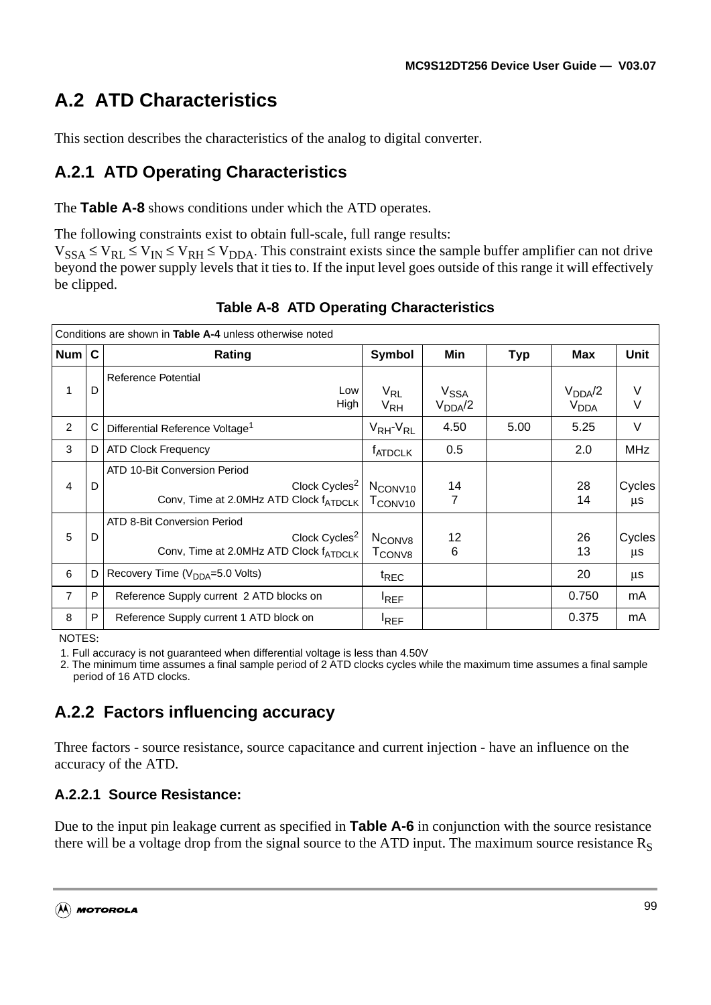# **A.2 ATD Characteristics**

This section describes the characteristics of the analog to digital converter.

## **A.2.1 ATD Operating Characteristics**

The **[Table A-8](#page-98-1)** shows conditions under which the ATD operates.

The following constraints exist to obtain full-scale, full range results:

 $V_{SSA} \leq V_{RL} \leq V_{IN} \leq V_{RH} \leq V_{DDA}$ . This constraint exists since the sample buffer amplifier can not drive beyond the power supply levels that it ties to. If the input level goes outside of this range it will effectively be clipped.

<span id="page-98-1"></span>

|                | Conditions are shown in Table A-4 unless otherwise noted |                                                                                                     |                                            |                                         |            |                                       |              |  |  |
|----------------|----------------------------------------------------------|-----------------------------------------------------------------------------------------------------|--------------------------------------------|-----------------------------------------|------------|---------------------------------------|--------------|--|--|
| <b>Num</b>     | C                                                        | Rating                                                                                              | Symbol                                     | Min                                     | <b>Typ</b> | Max                                   | Unit         |  |  |
| 1              | D                                                        | Reference Potential<br>Low<br>High                                                                  | $V_{RL}$<br>$V_{RH}$                       | V <sub>SSA</sub><br>V <sub>DDA</sub> /2 |            | $V_{DDA}/2$<br><b>V<sub>DDA</sub></b> |              |  |  |
| 2              | С                                                        | Differential Reference Voltage <sup>1</sup>                                                         | $VRH - VRL$                                | 4.50                                    | 5.00       | 5.25                                  | V            |  |  |
| 3              | D                                                        | <b>ATD Clock Frequency</b>                                                                          | <sup>T</sup> ATDCLK                        | 0.5                                     |            | 2.0                                   | <b>MHz</b>   |  |  |
| $\overline{4}$ | D                                                        | ATD 10-Bit Conversion Period<br>Clock Cycles <sup>2</sup><br>Conv, Time at 2.0MHz ATD Clock fATDCLK | N <sub>CONV10</sub><br>T <sub>CONV10</sub> | 14<br>7                                 |            | 28<br>14                              | Cycles<br>μs |  |  |
| 5              | D                                                        | ATD 8-Bit Conversion Period<br>Clock Cycles <sup>2</sup><br>Conv, Time at 2.0MHz ATD Clock fATDCLK  | N <sub>CONV8</sub><br>T <sub>CONV8</sub>   | 12<br>6                                 |            | 26<br>13                              | Cycles<br>μs |  |  |
| 6              | D                                                        | Recovery Time (V <sub>DDA</sub> =5.0 Volts)                                                         | $t_{REC}$                                  |                                         |            | 20                                    | μs           |  |  |
| 7              | P                                                        | Reference Supply current 2 ATD blocks on                                                            | $I_{REF}$                                  |                                         |            | 0.750                                 | mA           |  |  |
| 8              | P                                                        | Reference Supply current 1 ATD block on                                                             | $I_{REF}$                                  |                                         |            | 0.375                                 | mA           |  |  |

| Table A-8 ATD Operating Characteristics |  |
|-----------------------------------------|--|
|                                         |  |

NOTES:

1. Full accuracy is not guaranteed when differential voltage is less than 4.50V

<span id="page-98-0"></span>2. The minimum time assumes a final sample period of 2 ATD clocks cycles while the maximum time assumes a final sample period of 16 ATD clocks.

## **A.2.2 Factors influencing accuracy**

Three factors - source resistance, source capacitance and current injection - have an influence on the accuracy of the ATD.

### **A.2.2.1 Source Resistance:**

Due to the input pin leakage current as specified in **[Table A-6](#page-95-1)** in conjunction with the source resistance there will be a voltage drop from the signal source to the ATD input. The maximum source resistance  $R<sub>S</sub>$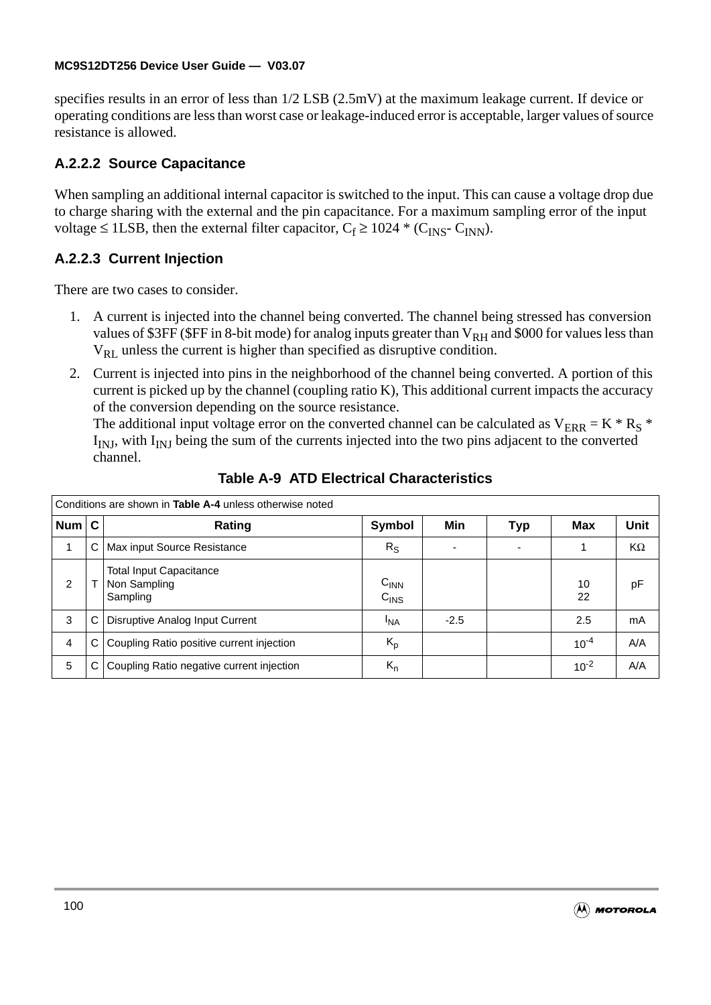#### **MC9S12DT256 Device User Guide — V03.07**

specifies results in an error of less than 1/2 LSB (2.5mV) at the maximum leakage current. If device or operating conditions are less than worst case or leakage-induced error is acceptable, larger values of source resistance is allowed.

### **A.2.2.2 Source Capacitance**

When sampling an additional internal capacitor is switched to the input. This can cause a voltage drop due to charge sharing with the external and the pin capacitance. For a maximum sampling error of the input voltage  $\leq$  1LSB, then the external filter capacitor,  $C_f \geq 1024$  \* ( $C_{INS}$ -  $C_{INN}$ ).

### **A.2.2.3 Current Injection**

There are two cases to consider.

- 1. A current is injected into the channel being converted. The channel being stressed has conversion values of \$3FF (\$FF in 8-bit mode) for analog inputs greater than  $V_{RH}$  and \$000 for values less than  $V_{RL}$  unless the current is higher than specified as disruptive condition.
- 2. Current is injected into pins in the neighborhood of the channel being converted. A portion of this current is picked up by the channel (coupling ratio K), This additional current impacts the accuracy of the conversion depending on the source resistance.

The additional input voltage error on the converted channel can be calculated as  $V_{ERR} = K * R_S *$  $I_{INJ}$ , with  $I_{INJ}$  being the sum of the currents injected into the two pins adjacent to the converted channel.

|                |   | Conditions are shown in Table A-4 unless otherwise noted   |                                      |        |     |           |             |
|----------------|---|------------------------------------------------------------|--------------------------------------|--------|-----|-----------|-------------|
| <b>Num</b>     | C | Rating                                                     | <b>Symbol</b>                        | Min    | Typ | Max       | <b>Unit</b> |
|                | С | Max input Source Resistance                                | $R_{\rm S}$                          |        | ۰   |           | KΩ          |
| 2              |   | <b>Total Input Capacitance</b><br>Non Sampling<br>Sampling | C <sub>INN</sub><br>C <sub>INS</sub> |        |     | 10<br>22  | рF          |
| 3              | С | Disruptive Analog Input Current                            | <sup>I</sup> NA                      | $-2.5$ |     | 2.5       | mA          |
| $\overline{4}$ | С | Coupling Ratio positive current injection                  | $K_{p}$                              |        |     | $10^{-4}$ | A/A         |
| 5              | С | Coupling Ratio negative current injection                  | $K_{n}$                              |        |     | $10^{-2}$ | A/A         |

**Table A-9 ATD Electrical Characteristics**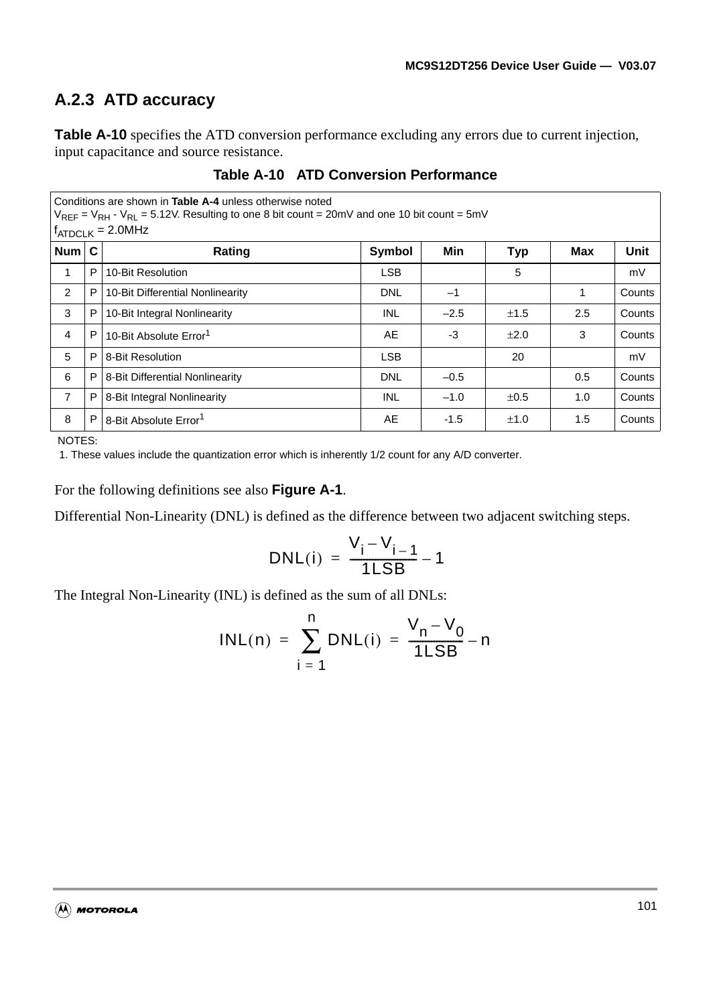## **A.2.3 ATD accuracy**

**[Table A-10](#page-100-1)** specifies the ATD conversion performance excluding any errors due to current injection, input capacitance and source resistance.

<span id="page-100-1"></span>

| Conditions are shown in Table A-4 unless otherwise noted<br>$V_{REF} = V_{RH} - V_{RL} = 5.12V$ . Resulting to one 8 bit count = 20mV and one 10 bit count = 5mV |                        |                                    |            |        |            |            |        |  |  |
|------------------------------------------------------------------------------------------------------------------------------------------------------------------|------------------------|------------------------------------|------------|--------|------------|------------|--------|--|--|
|                                                                                                                                                                  | $f_{ATDCLK} = 2.0 MHz$ |                                    |            |        |            |            |        |  |  |
| $Num \mid$                                                                                                                                                       | C                      | Rating                             | Symbol     | Min    | <b>Typ</b> | <b>Max</b> | Unit   |  |  |
| 1                                                                                                                                                                | P                      | 10-Bit Resolution                  | <b>LSB</b> |        | 5          |            | mV     |  |  |
| $\overline{2}$                                                                                                                                                   | P                      | 10-Bit Differential Nonlinearity   | <b>DNL</b> | $-1$   |            |            | Counts |  |  |
| 3                                                                                                                                                                | P                      | 10-Bit Integral Nonlinearity       | INL        | $-2.5$ | ±1.5       | 2.5        | Counts |  |  |
| 4                                                                                                                                                                | P                      | 10-Bit Absolute Error <sup>1</sup> | AE         | $-3$   | $\pm 2.0$  | 3          | Counts |  |  |
| 5                                                                                                                                                                | P                      | 8-Bit Resolution                   | LSB        |        | 20         |            | mV     |  |  |
| 6                                                                                                                                                                | P                      | 8-Bit Differential Nonlinearity    | <b>DNL</b> | $-0.5$ |            | 0.5        | Counts |  |  |
| $\overline{7}$                                                                                                                                                   | P                      | 8-Bit Integral Nonlinearity        | <b>INL</b> | $-1.0$ | $\pm 0.5$  | 1.0        | Counts |  |  |
| 8                                                                                                                                                                | P                      | 8-Bit Absolute Error <sup>1</sup>  | AE         | $-1.5$ | ±1.0       | 1.5        | Counts |  |  |

**Table A-10 ATD Conversion Performance**

NOTES:

<span id="page-100-0"></span>1. These values include the quantization error which is inherently 1/2 count for any A/D converter.

For the following definitions see also **[Figure A-1](#page-101-0)**.

Differential Non-Linearity (DNL) is defined as the difference between two adjacent switching steps.

$$
DNL(i) = \frac{V_i - V_{i-1}}{1LSB} - 1
$$

The Integral Non-Linearity (INL) is defined as the sum of all DNLs:

$$
INL(n) = \sum_{i=1}^{n} DNL(i) = \frac{V_n - V_0}{1LSB} - n
$$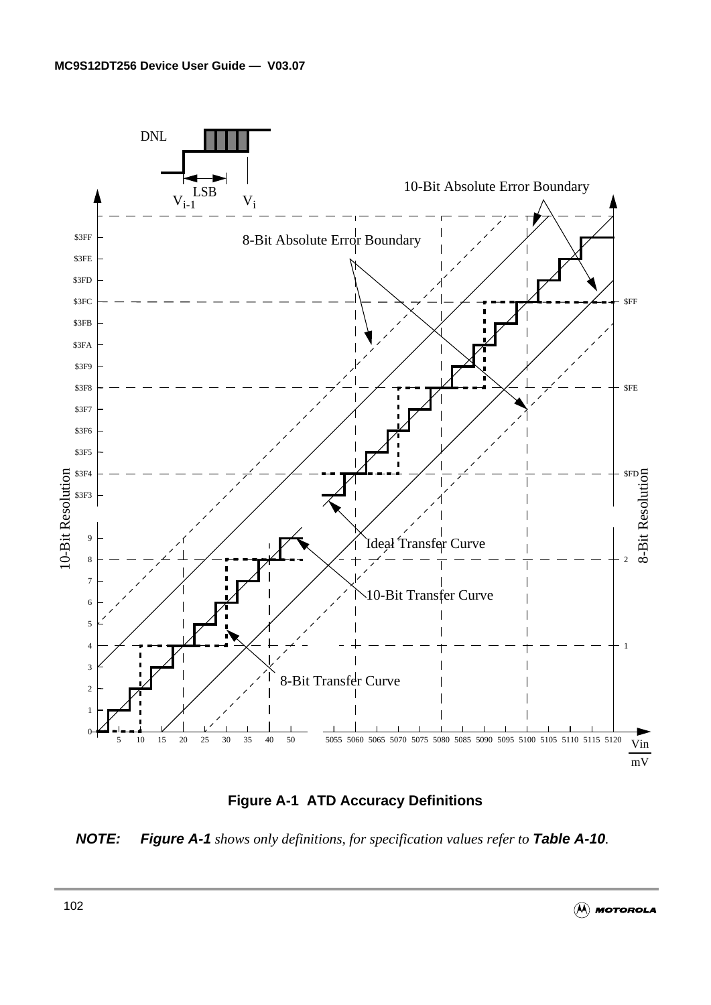

**Figure A-1 ATD Accuracy Definitions**

<span id="page-101-0"></span>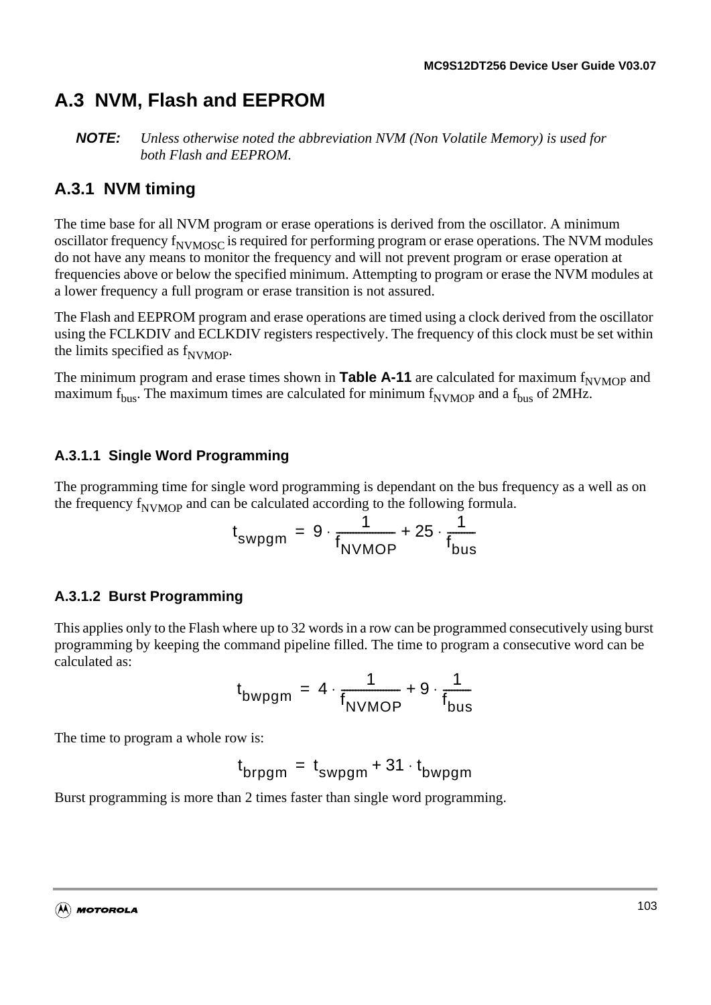## **A.3 NVM, Flash and EEPROM**

*NOTE: Unless otherwise noted the abbreviation NVM (Non Volatile Memory) is used for both Flash and EEPROM.*

### **A.3.1 NVM timing**

The time base for all NVM program or erase operations is derived from the oscillator. A minimum oscillator frequency  $f_{\text{NVMOSC}}$  is required for performing program or erase operations. The NVM modules do not have any means to monitor the frequency and will not prevent program or erase operation at frequencies above or below the specified minimum. Attempting to program or erase the NVM modules at a lower frequency a full program or erase transition is not assured.

The Flash and EEPROM program and erase operations are timed using a clock derived from the oscillator using the FCLKDIV and ECLKDIV registers respectively. The frequency of this clock must be set within the limits specified as  $f_{\text{NVMOP}}$ .

The minimum program and erase times shown in **[Table A-11](#page-103-0)** are calculated for maximum  $f_{\text{NVMOP}}$  and maximum  $f_{bus}$ . The maximum times are calculated for minimum  $f_{NVMOP}$  and a  $f_{bus}$  of 2MHz.

### <span id="page-102-0"></span>**A.3.1.1 Single Word Programming**

The programming time for single word programming is dependant on the bus frequency as a well as on the frequency  $f_{\text{NVMOP}}$  and can be calculated according to the following formula.

$$
t_{\text{swpgm}} = 9 \cdot \frac{1}{f_{\text{NVMOP}}} + 25 \cdot \frac{1}{f_{\text{bus}}}
$$

### **A.3.1.2 Burst Programming**

This applies only to the Flash where up to 32 words in a row can be programmed consecutively using burst programming by keeping the command pipeline filled. The time to program a consecutive word can be calculated as:

$$
t_{bwpgm} = 4 \cdot \frac{1}{f_{NVMOP}} + 9 \cdot \frac{1}{f_{bus}}
$$

The time to program a whole row is:

$$
t_{brgm} = t_{swpgm} + 31 \cdot t_{bwpgm}
$$

Burst programming is more than 2 times faster than single word programming.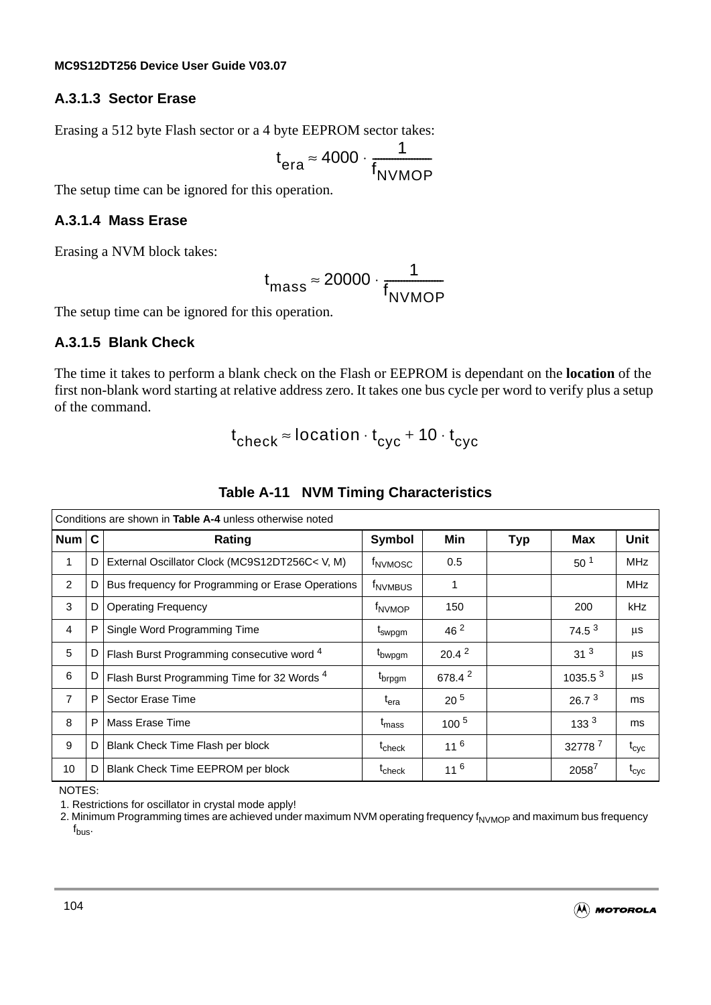### **A.3.1.3 Sector Erase**

Erasing a 512 byte Flash sector or a 4 byte EEPROM sector takes:

$$
t_{era} \approx 4000 \cdot \frac{1}{f_{\text{NVMOP}}}
$$

The setup time can be ignored for this operation.

### <span id="page-103-2"></span>**A.3.1.4 Mass Erase**

Erasing a NVM block takes:

$$
t_{\text{mass}} \approx 20000 \cdot \frac{1}{f_{\text{NVMOP}}}
$$

The setup time can be ignored for this operation.

### **A.3.1.5 Blank Check**

The time it takes to perform a blank check on the Flash or EEPROM is dependant on the **location** of the first non-blank word starting at relative address zero. It takes one bus cycle per word to verify plus a setup of the command.

$$
t_{\sf check} \approx \text{location} \cdot t_{\sf cyc} + \text{10} \cdot t_{\sf cyc}
$$

<span id="page-103-0"></span>

| Conditions are shown in Table A-4 unless otherwise noted |              |                                                        |                       |                    |            |                   |               |  |
|----------------------------------------------------------|--------------|--------------------------------------------------------|-----------------------|--------------------|------------|-------------------|---------------|--|
| Num                                                      | $\mathbf{C}$ | Rating                                                 | Symbol                | Min                | <b>Typ</b> | Max               | <b>Unit</b>   |  |
| $\mathbf{1}$                                             | D            | External Oscillator Clock (MC9S12DT256C< V, M)         | <i><b>INVMOSC</b></i> | 0.5                |            | 50 <sup>1</sup>   | <b>MHz</b>    |  |
| 2                                                        | D            | Bus frequency for Programming or Erase Operations      | <sup>T</sup> NVMBUS   | 1                  |            |                   | <b>MHz</b>    |  |
| 3                                                        | D            | <b>Operating Frequency</b>                             | <sup>T</sup> NVMOP    | 150                |            | 200               | kHz           |  |
| 4                                                        | P            | Single Word Programming Time                           | <sup>I</sup> swpgm    | 46 <sup>2</sup>    |            | 74.5 <sup>3</sup> | μs            |  |
| 5                                                        | D            | Flash Burst Programming consecutive word 4             | t <sub>bwpgm</sub>    | 20.4 <sup>2</sup>  |            | 31 <sup>3</sup>   | μs            |  |
| 6                                                        | D            | Flash Burst Programming Time for 32 Words <sup>4</sup> | t <sub>brpgm</sub>    | 678.4 <sup>2</sup> |            | 1035.5 $3$        | μs            |  |
| 7                                                        | P            | Sector Erase Time                                      | t <sub>era</sub>      | 20 <sup>5</sup>    |            | 26.7 <sup>3</sup> | ms            |  |
| 8                                                        | P            | Mass Erase Time                                        | $t_{\sf mass}$        | 100 <sup>5</sup>   |            | 133 <sup>3</sup>  | ms            |  |
| 9                                                        | D            | Blank Check Time Flash per block                       | t <sub>check</sub>    | $11^{6}$           |            | 327787            | $t_{\rm cyc}$ |  |
| 10                                                       | D            | Blank Check Time EEPROM per block                      | t <sub>check</sub>    | $11^{6}$           |            | $2058^7$          | $t_{\rm cyc}$ |  |

### **Table A-11 NVM Timing Characteristics**

NOTES:

1. Restrictions for oscillator in crystal mode apply!

<span id="page-103-1"></span>2. Minimum Programming times are achieved under maximum NVM operating frequency f<sub>NVMOP</sub> and maximum bus frequency f<sub>bus</sub>.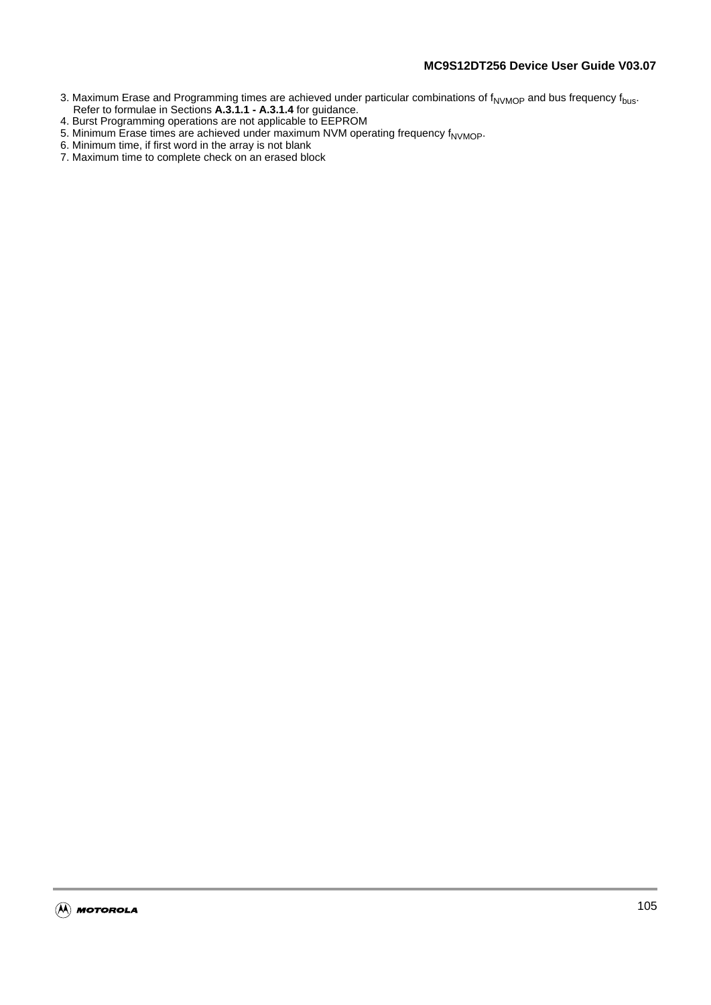- <span id="page-104-1"></span>3. Maximum Erase and Programming times are achieved under particular combinations of f<sub>NVMOP</sub> and bus frequency f<sub>bus</sub>. Refer to formulae in Sections **[A.3.1.1](#page-102-0) - [A.3.1.4](#page-103-2)** for guidance.
- <span id="page-104-2"></span>4. Burst Programming operations are not applicable to EEPROM
- <span id="page-104-0"></span>5. Minimum Erase times are achieved under maximum NVM operating frequency f<sub>NVMOP</sub>.
- <span id="page-104-3"></span>6. Minimum time, if first word in the array is not blank
- <span id="page-104-4"></span>7. Maximum time to complete check on an erased block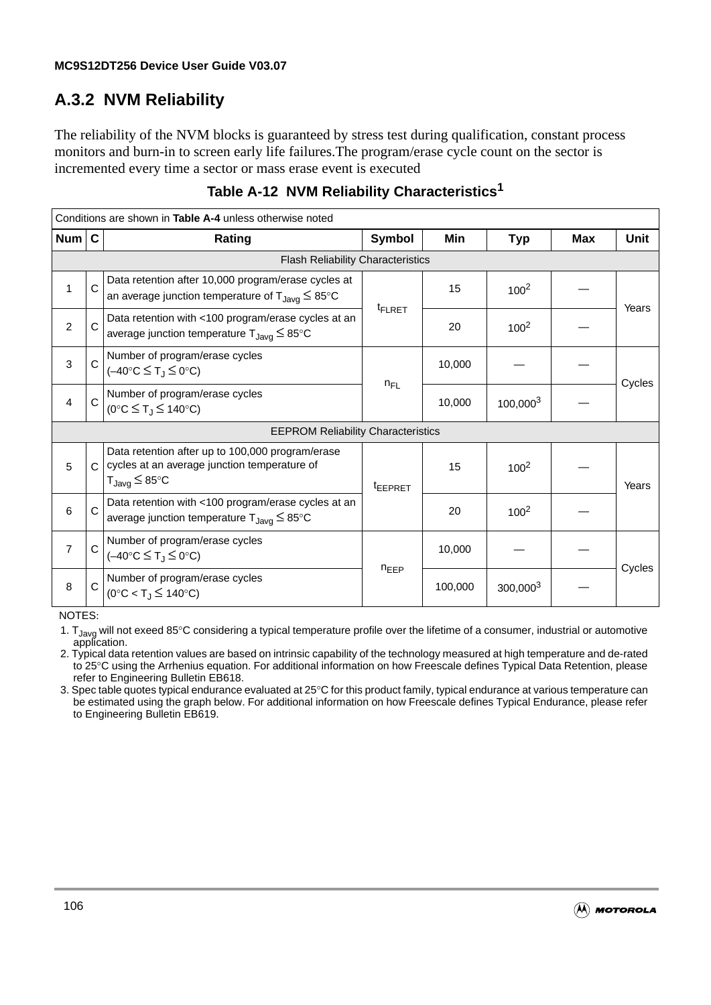## **A.3.2 NVM Reliability**

The reliability of the NVM blocks is guaranteed by stress test during qualification, constant process monitors and burn-in to screen early life failures.The program/erase cycle count on the sector is incremented every time a sector or mass erase event is executed

|                | Conditions are shown in Table A-4 unless otherwise noted |                                                                                                                                      |                     |         |                  |     |        |  |  |
|----------------|----------------------------------------------------------|--------------------------------------------------------------------------------------------------------------------------------------|---------------------|---------|------------------|-----|--------|--|--|
| $Num \mid$     | C                                                        | Rating                                                                                                                               | <b>Symbol</b>       | Min     | <b>Typ</b>       | Max | Unit   |  |  |
|                | <b>Flash Reliability Characteristics</b>                 |                                                                                                                                      |                     |         |                  |     |        |  |  |
| $\mathbf{1}$   | Ċ                                                        | Data retention after 10,000 program/erase cycles at<br>an average junction temperature of $T_{\text{Java}} \leq 85^{\circ} \text{C}$ | <sup>t</sup> FLRET  | 15      | $100^2$          |     | Years  |  |  |
| $\overline{2}$ | C                                                        | Data retention with <100 program/erase cycles at an<br>average junction temperature $T_{\text{Java}} \leq 85^{\circ}C$               |                     | 20      | $100^2$          |     |        |  |  |
| 3              |                                                          | Number of program/erase cycles<br>$(-40^{\circ}C \leq T_J \leq 0^{\circ}C)$                                                          | $n_{FL}$            | 10,000  |                  |     | Cycles |  |  |
| 4              | С                                                        | Number of program/erase cycles<br>$(0^{\circ}C \leq T_1 \leq 140^{\circ}C)$                                                          |                     | 10,000  | $100,000^{3}$    |     |        |  |  |
|                |                                                          | <b>EEPROM Reliability Characteristics</b>                                                                                            |                     |         |                  |     |        |  |  |
| 5              | C                                                        | Data retention after up to 100,000 program/erase<br>cycles at an average junction temperature of<br>$T_{\text{Javg}}$ $\leq$ 85°C    | <sup>t</sup> EEPRET | 15      | 100 <sup>2</sup> |     | Years  |  |  |
| 6              |                                                          | Data retention with <100 program/erase cycles at an<br>average junction temperature $T_{\text{Java}} \leq 85^{\circ}C$               |                     | 20      | $100^2$          |     |        |  |  |
| $\overline{7}$ | C                                                        | Number of program/erase cycles<br>$(-40^{\circ}C \leq T_J \leq 0^{\circ}C)$                                                          |                     | 10,000  |                  |     | Cycles |  |  |
| 8              |                                                          | Number of program/erase cycles<br>$(0^{\circ}C < T_1 \leq 140^{\circ}C)$                                                             | $n_{EEP}$           | 100,000 | 300,0003         |     |        |  |  |

### **Table A-12 NVM Reliability Characteristics1**

NOTES:

1. T<sub>Javg</sub> will not exeed 85°C considering a typical temperature profile over the lifetime of a consumer, industrial or automotive application.

2. Typical data retention values are based on intrinsic capability of the technology measured at high temperature and de-rated to 25°C using the Arrhenius equation. For additional information on how Freescale defines Typical Data Retention, please refer to Engineering Bulletin EB618.

3. Spec table quotes typical endurance evaluated at 25°C for this product family, typical endurance at various temperature can be estimated using the graph below. For additional information on how Freescale defines Typical Endurance, please refer to Engineering Bulletin EB619.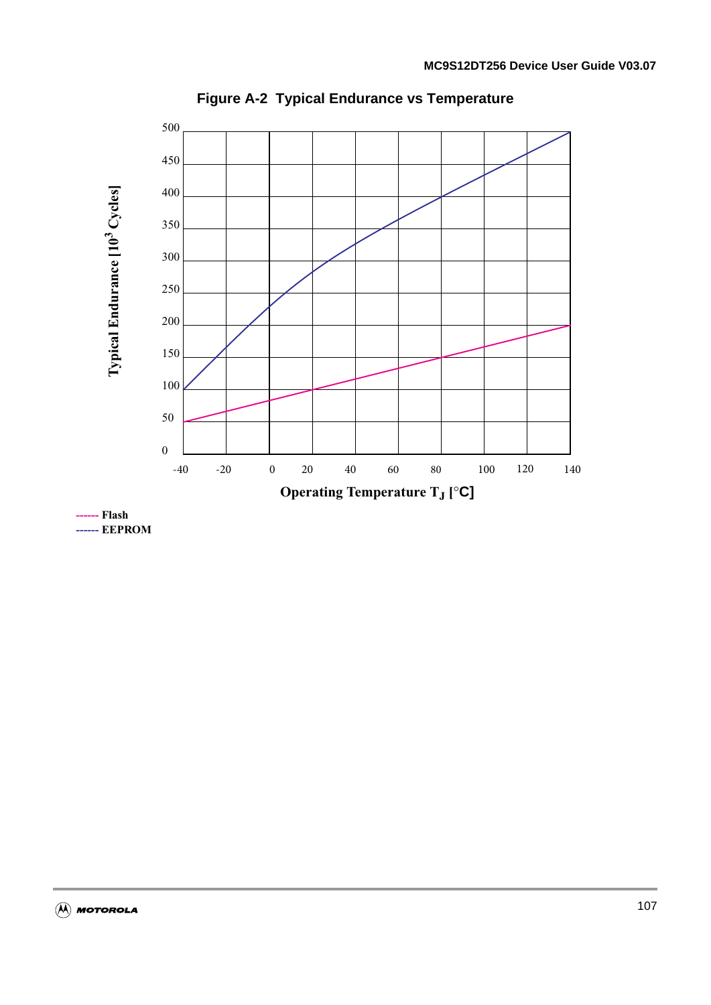

**Figure A-2 Typical Endurance vs Temperature**

**------ Flash ------ EEPROM**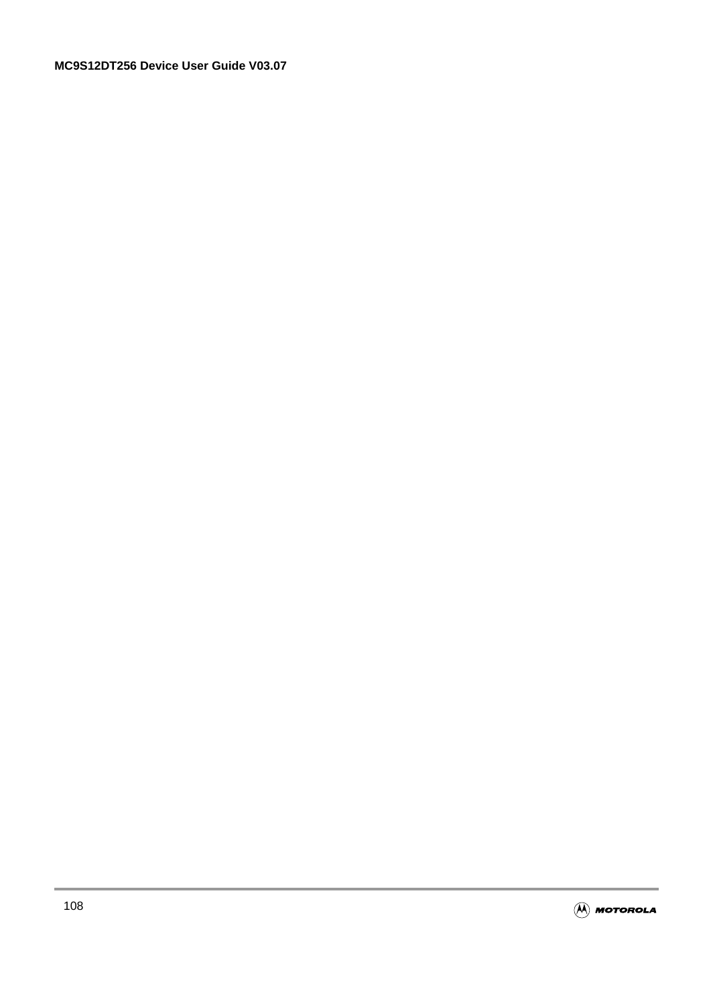**MC9S12DT256 Device User Guide V03.07**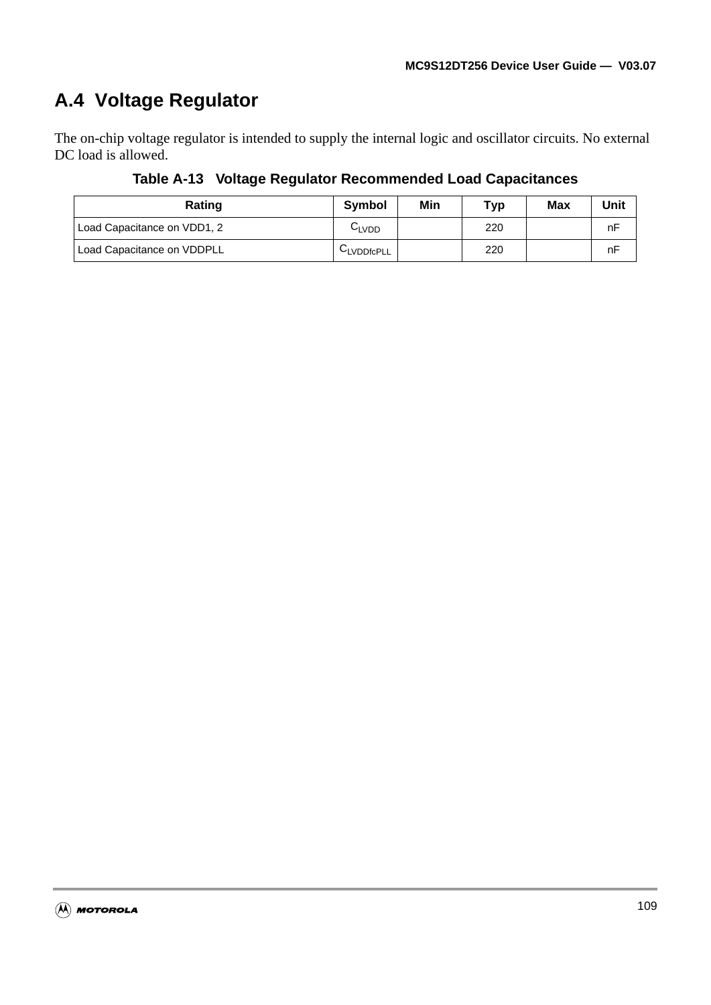# **A.4 Voltage Regulator**

The on-chip voltage regulator is intended to supply the internal logic and oscillator circuits. No external DC load is allowed.

**Table A-13 Voltage Regulator Recommended Load Capacitances**

| Rating                      | Symbol            | Min | Тур | Max | Jnit |
|-----------------------------|-------------------|-----|-----|-----|------|
| Load Capacitance on VDD1, 2 | ∪LVDD             |     | 220 |     | nF   |
| Load Capacitance on VDDPLL  | <b>ULVDDfcPLL</b> |     | 220 |     | nF   |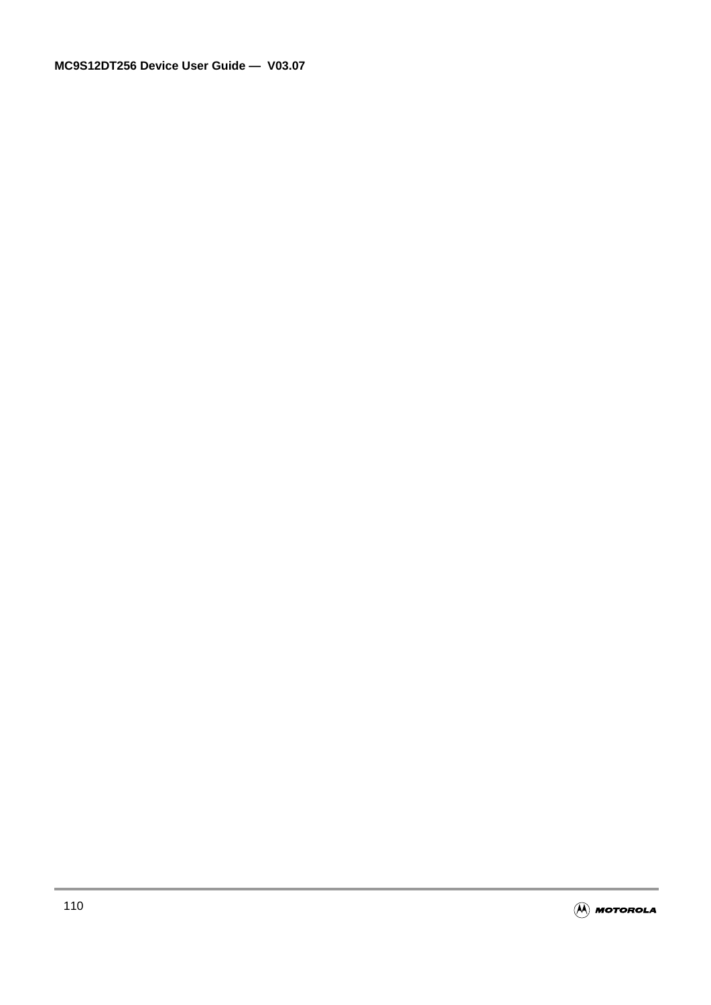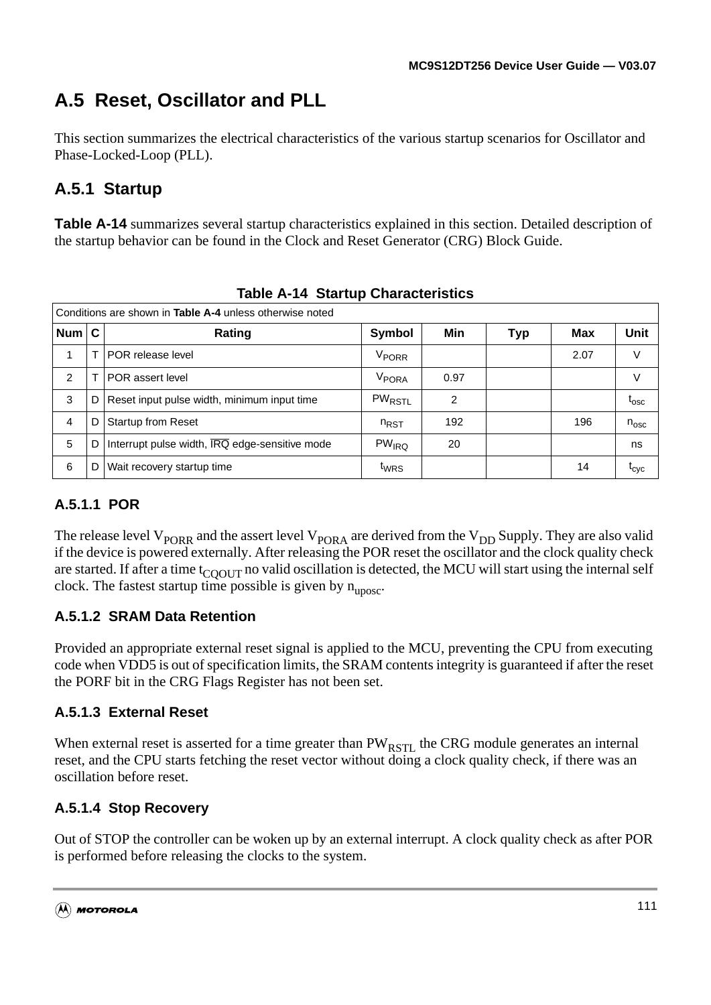# **A.5 Reset, Oscillator and PLL**

This section summarizes the electrical characteristics of the various startup scenarios for Oscillator and Phase-Locked-Loop (PLL).

## **A.5.1 Startup**

**[Table A-14](#page-110-0)** summarizes several startup characteristics explained in this section. Detailed description of the startup behavior can be found in the Clock and Reset Generator (CRG) Block Guide.

<span id="page-110-0"></span>

|            | Conditions are shown in Table A-4 unless otherwise noted |                                                 |                    |      |     |      |                         |  |
|------------|----------------------------------------------------------|-------------------------------------------------|--------------------|------|-----|------|-------------------------|--|
| <b>Num</b> | C                                                        | Rating                                          | Symbol             | Min  | Typ | Max  | <b>Unit</b>             |  |
|            |                                                          | POR release level                               | V <sub>PORR</sub>  |      |     | 2.07 | V                       |  |
| 2          |                                                          | POR assert level                                | V <sub>PORA</sub>  | 0.97 |     |      | v                       |  |
| 3          |                                                          | D   Reset input pulse width, minimum input time | PW <sub>RSTL</sub> | 2    |     |      | $t_{\rm osc}$           |  |
| 4          | D                                                        | <b>Startup from Reset</b>                       | $n_{RST}$          | 192  |     | 196  | $n_{\rm osc}$           |  |
| 5          | D                                                        | Interrupt pulse width, IRQ edge-sensitive mode  | $PW_{\text{IRO}}$  | 20   |     |      | ns                      |  |
| 6          | D                                                        | Wait recovery startup time                      | <sup>t</sup> wrs   |      |     | 14   | <b>L</b> <sub>CVC</sub> |  |

|  | <b>Table A-14 Startup Characteristics</b> |
|--|-------------------------------------------|
|  |                                           |

### **A.5.1.1 POR**

The release level  $V_{PORR}$  and the assert level  $V_{PORA}$  are derived from the  $V_{DD}$  Supply. They are also valid if the device is powered externally. After releasing the POR reset the oscillator and the clock quality check are started. If after a time  $t_{\text{COOUT}}$  no valid oscillation is detected, the MCU will start using the internal self clock. The fastest startup time possible is given by  $n_{\text{upose}}$ .

### **A.5.1.2 SRAM Data Retention**

Provided an appropriate external reset signal is applied to the MCU, preventing the CPU from executing code when VDD5 is out of specification limits, the SRAM contents integrity is guaranteed if after the reset the PORF bit in the CRG Flags Register has not been set.

### **A.5.1.3 External Reset**

When external reset is asserted for a time greater than  $PW_{RSTL}$  the CRG module generates an internal reset, and the CPU starts fetching the reset vector without doing a clock quality check, if there was an oscillation before reset.

### **A.5.1.4 Stop Recovery**

Out of STOP the controller can be woken up by an external interrupt. A clock quality check as after POR is performed before releasing the clocks to the system.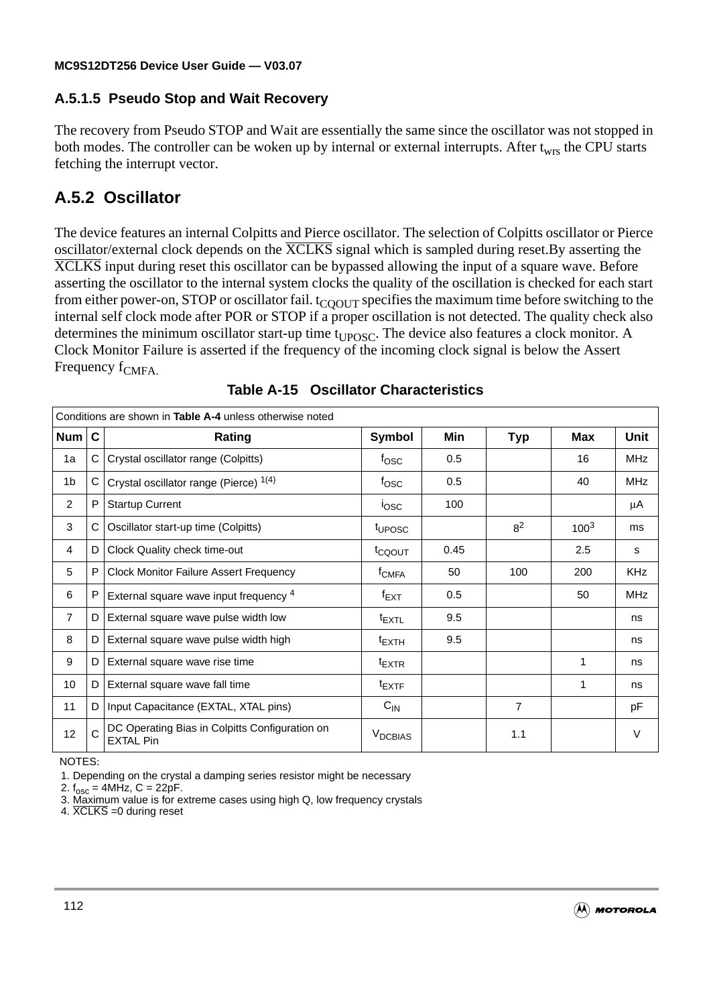### **A.5.1.5 Pseudo Stop and Wait Recovery**

The recovery from Pseudo STOP and Wait are essentially the same since the oscillator was not stopped in both modes. The controller can be woken up by internal or external interrupts. After  $t_{wrs}$  the CPU starts fetching the interrupt vector.

### **A.5.2 Oscillator**

The device features an internal Colpitts and Pierce oscillator. The selection of Colpitts oscillator or Pierce oscillator/external clock depends on the XCLKS signal which is sampled during reset.By asserting the XCLKS input during reset this oscillator can be bypassed allowing the input of a square wave. Before asserting the oscillator to the internal system clocks the quality of the oscillation is checked for each start from either power-on, STOP or oscillator fail.  $t_{\text{COOUT}}$  specifies the maximum time before switching to the internal self clock mode after POR or STOP if a proper oscillation is not detected. The quality check also determines the minimum oscillator start-up time  $t_{\text{UPOSC}}$ . The device also features a clock monitor. A Clock Monitor Failure is asserted if the frequency of the incoming clock signal is below the Assert Frequency  $f_{\text{CMFA}}$ 

|                | Conditions are shown in Table A-4 unless otherwise noted |                                                                    |                            |      |                |            |            |  |
|----------------|----------------------------------------------------------|--------------------------------------------------------------------|----------------------------|------|----------------|------------|------------|--|
| $Num \mid$     | $\mathbf c$                                              | Rating                                                             | Symbol                     | Min  | <b>Typ</b>     | <b>Max</b> | Unit       |  |
| 1a             | C                                                        | Crystal oscillator range (Colpitts)                                | $f_{\rm OSC}$              | 0.5  |                | 16         | <b>MHz</b> |  |
| 1 <sub>b</sub> | С                                                        | Crystal oscillator range (Pierce) 1(4)                             | $f_{\rm OSC}$              | 0.5  |                | 40         | <b>MHz</b> |  |
| $\overline{2}$ | P                                                        | <b>Startup Current</b>                                             | <b>losc</b>                | 100  |                |            | μA         |  |
| 3              | С                                                        | Oscillator start-up time (Colpitts)                                | t <sub>UPOSC</sub>         |      | 8 <sup>2</sup> | $100^{3}$  | ms         |  |
| 4              | D                                                        | Clock Quality check time-out                                       | t <sub>CQOUT</sub>         | 0.45 |                | 2.5        | s          |  |
| 5              | P                                                        | <b>Clock Monitor Failure Assert Frequency</b>                      | <sup>t</sup> CMFA          | 50   | 100            | 200        | <b>KHz</b> |  |
| 6              | P                                                        | External square wave input frequency 4                             | $f_{EXT}$                  | 0.5  |                | 50         | <b>MHz</b> |  |
| $\overline{7}$ | D                                                        | External square wave pulse width low                               | <sup>t</sup> EXTL          | 9.5  |                |            | ns         |  |
| 8              | D                                                        | External square wave pulse width high                              | $t_{\text{EXT}H}$          | 9.5  |                |            | ns         |  |
| 9              | D                                                        | External square wave rise time                                     | <sup>t</sup> EXTR          |      |                | 1          | ns         |  |
| 10             | D                                                        | External square wave fall time                                     | $t_{\text{EXTF}}$          |      |                | 1          | ns         |  |
| 11             | D                                                        | Input Capacitance (EXTAL, XTAL pins)                               | $C_{IN}$                   |      | $\overline{7}$ |            | pF         |  |
| 12             | C                                                        | DC Operating Bias in Colpitts Configuration on<br><b>EXTAL Pin</b> | <b>V</b> <sub>DCBIAS</sub> |      | 1.1            |            | $\vee$     |  |

|  |  | Table A-15 Oscillator Characteristics |
|--|--|---------------------------------------|
|--|--|---------------------------------------|

NOTES:

1. Depending on the crystal a damping series resistor might be necessary

2.  $f_{\text{osc}} = 4$ MHz, C = 22pF.

3. Maximum value is for extreme cases using high Q, low frequency crystals

<span id="page-111-0"></span>4. XCLKS =0 during reset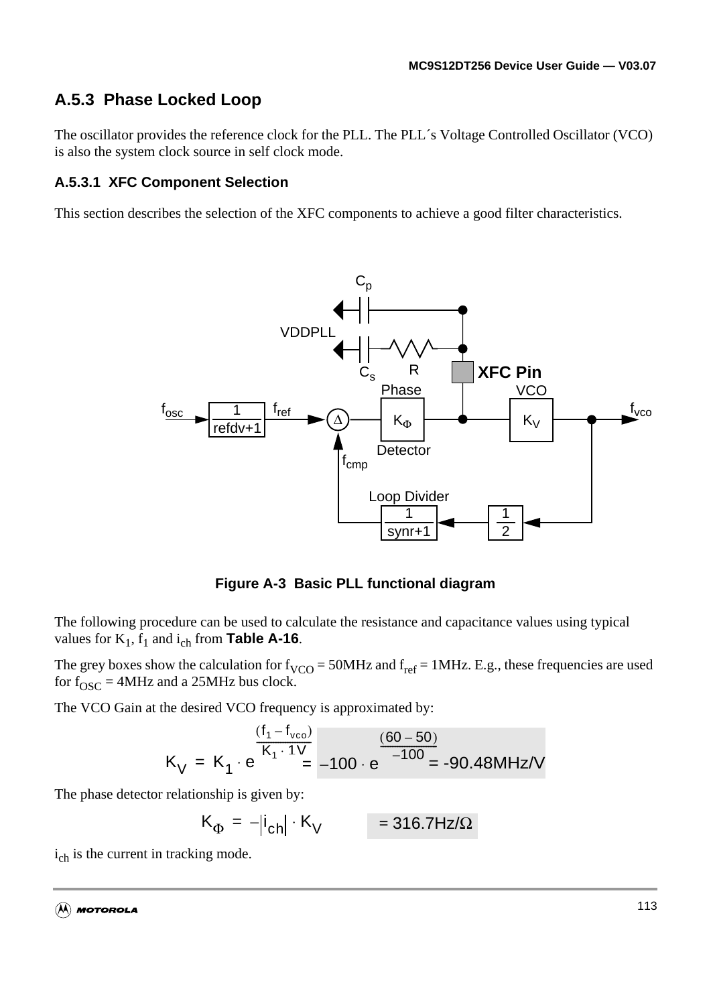## **A.5.3 Phase Locked Loop**

The oscillator provides the reference clock for the PLL. The PLL´s Voltage Controlled Oscillator (VCO) is also the system clock source in self clock mode.

### **A.5.3.1 XFC Component Selection**

This section describes the selection of the XFC components to achieve a good filter characteristics.



**Figure A-3 Basic PLL functional diagram**

<span id="page-112-0"></span>The following procedure can be used to calculate the resistance and capacitance values using typical values for  $K_1$ ,  $f_1$  and  $i_{ch}$  from **[Table A-16](#page-115-0)**.

The grey boxes show the calculation for  $f_{VCO} = 50 MHz$  and  $f_{ref} = 1 MHz$ . E.g., these frequencies are used for  $f_{\rm OSC} = 4$ MHz and a 25MHz bus clock.

The VCO Gain at the desired VCO frequency is approximated by:

$$
K_V = K_1 \cdot e^{\frac{(f_1 - f_{vco})}{K_1 \cdot 1V}} = -100 \cdot e^{\frac{(60 - 50)}{-100}} = -90.48 \text{MHz/W}
$$

The phase detector relationship is given by:

$$
K_{\Phi} = -|i_{\text{ch}}| \cdot K_{V} = 316.7 \text{Hz}/\Omega
$$

i<sub>ch</sub> is the current in tracking mode.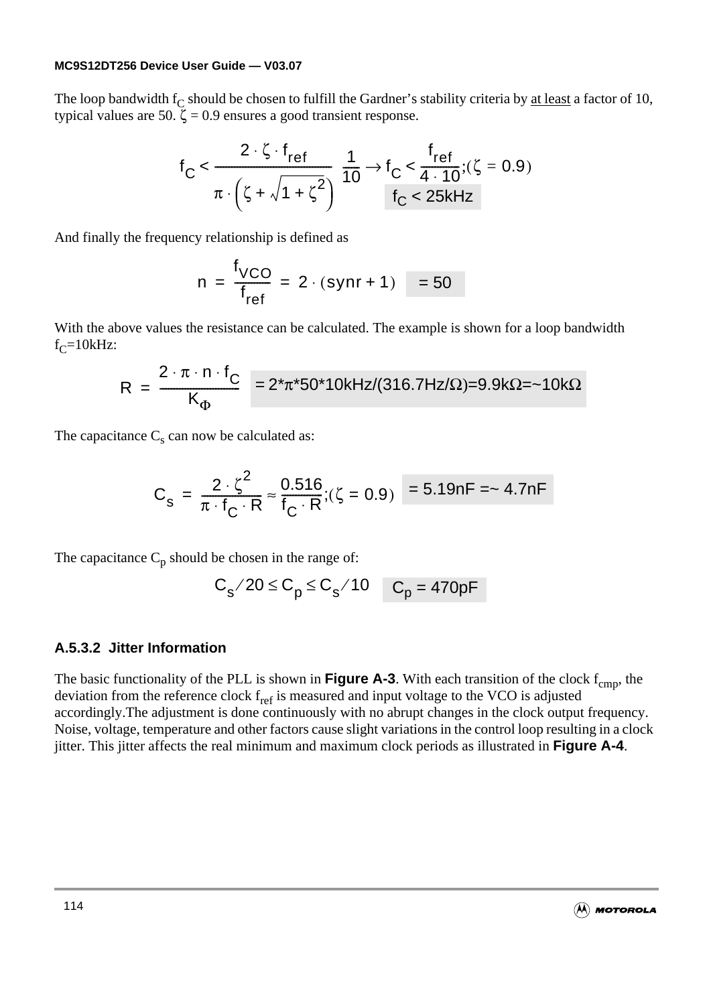#### **MC9S12DT256 Device User Guide — V03.07**

The loop bandwidth  $f_C$  should be chosen to fulfill the Gardner's stability criteria by <u>at least</u> a factor of 10, typical values are 50.  $\zeta = 0.9$  ensures a good transient response.

$$
f_C < \frac{2 \cdot \zeta \cdot f_{ref}}{\pi \cdot \left(\zeta + \sqrt{1 + \zeta^2}\right)} \frac{1}{10} \rightarrow f_C < \frac{f_{ref}}{4 \cdot 10}; (\zeta = 0.9)
$$
  

$$
f_C < 25kHz
$$

And finally the frequency relationship is defined as

$$
n = \frac{f_{VCO}}{f_{ref}} = 2 \cdot (symr + 1) = 50
$$

With the above values the resistance can be calculated. The example is shown for a loop bandwidth  $f_C = 10kHz$ :

$$
R = \frac{2 \cdot \pi \cdot n \cdot f_C}{K_{\Phi}} = 2 \cdot \pi \cdot 50 \cdot 10kHz/(316.7Hz/\Omega) = 9.9k\Omega = -10k\Omega
$$

The capacitance  $C_s$  can now be calculated as:

$$
C_{s} = \frac{2 \cdot \zeta^{2}}{\pi \cdot f_{C} \cdot R} \approx \frac{0.516}{f_{C} \cdot R}; (\zeta = 0.9) = 5.19nF = ~4.7nF
$$

The capacitance  $C_p$  should be chosen in the range of:

$$
C_{s}/20 \le C_{p} \le C_{s}/10 \qquad C_{p} = 470pF
$$

#### **A.5.3.2 Jitter Information**

The basic functionality of the PLL is shown in **[Figure A-3](#page-112-0)**. With each transition of the clock  $f_{\text{cmn}}$ , the deviation from the reference clock  $f_{ref}$  is measured and input voltage to the VCO is adjusted accordingly.The adjustment is done continuously with no abrupt changes in the clock output frequency. Noise, voltage, temperature and other factors cause slight variations in the control loop resulting in a clock jitter. This jitter affects the real minimum and maximum clock periods as illustrated in **[Figure A-4](#page-114-0)**.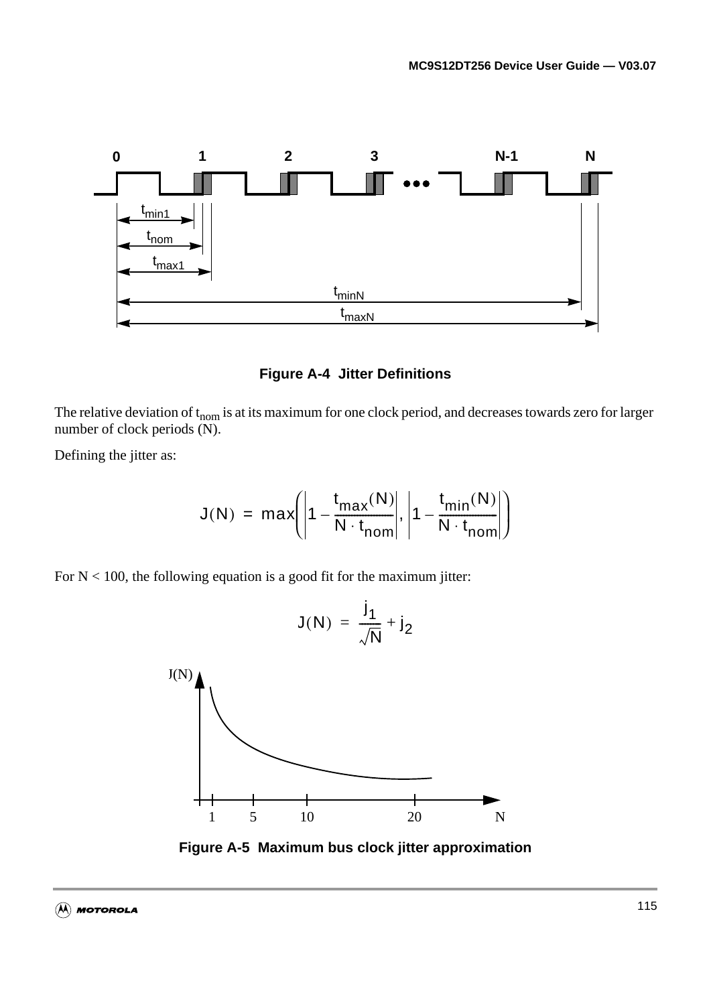

**Figure A-4 Jitter Definitions**

<span id="page-114-0"></span>The relative deviation of t<sub>nom</sub> is at its maximum for one clock period, and decreases towards zero for larger number of clock periods (N).

Defining the jitter as:

$$
J(N) = max \left( \left| 1 - \frac{t_{max}(N)}{N \cdot t_{nom}} \right|, \left| 1 - \frac{t_{min}(N)}{N \cdot t_{nom}} \right| \right)
$$

For  $N < 100$ , the following equation is a good fit for the maximum jitter:

$$
J(N) = \frac{j_1}{\sqrt{N}} + j_2
$$



**Figure A-5 Maximum bus clock jitter approximation**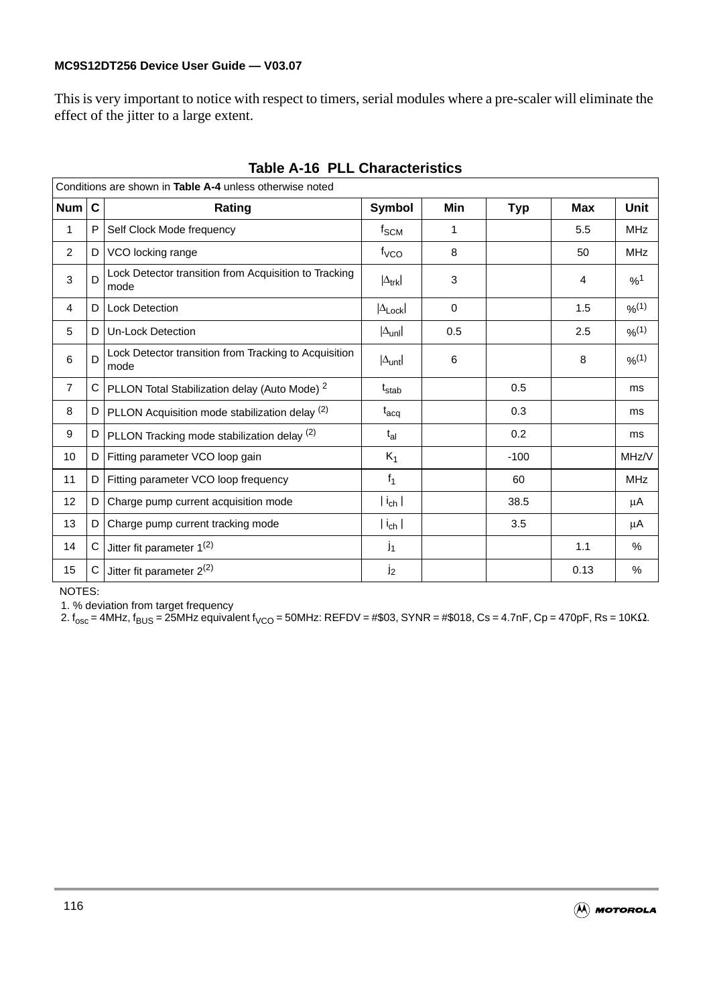#### **MC9S12DT256 Device User Guide — V03.07**

This is very important to notice with respect to timers, serial modules where a pre-scaler will eliminate the effect of the jitter to a large extent.

<span id="page-115-0"></span>

|                | Conditions are shown in Table A-4 unless otherwise noted |                                                               |                         |             |            |            |                            |  |
|----------------|----------------------------------------------------------|---------------------------------------------------------------|-------------------------|-------------|------------|------------|----------------------------|--|
| Num            | $\mathbf c$                                              | Rating                                                        | Symbol                  | Min         | <b>Typ</b> | <b>Max</b> | Unit                       |  |
| 1              | P                                                        | Self Clock Mode frequency                                     | $f_{\sf SCM}$           | 1           |            | 5.5        | <b>MHz</b>                 |  |
| $\overline{2}$ | D                                                        | VCO locking range                                             | f <sub>VCO</sub>        | 8           |            | 50         | <b>MHz</b>                 |  |
| 3              | D                                                        | Lock Detector transition from Acquisition to Tracking<br>mode | $ \Delta_{\text{trk}} $ | 3           |            | 4          | $\frac{9}{6}$ <sup>1</sup> |  |
| 4              | D                                                        | <b>Lock Detection</b>                                         | $ \Delta_{Lock} $       | $\mathbf 0$ |            | 1.5        | 9/6(1)                     |  |
| 5              | D                                                        | Un-Lock Detection                                             | $ \Delta_{unl} $        | 0.5         |            | 2.5        | 9/6(1)                     |  |
| 6              | D                                                        | Lock Detector transition from Tracking to Acquisition<br>mode | $ \Delta_{unt} $        | 6           |            | 8          | 9/6(1)                     |  |
| $\overline{7}$ | $\vert$ C                                                | PLLON Total Stabilization delay (Auto Mode) <sup>2</sup>      | t <sub>stab</sub>       |             | 0.5        |            | ms                         |  |
| 8              | D                                                        | PLLON Acquisition mode stabilization delay (2)                | $t_{\text{acq}}$        |             | 0.3        |            | ms                         |  |
| 9              | D                                                        | PLLON Tracking mode stabilization delay (2)                   | $t_{al}$                |             | 0.2        |            | ms                         |  |
| 10             | D                                                        | Fitting parameter VCO loop gain                               | $K_1$                   |             | $-100$     |            | MHz/V                      |  |
| 11             | D                                                        | Fitting parameter VCO loop frequency                          | $f_1$                   |             | 60         |            | <b>MHz</b>                 |  |
| 12             | D                                                        | Charge pump current acquisition mode                          | $  i_{ch}  $            |             | 38.5       |            | μA                         |  |
| 13             | D                                                        | Charge pump current tracking mode                             | $  i_{ch}  $            |             | 3.5        |            | μA                         |  |
| 14             | С                                                        | Jitter fit parameter 1 <sup>(2)</sup>                         | j <sub>1</sub>          |             |            | 1.1        | %                          |  |
| 15             | С                                                        | Jitter fit parameter $2^{(2)}$                                | j <sub>2</sub>          |             |            | 0.13       | $\%$                       |  |

|  |  | <b>Table A-16 PLL Characteristics</b> |
|--|--|---------------------------------------|
|--|--|---------------------------------------|

NOTES:

<span id="page-115-1"></span>1. % deviation from target frequency

<span id="page-115-2"></span>2. f<sub>osc</sub> = 4MHz, f<sub>BUS</sub> = 25MHz equivalent f<sub>VCO</sub> = 50MHz: REFDV = #\$03, SYNR = #\$018, Cs = 4.7nF, Cp = 470pF, Rs = 10KΩ.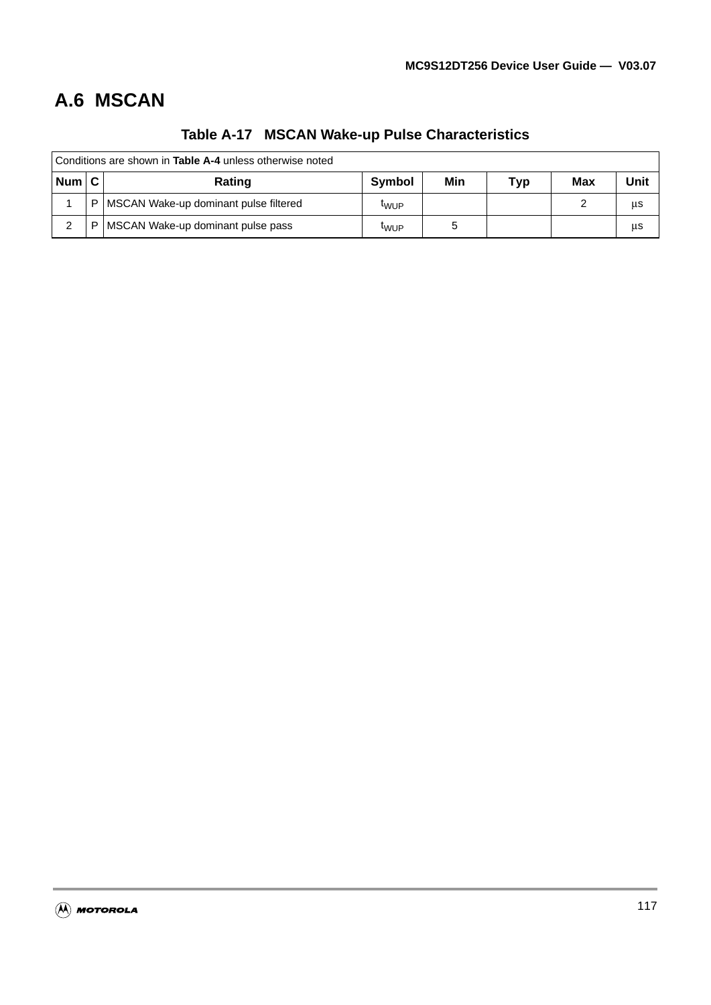# **A.6 MSCAN**

|     |   | Conditions are shown in Table A-4 unless otherwise noted |                  |     |     |     |      |
|-----|---|----------------------------------------------------------|------------------|-----|-----|-----|------|
| Num |   | Rating                                                   | Symbol           | Min | Typ | Max | Unit |
|     | P | MSCAN Wake-up dominant pulse filtered                    | <sup>I</sup> WUP |     |     |     | μs   |
|     | D | MSCAN Wake-up dominant pulse pass                        | <b>WUP</b>       |     |     |     | us   |

#### **Table A-17 MSCAN Wake-up Pulse Characteristics**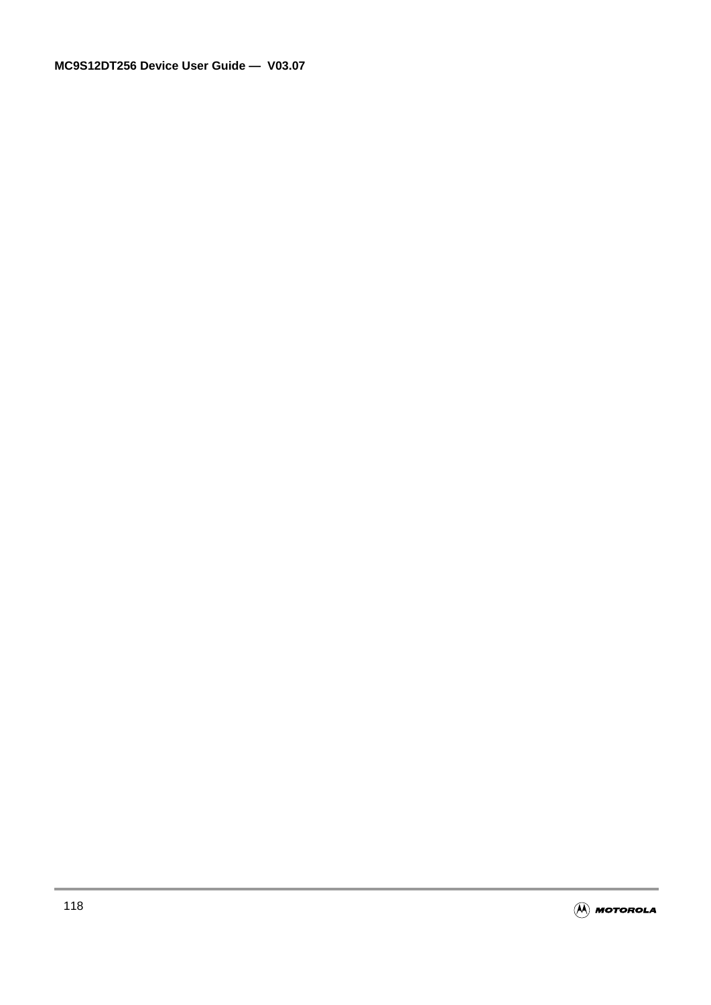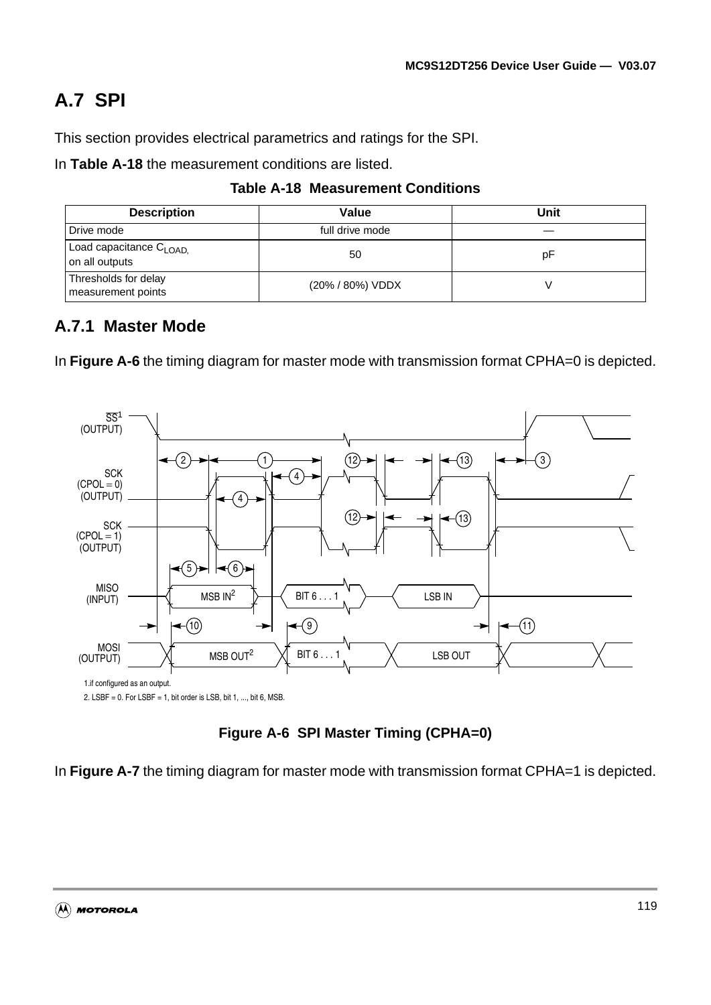# **A.7 SPI**

This section provides electrical parametrics and ratings for the SPI.

<span id="page-118-0"></span>In **[Table A-18](#page-118-0)** the measurement conditions are listed.

|  | <b>Table A-18 Measurement Conditions</b> |  |
|--|------------------------------------------|--|
|--|------------------------------------------|--|

| <b>Description</b>                                    | Value            | Unit |
|-------------------------------------------------------|------------------|------|
| Drive mode                                            | full drive mode  |      |
| Load capacitance C <sub>LOAD.</sub><br>on all outputs | 50               | рF   |
| Thresholds for delay<br>measurement points            | (20% / 80%) VDDX |      |

### **A.7.1 Master Mode**

In **[Figure A-6](#page-118-1)** the timing diagram for master mode with transmission format CPHA=0 is depicted.



#### **Figure A-6 SPI Master Timing (CPHA=0)**

<span id="page-118-1"></span>In **[Figure A-7](#page-119-0)** the timing diagram for master mode with transmission format CPHA=1 is depicted.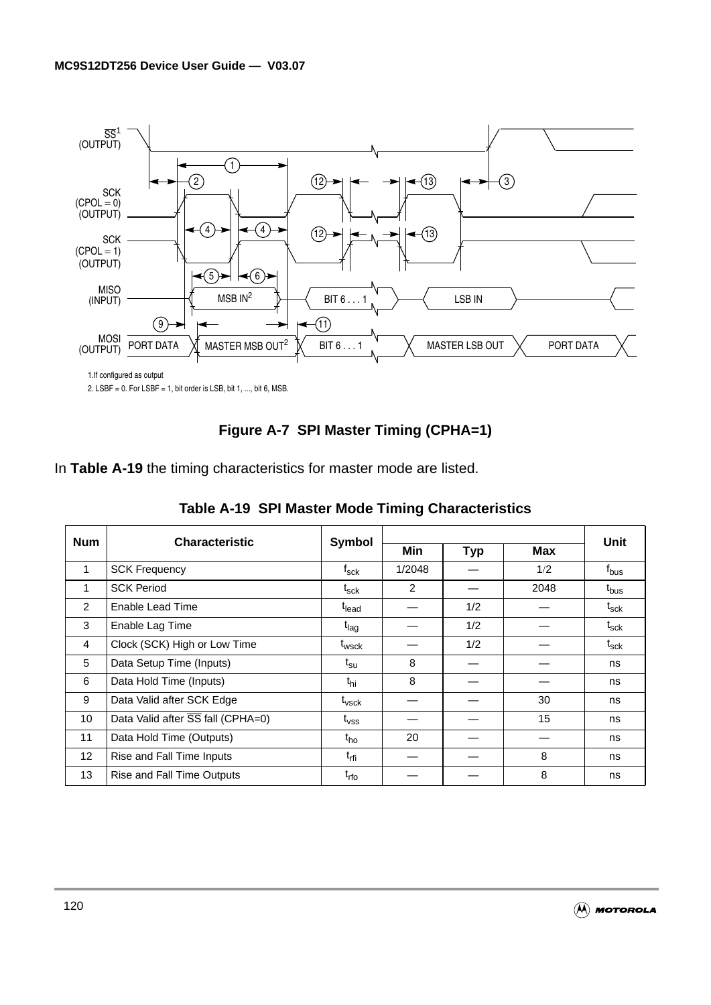

### **Figure A-7 SPI Master Timing (CPHA=1)**

<span id="page-119-0"></span>In **[Table A-19](#page-119-1)** the timing characteristics for master mode are listed.

<span id="page-119-1"></span>

|            | <b>Characteristic</b>             |                    |        |            |      | Unit                                            |
|------------|-----------------------------------|--------------------|--------|------------|------|-------------------------------------------------|
| <b>Num</b> |                                   | Symbol             | Min    | <b>Typ</b> | Max  |                                                 |
| 1          | <b>SCK Frequency</b>              | $f_{\mathsf{sck}}$ | 1/2048 |            | 1/2  | $f_{bus}$                                       |
| 1          | <b>SCK Period</b>                 | $t_{\sf sck}$      | 2      |            | 2048 | $t_{bus}$                                       |
| 2          | Enable Lead Time                  | t <sub>lead</sub>  |        | 1/2        |      | $t_{\sf sck}$                                   |
| 3          | Enable Lag Time                   | $t_{lag}$          |        | 1/2        |      | $\mathsf{t}_{\mathsf{s} \mathsf{c} \mathsf{k}}$ |
| 4          | Clock (SCK) High or Low Time      | $t_{\sf wsck}$     |        | 1/2        |      | $t_{\sf sck}$                                   |
| 5          | Data Setup Time (Inputs)          | $t_{\rm su}$       | 8      |            |      | ns                                              |
| 6          | Data Hold Time (Inputs)           | $t_{hi}$           | 8      |            |      | ns                                              |
| 9          | Data Valid after SCK Edge         | $\rm t_{vsck}$     |        |            | 30   | ns                                              |
| 10         | Data Valid after SS fall (CPHA=0) | $t_{\mathsf{vss}}$ |        |            | 15   | ns                                              |
| 11         | Data Hold Time (Outputs)          | $t_{ho}$           | 20     |            |      | ns                                              |
| 12         | Rise and Fall Time Inputs         | $t_{rfi}$          |        |            | 8    | ns                                              |
| 13         | <b>Rise and Fall Time Outputs</b> | $t_{rfO}$          |        |            | 8    | ns                                              |

**Table A-19 SPI Master Mode Timing Characteristics**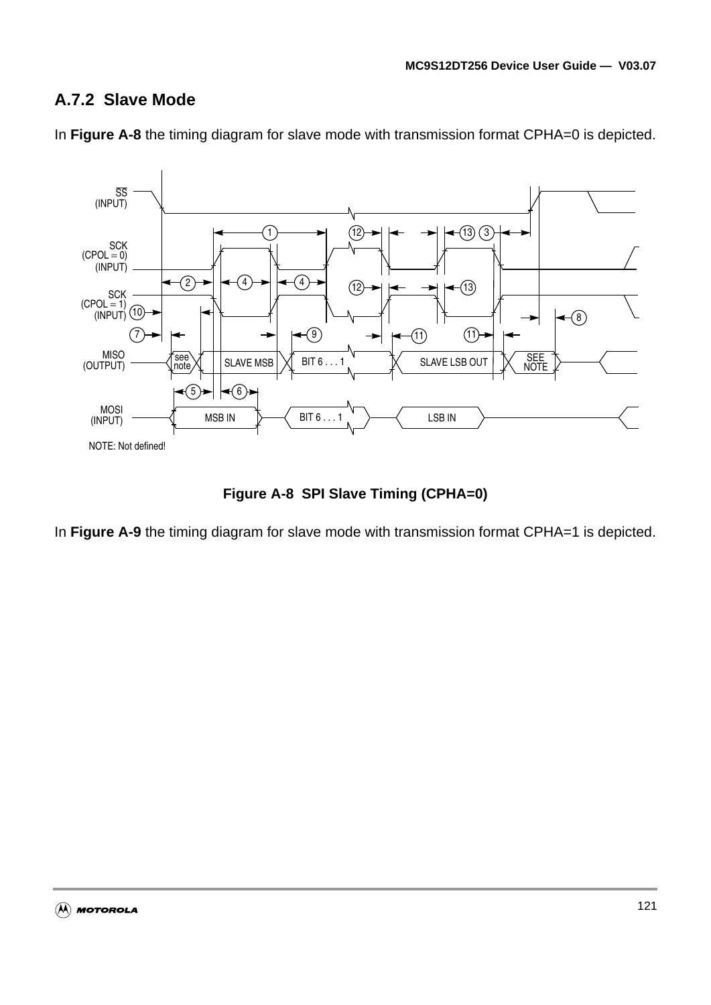## **A.7.2 Slave Mode**



In **[Figure A-8](#page-120-0)** the timing diagram for slave mode with transmission format CPHA=0 is depicted.

**Figure A-8 SPI Slave Timing (CPHA=0)**

<span id="page-120-0"></span>In **[Figure A-9](#page-121-0)** the timing diagram for slave mode with transmission format CPHA=1 is depicted.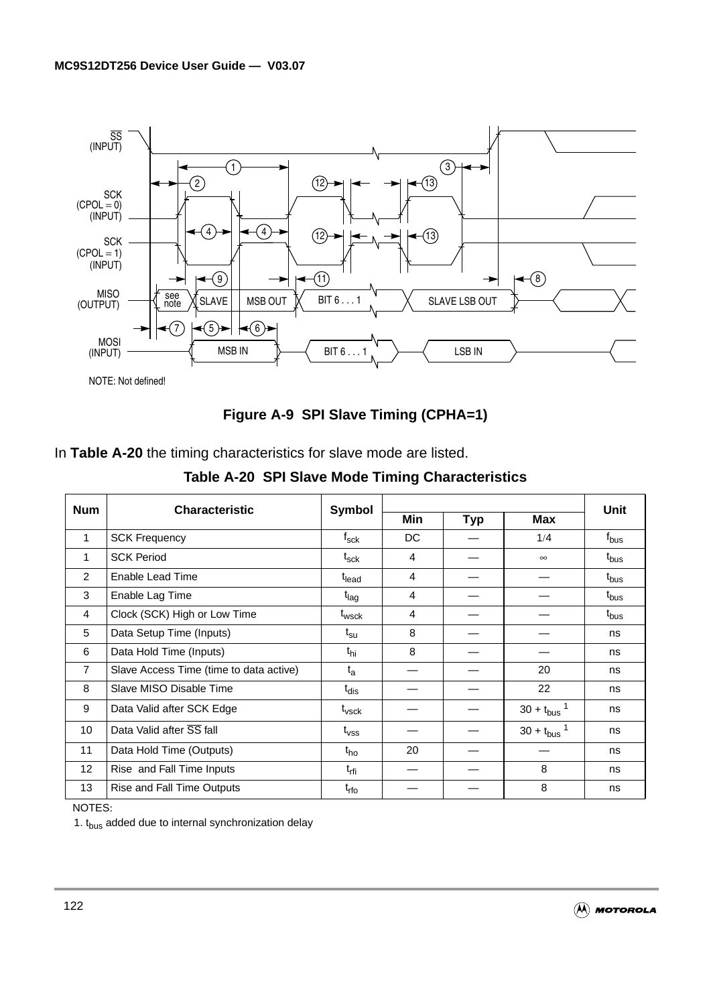



<span id="page-121-2"></span><span id="page-121-0"></span>In **[Table A-20](#page-121-2)** the timing characteristics for slave mode are listed.

| <b>Num</b> | <b>Characteristic</b>                   | <b>Symbol</b>      |                |            |                             | Unit             |
|------------|-----------------------------------------|--------------------|----------------|------------|-----------------------------|------------------|
|            |                                         |                    | <b>Min</b>     | <b>Typ</b> | Max                         |                  |
| 1          | <b>SCK Frequency</b>                    | $f_{\sf sck}$      | DC.            |            | 1/4                         | $f_{bus}$        |
| 1          | <b>SCK Period</b>                       | $t_{\mathsf{sck}}$ | 4              |            | $\infty$                    | t <sub>bus</sub> |
| 2          | Enable Lead Time                        | t <sub>lead</sub>  | 4              |            |                             | $t_{bus}$        |
| 3          | Enable Lag Time                         | t <sub>lag</sub>   | 4              |            |                             | $t_{bus}$        |
| 4          | Clock (SCK) High or Low Time            | t <sub>wsck</sub>  | $\overline{4}$ |            |                             | $t_{bus}$        |
| 5          | Data Setup Time (Inputs)                | $t_{\rm su}$       | 8              |            |                             | ns               |
| 6          | Data Hold Time (Inputs)                 | $t_{hi}$           | 8              |            |                             | ns               |
| 7          | Slave Access Time (time to data active) | $t_{a}$            |                |            | 20                          | ns               |
| 8          | Slave MISO Disable Time                 | $t_{dis}$          |                |            | 22                          | ns               |
| 9          | Data Valid after SCK Edge               | t <sub>vsck</sub>  |                |            | $30 + t_{bus}$ <sup>1</sup> | ns               |
| 10         | Data Valid after SS fall                | $t_{VSS}$          |                |            | $30 + t_{bus}$ <sup>1</sup> | ns               |
| 11         | Data Hold Time (Outputs)                | $t_{ho}$           | 20             |            |                             | ns               |
| 12         | Rise and Fall Time Inputs               | $t_{rfi}$          |                |            | 8                           | ns               |
| 13         | Rise and Fall Time Outputs              | $t_{rfo}$          |                |            | 8                           | ns               |

<span id="page-121-1"></span>

|  |  |  |  |  | Table A-20 SPI Slave Mode Timing Characteristics |
|--|--|--|--|--|--------------------------------------------------|
|--|--|--|--|--|--------------------------------------------------|

NOTES:

1.  $t_{bus}$  added due to internal synchronization delay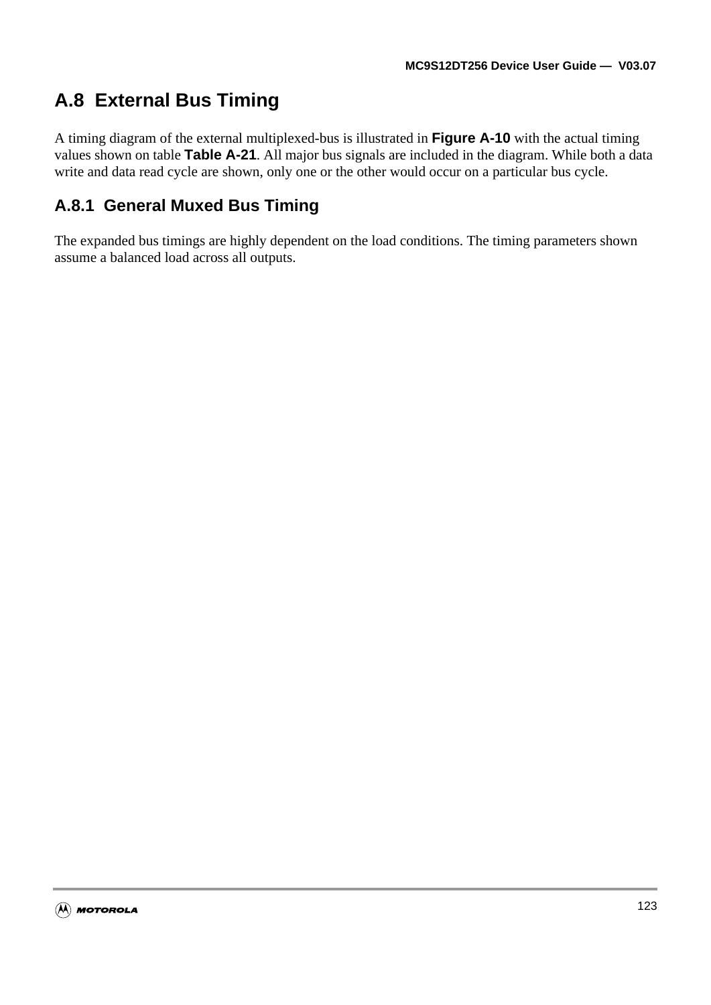# **A.8 External Bus Timing**

A timing diagram of the external multiplexed-bus is illustrated in **[Figure A-10](#page-123-0)** with the actual timing values shown on table **[Table A-21](#page-124-0)**. All major bus signals are included in the diagram. While both a data write and data read cycle are shown, only one or the other would occur on a particular bus cycle.

## **A.8.1 General Muxed Bus Timing**

The expanded bus timings are highly dependent on the load conditions. The timing parameters shown assume a balanced load across all outputs.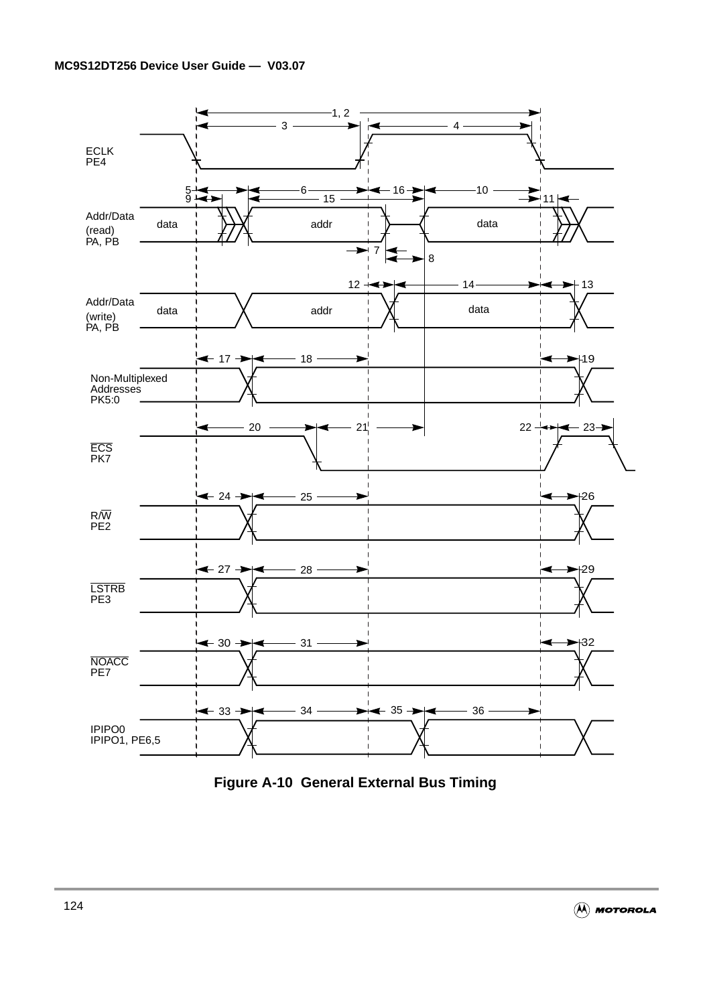

<span id="page-123-0"></span>**Figure A-10 General External Bus Timing**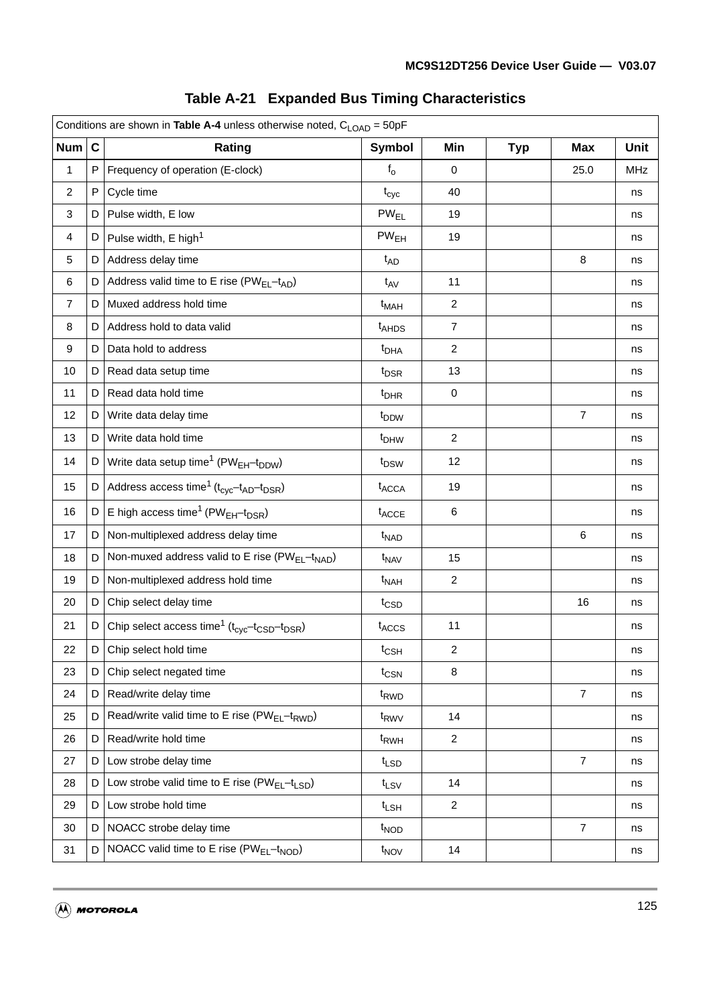<span id="page-124-0"></span>

|                | Conditions are shown in Table A-4 unless otherwise noted, C <sub>LOAD</sub> = 50pF |                                                                                           |                    |                  |            |                |             |
|----------------|------------------------------------------------------------------------------------|-------------------------------------------------------------------------------------------|--------------------|------------------|------------|----------------|-------------|
| <b>Num</b>     | $\mathbf C$                                                                        | Rating                                                                                    | <b>Symbol</b>      | Min              | <b>Typ</b> | <b>Max</b>     | <b>Unit</b> |
| 1              | P                                                                                  | Frequency of operation (E-clock)                                                          | f <sub>o</sub>     | $\mathbf 0$      |            | 25.0           | <b>MHz</b>  |
| $\overline{c}$ | $\mathsf{P}$                                                                       | Cycle time                                                                                | $t_{\rm cyc}$      | 40               |            |                | ns          |
| 3              | D                                                                                  | Pulse width, E low                                                                        | $PW_{EL}$          | 19               |            |                | ns          |
| 4              | D                                                                                  | Pulse width, E high <sup>1</sup>                                                          | PW <sub>EH</sub>   | 19               |            |                | ns          |
| 5              | D                                                                                  | Address delay time                                                                        | $t_{AD}$           |                  |            | 8              | ns          |
| 6              | D                                                                                  | Address valid time to E rise ( $PW_{EL}-t_{AD}$ )                                         | $t_{AV}$           | 11               |            |                | ns          |
| $\overline{7}$ | D                                                                                  | Muxed address hold time                                                                   | $t_{\mathsf{MAH}}$ | $\overline{2}$   |            |                | ns          |
| 8              | D                                                                                  | Address hold to data valid                                                                | t <sub>AHDS</sub>  | $\overline{7}$   |            |                | ns          |
| 9              | D                                                                                  | Data hold to address                                                                      | t <sub>DHA</sub>   | $\overline{2}$   |            |                | ns          |
| 10             | D                                                                                  | Read data setup time                                                                      | $t_{DSR}$          | 13               |            |                | ns          |
| 11             | D                                                                                  | Read data hold time                                                                       | t <sub>DHR</sub>   | $\pmb{0}$        |            |                | ns          |
| 12             | D                                                                                  | Write data delay time                                                                     | t <sub>DDW</sub>   |                  |            | $\overline{7}$ | ns          |
| 13             | D                                                                                  | Write data hold time                                                                      | t <sub>DHW</sub>   | $\overline{2}$   |            |                | ns          |
| 14             | D                                                                                  | Write data setup time <sup>1</sup> (PW <sub>EH</sub> -t <sub>DDW</sub> )                  | t <sub>DSW</sub>   | 12               |            |                | ns          |
| 15             | D                                                                                  | Address access time <sup>1</sup> (t <sub>cyc</sub> -t <sub>AD</sub> -t <sub>DSR</sub> )   | t <sub>ACCA</sub>  | 19               |            |                | ns          |
| 16             | D                                                                                  | E high access time <sup>1</sup> (PW <sub>EH</sub> -t <sub>DSR</sub> )                     | t <sub>ACCE</sub>  | 6                |            |                | ns          |
| 17             | D                                                                                  | Non-multiplexed address delay time                                                        | t <sub>NAD</sub>   |                  |            | 6              | ns          |
| 18             | D                                                                                  | Non-muxed address valid to E rise (PW <sub>EL</sub> -t <sub>NAD</sub> )                   | t <sub>NAV</sub>   | 15               |            |                | ns          |
| 19             | D                                                                                  | Non-multiplexed address hold time                                                         | t <sub>NAH</sub>   | $\overline{2}$   |            |                | ns          |
| 20             | D                                                                                  | Chip select delay time                                                                    | $t_{\text{CSD}}$   |                  |            | 16             | ns          |
| 21             | D                                                                                  | Chip select access time <sup>1</sup> $(t_{\text{cyc}} - t_{\text{CSD}} - t_{\text{DSR}})$ | t <sub>ACCS</sub>  | 11               |            |                | ns          |
| 22             |                                                                                    | $D$ Chip select hold time                                                                 | $t_{\text{CSH}}$   | $\boldsymbol{2}$ |            |                | ns          |
| 23             | D                                                                                  | Chip select negated time                                                                  | $t_{\text{CSN}}$   | 8                |            |                | ns          |
| 24             | D                                                                                  | Read/write delay time                                                                     | t <sub>RWD</sub>   |                  |            | $\overline{7}$ | ns          |
| 25             | D                                                                                  | Read/write valid time to E rise (PW <sub>EL</sub> -t <sub>RWD</sub> )                     | $t_{RWV}$          | 14               |            |                | ns          |
| 26             | D                                                                                  | Read/write hold time                                                                      | t <sub>RWH</sub>   | $\overline{2}$   |            |                | ns          |
| 27             | D                                                                                  | Low strobe delay time                                                                     | $t_{\textsf{LSD}}$ |                  |            | $\overline{7}$ | ns          |
| 28             | D                                                                                  | Low strobe valid time to E rise ( $PW_{EL}-t_{LSD}$ )                                     | $t_{LSV}$          | 14               |            |                | ns          |
| 29             | D                                                                                  | Low strobe hold time                                                                      | $t_{LSH}$          | $\overline{2}$   |            |                | ns          |
| 30             | D                                                                                  | NOACC strobe delay time                                                                   | t <sub>NOD</sub>   |                  |            | $\overline{7}$ | ns          |
| 31             | D                                                                                  | NOACC valid time to E rise (PW <sub>EL</sub> -t <sub>NOD</sub> )                          | $t_{\text{NOV}}$   | 14               |            |                | ns          |

## **Table A-21 Expanded Bus Timing Characteristics**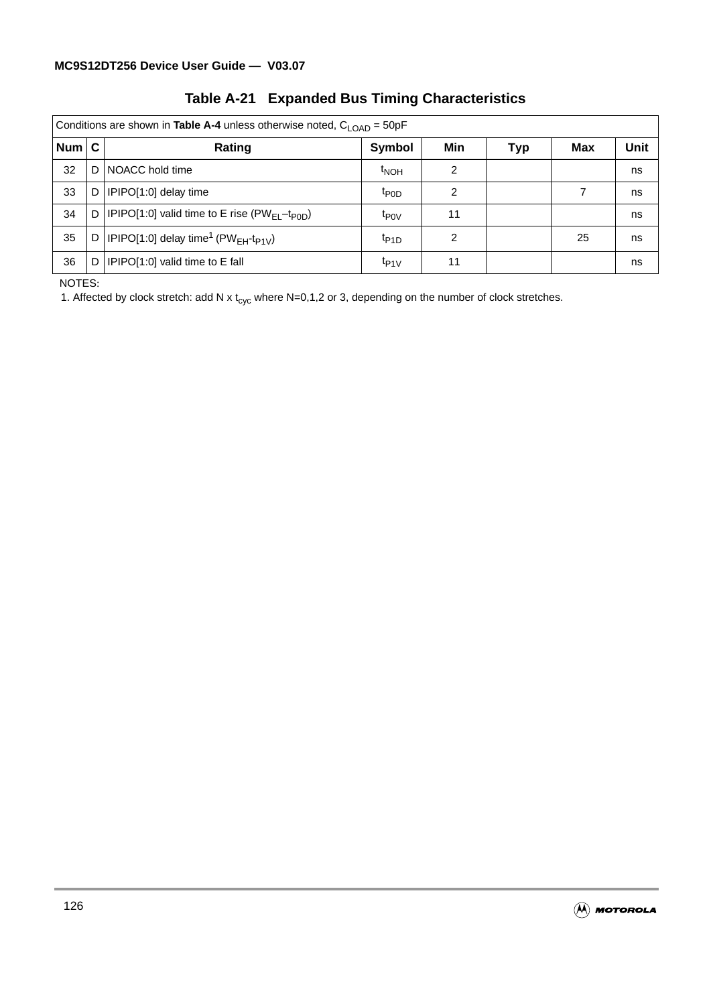| Conditions are shown in Table A-4 unless otherwise noted, $C_{1OAD} = 50pF$ |   |                                                                              |                  |     |     |            |      |  |
|-----------------------------------------------------------------------------|---|------------------------------------------------------------------------------|------------------|-----|-----|------------|------|--|
| <b>Num</b>                                                                  | C | Rating                                                                       | Symbol           | Min | Typ | <b>Max</b> | Unit |  |
| 32                                                                          |   | D   NOACC hold time                                                          | <sup>t</sup> NOH | 2   |     |            | ns   |  |
| 33                                                                          |   | $D$   IPIPO[1:0] delay time                                                  | $t_{\text{POD}}$ | 2   |     |            | ns   |  |
| 34                                                                          |   | D   IPIPO[1:0] valid time to E rise (PW <sub>FI</sub> -t <sub>P0D</sub> )    | $t_{\text{POV}}$ | 11  |     |            | ns   |  |
| 35                                                                          |   | D   IPIPO[1:0] delay time <sup>1</sup> (PW <sub>FH</sub> -t <sub>P1V</sub> ) | $t_{P1D}$        | 2   |     | 25         | ns   |  |
| 36                                                                          | D | IPIPO[1:0] valid time to E fall                                              | $t_{P1V}$        | 11  |     |            | ns   |  |

## **Table A-21 Expanded Bus Timing Characteristics**

NOTES:

<span id="page-125-0"></span>1. Affected by clock stretch: add N x  $t_{\text{cyc}}$  where N=0,1,2 or 3, depending on the number of clock stretches.

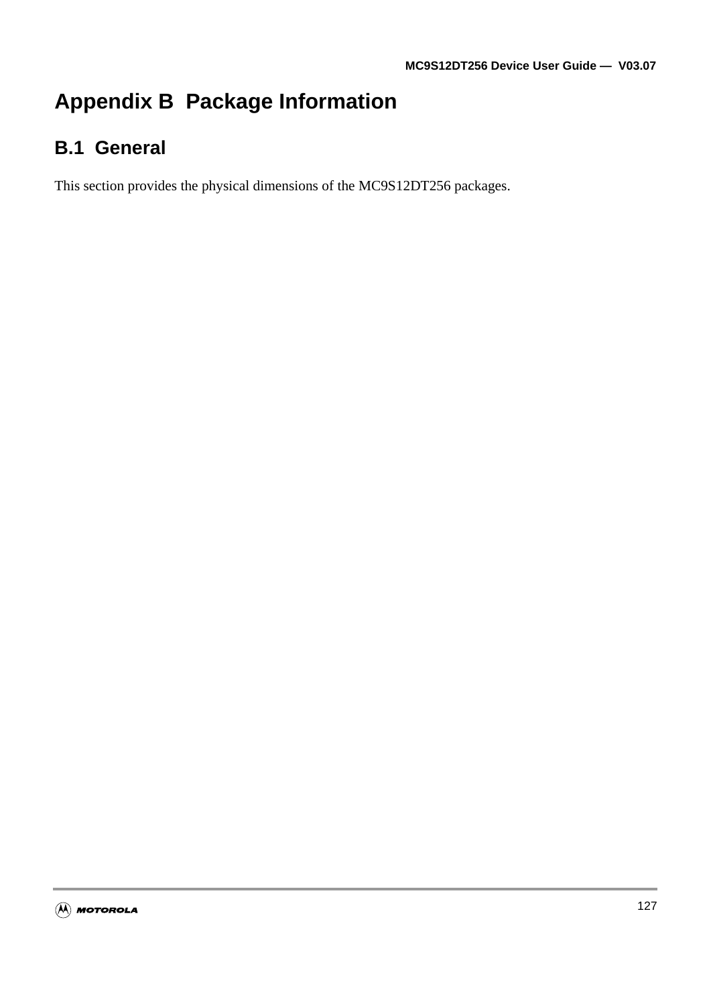# **Appendix B Package Information**

# **B.1 General**

This section provides the physical dimensions of the MC9S12DT256 packages.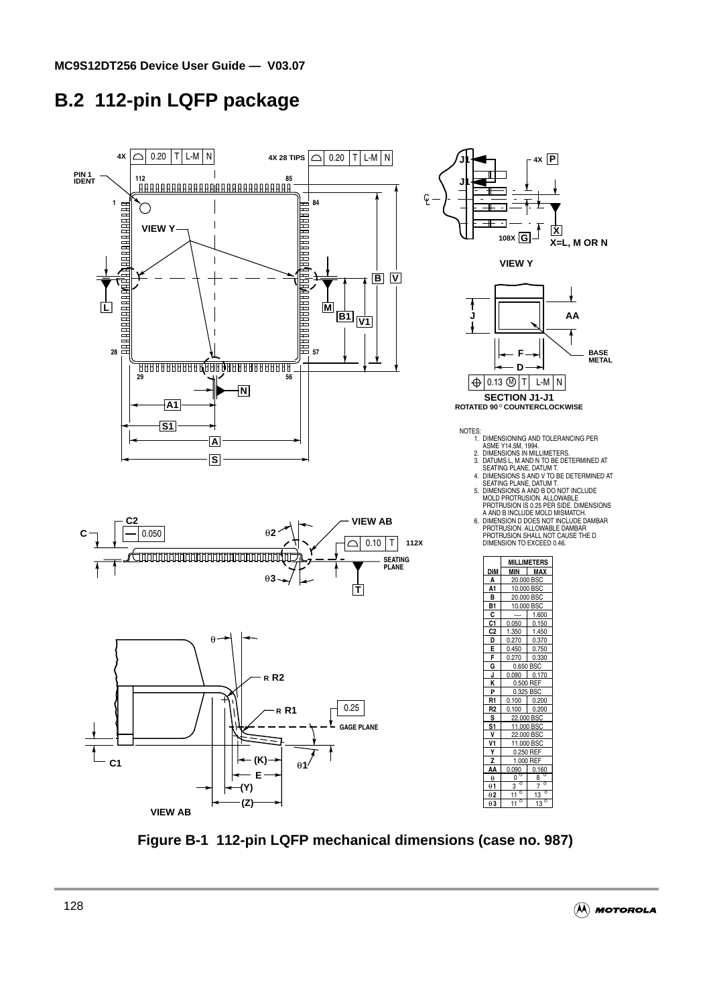# **B.2 112-pin LQFP package**



**Figure B-1 112-pin LQFP mechanical dimensions (case no. 987)**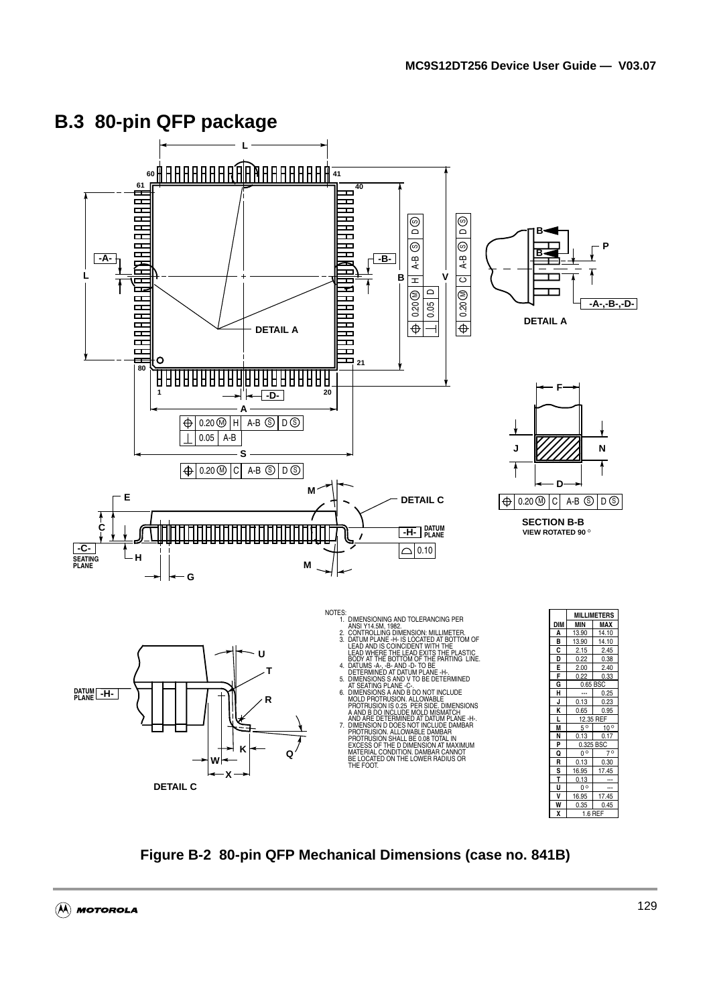## **B.3 80-pin QFP package**



**Figure B-2 80-pin QFP Mechanical Dimensions (case no. 841B)**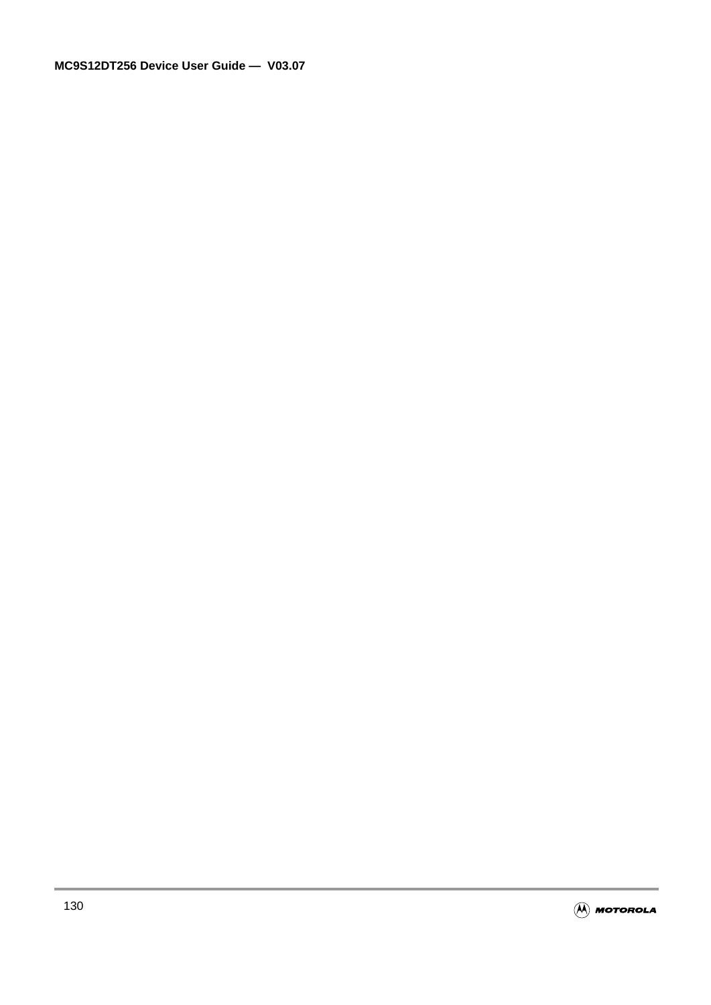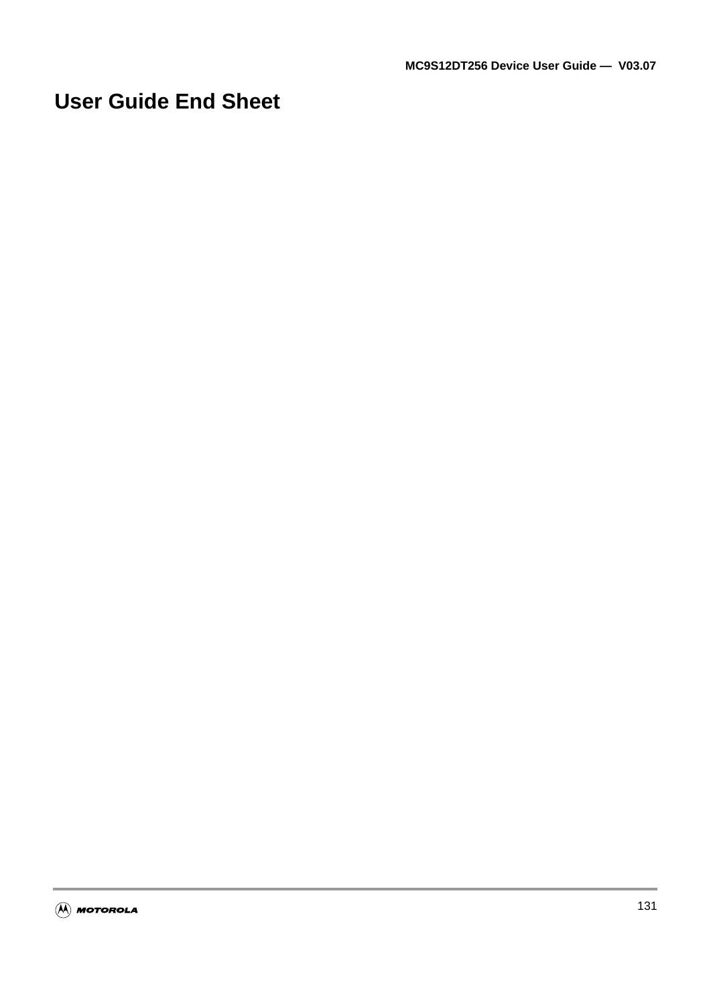# **User Guide End Sheet**